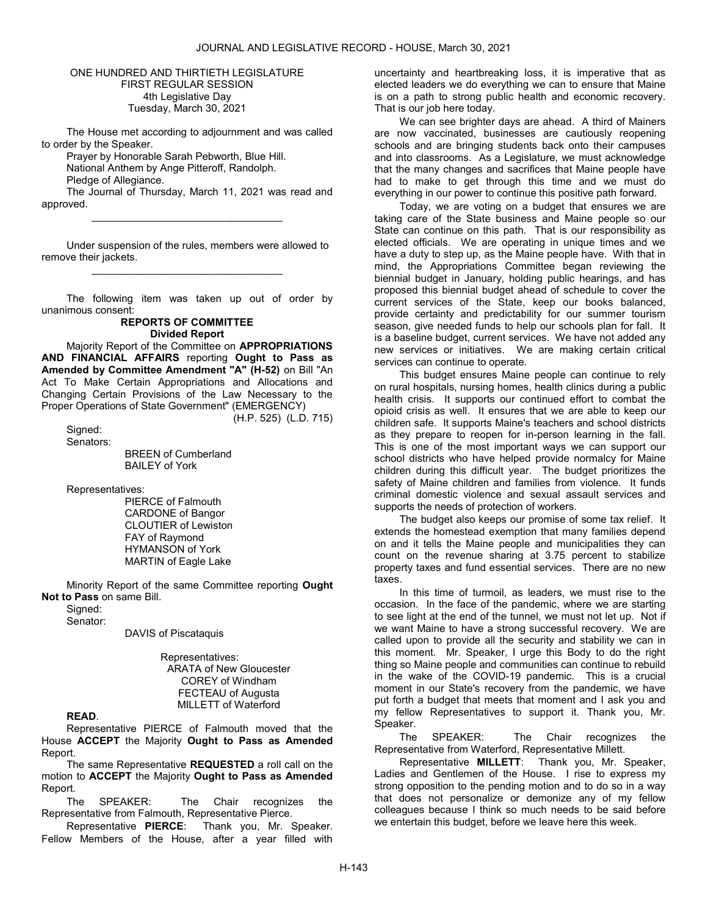#### ONE HUNDRED AND THIRTIETH LEGISLATURE FIRST REGULAR SESSION 4th Legislative Day Tuesday, March 30, 2021

 The House met according to adjournment and was called to order by the Speaker.

 Prayer by Honorable Sarah Pebworth, Blue Hill. National Anthem by Ange Pitteroff, Randolph.

Pledge of Allegiance.

 The Journal of Thursday, March 11, 2021 was read and approved. \_\_\_\_\_\_\_\_\_\_\_\_\_\_\_\_\_\_\_\_\_\_\_\_\_\_\_\_\_\_\_\_\_

Under suspension of the rules, members were allowed to remove their jackets. \_\_\_\_\_\_\_\_\_\_\_\_\_\_\_\_\_\_\_\_\_\_\_\_\_\_\_\_\_\_\_\_\_

The following item was taken up out of order by unanimous consent:

#### REPORTS OF COMMITTEE Divided Report

 Majority Report of the Committee on APPROPRIATIONS AND FINANCIAL AFFAIRS reporting Ought to Pass as Amended by Committee Amendment "A" (H-52) on Bill "An Act To Make Certain Appropriations and Allocations and Changing Certain Provisions of the Law Necessary to the Proper Operations of State Government" (EMERGENCY)

(H.P. 525) (L.D. 715)

Signed: Senators:

 BREEN of Cumberland BAILEY of York

Representatives:

 PIERCE of Falmouth CARDONE of Bangor CLOUTIER of Lewiston FAY of Raymond HYMANSON of York MARTIN of Eagle Lake

 Minority Report of the same Committee reporting Ought Not to Pass on same Bill.

Signed:

Senator:

DAVIS of Piscataquis

 Representatives: ARATA of New Gloucester COREY of Windham FECTEAU of Augusta MILLETT of Waterford

READ.

 Representative PIERCE of Falmouth moved that the House ACCEPT the Majority Ought to Pass as Amended Report.

The same Representative REQUESTED a roll call on the motion to ACCEPT the Majority Ought to Pass as Amended Report.

 The SPEAKER: The Chair recognizes the Representative from Falmouth, Representative Pierce.

Representative PIERCE: Thank you, Mr. Speaker. Fellow Members of the House, after a year filled with uncertainty and heartbreaking loss, it is imperative that as elected leaders we do everything we can to ensure that Maine is on a path to strong public health and economic recovery. That is our job here today.

We can see brighter days are ahead. A third of Mainers are now vaccinated, businesses are cautiously reopening schools and are bringing students back onto their campuses and into classrooms. As a Legislature, we must acknowledge that the many changes and sacrifices that Maine people have had to make to get through this time and we must do everything in our power to continue this positive path forward.

Today, we are voting on a budget that ensures we are taking care of the State business and Maine people so our State can continue on this path. That is our responsibility as elected officials. We are operating in unique times and we have a duty to step up, as the Maine people have. With that in mind, the Appropriations Committee began reviewing the biennial budget in January, holding public hearings, and has proposed this biennial budget ahead of schedule to cover the current services of the State, keep our books balanced, provide certainty and predictability for our summer tourism season, give needed funds to help our schools plan for fall. It is a baseline budget, current services. We have not added any new services or initiatives. We are making certain critical services can continue to operate.

This budget ensures Maine people can continue to rely on rural hospitals, nursing homes, health clinics during a public health crisis. It supports our continued effort to combat the opioid crisis as well. It ensures that we are able to keep our children safe. It supports Maine's teachers and school districts as they prepare to reopen for in-person learning in the fall. This is one of the most important ways we can support our school districts who have helped provide normalcy for Maine children during this difficult year. The budget prioritizes the safety of Maine children and families from violence. It funds criminal domestic violence and sexual assault services and supports the needs of protection of workers.

The budget also keeps our promise of some tax relief. It extends the homestead exemption that many families depend on and it tells the Maine people and municipalities they can count on the revenue sharing at 3.75 percent to stabilize property taxes and fund essential services. There are no new taxes.

In this time of turmoil, as leaders, we must rise to the occasion. In the face of the pandemic, where we are starting to see light at the end of the tunnel, we must not let up. Not if we want Maine to have a strong successful recovery. We are called upon to provide all the security and stability we can in this moment. Mr. Speaker, I urge this Body to do the right thing so Maine people and communities can continue to rebuild in the wake of the COVID-19 pandemic. This is a crucial moment in our State's recovery from the pandemic, we have put forth a budget that meets that moment and I ask you and my fellow Representatives to support it. Thank you, Mr. Speaker.

 The SPEAKER: The Chair recognizes the Representative from Waterford, Representative Millett.

Representative MILLETT: Thank you, Mr. Speaker, Ladies and Gentlemen of the House. I rise to express my strong opposition to the pending motion and to do so in a way that does not personalize or demonize any of my fellow colleagues because I think so much needs to be said before we entertain this budget, before we leave here this week.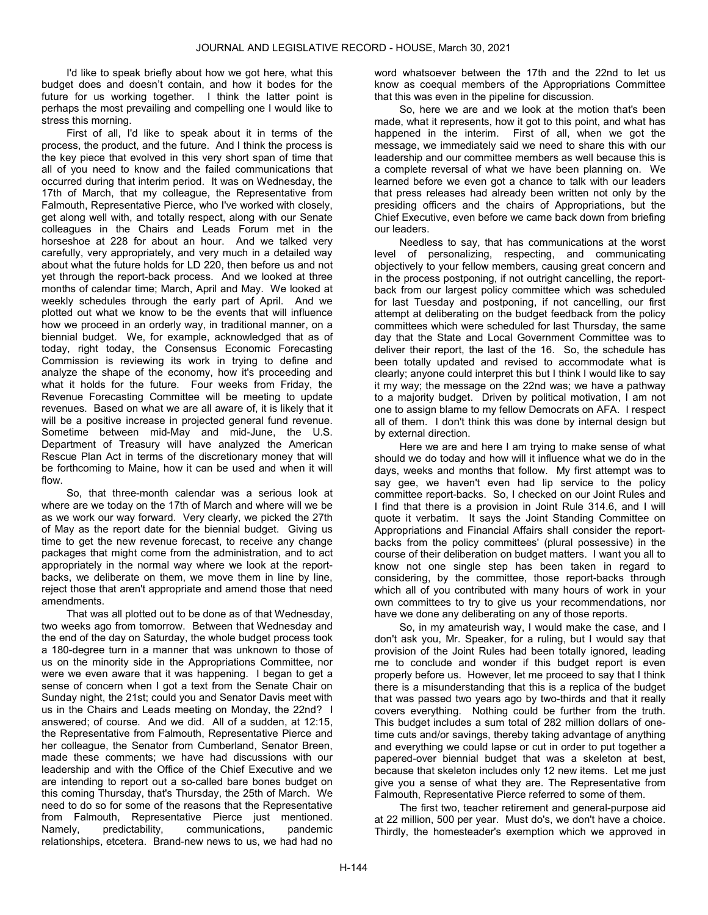I'd like to speak briefly about how we got here, what this budget does and doesn't contain, and how it bodes for the future for us working together. I think the latter point is perhaps the most prevailing and compelling one I would like to stress this morning.

First of all, I'd like to speak about it in terms of the process, the product, and the future. And I think the process is the key piece that evolved in this very short span of time that all of you need to know and the failed communications that occurred during that interim period. It was on Wednesday, the 17th of March, that my colleague, the Representative from Falmouth, Representative Pierce, who I've worked with closely, get along well with, and totally respect, along with our Senate colleagues in the Chairs and Leads Forum met in the horseshoe at 228 for about an hour. And we talked very carefully, very appropriately, and very much in a detailed way about what the future holds for LD 220, then before us and not yet through the report-back process. And we looked at three months of calendar time; March, April and May. We looked at weekly schedules through the early part of April. And we plotted out what we know to be the events that will influence how we proceed in an orderly way, in traditional manner, on a biennial budget. We, for example, acknowledged that as of today, right today, the Consensus Economic Forecasting Commission is reviewing its work in trying to define and analyze the shape of the economy, how it's proceeding and what it holds for the future. Four weeks from Friday, the Revenue Forecasting Committee will be meeting to update revenues. Based on what we are all aware of, it is likely that it will be a positive increase in projected general fund revenue. Sometime between mid-May and mid-June, the U.S. Department of Treasury will have analyzed the American Rescue Plan Act in terms of the discretionary money that will be forthcoming to Maine, how it can be used and when it will flow.

So, that three-month calendar was a serious look at where are we today on the 17th of March and where will we be as we work our way forward. Very clearly, we picked the 27th of May as the report date for the biennial budget. Giving us time to get the new revenue forecast, to receive any change packages that might come from the administration, and to act appropriately in the normal way where we look at the reportbacks, we deliberate on them, we move them in line by line, reject those that aren't appropriate and amend those that need amendments.

That was all plotted out to be done as of that Wednesday, two weeks ago from tomorrow. Between that Wednesday and the end of the day on Saturday, the whole budget process took a 180-degree turn in a manner that was unknown to those of us on the minority side in the Appropriations Committee, nor were we even aware that it was happening. I began to get a sense of concern when I got a text from the Senate Chair on Sunday night, the 21st; could you and Senator Davis meet with us in the Chairs and Leads meeting on Monday, the 22nd? I answered; of course. And we did. All of a sudden, at 12:15, the Representative from Falmouth, Representative Pierce and her colleague, the Senator from Cumberland, Senator Breen, made these comments; we have had discussions with our leadership and with the Office of the Chief Executive and we are intending to report out a so-called bare bones budget on this coming Thursday, that's Thursday, the 25th of March. We need to do so for some of the reasons that the Representative from Falmouth, Representative Pierce just mentioned. Namely, predictability, communications, pandemic relationships, etcetera. Brand-new news to us, we had had no

word whatsoever between the 17th and the 22nd to let us know as coequal members of the Appropriations Committee that this was even in the pipeline for discussion.

So, here we are and we look at the motion that's been made, what it represents, how it got to this point, and what has happened in the interim. First of all, when we got the message, we immediately said we need to share this with our leadership and our committee members as well because this is a complete reversal of what we have been planning on. We learned before we even got a chance to talk with our leaders that press releases had already been written not only by the presiding officers and the chairs of Appropriations, but the Chief Executive, even before we came back down from briefing our leaders.

Needless to say, that has communications at the worst level of personalizing, respecting, and communicating objectively to your fellow members, causing great concern and in the process postponing, if not outright cancelling, the reportback from our largest policy committee which was scheduled for last Tuesday and postponing, if not cancelling, our first attempt at deliberating on the budget feedback from the policy committees which were scheduled for last Thursday, the same day that the State and Local Government Committee was to deliver their report, the last of the 16. So, the schedule has been totally updated and revised to accommodate what is clearly; anyone could interpret this but I think I would like to say it my way; the message on the 22nd was; we have a pathway to a majority budget. Driven by political motivation, I am not one to assign blame to my fellow Democrats on AFA. I respect all of them. I don't think this was done by internal design but by external direction.

Here we are and here I am trying to make sense of what should we do today and how will it influence what we do in the days, weeks and months that follow. My first attempt was to say gee, we haven't even had lip service to the policy committee report-backs. So, I checked on our Joint Rules and I find that there is a provision in Joint Rule 314.6, and I will quote it verbatim. It says the Joint Standing Committee on Appropriations and Financial Affairs shall consider the reportbacks from the policy committees' (plural possessive) in the course of their deliberation on budget matters. I want you all to know not one single step has been taken in regard to considering, by the committee, those report-backs through which all of you contributed with many hours of work in your own committees to try to give us your recommendations, nor have we done any deliberating on any of those reports.

So, in my amateurish way, I would make the case, and I don't ask you, Mr. Speaker, for a ruling, but I would say that provision of the Joint Rules had been totally ignored, leading me to conclude and wonder if this budget report is even properly before us. However, let me proceed to say that I think there is a misunderstanding that this is a replica of the budget that was passed two years ago by two-thirds and that it really covers everything. Nothing could be further from the truth. This budget includes a sum total of 282 million dollars of onetime cuts and/or savings, thereby taking advantage of anything and everything we could lapse or cut in order to put together a papered-over biennial budget that was a skeleton at best, because that skeleton includes only 12 new items. Let me just give you a sense of what they are. The Representative from Falmouth, Representative Pierce referred to some of them.

The first two, teacher retirement and general-purpose aid at 22 million, 500 per year. Must do's, we don't have a choice. Thirdly, the homesteader's exemption which we approved in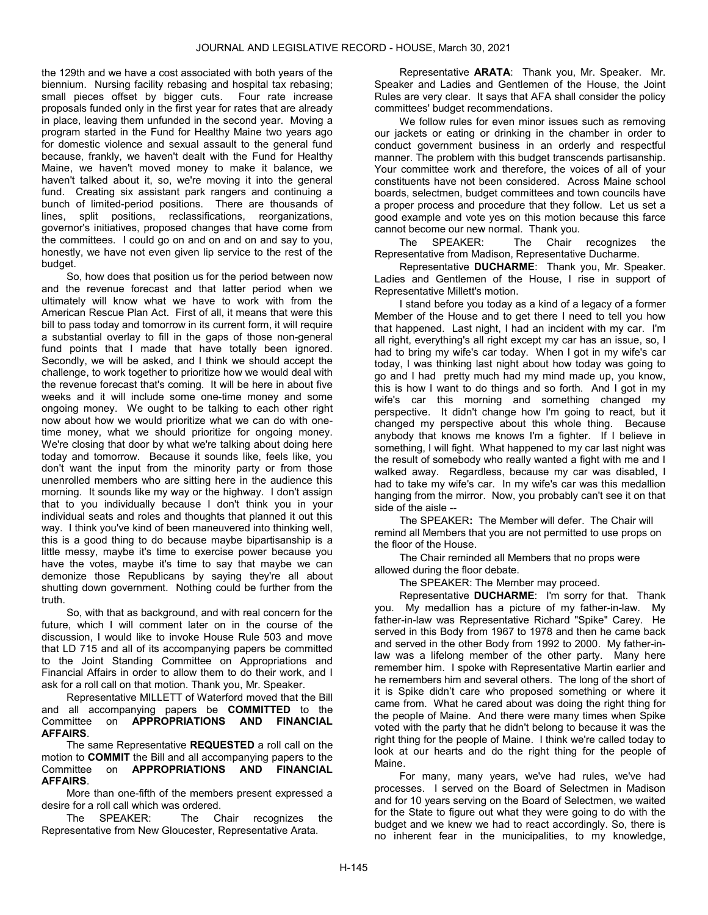the 129th and we have a cost associated with both years of the biennium. Nursing facility rebasing and hospital tax rebasing; small pieces offset by bigger cuts. Four rate increase proposals funded only in the first year for rates that are already in place, leaving them unfunded in the second year. Moving a program started in the Fund for Healthy Maine two years ago for domestic violence and sexual assault to the general fund because, frankly, we haven't dealt with the Fund for Healthy Maine, we haven't moved money to make it balance, we haven't talked about it, so, we're moving it into the general fund. Creating six assistant park rangers and continuing a bunch of limited-period positions. There are thousands of lines, split positions, reclassifications, reorganizations, governor's initiatives, proposed changes that have come from the committees. I could go on and on and on and say to you, honestly, we have not even given lip service to the rest of the budget.

So, how does that position us for the period between now and the revenue forecast and that latter period when we ultimately will know what we have to work with from the American Rescue Plan Act. First of all, it means that were this bill to pass today and tomorrow in its current form, it will require a substantial overlay to fill in the gaps of those non-general fund points that I made that have totally been ignored. Secondly, we will be asked, and I think we should accept the challenge, to work together to prioritize how we would deal with the revenue forecast that's coming. It will be here in about five weeks and it will include some one-time money and some ongoing money. We ought to be talking to each other right now about how we would prioritize what we can do with onetime money, what we should prioritize for ongoing money. We're closing that door by what we're talking about doing here today and tomorrow. Because it sounds like, feels like, you don't want the input from the minority party or from those unenrolled members who are sitting here in the audience this morning. It sounds like my way or the highway. I don't assign that to you individually because I don't think you in your individual seats and roles and thoughts that planned it out this way. I think you've kind of been maneuvered into thinking well, this is a good thing to do because maybe bipartisanship is a little messy, maybe it's time to exercise power because you have the votes, maybe it's time to say that maybe we can demonize those Republicans by saying they're all about shutting down government. Nothing could be further from the truth.

So, with that as background, and with real concern for the future, which I will comment later on in the course of the discussion, I would like to invoke House Rule 503 and move that LD 715 and all of its accompanying papers be committed to the Joint Standing Committee on Appropriations and Financial Affairs in order to allow them to do their work, and I ask for a roll call on that motion. Thank you, Mr. Speaker.

 Representative MILLETT of Waterford moved that the Bill and all accompanying papers be COMMITTED to the Committee on APPROPRIATIONS AND FINANCIAL AFFAIRS.

The same Representative REQUESTED a roll call on the motion to COMMIT the Bill and all accompanying papers to the Committee on APPROPRIATIONS AND FINANCIAL AFFAIRS.

 More than one-fifth of the members present expressed a desire for a roll call which was ordered.

 The SPEAKER: The Chair recognizes the Representative from New Gloucester, Representative Arata.

Representative ARATA: Thank you, Mr. Speaker. Mr. Speaker and Ladies and Gentlemen of the House, the Joint Rules are very clear. It says that AFA shall consider the policy committees' budget recommendations.

We follow rules for even minor issues such as removing our jackets or eating or drinking in the chamber in order to conduct government business in an orderly and respectful manner. The problem with this budget transcends partisanship. Your committee work and therefore, the voices of all of your constituents have not been considered. Across Maine school boards, selectmen, budget committees and town councils have a proper process and procedure that they follow. Let us set a good example and vote yes on this motion because this farce cannot become our new normal. Thank you.

 The SPEAKER: The Chair recognizes the Representative from Madison, Representative Ducharme.

Representative DUCHARME: Thank you, Mr. Speaker. Ladies and Gentlemen of the House, I rise in support of Representative Millett's motion.

I stand before you today as a kind of a legacy of a former Member of the House and to get there I need to tell you how that happened. Last night, I had an incident with my car. I'm all right, everything's all right except my car has an issue, so, I had to bring my wife's car today. When I got in my wife's car today, I was thinking last night about how today was going to go and I had pretty much had my mind made up, you know, this is how I want to do things and so forth. And I got in my wife's car this morning and something changed my perspective. It didn't change how I'm going to react, but it changed my perspective about this whole thing. Because anybody that knows me knows I'm a fighter. If I believe in something, I will fight. What happened to my car last night was the result of somebody who really wanted a fight with me and I walked away. Regardless, because my car was disabled, I had to take my wife's car. In my wife's car was this medallion hanging from the mirror. Now, you probably can't see it on that side of the aisle --

The SPEAKER: The Member will defer. The Chair will remind all Members that you are not permitted to use props on the floor of the House.

The Chair reminded all Members that no props were allowed during the floor debate.

The SPEAKER: The Member may proceed.

Representative DUCHARME: I'm sorry for that. Thank you. My medallion has a picture of my father-in-law. My father-in-law was Representative Richard "Spike" Carey. He served in this Body from 1967 to 1978 and then he came back and served in the other Body from 1992 to 2000. My father-inlaw was a lifelong member of the other party. Many here remember him. I spoke with Representative Martin earlier and he remembers him and several others. The long of the short of it is Spike didn't care who proposed something or where it came from. What he cared about was doing the right thing for the people of Maine. And there were many times when Spike voted with the party that he didn't belong to because it was the right thing for the people of Maine. I think we're called today to look at our hearts and do the right thing for the people of Maine.

For many, many years, we've had rules, we've had processes. I served on the Board of Selectmen in Madison and for 10 years serving on the Board of Selectmen, we waited for the State to figure out what they were going to do with the budget and we knew we had to react accordingly. So, there is no inherent fear in the municipalities, to my knowledge,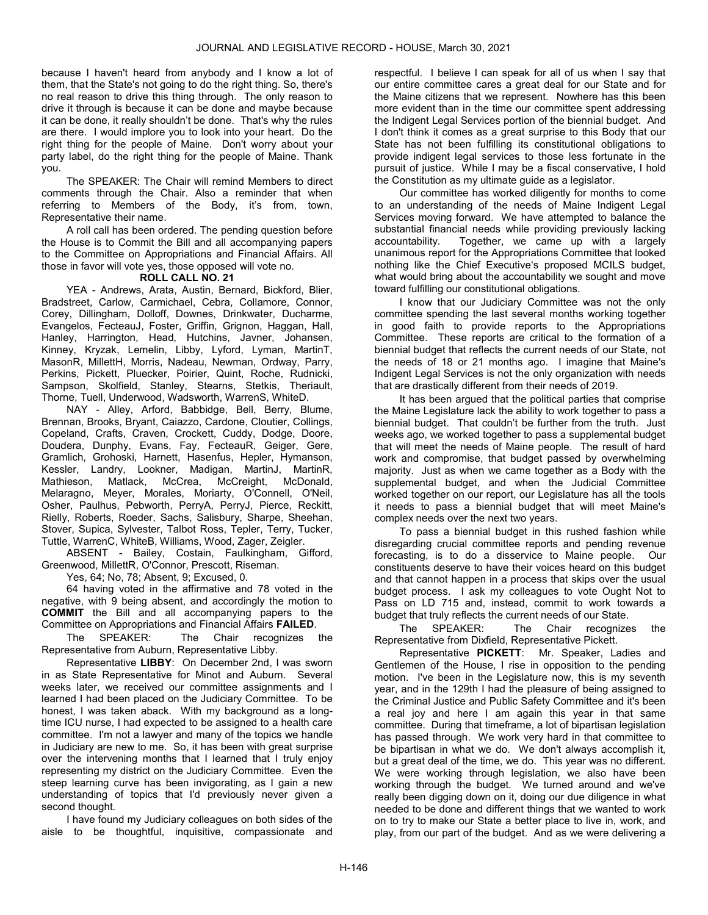because I haven't heard from anybody and I know a lot of them, that the State's not going to do the right thing. So, there's no real reason to drive this thing through. The only reason to drive it through is because it can be done and maybe because it can be done, it really shouldn't be done. That's why the rules are there. I would implore you to look into your heart. Do the right thing for the people of Maine. Don't worry about your party label, do the right thing for the people of Maine. Thank you.

 The SPEAKER: The Chair will remind Members to direct comments through the Chair. Also a reminder that when referring to Members of the Body, it's from, town, Representative their name.

 A roll call has been ordered. The pending question before the House is to Commit the Bill and all accompanying papers to the Committee on Appropriations and Financial Affairs. All those in favor will vote yes, those opposed will vote no.

# ROLL CALL NO. 21

 YEA - Andrews, Arata, Austin, Bernard, Bickford, Blier, Bradstreet, Carlow, Carmichael, Cebra, Collamore, Connor, Corey, Dillingham, Dolloff, Downes, Drinkwater, Ducharme, Evangelos, FecteauJ, Foster, Griffin, Grignon, Haggan, Hall, Hanley, Harrington, Head, Hutchins, Javner, Johansen, Kinney, Kryzak, Lemelin, Libby, Lyford, Lyman, MartinT, MasonR, MillettH, Morris, Nadeau, Newman, Ordway, Parry, Perkins, Pickett, Pluecker, Poirier, Quint, Roche, Rudnicki, Sampson, Skolfield, Stanley, Stearns, Stetkis, Theriault, Thorne, Tuell, Underwood, Wadsworth, WarrenS, WhiteD.

 NAY - Alley, Arford, Babbidge, Bell, Berry, Blume, Brennan, Brooks, Bryant, Caiazzo, Cardone, Cloutier, Collings, Copeland, Crafts, Craven, Crockett, Cuddy, Dodge, Doore, Doudera, Dunphy, Evans, Fay, FecteauR, Geiger, Gere, Gramlich, Grohoski, Harnett, Hasenfus, Hepler, Hymanson, Kessler, Landry, Lookner, Madigan, MartinJ, MartinR, Mathieson, Matlack, McCrea, McCreight, McDonald, Melaragno, Meyer, Morales, Moriarty, O'Connell, O'Neil, Osher, Paulhus, Pebworth, PerryA, PerryJ, Pierce, Reckitt, Rielly, Roberts, Roeder, Sachs, Salisbury, Sharpe, Sheehan, Stover, Supica, Sylvester, Talbot Ross, Tepler, Terry, Tucker, Tuttle, WarrenC, WhiteB, Williams, Wood, Zager, Zeigler.

 ABSENT - Bailey, Costain, Faulkingham, Gifford, Greenwood, MillettR, O'Connor, Prescott, Riseman.

Yes, 64; No, 78; Absent, 9; Excused, 0.

 64 having voted in the affirmative and 78 voted in the negative, with 9 being absent, and accordingly the motion to COMMIT the Bill and all accompanying papers to the Committee on Appropriations and Financial Affairs FAILED.

 The SPEAKER: The Chair recognizes the Representative from Auburn, Representative Libby.

Representative LIBBY: On December 2nd, I was sworn in as State Representative for Minot and Auburn. Several weeks later, we received our committee assignments and I learned I had been placed on the Judiciary Committee. To be honest, I was taken aback. With my background as a longtime ICU nurse, I had expected to be assigned to a health care committee. I'm not a lawyer and many of the topics we handle in Judiciary are new to me. So, it has been with great surprise over the intervening months that I learned that I truly enjoy representing my district on the Judiciary Committee. Even the steep learning curve has been invigorating, as I gain a new understanding of topics that I'd previously never given a second thought.

I have found my Judiciary colleagues on both sides of the aisle to be thoughtful, inquisitive, compassionate and respectful. I believe I can speak for all of us when I say that our entire committee cares a great deal for our State and for the Maine citizens that we represent. Nowhere has this been more evident than in the time our committee spent addressing the Indigent Legal Services portion of the biennial budget. And I don't think it comes as a great surprise to this Body that our State has not been fulfilling its constitutional obligations to provide indigent legal services to those less fortunate in the pursuit of justice. While I may be a fiscal conservative, I hold the Constitution as my ultimate guide as a legislator.

Our committee has worked diligently for months to come to an understanding of the needs of Maine Indigent Legal Services moving forward. We have attempted to balance the substantial financial needs while providing previously lacking accountability. Together, we came up with a largely unanimous report for the Appropriations Committee that looked nothing like the Chief Executive's proposed MCILS budget, what would bring about the accountability we sought and move toward fulfilling our constitutional obligations.

I know that our Judiciary Committee was not the only committee spending the last several months working together in good faith to provide reports to the Appropriations Committee. These reports are critical to the formation of a biennial budget that reflects the current needs of our State, not the needs of 18 or 21 months ago. I imagine that Maine's Indigent Legal Services is not the only organization with needs that are drastically different from their needs of 2019.

It has been argued that the political parties that comprise the Maine Legislature lack the ability to work together to pass a biennial budget. That couldn't be further from the truth. Just weeks ago, we worked together to pass a supplemental budget that will meet the needs of Maine people. The result of hard work and compromise, that budget passed by overwhelming majority. Just as when we came together as a Body with the supplemental budget, and when the Judicial Committee worked together on our report, our Legislature has all the tools it needs to pass a biennial budget that will meet Maine's complex needs over the next two years.

To pass a biennial budget in this rushed fashion while disregarding crucial committee reports and pending revenue forecasting, is to do a disservice to Maine people. Our constituents deserve to have their voices heard on this budget and that cannot happen in a process that skips over the usual budget process. I ask my colleagues to vote Ought Not to Pass on LD 715 and, instead, commit to work towards a budget that truly reflects the current needs of our State.

 The SPEAKER: The Chair recognizes the Representative from Dixfield, Representative Pickett.

Representative PICKETT: Mr. Speaker, Ladies and Gentlemen of the House, I rise in opposition to the pending motion. I've been in the Legislature now, this is my seventh year, and in the 129th I had the pleasure of being assigned to the Criminal Justice and Public Safety Committee and it's been a real joy and here I am again this year in that same committee. During that timeframe, a lot of bipartisan legislation has passed through. We work very hard in that committee to be bipartisan in what we do. We don't always accomplish it, but a great deal of the time, we do. This year was no different. We were working through legislation, we also have been working through the budget. We turned around and we've really been digging down on it, doing our due diligence in what needed to be done and different things that we wanted to work on to try to make our State a better place to live in, work, and play, from our part of the budget. And as we were delivering a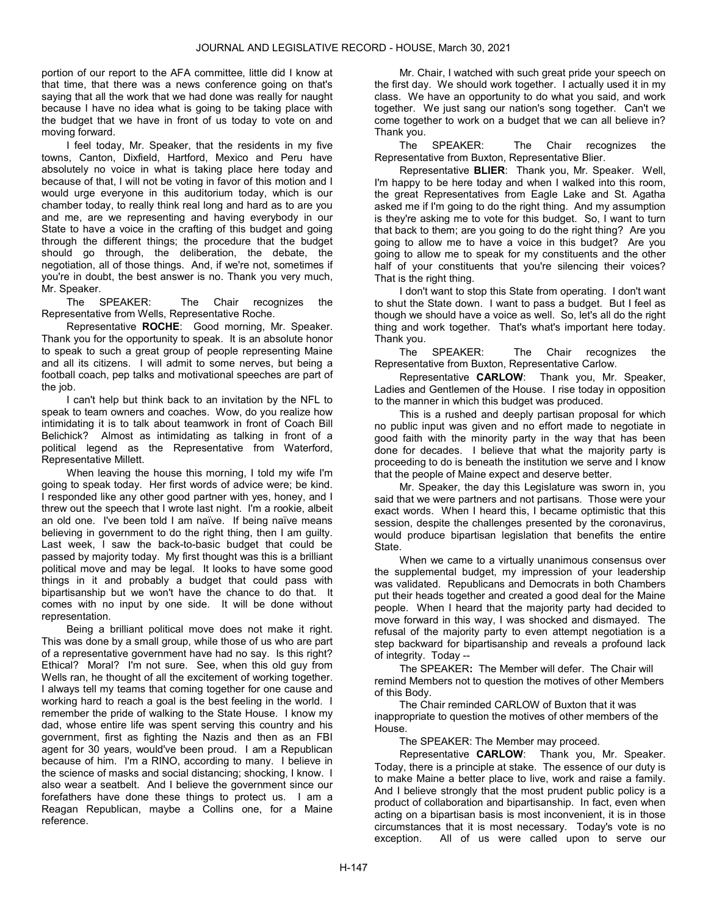portion of our report to the AFA committee, little did I know at that time, that there was a news conference going on that's saying that all the work that we had done was really for naught because I have no idea what is going to be taking place with the budget that we have in front of us today to vote on and moving forward.

I feel today, Mr. Speaker, that the residents in my five towns, Canton, Dixfield, Hartford, Mexico and Peru have absolutely no voice in what is taking place here today and because of that, I will not be voting in favor of this motion and I would urge everyone in this auditorium today, which is our chamber today, to really think real long and hard as to are you and me, are we representing and having everybody in our State to have a voice in the crafting of this budget and going through the different things; the procedure that the budget should go through, the deliberation, the debate, the negotiation, all of those things. And, if we're not, sometimes if you're in doubt, the best answer is no. Thank you very much, Mr. Speaker.

 The SPEAKER: The Chair recognizes the Representative from Wells, Representative Roche.

Representative ROCHE: Good morning, Mr. Speaker. Thank you for the opportunity to speak. It is an absolute honor to speak to such a great group of people representing Maine and all its citizens. I will admit to some nerves, but being a football coach, pep talks and motivational speeches are part of the job.

I can't help but think back to an invitation by the NFL to speak to team owners and coaches. Wow, do you realize how intimidating it is to talk about teamwork in front of Coach Bill Belichick? Almost as intimidating as talking in front of a political legend as the Representative from Waterford, Representative Millett.

When leaving the house this morning, I told my wife I'm going to speak today. Her first words of advice were; be kind. I responded like any other good partner with yes, honey, and I threw out the speech that I wrote last night. I'm a rookie, albeit an old one. I've been told I am naïve. If being naïve means believing in government to do the right thing, then I am guilty. Last week, I saw the back-to-basic budget that could be passed by majority today. My first thought was this is a brilliant political move and may be legal. It looks to have some good things in it and probably a budget that could pass with bipartisanship but we won't have the chance to do that. It comes with no input by one side. It will be done without representation.

Being a brilliant political move does not make it right. This was done by a small group, while those of us who are part of a representative government have had no say. Is this right? Ethical? Moral? I'm not sure. See, when this old guy from Wells ran, he thought of all the excitement of working together. I always tell my teams that coming together for one cause and working hard to reach a goal is the best feeling in the world. I remember the pride of walking to the State House. I know my dad, whose entire life was spent serving this country and his government, first as fighting the Nazis and then as an FBI agent for 30 years, would've been proud. I am a Republican because of him. I'm a RINO, according to many. I believe in the science of masks and social distancing; shocking, I know. I also wear a seatbelt. And I believe the government since our forefathers have done these things to protect us. I am a Reagan Republican, maybe a Collins one, for a Maine reference.

Mr. Chair, I watched with such great pride your speech on the first day. We should work together. I actually used it in my class. We have an opportunity to do what you said, and work together. We just sang our nation's song together. Can't we come together to work on a budget that we can all believe in? Thank you.

 The SPEAKER: The Chair recognizes the Representative from Buxton, Representative Blier.

Representative BLIER: Thank you, Mr. Speaker. Well, I'm happy to be here today and when I walked into this room, the great Representatives from Eagle Lake and St. Agatha asked me if I'm going to do the right thing. And my assumption is they're asking me to vote for this budget. So, I want to turn that back to them; are you going to do the right thing? Are you going to allow me to have a voice in this budget? Are you going to allow me to speak for my constituents and the other half of your constituents that you're silencing their voices? That is the right thing.

I don't want to stop this State from operating. I don't want to shut the State down. I want to pass a budget. But I feel as though we should have a voice as well. So, let's all do the right thing and work together. That's what's important here today. Thank you.

 The SPEAKER: The Chair recognizes the Representative from Buxton, Representative Carlow.

Representative CARLOW: Thank you, Mr. Speaker, Ladies and Gentlemen of the House. I rise today in opposition to the manner in which this budget was produced.

This is a rushed and deeply partisan proposal for which no public input was given and no effort made to negotiate in good faith with the minority party in the way that has been done for decades. I believe that what the majority party is proceeding to do is beneath the institution we serve and I know that the people of Maine expect and deserve better.

Mr. Speaker, the day this Legislature was sworn in, you said that we were partners and not partisans. Those were your exact words. When I heard this, I became optimistic that this session, despite the challenges presented by the coronavirus, would produce bipartisan legislation that benefits the entire State.

When we came to a virtually unanimous consensus over the supplemental budget, my impression of your leadership was validated. Republicans and Democrats in both Chambers put their heads together and created a good deal for the Maine people. When I heard that the majority party had decided to move forward in this way, I was shocked and dismayed. The refusal of the majority party to even attempt negotiation is a step backward for bipartisanship and reveals a profound lack of integrity. Today --

The SPEAKER: The Member will defer. The Chair will remind Members not to question the motives of other Members of this Body.

 The Chair reminded CARLOW of Buxton that it was inappropriate to question the motives of other members of the House.

The SPEAKER: The Member may proceed.

Representative CARLOW: Thank you, Mr. Speaker. Today, there is a principle at stake. The essence of our duty is to make Maine a better place to live, work and raise a family. And I believe strongly that the most prudent public policy is a product of collaboration and bipartisanship. In fact, even when acting on a bipartisan basis is most inconvenient, it is in those circumstances that it is most necessary. Today's vote is no exception. All of us were called upon to serve our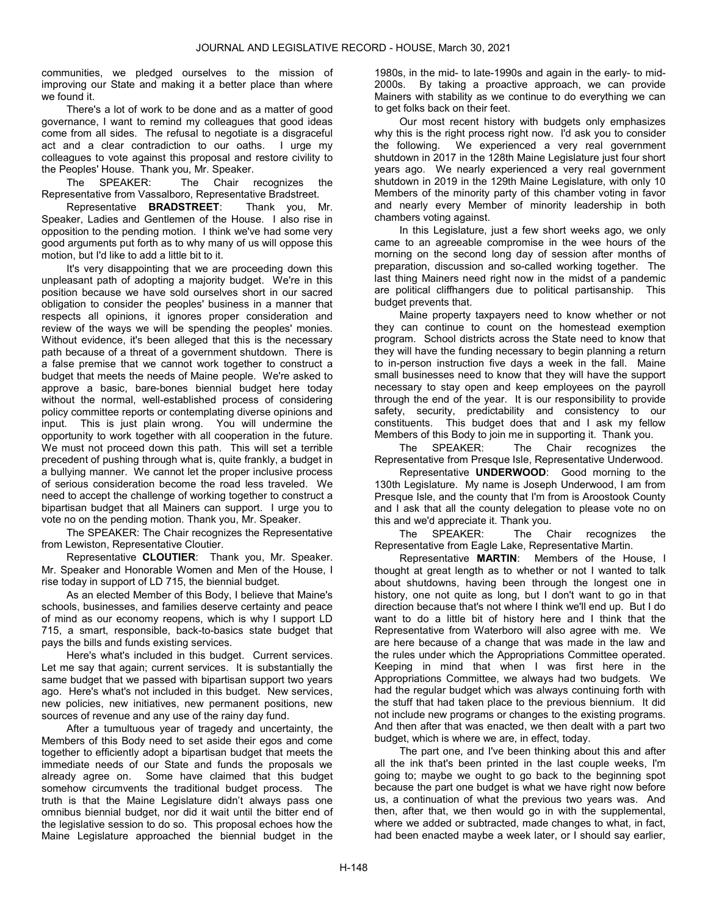communities, we pledged ourselves to the mission of improving our State and making it a better place than where we found it.

There's a lot of work to be done and as a matter of good governance, I want to remind my colleagues that good ideas come from all sides. The refusal to negotiate is a disgraceful act and a clear contradiction to our oaths. I urge my colleagues to vote against this proposal and restore civility to the Peoples' House. Thank you, Mr. Speaker.

 The SPEAKER: The Chair recognizes the Representative from Vassalboro, Representative Bradstreet.

Representative BRADSTREET: Thank you, Mr. Speaker, Ladies and Gentlemen of the House. I also rise in opposition to the pending motion. I think we've had some very good arguments put forth as to why many of us will oppose this motion, but I'd like to add a little bit to it.

It's very disappointing that we are proceeding down this unpleasant path of adopting a majority budget. We're in this position because we have sold ourselves short in our sacred obligation to consider the peoples' business in a manner that respects all opinions, it ignores proper consideration and review of the ways we will be spending the peoples' monies. Without evidence, it's been alleged that this is the necessary path because of a threat of a government shutdown. There is a false premise that we cannot work together to construct a budget that meets the needs of Maine people. We're asked to approve a basic, bare-bones biennial budget here today without the normal, well-established process of considering policy committee reports or contemplating diverse opinions and input. This is just plain wrong. You will undermine the opportunity to work together with all cooperation in the future. We must not proceed down this path. This will set a terrible precedent of pushing through what is, quite frankly, a budget in a bullying manner. We cannot let the proper inclusive process of serious consideration become the road less traveled. We need to accept the challenge of working together to construct a bipartisan budget that all Mainers can support. I urge you to vote no on the pending motion. Thank you, Mr. Speaker.

 The SPEAKER: The Chair recognizes the Representative from Lewiston, Representative Cloutier.

Representative CLOUTIER: Thank you, Mr. Speaker. Mr. Speaker and Honorable Women and Men of the House, I rise today in support of LD 715, the biennial budget.

As an elected Member of this Body, I believe that Maine's schools, businesses, and families deserve certainty and peace of mind as our economy reopens, which is why I support LD 715, a smart, responsible, back-to-basics state budget that pays the bills and funds existing services.

Here's what's included in this budget. Current services. Let me say that again; current services. It is substantially the same budget that we passed with bipartisan support two years ago. Here's what's not included in this budget. New services, new policies, new initiatives, new permanent positions, new sources of revenue and any use of the rainy day fund.

After a tumultuous year of tragedy and uncertainty, the Members of this Body need to set aside their egos and come together to efficiently adopt a bipartisan budget that meets the immediate needs of our State and funds the proposals we already agree on. Some have claimed that this budget somehow circumvents the traditional budget process. The truth is that the Maine Legislature didn't always pass one omnibus biennial budget, nor did it wait until the bitter end of the legislative session to do so. This proposal echoes how the Maine Legislature approached the biennial budget in the

1980s, in the mid- to late-1990s and again in the early- to mid-2000s. By taking a proactive approach, we can provide Mainers with stability as we continue to do everything we can to get folks back on their feet.

Our most recent history with budgets only emphasizes why this is the right process right now. I'd ask you to consider the following. We experienced a very real government shutdown in 2017 in the 128th Maine Legislature just four short years ago. We nearly experienced a very real government shutdown in 2019 in the 129th Maine Legislature, with only 10 Members of the minority party of this chamber voting in favor and nearly every Member of minority leadership in both chambers voting against.

In this Legislature, just a few short weeks ago, we only came to an agreeable compromise in the wee hours of the morning on the second long day of session after months of preparation, discussion and so-called working together. The last thing Mainers need right now in the midst of a pandemic are political cliffhangers due to political partisanship. This budget prevents that.

Maine property taxpayers need to know whether or not they can continue to count on the homestead exemption program. School districts across the State need to know that they will have the funding necessary to begin planning a return to in-person instruction five days a week in the fall. Maine small businesses need to know that they will have the support necessary to stay open and keep employees on the payroll through the end of the year. It is our responsibility to provide safety, security, predictability and consistency to our constituents. This budget does that and I ask my fellow Members of this Body to join me in supporting it. Thank you.

 The SPEAKER: The Chair recognizes the Representative from Presque Isle, Representative Underwood.

Representative UNDERWOOD: Good morning to the 130th Legislature. My name is Joseph Underwood, I am from Presque Isle, and the county that I'm from is Aroostook County and I ask that all the county delegation to please vote no on this and we'd appreciate it. Thank you.

 The SPEAKER: The Chair recognizes the Representative from Eagle Lake, Representative Martin.

Representative MARTIN: Members of the House, I thought at great length as to whether or not I wanted to talk about shutdowns, having been through the longest one in history, one not quite as long, but I don't want to go in that direction because that's not where I think we'll end up. But I do want to do a little bit of history here and I think that the Representative from Waterboro will also agree with me. We are here because of a change that was made in the law and the rules under which the Appropriations Committee operated. Keeping in mind that when I was first here in the Appropriations Committee, we always had two budgets. We had the regular budget which was always continuing forth with the stuff that had taken place to the previous biennium. It did not include new programs or changes to the existing programs. And then after that was enacted, we then dealt with a part two budget, which is where we are, in effect, today.

The part one, and I've been thinking about this and after all the ink that's been printed in the last couple weeks, I'm going to; maybe we ought to go back to the beginning spot because the part one budget is what we have right now before us, a continuation of what the previous two years was. And then, after that, we then would go in with the supplemental, where we added or subtracted, made changes to what, in fact, had been enacted maybe a week later, or I should say earlier,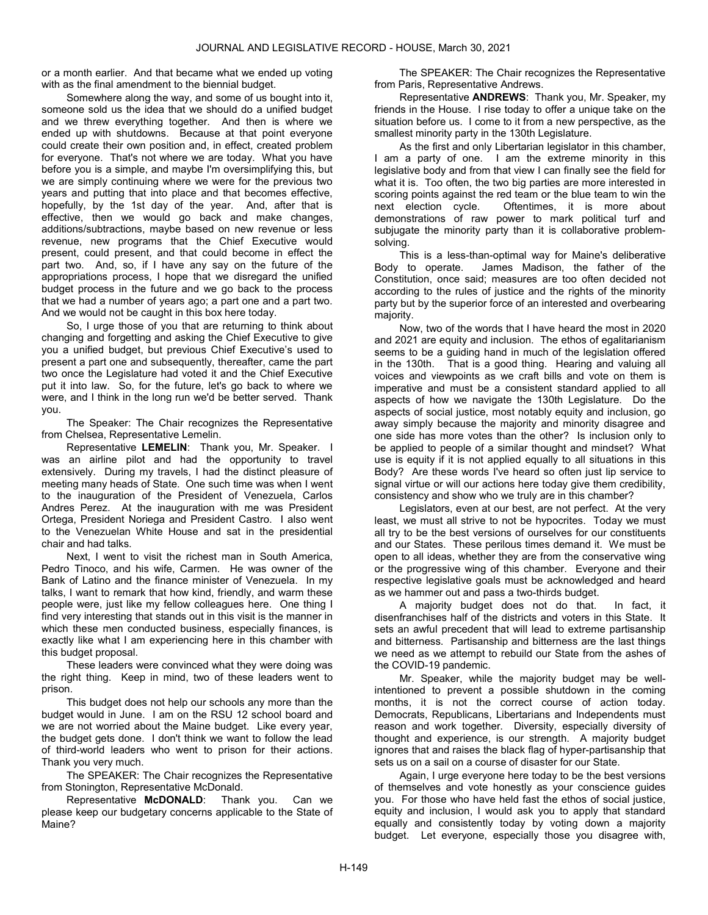or a month earlier. And that became what we ended up voting with as the final amendment to the biennial budget.

Somewhere along the way, and some of us bought into it, someone sold us the idea that we should do a unified budget and we threw everything together. And then is where we ended up with shutdowns. Because at that point everyone could create their own position and, in effect, created problem for everyone. That's not where we are today. What you have before you is a simple, and maybe I'm oversimplifying this, but we are simply continuing where we were for the previous two years and putting that into place and that becomes effective, hopefully, by the 1st day of the year. And, after that is effective, then we would go back and make changes, additions/subtractions, maybe based on new revenue or less revenue, new programs that the Chief Executive would present, could present, and that could become in effect the part two. And, so, if I have any say on the future of the appropriations process, I hope that we disregard the unified budget process in the future and we go back to the process that we had a number of years ago; a part one and a part two. And we would not be caught in this box here today.

So, I urge those of you that are returning to think about changing and forgetting and asking the Chief Executive to give you a unified budget, but previous Chief Executive's used to present a part one and subsequently, thereafter, came the part two once the Legislature had voted it and the Chief Executive put it into law. So, for the future, let's go back to where we were, and I think in the long run we'd be better served. Thank you.

 The Speaker: The Chair recognizes the Representative from Chelsea, Representative Lemelin.

Representative LEMELIN: Thank you, Mr. Speaker. I was an airline pilot and had the opportunity to travel extensively. During my travels, I had the distinct pleasure of meeting many heads of State. One such time was when I went to the inauguration of the President of Venezuela, Carlos Andres Perez. At the inauguration with me was President Ortega, President Noriega and President Castro. I also went to the Venezuelan White House and sat in the presidential chair and had talks.

Next, I went to visit the richest man in South America, Pedro Tinoco, and his wife, Carmen. He was owner of the Bank of Latino and the finance minister of Venezuela. In my talks, I want to remark that how kind, friendly, and warm these people were, just like my fellow colleagues here. One thing I find very interesting that stands out in this visit is the manner in which these men conducted business, especially finances, is exactly like what I am experiencing here in this chamber with this budget proposal.

These leaders were convinced what they were doing was the right thing. Keep in mind, two of these leaders went to prison.

This budget does not help our schools any more than the budget would in June. I am on the RSU 12 school board and we are not worried about the Maine budget. Like every year, the budget gets done. I don't think we want to follow the lead of third-world leaders who went to prison for their actions. Thank you very much.

 The SPEAKER: The Chair recognizes the Representative from Stonington, Representative McDonald.

Representative McDONALD: Thank you. Can we please keep our budgetary concerns applicable to the State of Maine?

 The SPEAKER: The Chair recognizes the Representative from Paris, Representative Andrews.

Representative ANDREWS: Thank you, Mr. Speaker, my friends in the House. I rise today to offer a unique take on the situation before us. I come to it from a new perspective, as the smallest minority party in the 130th Legislature.

As the first and only Libertarian legislator in this chamber, I am a party of one. I am the extreme minority in this legislative body and from that view I can finally see the field for what it is. Too often, the two big parties are more interested in scoring points against the red team or the blue team to win the next election cycle. Oftentimes, it is more about demonstrations of raw power to mark political turf and subjugate the minority party than it is collaborative problemsolving.

This is a less-than-optimal way for Maine's deliberative Body to operate. James Madison, the father of the Constitution, once said; measures are too often decided not according to the rules of justice and the rights of the minority party but by the superior force of an interested and overbearing majority.

Now, two of the words that I have heard the most in 2020 and 2021 are equity and inclusion. The ethos of egalitarianism seems to be a guiding hand in much of the legislation offered in the 130th. That is a good thing. Hearing and valuing all voices and viewpoints as we craft bills and vote on them is imperative and must be a consistent standard applied to all aspects of how we navigate the 130th Legislature. Do the aspects of social justice, most notably equity and inclusion, go away simply because the majority and minority disagree and one side has more votes than the other? Is inclusion only to be applied to people of a similar thought and mindset? What use is equity if it is not applied equally to all situations in this Body? Are these words I've heard so often just lip service to signal virtue or will our actions here today give them credibility, consistency and show who we truly are in this chamber?

Legislators, even at our best, are not perfect. At the very least, we must all strive to not be hypocrites. Today we must all try to be the best versions of ourselves for our constituents and our States. These perilous times demand it. We must be open to all ideas, whether they are from the conservative wing or the progressive wing of this chamber. Everyone and their respective legislative goals must be acknowledged and heard as we hammer out and pass a two-thirds budget.

A majority budget does not do that. In fact, it disenfranchises half of the districts and voters in this State. It sets an awful precedent that will lead to extreme partisanship and bitterness. Partisanship and bitterness are the last things we need as we attempt to rebuild our State from the ashes of the COVID-19 pandemic.

Mr. Speaker, while the majority budget may be wellintentioned to prevent a possible shutdown in the coming months, it is not the correct course of action today. Democrats, Republicans, Libertarians and Independents must reason and work together. Diversity, especially diversity of thought and experience, is our strength. A majority budget ignores that and raises the black flag of hyper-partisanship that sets us on a sail on a course of disaster for our State.

Again, I urge everyone here today to be the best versions of themselves and vote honestly as your conscience guides you. For those who have held fast the ethos of social justice, equity and inclusion, I would ask you to apply that standard equally and consistently today by voting down a majority budget. Let everyone, especially those you disagree with,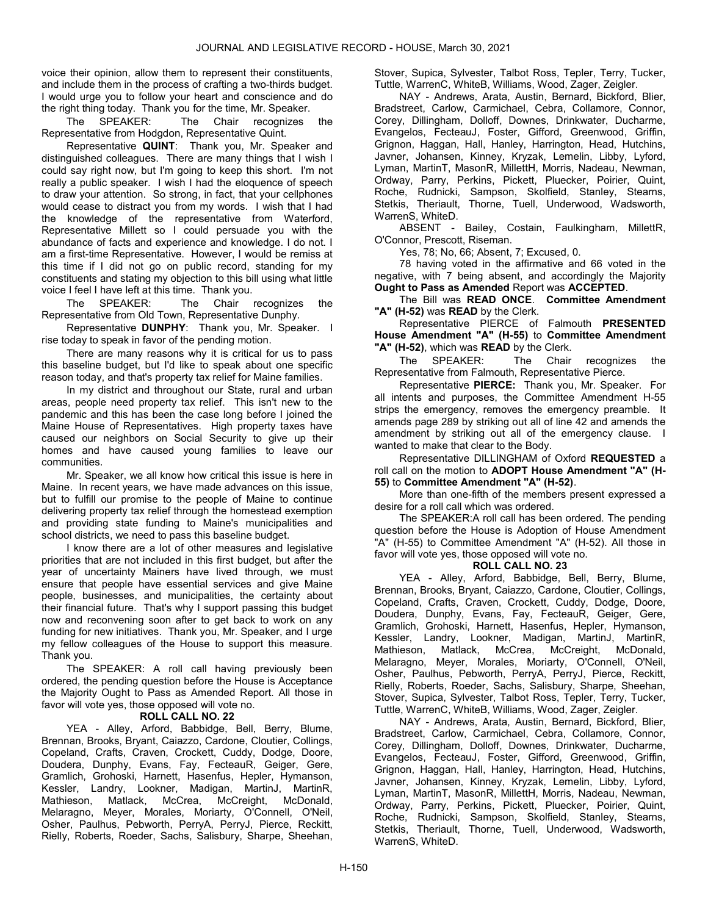voice their opinion, allow them to represent their constituents, and include them in the process of crafting a two-thirds budget. I would urge you to follow your heart and conscience and do the right thing today. Thank you for the time, Mr. Speaker.

 The SPEAKER: The Chair recognizes the Representative from Hodgdon, Representative Quint.

Representative QUINT: Thank you, Mr. Speaker and distinguished colleagues. There are many things that I wish I could say right now, but I'm going to keep this short. I'm not really a public speaker. I wish I had the eloquence of speech to draw your attention. So strong, in fact, that your cellphones would cease to distract you from my words. I wish that I had the knowledge of the representative from Waterford, Representative Millett so I could persuade you with the abundance of facts and experience and knowledge. I do not. I am a first-time Representative. However, I would be remiss at this time if I did not go on public record, standing for my constituents and stating my objection to this bill using what little voice I feel I have left at this time. Thank you.

 The SPEAKER: The Chair recognizes the Representative from Old Town, Representative Dunphy.

Representative **DUNPHY**: Thank you, Mr. Speaker. I rise today to speak in favor of the pending motion.

There are many reasons why it is critical for us to pass this baseline budget, but I'd like to speak about one specific reason today, and that's property tax relief for Maine families.

In my district and throughout our State, rural and urban areas, people need property tax relief. This isn't new to the pandemic and this has been the case long before I joined the Maine House of Representatives. High property taxes have caused our neighbors on Social Security to give up their homes and have caused young families to leave our communities.

Mr. Speaker, we all know how critical this issue is here in Maine. In recent years, we have made advances on this issue, but to fulfill our promise to the people of Maine to continue delivering property tax relief through the homestead exemption and providing state funding to Maine's municipalities and school districts, we need to pass this baseline budget.

I know there are a lot of other measures and legislative priorities that are not included in this first budget, but after the year of uncertainty Mainers have lived through, we must ensure that people have essential services and give Maine people, businesses, and municipalities, the certainty about their financial future. That's why I support passing this budget now and reconvening soon after to get back to work on any funding for new initiatives. Thank you, Mr. Speaker, and I urge my fellow colleagues of the House to support this measure. Thank you.

 The SPEAKER: A roll call having previously been ordered, the pending question before the House is Acceptance the Majority Ought to Pass as Amended Report. All those in favor will vote yes, those opposed will vote no.

# ROLL CALL NO. 22

 YEA - Alley, Arford, Babbidge, Bell, Berry, Blume, Brennan, Brooks, Bryant, Caiazzo, Cardone, Cloutier, Collings, Copeland, Crafts, Craven, Crockett, Cuddy, Dodge, Doore, Doudera, Dunphy, Evans, Fay, FecteauR, Geiger, Gere, Gramlich, Grohoski, Harnett, Hasenfus, Hepler, Hymanson, Kessler, Landry, Lookner, Madigan, MartinJ, MartinR, Mathieson, Matlack, McCrea, McCreight, McDonald, Melaragno, Meyer, Morales, Moriarty, O'Connell, O'Neil, Osher, Paulhus, Pebworth, PerryA, PerryJ, Pierce, Reckitt, Rielly, Roberts, Roeder, Sachs, Salisbury, Sharpe, Sheehan,

Stover, Supica, Sylvester, Talbot Ross, Tepler, Terry, Tucker, Tuttle, WarrenC, WhiteB, Williams, Wood, Zager, Zeigler.

 NAY - Andrews, Arata, Austin, Bernard, Bickford, Blier, Bradstreet, Carlow, Carmichael, Cebra, Collamore, Connor, Corey, Dillingham, Dolloff, Downes, Drinkwater, Ducharme, Evangelos, FecteauJ, Foster, Gifford, Greenwood, Griffin, Grignon, Haggan, Hall, Hanley, Harrington, Head, Hutchins, Javner, Johansen, Kinney, Kryzak, Lemelin, Libby, Lyford, Lyman, MartinT, MasonR, MillettH, Morris, Nadeau, Newman, Ordway, Parry, Perkins, Pickett, Pluecker, Poirier, Quint, Roche, Rudnicki, Sampson, Skolfield, Stanley, Stearns, Stetkis, Theriault, Thorne, Tuell, Underwood, Wadsworth, WarrenS, WhiteD.

 ABSENT - Bailey, Costain, Faulkingham, MillettR, O'Connor, Prescott, Riseman.

Yes, 78; No, 66; Absent, 7; Excused, 0.

 78 having voted in the affirmative and 66 voted in the negative, with 7 being absent, and accordingly the Majority Ought to Pass as Amended Report was ACCEPTED.

 The Bill was READ ONCE. Committee Amendment "A" (H-52) was READ by the Clerk.

 Representative PIERCE of Falmouth PRESENTED House Amendment "A" (H-55) to Committee Amendment "A" (H-52), which was READ by the Clerk.

 The SPEAKER: The Chair recognizes the Representative from Falmouth, Representative Pierce.

Representative PIERCE: Thank you, Mr. Speaker. For all intents and purposes, the Committee Amendment H-55 strips the emergency, removes the emergency preamble. It amends page 289 by striking out all of line 42 and amends the amendment by striking out all of the emergency clause. I wanted to make that clear to the Body.

 Representative DILLINGHAM of Oxford REQUESTED a roll call on the motion to ADOPT House Amendment "A" (H-55) to Committee Amendment "A" (H-52).

 More than one-fifth of the members present expressed a desire for a roll call which was ordered.

 The SPEAKER:A roll call has been ordered. The pending question before the House is Adoption of House Amendment "A" (H-55) to Committee Amendment "A" (H-52). All those in favor will vote yes, those opposed will vote no.

# ROLL CALL NO. 23

 YEA - Alley, Arford, Babbidge, Bell, Berry, Blume, Brennan, Brooks, Bryant, Caiazzo, Cardone, Cloutier, Collings, Copeland, Crafts, Craven, Crockett, Cuddy, Dodge, Doore, Doudera, Dunphy, Evans, Fay, FecteauR, Geiger, Gere, Gramlich, Grohoski, Harnett, Hasenfus, Hepler, Hymanson, Kessler, Landry, Lookner, Madigan, MartinJ, MartinR, Mathieson, Matlack, McCrea, McCreight, McDonald, Melaragno, Meyer, Morales, Moriarty, O'Connell, O'Neil, Osher, Paulhus, Pebworth, PerryA, PerryJ, Pierce, Reckitt, Rielly, Roberts, Roeder, Sachs, Salisbury, Sharpe, Sheehan, Stover, Supica, Sylvester, Talbot Ross, Tepler, Terry, Tucker, Tuttle, WarrenC, WhiteB, Williams, Wood, Zager, Zeigler.

 NAY - Andrews, Arata, Austin, Bernard, Bickford, Blier, Bradstreet, Carlow, Carmichael, Cebra, Collamore, Connor, Corey, Dillingham, Dolloff, Downes, Drinkwater, Ducharme, Evangelos, FecteauJ, Foster, Gifford, Greenwood, Griffin, Grignon, Haggan, Hall, Hanley, Harrington, Head, Hutchins, Javner, Johansen, Kinney, Kryzak, Lemelin, Libby, Lyford, Lyman, MartinT, MasonR, MillettH, Morris, Nadeau, Newman, Ordway, Parry, Perkins, Pickett, Pluecker, Poirier, Quint, Roche, Rudnicki, Sampson, Skolfield, Stanley, Stearns, Stetkis, Theriault, Thorne, Tuell, Underwood, Wadsworth, WarrenS, WhiteD.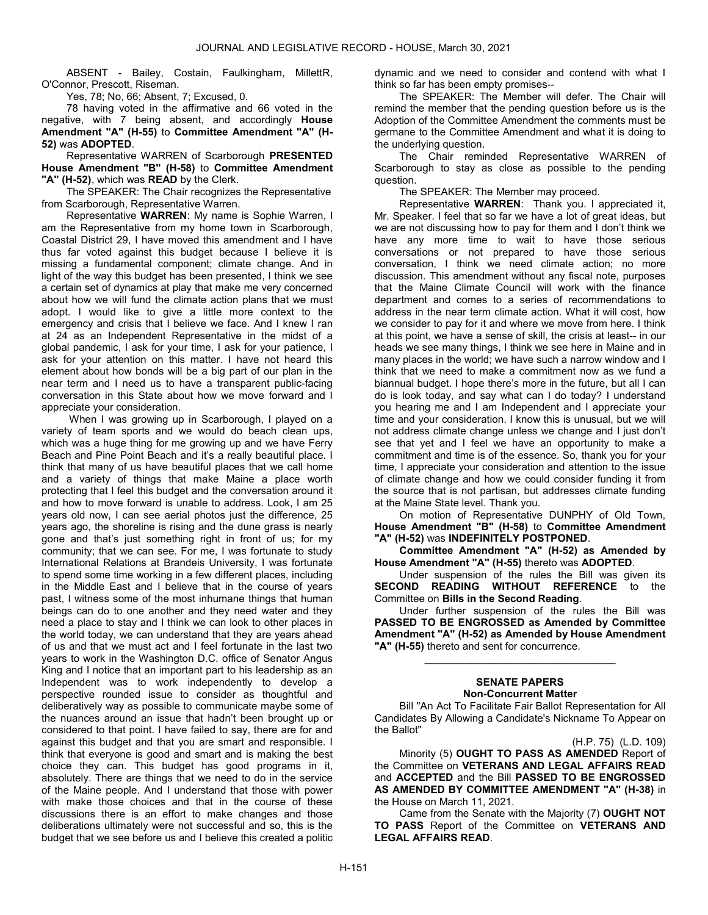ABSENT - Bailey, Costain, Faulkingham, MillettR, O'Connor, Prescott, Riseman.

Yes, 78; No, 66; Absent, 7; Excused, 0.

 78 having voted in the affirmative and 66 voted in the negative, with 7 being absent, and accordingly House Amendment "A" (H-55) to Committee Amendment "A" (H-52) was ADOPTED.

 Representative WARREN of Scarborough PRESENTED House Amendment "B" (H-58) to Committee Amendment "A" (H-52), which was READ by the Clerk.

 The SPEAKER: The Chair recognizes the Representative from Scarborough, Representative Warren.

Representative WARREN: My name is Sophie Warren, I am the Representative from my home town in Scarborough, Coastal District 29, I have moved this amendment and I have thus far voted against this budget because I believe it is missing a fundamental component; climate change. And in light of the way this budget has been presented, I think we see a certain set of dynamics at play that make me very concerned about how we will fund the climate action plans that we must adopt. I would like to give a little more context to the emergency and crisis that I believe we face. And I knew I ran at 24 as an Independent Representative in the midst of a global pandemic, I ask for your time, I ask for your patience, I ask for your attention on this matter. I have not heard this element about how bonds will be a big part of our plan in the near term and I need us to have a transparent public-facing conversation in this State about how we move forward and I appreciate your consideration.

 When I was growing up in Scarborough, I played on a variety of team sports and we would do beach clean ups, which was a huge thing for me growing up and we have Ferry Beach and Pine Point Beach and it's a really beautiful place. I think that many of us have beautiful places that we call home and a variety of things that make Maine a place worth protecting that I feel this budget and the conversation around it and how to move forward is unable to address. Look, I am 25 years old now, I can see aerial photos just the difference, 25 years ago, the shoreline is rising and the dune grass is nearly gone and that's just something right in front of us; for my community; that we can see. For me, I was fortunate to study International Relations at Brandeis University, I was fortunate to spend some time working in a few different places, including in the Middle East and I believe that in the course of years past, I witness some of the most inhumane things that human beings can do to one another and they need water and they need a place to stay and I think we can look to other places in the world today, we can understand that they are years ahead of us and that we must act and I feel fortunate in the last two years to work in the Washington D.C. office of Senator Angus King and I notice that an important part to his leadership as an Independent was to work independently to develop a perspective rounded issue to consider as thoughtful and deliberatively way as possible to communicate maybe some of the nuances around an issue that hadn't been brought up or considered to that point. I have failed to say, there are for and against this budget and that you are smart and responsible. I think that everyone is good and smart and is making the best choice they can. This budget has good programs in it, absolutely. There are things that we need to do in the service of the Maine people. And I understand that those with power with make those choices and that in the course of these discussions there is an effort to make changes and those deliberations ultimately were not successful and so, this is the budget that we see before us and I believe this created a politic

dynamic and we need to consider and contend with what I think so far has been empty promises--

 The SPEAKER: The Member will defer. The Chair will remind the member that the pending question before us is the Adoption of the Committee Amendment the comments must be germane to the Committee Amendment and what it is doing to the underlying question.

 The Chair reminded Representative WARREN of Scarborough to stay as close as possible to the pending question.

The SPEAKER: The Member may proceed.

 Representative WARREN: Thank you. I appreciated it, Mr. Speaker. I feel that so far we have a lot of great ideas, but we are not discussing how to pay for them and I don't think we have any more time to wait to have those serious conversations or not prepared to have those serious conversation, I think we need climate action; no more discussion. This amendment without any fiscal note, purposes that the Maine Climate Council will work with the finance department and comes to a series of recommendations to address in the near term climate action. What it will cost, how we consider to pay for it and where we move from here. I think at this point, we have a sense of skill, the crisis at least-- in our heads we see many things, I think we see here in Maine and in many places in the world; we have such a narrow window and I think that we need to make a commitment now as we fund a biannual budget. I hope there's more in the future, but all I can do is look today, and say what can I do today? I understand you hearing me and I am Independent and I appreciate your time and your consideration. I know this is unusual, but we will not address climate change unless we change and I just don't see that yet and I feel we have an opportunity to make a commitment and time is of the essence. So, thank you for your time, I appreciate your consideration and attention to the issue of climate change and how we could consider funding it from the source that is not partisan, but addresses climate funding at the Maine State level. Thank you.

 On motion of Representative DUNPHY of Old Town, House Amendment "B" (H-58) to Committee Amendment "A" (H-52) was INDEFINITELY POSTPONED.

 Committee Amendment "A" (H-52) as Amended by House Amendment "A" (H-55) thereto was ADOPTED.

 Under suspension of the rules the Bill was given its SECOND READING WITHOUT REFERENCE to the Committee on Bills in the Second Reading.

 Under further suspension of the rules the Bill was PASSED TO BE ENGROSSED as Amended by Committee Amendment "A" (H-52) as Amended by House Amendment "A" (H-55) thereto and sent for concurrence.

# SENATE PAPERS Non-Concurrent Matter

\_\_\_\_\_\_\_\_\_\_\_\_\_\_\_\_\_\_\_\_\_\_\_\_\_\_\_\_\_\_\_\_\_

 Bill "An Act To Facilitate Fair Ballot Representation for All Candidates By Allowing a Candidate's Nickname To Appear on the Ballot"

(H.P. 75) (L.D. 109)

 Minority (5) OUGHT TO PASS AS AMENDED Report of the Committee on VETERANS AND LEGAL AFFAIRS READ and ACCEPTED and the Bill PASSED TO BE ENGROSSED AS AMENDED BY COMMITTEE AMENDMENT "A" (H-38) in the House on March 11, 2021.

 Came from the Senate with the Majority (7) OUGHT NOT TO PASS Report of the Committee on VETERANS AND LEGAL AFFAIRS READ.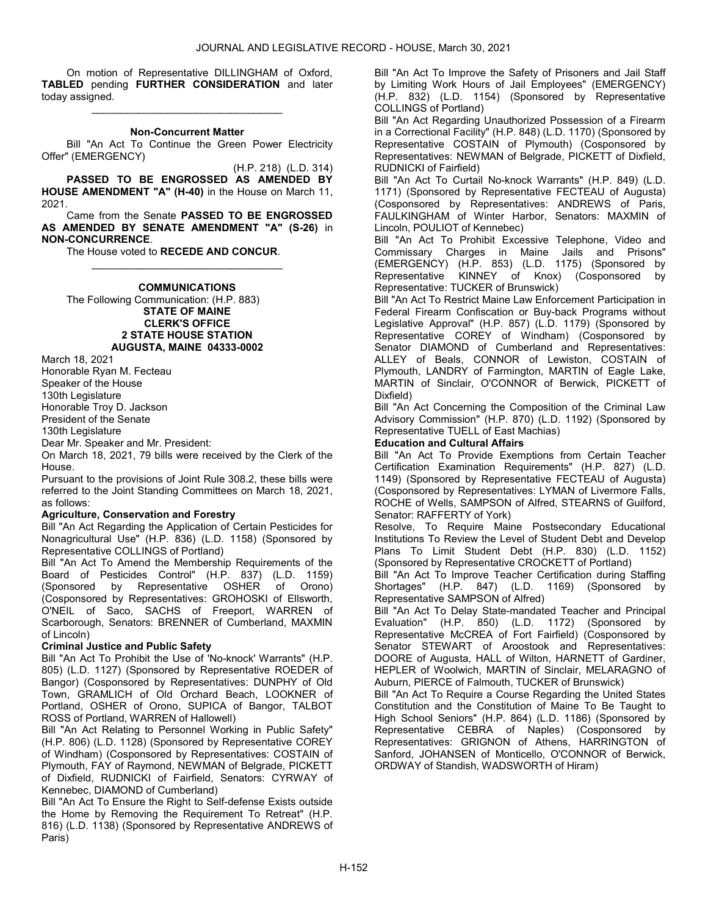On motion of Representative DILLINGHAM of Oxford, TABLED pending FURTHER CONSIDERATION and later today assigned.

# \_\_\_\_\_\_\_\_\_\_\_\_\_\_\_\_\_\_\_\_\_\_\_\_\_\_\_\_\_\_\_\_\_ Non-Concurrent Matter

 Bill "An Act To Continue the Green Power Electricity Offer" (EMERGENCY)

(H.P. 218) (L.D. 314) PASSED TO BE ENGROSSED AS AMENDED BY HOUSE AMENDMENT "A" (H-40) in the House on March 11, 2021.

 Came from the Senate PASSED TO BE ENGROSSED AS AMENDED BY SENATE AMENDMENT "A" (S-26) in NON-CONCURRENCE.

The House voted to RECEDE AND CONCUR.

# \_\_\_\_\_\_\_\_\_\_\_\_\_\_\_\_\_\_\_\_\_\_\_\_\_\_\_\_\_\_\_\_\_ **COMMUNICATIONS**

 The Following Communication: (H.P. 883) STATE OF MAINE CLERK'S OFFICE 2 STATE HOUSE STATION AUGUSTA, MAINE 04333-0002

March 18, 2021 Honorable Ryan M. Fecteau Speaker of the House 130th Legislature Honorable Troy D. Jackson President of the Senate

130th Legislature

Dear Mr. Speaker and Mr. President:

On March 18, 2021, 79 bills were received by the Clerk of the House.

Pursuant to the provisions of Joint Rule 308.2, these bills were referred to the Joint Standing Committees on March 18, 2021, as follows:

# Agriculture, Conservation and Forestry

Bill "An Act Regarding the Application of Certain Pesticides for Nonagricultural Use" (H.P. 836) (L.D. 1158) (Sponsored by Representative COLLINGS of Portland)

Bill "An Act To Amend the Membership Requirements of the Board of Pesticides Control" (H.P. 837) (L.D. 1159) (Sponsored by Representative OSHER (Cosponsored by Representatives: GROHOSKI of Ellsworth, O'NEIL of Saco, SACHS of Freeport, WARREN of Scarborough, Senators: BRENNER of Cumberland, MAXMIN of Lincoln)

# Criminal Justice and Public Safety

Bill "An Act To Prohibit the Use of 'No-knock' Warrants" (H.P. 805) (L.D. 1127) (Sponsored by Representative ROEDER of Bangor) (Cosponsored by Representatives: DUNPHY of Old Town, GRAMLICH of Old Orchard Beach, LOOKNER of Portland, OSHER of Orono, SUPICA of Bangor, TALBOT ROSS of Portland, WARREN of Hallowell)

Bill "An Act Relating to Personnel Working in Public Safety" (H.P. 806) (L.D. 1128) (Sponsored by Representative COREY of Windham) (Cosponsored by Representatives: COSTAIN of Plymouth, FAY of Raymond, NEWMAN of Belgrade, PICKETT of Dixfield, RUDNICKI of Fairfield, Senators: CYRWAY of Kennebec, DIAMOND of Cumberland)

Bill "An Act To Ensure the Right to Self-defense Exists outside the Home by Removing the Requirement To Retreat" (H.P. 816) (L.D. 1138) (Sponsored by Representative ANDREWS of Paris)

Bill "An Act To Improve the Safety of Prisoners and Jail Staff by Limiting Work Hours of Jail Employees" (EMERGENCY) (H.P. 832) (L.D. 1154) (Sponsored by Representative COLLINGS of Portland)

Bill "An Act Regarding Unauthorized Possession of a Firearm in a Correctional Facility" (H.P. 848) (L.D. 1170) (Sponsored by Representative COSTAIN of Plymouth) (Cosponsored by Representatives: NEWMAN of Belgrade, PICKETT of Dixfield, RUDNICKI of Fairfield)

Bill "An Act To Curtail No-knock Warrants" (H.P. 849) (L.D. 1171) (Sponsored by Representative FECTEAU of Augusta) (Cosponsored by Representatives: ANDREWS of Paris, FAULKINGHAM of Winter Harbor, Senators: MAXMIN of Lincoln, POULIOT of Kennebec)

Bill "An Act To Prohibit Excessive Telephone, Video and Commissary Charges in Maine Jails and Prisons" (EMERGENCY) (H.P. 853) (L.D. 1175) (Sponsored by KINNEY of Knox) (Cosponsored by Representative: TUCKER of Brunswick)

Bill "An Act To Restrict Maine Law Enforcement Participation in Federal Firearm Confiscation or Buy-back Programs without Legislative Approval" (H.P. 857) (L.D. 1179) (Sponsored by Representative COREY of Windham) (Cosponsored by Senator DIAMOND of Cumberland and Representatives: ALLEY of Beals, CONNOR of Lewiston, COSTAIN of Plymouth, LANDRY of Farmington, MARTIN of Eagle Lake, MARTIN of Sinclair, O'CONNOR of Berwick, PICKETT of Dixfield)

Bill "An Act Concerning the Composition of the Criminal Law Advisory Commission" (H.P. 870) (L.D. 1192) (Sponsored by Representative TUELL of East Machias)

# Education and Cultural Affairs

Bill "An Act To Provide Exemptions from Certain Teacher Certification Examination Requirements" (H.P. 827) (L.D. 1149) (Sponsored by Representative FECTEAU of Augusta) (Cosponsored by Representatives: LYMAN of Livermore Falls, ROCHE of Wells, SAMPSON of Alfred, STEARNS of Guilford, Senator: RAFFERTY of York)

Resolve, To Require Maine Postsecondary Educational Institutions To Review the Level of Student Debt and Develop Plans To Limit Student Debt (H.P. 830) (L.D. 1152) (Sponsored by Representative CROCKETT of Portland)

Bill "An Act To Improve Teacher Certification during Staffing Shortages" (H.P. 847) (L.D. 1169) (Sponsored by Representative SAMPSON of Alfred)

Bill "An Act To Delay State-mandated Teacher and Principal Evaluation" (H.P. 850) (L.D. 1172) (Sponsored by Representative McCREA of Fort Fairfield) (Cosponsored by Senator STEWART of Aroostook and Representatives: DOORE of Augusta, HALL of Wilton, HARNETT of Gardiner, HEPLER of Woolwich, MARTIN of Sinclair, MELARAGNO of Auburn, PIERCE of Falmouth, TUCKER of Brunswick)

Bill "An Act To Require a Course Regarding the United States Constitution and the Constitution of Maine To Be Taught to High School Seniors" (H.P. 864) (L.D. 1186) (Sponsored by Representative CEBRA of Naples) (Cosponsored by Representatives: GRIGNON of Athens, HARRINGTON of Sanford, JOHANSEN of Monticello, O'CONNOR of Berwick, ORDWAY of Standish, WADSWORTH of Hiram)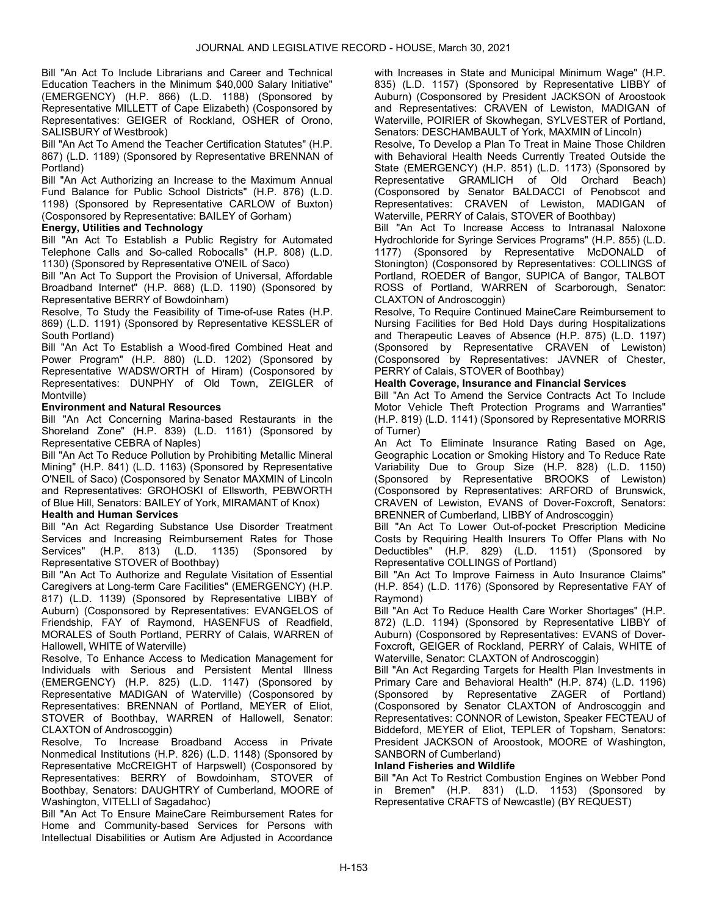Bill "An Act To Include Librarians and Career and Technical Education Teachers in the Minimum \$40,000 Salary Initiative" (EMERGENCY) (H.P. 866) (L.D. 1188) (Sponsored by Representative MILLETT of Cape Elizabeth) (Cosponsored by Representatives: GEIGER of Rockland, OSHER of Orono, SALISBURY of Westbrook)

Bill "An Act To Amend the Teacher Certification Statutes" (H.P. 867) (L.D. 1189) (Sponsored by Representative BRENNAN of Portland)

Bill "An Act Authorizing an Increase to the Maximum Annual Fund Balance for Public School Districts" (H.P. 876) (L.D. 1198) (Sponsored by Representative CARLOW of Buxton) (Cosponsored by Representative: BAILEY of Gorham)

# Energy, Utilities and Technology

Bill "An Act To Establish a Public Registry for Automated Telephone Calls and So-called Robocalls" (H.P. 808) (L.D. 1130) (Sponsored by Representative O'NEIL of Saco)

Bill "An Act To Support the Provision of Universal, Affordable Broadband Internet" (H.P. 868) (L.D. 1190) (Sponsored by Representative BERRY of Bowdoinham)

Resolve, To Study the Feasibility of Time-of-use Rates (H.P. 869) (L.D. 1191) (Sponsored by Representative KESSLER of South Portland)

Bill "An Act To Establish a Wood-fired Combined Heat and Power Program" (H.P. 880) (L.D. 1202) (Sponsored by Representative WADSWORTH of Hiram) (Cosponsored by Representatives: DUNPHY of Old Town, ZEIGLER of Montville)

# Environment and Natural Resources

Bill "An Act Concerning Marina-based Restaurants in the Shoreland Zone" (H.P. 839) (L.D. 1161) (Sponsored by Representative CEBRA of Naples)

Bill "An Act To Reduce Pollution by Prohibiting Metallic Mineral Mining" (H.P. 841) (L.D. 1163) (Sponsored by Representative O'NEIL of Saco) (Cosponsored by Senator MAXMIN of Lincoln and Representatives: GROHOSKI of Ellsworth, PEBWORTH of Blue Hill, Senators: BAILEY of York, MIRAMANT of Knox)

# Health and Human Services

Bill "An Act Regarding Substance Use Disorder Treatment Services and Increasing Reimbursement Rates for Those<br>Services" (H.P. 813) (L.D. 1135) (Sponsored by 813) (L.D. 1135) (Sponsored by Representative STOVER of Boothbay)

Bill "An Act To Authorize and Regulate Visitation of Essential Caregivers at Long-term Care Facilities" (EMERGENCY) (H.P. 817) (L.D. 1139) (Sponsored by Representative LIBBY of Auburn) (Cosponsored by Representatives: EVANGELOS of Friendship, FAY of Raymond, HASENFUS of Readfield, MORALES of South Portland, PERRY of Calais, WARREN of Hallowell, WHITE of Waterville)

Resolve, To Enhance Access to Medication Management for Individuals with Serious and Persistent Mental Illness (EMERGENCY) (H.P. 825) (L.D. 1147) (Sponsored by Representative MADIGAN of Waterville) (Cosponsored by Representatives: BRENNAN of Portland, MEYER of Eliot, STOVER of Boothbay, WARREN of Hallowell, Senator: CLAXTON of Androscoggin)

Resolve, To Increase Broadband Access in Private Nonmedical Institutions (H.P. 826) (L.D. 1148) (Sponsored by Representative McCREIGHT of Harpswell) (Cosponsored by Representatives: BERRY of Bowdoinham, STOVER of Boothbay, Senators: DAUGHTRY of Cumberland, MOORE of Washington, VITELLI of Sagadahoc)

Bill "An Act To Ensure MaineCare Reimbursement Rates for Home and Community-based Services for Persons with Intellectual Disabilities or Autism Are Adjusted in Accordance

with Increases in State and Municipal Minimum Wage" (H.P. 835) (L.D. 1157) (Sponsored by Representative LIBBY of Auburn) (Cosponsored by President JACKSON of Aroostook and Representatives: CRAVEN of Lewiston, MADIGAN of Waterville, POIRIER of Skowhegan, SYLVESTER of Portland, Senators: DESCHAMBAULT of York, MAXMIN of Lincoln)

Resolve, To Develop a Plan To Treat in Maine Those Children with Behavioral Health Needs Currently Treated Outside the State (EMERGENCY) (H.P. 851) (L.D. 1173) (Sponsored by Representative GRAMLICH of Old Orchard Beach) (Cosponsored by Senator BALDACCI of Penobscot and Representatives: CRAVEN of Lewiston, MADIGAN of Waterville, PERRY of Calais, STOVER of Boothbay)

Bill "An Act To Increase Access to Intranasal Naloxone Hydrochloride for Syringe Services Programs" (H.P. 855) (L.D. 1177) (Sponsored by Representative McDONALD of Stonington) (Cosponsored by Representatives: COLLINGS of Portland, ROEDER of Bangor, SUPICA of Bangor, TALBOT ROSS of Portland, WARREN of Scarborough, Senator: CLAXTON of Androscoggin)

Resolve, To Require Continued MaineCare Reimbursement to Nursing Facilities for Bed Hold Days during Hospitalizations and Therapeutic Leaves of Absence (H.P. 875) (L.D. 1197) (Sponsored by Representative CRAVEN of Lewiston) (Cosponsored by Representatives: JAVNER of Chester, PERRY of Calais, STOVER of Boothbay)

# Health Coverage, Insurance and Financial Services

Bill "An Act To Amend the Service Contracts Act To Include Motor Vehicle Theft Protection Programs and Warranties" (H.P. 819) (L.D. 1141) (Sponsored by Representative MORRIS of Turner)

An Act To Eliminate Insurance Rating Based on Age, Geographic Location or Smoking History and To Reduce Rate Variability Due to Group Size (H.P. 828) (L.D. 1150) (Sponsored by Representative BROOKS of Lewiston) (Cosponsored by Representatives: ARFORD of Brunswick, CRAVEN of Lewiston, EVANS of Dover-Foxcroft, Senators: BRENNER of Cumberland, LIBBY of Androscoggin)

Bill "An Act To Lower Out-of-pocket Prescription Medicine Costs by Requiring Health Insurers To Offer Plans with No Deductibles" (H.P. 829) (L.D. 1151) (Sponsored by Representative COLLINGS of Portland)

Bill "An Act To Improve Fairness in Auto Insurance Claims" (H.P. 854) (L.D. 1176) (Sponsored by Representative FAY of Raymond)

Bill "An Act To Reduce Health Care Worker Shortages" (H.P. 872) (L.D. 1194) (Sponsored by Representative LIBBY of Auburn) (Cosponsored by Representatives: EVANS of Dover-Foxcroft, GEIGER of Rockland, PERRY of Calais, WHITE of Waterville, Senator: CLAXTON of Androscoggin)

Bill "An Act Regarding Targets for Health Plan Investments in Primary Care and Behavioral Health" (H.P. 874) (L.D. 1196) (Sponsored by Representative ZAGER of Portland) (Cosponsored by Senator CLAXTON of Androscoggin and Representatives: CONNOR of Lewiston, Speaker FECTEAU of Biddeford, MEYER of Eliot, TEPLER of Topsham, Senators: President JACKSON of Aroostook, MOORE of Washington, SANBORN of Cumberland)

# Inland Fisheries and Wildlife

Bill "An Act To Restrict Combustion Engines on Webber Pond in Bremen" (H.P. 831) (L.D. 1153) (Sponsored by Representative CRAFTS of Newcastle) (BY REQUEST)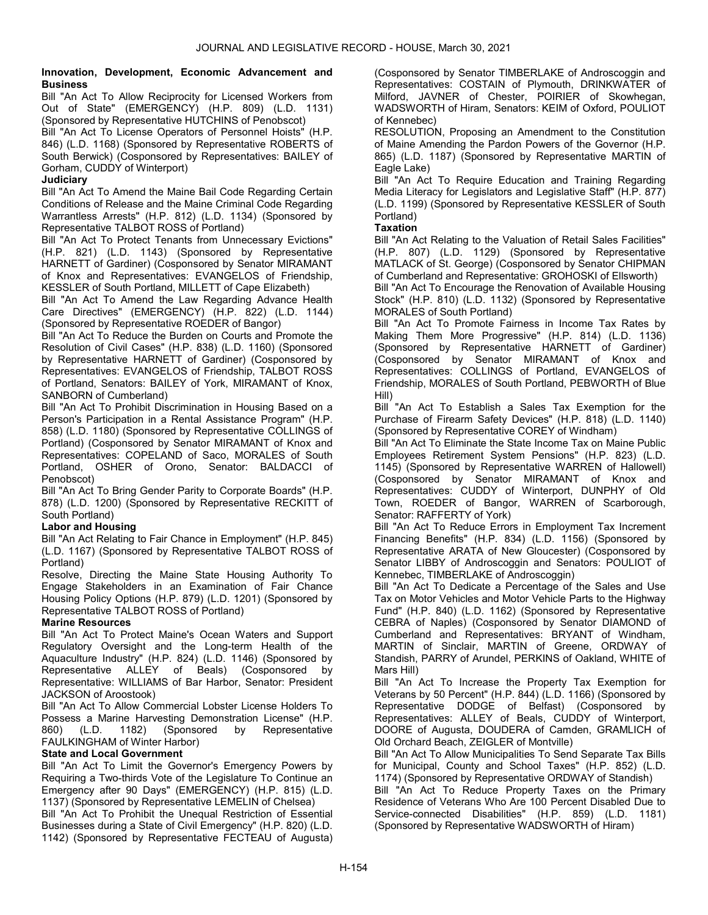#### Innovation, Development, Economic Advancement and **Business**

Bill "An Act To Allow Reciprocity for Licensed Workers from Out of State" (EMERGENCY) (H.P. 809) (L.D. 1131) (Sponsored by Representative HUTCHINS of Penobscot)

Bill "An Act To License Operators of Personnel Hoists" (H.P. 846) (L.D. 1168) (Sponsored by Representative ROBERTS of South Berwick) (Cosponsored by Representatives: BAILEY of Gorham, CUDDY of Winterport)

# **Judiciary**

Bill "An Act To Amend the Maine Bail Code Regarding Certain Conditions of Release and the Maine Criminal Code Regarding Warrantless Arrests" (H.P. 812) (L.D. 1134) (Sponsored by Representative TALBOT ROSS of Portland)

Bill "An Act To Protect Tenants from Unnecessary Evictions" (H.P. 821) (L.D. 1143) (Sponsored by Representative HARNETT of Gardiner) (Cosponsored by Senator MIRAMANT of Knox and Representatives: EVANGELOS of Friendship, KESSLER of South Portland, MILLETT of Cape Elizabeth)

Bill "An Act To Amend the Law Regarding Advance Health Care Directives" (EMERGENCY) (H.P. 822) (L.D. 1144) (Sponsored by Representative ROEDER of Bangor)

Bill "An Act To Reduce the Burden on Courts and Promote the Resolution of Civil Cases" (H.P. 838) (L.D. 1160) (Sponsored by Representative HARNETT of Gardiner) (Cosponsored by Representatives: EVANGELOS of Friendship, TALBOT ROSS of Portland, Senators: BAILEY of York, MIRAMANT of Knox, SANBORN of Cumberland)

Bill "An Act To Prohibit Discrimination in Housing Based on a Person's Participation in a Rental Assistance Program" (H.P. 858) (L.D. 1180) (Sponsored by Representative COLLINGS of Portland) (Cosponsored by Senator MIRAMANT of Knox and Representatives: COPELAND of Saco, MORALES of South Portland, OSHER of Orono, Senator: BALDACCI of Penobscot)

Bill "An Act To Bring Gender Parity to Corporate Boards" (H.P. 878) (L.D. 1200) (Sponsored by Representative RECKITT of South Portland)

# Labor and Housing

Bill "An Act Relating to Fair Chance in Employment" (H.P. 845) (L.D. 1167) (Sponsored by Representative TALBOT ROSS of Portland)

Resolve, Directing the Maine State Housing Authority To Engage Stakeholders in an Examination of Fair Chance Housing Policy Options (H.P. 879) (L.D. 1201) (Sponsored by Representative TALBOT ROSS of Portland)

# Marine Resources

Bill "An Act To Protect Maine's Ocean Waters and Support Regulatory Oversight and the Long-term Health of the Aquaculture Industry" (H.P. 824) (L.D. 1146) (Sponsored by Representative ALLEY of Beals) (Cosponsored by Representative: WILLIAMS of Bar Harbor, Senator: President JACKSON of Aroostook)

Bill "An Act To Allow Commercial Lobster License Holders To Possess a Marine Harvesting Demonstration License" (H.P.<br>860) (L.D. 1182) (Sponsored by Representative 860) (L.D. 1182) (Sponsored by Representative FAULKINGHAM of Winter Harbor)

# State and Local Government

Bill "An Act To Limit the Governor's Emergency Powers by Requiring a Two-thirds Vote of the Legislature To Continue an Emergency after 90 Days" (EMERGENCY) (H.P. 815) (L.D. 1137) (Sponsored by Representative LEMELIN of Chelsea)

Bill "An Act To Prohibit the Unequal Restriction of Essential Businesses during a State of Civil Emergency" (H.P. 820) (L.D. 1142) (Sponsored by Representative FECTEAU of Augusta) (Cosponsored by Senator TIMBERLAKE of Androscoggin and Representatives: COSTAIN of Plymouth, DRINKWATER of Milford, JAVNER of Chester, POIRIER of Skowhegan, WADSWORTH of Hiram, Senators: KEIM of Oxford, POULIOT of Kennebec)

RESOLUTION, Proposing an Amendment to the Constitution of Maine Amending the Pardon Powers of the Governor (H.P. 865) (L.D. 1187) (Sponsored by Representative MARTIN of Eagle Lake)

Bill "An Act To Require Education and Training Regarding Media Literacy for Legislators and Legislative Staff" (H.P. 877) (L.D. 1199) (Sponsored by Representative KESSLER of South Portland)

# **Taxation**

Bill "An Act Relating to the Valuation of Retail Sales Facilities" (H.P. 807) (L.D. 1129) (Sponsored by Representative MATLACK of St. George) (Cosponsored by Senator CHIPMAN of Cumberland and Representative: GROHOSKI of Ellsworth)

Bill "An Act To Encourage the Renovation of Available Housing Stock" (H.P. 810) (L.D. 1132) (Sponsored by Representative MORALES of South Portland)

Bill "An Act To Promote Fairness in Income Tax Rates by Making Them More Progressive" (H.P. 814) (L.D. 1136) (Sponsored by Representative HARNETT of Gardiner) (Cosponsored by Senator MIRAMANT of Knox and Representatives: COLLINGS of Portland, EVANGELOS of Friendship, MORALES of South Portland, PEBWORTH of Blue Hill)

Bill "An Act To Establish a Sales Tax Exemption for the Purchase of Firearm Safety Devices" (H.P. 818) (L.D. 1140) (Sponsored by Representative COREY of Windham)

Bill "An Act To Eliminate the State Income Tax on Maine Public Employees Retirement System Pensions" (H.P. 823) (L.D. 1145) (Sponsored by Representative WARREN of Hallowell) (Cosponsored by Senator MIRAMANT of Knox and Representatives: CUDDY of Winterport, DUNPHY of Old Town, ROEDER of Bangor, WARREN of Scarborough, Senator: RAFFERTY of York)

Bill "An Act To Reduce Errors in Employment Tax Increment Financing Benefits" (H.P. 834) (L.D. 1156) (Sponsored by Representative ARATA of New Gloucester) (Cosponsored by Senator LIBBY of Androscoggin and Senators: POULIOT of Kennebec, TIMBERLAKE of Androscoggin)

Bill "An Act To Dedicate a Percentage of the Sales and Use Tax on Motor Vehicles and Motor Vehicle Parts to the Highway Fund" (H.P. 840) (L.D. 1162) (Sponsored by Representative CEBRA of Naples) (Cosponsored by Senator DIAMOND of Cumberland and Representatives: BRYANT of Windham, MARTIN of Sinclair, MARTIN of Greene, ORDWAY of Standish, PARRY of Arundel, PERKINS of Oakland, WHITE of Mars Hill)

Bill "An Act To Increase the Property Tax Exemption for Veterans by 50 Percent" (H.P. 844) (L.D. 1166) (Sponsored by Representative DODGE of Belfast) (Cosponsored by Representatives: ALLEY of Beals, CUDDY of Winterport, DOORE of Augusta, DOUDERA of Camden, GRAMLICH of Old Orchard Beach, ZEIGLER of Montville)

Bill "An Act To Allow Municipalities To Send Separate Tax Bills for Municipal, County and School Taxes" (H.P. 852) (L.D. 1174) (Sponsored by Representative ORDWAY of Standish)

Bill "An Act To Reduce Property Taxes on the Primary Residence of Veterans Who Are 100 Percent Disabled Due to Service-connected Disabilities" (H.P. 859) (L.D. 1181) (Sponsored by Representative WADSWORTH of Hiram)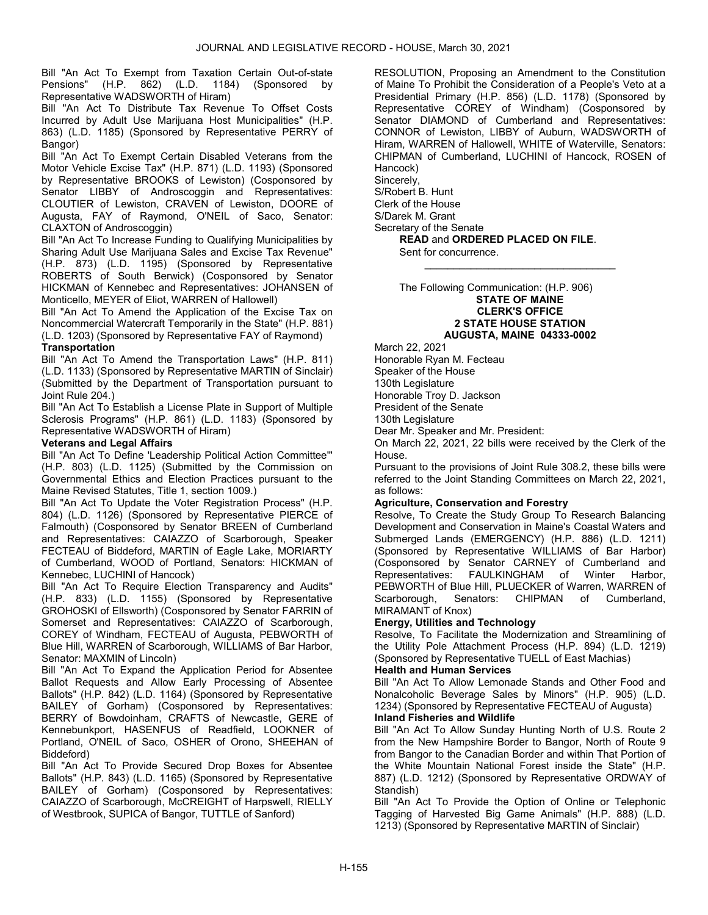Bill "An Act To Exempt from Taxation Certain Out-of-state Pensions" (H.P. 862) (L.D. 1184) (Sponsored by Representative WADSWORTH of Hiram)

Bill "An Act To Distribute Tax Revenue To Offset Costs Incurred by Adult Use Marijuana Host Municipalities" (H.P. 863) (L.D. 1185) (Sponsored by Representative PERRY of Bangor)

Bill "An Act To Exempt Certain Disabled Veterans from the Motor Vehicle Excise Tax" (H.P. 871) (L.D. 1193) (Sponsored by Representative BROOKS of Lewiston) (Cosponsored by Senator LIBBY of Androscoggin and Representatives: CLOUTIER of Lewiston, CRAVEN of Lewiston, DOORE of Augusta, FAY of Raymond, O'NEIL of Saco, Senator: CLAXTON of Androscoggin)

Bill "An Act To Increase Funding to Qualifying Municipalities by Sharing Adult Use Marijuana Sales and Excise Tax Revenue" (H.P. 873) (L.D. 1195) (Sponsored by Representative ROBERTS of South Berwick) (Cosponsored by Senator HICKMAN of Kennebec and Representatives: JOHANSEN of Monticello, MEYER of Eliot, WARREN of Hallowell)

Bill "An Act To Amend the Application of the Excise Tax on Noncommercial Watercraft Temporarily in the State" (H.P. 881) (L.D. 1203) (Sponsored by Representative FAY of Raymond)

# **Transportation**

Bill "An Act To Amend the Transportation Laws" (H.P. 811) (L.D. 1133) (Sponsored by Representative MARTIN of Sinclair) (Submitted by the Department of Transportation pursuant to Joint Rule 204.)

Bill "An Act To Establish a License Plate in Support of Multiple Sclerosis Programs" (H.P. 861) (L.D. 1183) (Sponsored by Representative WADSWORTH of Hiram)

# Veterans and Legal Affairs

Bill "An Act To Define 'Leadership Political Action Committee'" (H.P. 803) (L.D. 1125) (Submitted by the Commission on Governmental Ethics and Election Practices pursuant to the Maine Revised Statutes, Title 1, section 1009.)

Bill "An Act To Update the Voter Registration Process" (H.P. 804) (L.D. 1126) (Sponsored by Representative PIERCE of Falmouth) (Cosponsored by Senator BREEN of Cumberland and Representatives: CAIAZZO of Scarborough, Speaker FECTEAU of Biddeford, MARTIN of Eagle Lake, MORIARTY of Cumberland, WOOD of Portland, Senators: HICKMAN of Kennebec, LUCHINI of Hancock)

Bill "An Act To Require Election Transparency and Audits" (H.P. 833) (L.D. 1155) (Sponsored by Representative GROHOSKI of Ellsworth) (Cosponsored by Senator FARRIN of Somerset and Representatives: CAIAZZO of Scarborough, COREY of Windham, FECTEAU of Augusta, PEBWORTH of Blue Hill, WARREN of Scarborough, WILLIAMS of Bar Harbor, Senator: MAXMIN of Lincoln)

Bill "An Act To Expand the Application Period for Absentee Ballot Requests and Allow Early Processing of Absentee Ballots" (H.P. 842) (L.D. 1164) (Sponsored by Representative BAILEY of Gorham) (Cosponsored by Representatives: BERRY of Bowdoinham, CRAFTS of Newcastle, GERE of Kennebunkport, HASENFUS of Readfield, LOOKNER of Portland, O'NEIL of Saco, OSHER of Orono, SHEEHAN of Biddeford)

Bill "An Act To Provide Secured Drop Boxes for Absentee Ballots" (H.P. 843) (L.D. 1165) (Sponsored by Representative BAILEY of Gorham) (Cosponsored by Representatives: CAIAZZO of Scarborough, McCREIGHT of Harpswell, RIELLY of Westbrook, SUPICA of Bangor, TUTTLE of Sanford)

RESOLUTION, Proposing an Amendment to the Constitution of Maine To Prohibit the Consideration of a People's Veto at a Presidential Primary (H.P. 856) (L.D. 1178) (Sponsored by Representative COREY of Windham) (Cosponsored by Senator DIAMOND of Cumberland and Representatives: CONNOR of Lewiston, LIBBY of Auburn, WADSWORTH of Hiram, WARREN of Hallowell, WHITE of Waterville, Senators: CHIPMAN of Cumberland, LUCHINI of Hancock, ROSEN of Hancock)

Sincerely, S/Robert B. Hunt Clerk of the House S/Darek M. Grant Secretary of the Senate READ and ORDERED PLACED ON FILE.

Sent for concurrence.

 The Following Communication: (H.P. 906) STATE OF MAINE CLERK'S OFFICE 2 STATE HOUSE STATION AUGUSTA, MAINE 04333-0002

\_\_\_\_\_\_\_\_\_\_\_\_\_\_\_\_\_\_\_\_\_\_\_\_\_\_\_\_\_\_\_\_\_

March 22, 2021 Honorable Ryan M. Fecteau Speaker of the House 130th Legislature Honorable Troy D. Jackson President of the Senate 130th Legislature Dear Mr. Speaker and Mr. President:

On March 22, 2021, 22 bills were received by the Clerk of the House.

Pursuant to the provisions of Joint Rule 308.2, these bills were referred to the Joint Standing Committees on March 22, 2021, as follows:

# Agriculture, Conservation and Forestry

Resolve, To Create the Study Group To Research Balancing Development and Conservation in Maine's Coastal Waters and Submerged Lands (EMERGENCY) (H.P. 886) (L.D. 1211) (Sponsored by Representative WILLIAMS of Bar Harbor) (Cosponsored by Senator CARNEY of Cumberland and Representatives: FAULKINGHAM of Winter Harbor, PEBWORTH of Blue Hill, PLUECKER of Warren, WARREN of Scarborough, Senators: CHIPMAN of Cumberland, MIRAMANT of Knox)

# Energy, Utilities and Technology

Resolve, To Facilitate the Modernization and Streamlining of the Utility Pole Attachment Process (H.P. 894) (L.D. 1219) (Sponsored by Representative TUELL of East Machias)

# Health and Human Services

Bill "An Act To Allow Lemonade Stands and Other Food and Nonalcoholic Beverage Sales by Minors" (H.P. 905) (L.D. 1234) (Sponsored by Representative FECTEAU of Augusta)

# Inland Fisheries and Wildlife

Bill "An Act To Allow Sunday Hunting North of U.S. Route 2 from the New Hampshire Border to Bangor, North of Route 9 from Bangor to the Canadian Border and within That Portion of the White Mountain National Forest inside the State" (H.P. 887) (L.D. 1212) (Sponsored by Representative ORDWAY of Standish)

Bill "An Act To Provide the Option of Online or Telephonic Tagging of Harvested Big Game Animals" (H.P. 888) (L.D. 1213) (Sponsored by Representative MARTIN of Sinclair)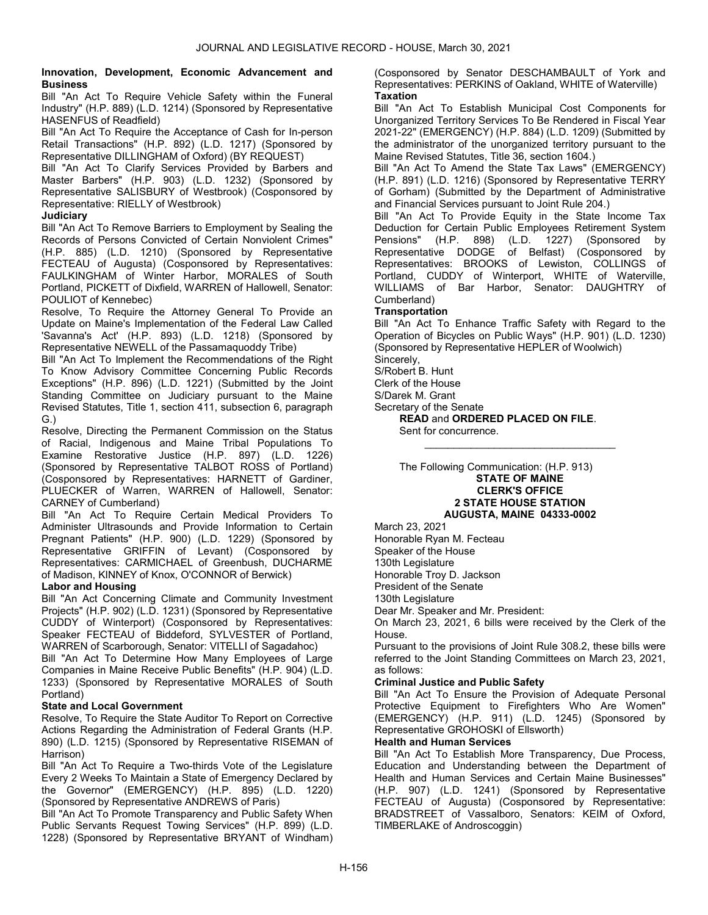#### Innovation, Development, Economic Advancement and **Business**

Bill "An Act To Require Vehicle Safety within the Funeral Industry" (H.P. 889) (L.D. 1214) (Sponsored by Representative HASENFUS of Readfield)

Bill "An Act To Require the Acceptance of Cash for In-person Retail Transactions" (H.P. 892) (L.D. 1217) (Sponsored by Representative DILLINGHAM of Oxford) (BY REQUEST)

Bill "An Act To Clarify Services Provided by Barbers and Master Barbers" (H.P. 903) (L.D. 1232) (Sponsored by Representative SALISBURY of Westbrook) (Cosponsored by Representative: RIELLY of Westbrook)

# **Judiciary**

Bill "An Act To Remove Barriers to Employment by Sealing the Records of Persons Convicted of Certain Nonviolent Crimes" (H.P. 885) (L.D. 1210) (Sponsored by Representative FECTEAU of Augusta) (Cosponsored by Representatives: FAULKINGHAM of Winter Harbor, MORALES of South Portland, PICKETT of Dixfield, WARREN of Hallowell, Senator: POULIOT of Kennebec)

Resolve, To Require the Attorney General To Provide an Update on Maine's Implementation of the Federal Law Called 'Savanna's Act' (H.P. 893) (L.D. 1218) (Sponsored by Representative NEWELL of the Passamaquoddy Tribe)

Bill "An Act To Implement the Recommendations of the Right To Know Advisory Committee Concerning Public Records Exceptions" (H.P. 896) (L.D. 1221) (Submitted by the Joint Standing Committee on Judiciary pursuant to the Maine Revised Statutes, Title 1, section 411, subsection 6, paragraph G.)

Resolve, Directing the Permanent Commission on the Status of Racial, Indigenous and Maine Tribal Populations To Examine Restorative Justice (H.P. 897) (L.D. 1226) (Sponsored by Representative TALBOT ROSS of Portland) (Cosponsored by Representatives: HARNETT of Gardiner, PLUECKER of Warren, WARREN of Hallowell, Senator: CARNEY of Cumberland)

Bill "An Act To Require Certain Medical Providers To Administer Ultrasounds and Provide Information to Certain Pregnant Patients" (H.P. 900) (L.D. 1229) (Sponsored by Representative GRIFFIN of Levant) (Cosponsored by Representatives: CARMICHAEL of Greenbush, DUCHARME of Madison, KINNEY of Knox, O'CONNOR of Berwick)

# Labor and Housing

Bill "An Act Concerning Climate and Community Investment Projects" (H.P. 902) (L.D. 1231) (Sponsored by Representative CUDDY of Winterport) (Cosponsored by Representatives: Speaker FECTEAU of Biddeford, SYLVESTER of Portland, WARREN of Scarborough, Senator: VITELLI of Sagadahoc)

Bill "An Act To Determine How Many Employees of Large Companies in Maine Receive Public Benefits" (H.P. 904) (L.D. 1233) (Sponsored by Representative MORALES of South Portland)

# State and Local Government

Resolve, To Require the State Auditor To Report on Corrective Actions Regarding the Administration of Federal Grants (H.P. 890) (L.D. 1215) (Sponsored by Representative RISEMAN of Harrison)

Bill "An Act To Require a Two-thirds Vote of the Legislature Every 2 Weeks To Maintain a State of Emergency Declared by the Governor" (EMERGENCY) (H.P. 895) (L.D. 1220) (Sponsored by Representative ANDREWS of Paris)

Bill "An Act To Promote Transparency and Public Safety When Public Servants Request Towing Services" (H.P. 899) (L.D. 1228) (Sponsored by Representative BRYANT of Windham) (Cosponsored by Senator DESCHAMBAULT of York and Representatives: PERKINS of Oakland, WHITE of Waterville) **Taxation** 

Bill "An Act To Establish Municipal Cost Components for Unorganized Territory Services To Be Rendered in Fiscal Year 2021-22" (EMERGENCY) (H.P. 884) (L.D. 1209) (Submitted by the administrator of the unorganized territory pursuant to the Maine Revised Statutes, Title 36, section 1604.)

Bill "An Act To Amend the State Tax Laws" (EMERGENCY) (H.P. 891) (L.D. 1216) (Sponsored by Representative TERRY of Gorham) (Submitted by the Department of Administrative and Financial Services pursuant to Joint Rule 204.)

Bill "An Act To Provide Equity in the State Income Tax Deduction for Certain Public Employees Retirement System Pensions" (H.P. 898) (L.D. 1227) (Sponsored by Representative DODGE of Belfast) (Cosponsored by Representatives: BROOKS of Lewiston, COLLINGS of Portland, CUDDY of Winterport, WHITE of Waterville, WILLIAMS of Bar Harbor, Senator: DAUGHTRY of Cumberland)

# **Transportation**

Bill "An Act To Enhance Traffic Safety with Regard to the Operation of Bicycles on Public Ways" (H.P. 901) (L.D. 1230) (Sponsored by Representative HEPLER of Woolwich)

\_\_\_\_\_\_\_\_\_\_\_\_\_\_\_\_\_\_\_\_\_\_\_\_\_\_\_\_\_\_\_\_\_

Sincerely, S/Robert B. Hunt

Clerk of the House

S/Darek M. Grant

Secretary of the Senate

READ and ORDERED PLACED ON FILE. Sent for concurrence.

 The Following Communication: (H.P. 913) STATE OF MAINE CLERK'S OFFICE 2 STATE HOUSE STATION AUGUSTA, MAINE 04333-0002

March 23, 2021

Honorable Ryan M. Fecteau

Speaker of the House

130th Legislature

Honorable Troy D. Jackson

President of the Senate

130th Legislature

Dear Mr. Speaker and Mr. President:

On March 23, 2021, 6 bills were received by the Clerk of the House.

Pursuant to the provisions of Joint Rule 308.2, these bills were referred to the Joint Standing Committees on March 23, 2021, as follows:

# Criminal Justice and Public Safety

Bill "An Act To Ensure the Provision of Adequate Personal Protective Equipment to Firefighters Who Are Women" (EMERGENCY) (H.P. 911) (L.D. 1245) (Sponsored by Representative GROHOSKI of Ellsworth)

# Health and Human Services

Bill "An Act To Establish More Transparency, Due Process, Education and Understanding between the Department of Health and Human Services and Certain Maine Businesses" (H.P. 907) (L.D. 1241) (Sponsored by Representative FECTEAU of Augusta) (Cosponsored by Representative: BRADSTREET of Vassalboro, Senators: KEIM of Oxford, TIMBERLAKE of Androscoggin)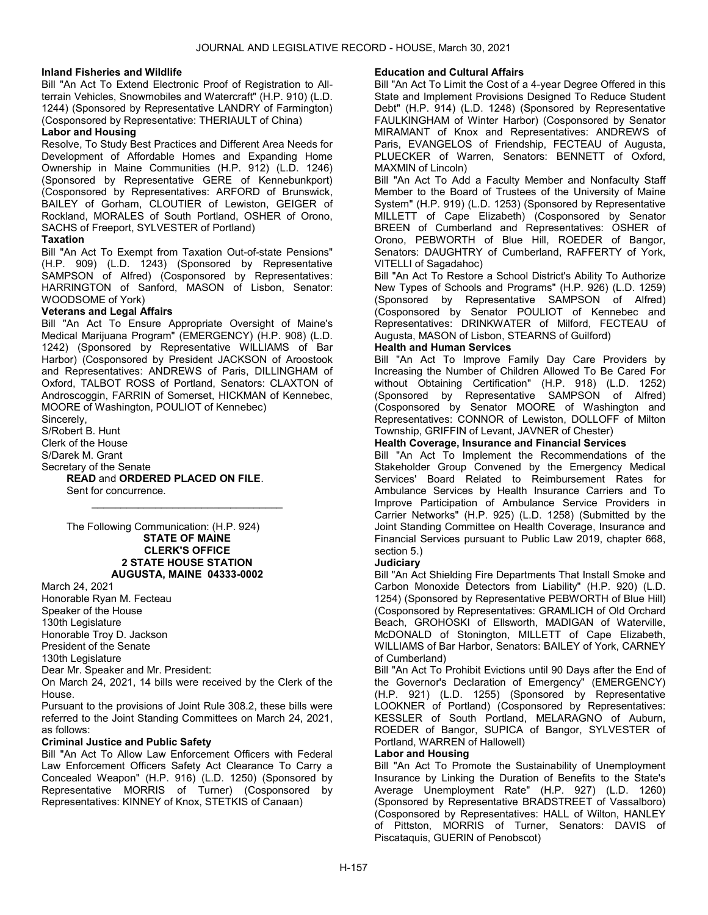# Inland Fisheries and Wildlife

Bill "An Act To Extend Electronic Proof of Registration to Allterrain Vehicles, Snowmobiles and Watercraft" (H.P. 910) (L.D. 1244) (Sponsored by Representative LANDRY of Farmington) (Cosponsored by Representative: THERIAULT of China)

# Labor and Housing

Resolve, To Study Best Practices and Different Area Needs for Development of Affordable Homes and Expanding Home Ownership in Maine Communities (H.P. 912) (L.D. 1246) (Sponsored by Representative GERE of Kennebunkport) (Cosponsored by Representatives: ARFORD of Brunswick, BAILEY of Gorham, CLOUTIER of Lewiston, GEIGER of Rockland, MORALES of South Portland, OSHER of Orono, SACHS of Freeport, SYLVESTER of Portland)

# Taxation

Bill "An Act To Exempt from Taxation Out-of-state Pensions" (H.P. 909) (L.D. 1243) (Sponsored by Representative SAMPSON of Alfred) (Cosponsored by Representatives: HARRINGTON of Sanford, MASON of Lisbon, Senator: WOODSOME of York)

# Veterans and Legal Affairs

Bill "An Act To Ensure Appropriate Oversight of Maine's Medical Marijuana Program" (EMERGENCY) (H.P. 908) (L.D. 1242) (Sponsored by Representative WILLIAMS of Bar Harbor) (Cosponsored by President JACKSON of Aroostook and Representatives: ANDREWS of Paris, DILLINGHAM of Oxford, TALBOT ROSS of Portland, Senators: CLAXTON of Androscoggin, FARRIN of Somerset, HICKMAN of Kennebec, MOORE of Washington, POULIOT of Kennebec)

Sincerely,

S/Robert B. Hunt

Clerk of the House

S/Darek M. Grant

Secretary of the Senate

READ and ORDERED PLACED ON FILE.

 Sent for concurrence. \_\_\_\_\_\_\_\_\_\_\_\_\_\_\_\_\_\_\_\_\_\_\_\_\_\_\_\_\_\_\_\_\_

 The Following Communication: (H.P. 924) STATE OF MAINE CLERK'S OFFICE 2 STATE HOUSE STATION AUGUSTA, MAINE 04333-0002

#### March 24, 2021

Honorable Ryan M. Fecteau Speaker of the House 130th Legislature Honorable Troy D. Jackson President of the Senate 130th Legislature

Dear Mr. Speaker and Mr. President:

On March 24, 2021, 14 bills were received by the Clerk of the House.

Pursuant to the provisions of Joint Rule 308.2, these bills were referred to the Joint Standing Committees on March 24, 2021, as follows:

# Criminal Justice and Public Safety

Bill "An Act To Allow Law Enforcement Officers with Federal Law Enforcement Officers Safety Act Clearance To Carry a Concealed Weapon" (H.P. 916) (L.D. 1250) (Sponsored by Representative MORRIS of Turner) (Cosponsored by Representatives: KINNEY of Knox, STETKIS of Canaan)

# Education and Cultural Affairs

Bill "An Act To Limit the Cost of a 4-year Degree Offered in this State and Implement Provisions Designed To Reduce Student Debt" (H.P. 914) (L.D. 1248) (Sponsored by Representative FAULKINGHAM of Winter Harbor) (Cosponsored by Senator MIRAMANT of Knox and Representatives: ANDREWS of Paris, EVANGELOS of Friendship, FECTEAU of Augusta, PLUECKER of Warren, Senators: BENNETT of Oxford, MAXMIN of Lincoln)

Bill "An Act To Add a Faculty Member and Nonfaculty Staff Member to the Board of Trustees of the University of Maine System" (H.P. 919) (L.D. 1253) (Sponsored by Representative MILLETT of Cape Elizabeth) (Cosponsored by Senator BREEN of Cumberland and Representatives: OSHER of Orono, PEBWORTH of Blue Hill, ROEDER of Bangor, Senators: DAUGHTRY of Cumberland, RAFFERTY of York, VITELLI of Sagadahoc)

Bill "An Act To Restore a School District's Ability To Authorize New Types of Schools and Programs" (H.P. 926) (L.D. 1259) (Sponsored by Representative SAMPSON of Alfred) (Cosponsored by Senator POULIOT of Kennebec and Representatives: DRINKWATER of Milford, FECTEAU of Augusta, MASON of Lisbon, STEARNS of Guilford)

# Health and Human Services

Bill "An Act To Improve Family Day Care Providers by Increasing the Number of Children Allowed To Be Cared For without Obtaining Certification" (H.P. 918) (L.D. 1252) (Sponsored by Representative SAMPSON of Alfred) (Cosponsored by Senator MOORE of Washington and Representatives: CONNOR of Lewiston, DOLLOFF of Milton Township, GRIFFIN of Levant, JAVNER of Chester)

# Health Coverage, Insurance and Financial Services

Bill "An Act To Implement the Recommendations of the Stakeholder Group Convened by the Emergency Medical Services' Board Related to Reimbursement Rates for Ambulance Services by Health Insurance Carriers and To Improve Participation of Ambulance Service Providers in Carrier Networks" (H.P. 925) (L.D. 1258) (Submitted by the Joint Standing Committee on Health Coverage, Insurance and Financial Services pursuant to Public Law 2019, chapter 668, section 5.)

# **Judiciary**

Bill "An Act Shielding Fire Departments That Install Smoke and Carbon Monoxide Detectors from Liability" (H.P. 920) (L.D. 1254) (Sponsored by Representative PEBWORTH of Blue Hill) (Cosponsored by Representatives: GRAMLICH of Old Orchard Beach, GROHOSKI of Ellsworth, MADIGAN of Waterville, McDONALD of Stonington, MILLETT of Cape Elizabeth, WILLIAMS of Bar Harbor, Senators: BAILEY of York, CARNEY of Cumberland)

Bill "An Act To Prohibit Evictions until 90 Days after the End of the Governor's Declaration of Emergency" (EMERGENCY) (H.P. 921) (L.D. 1255) (Sponsored by Representative LOOKNER of Portland) (Cosponsored by Representatives: KESSLER of South Portland, MELARAGNO of Auburn, ROEDER of Bangor, SUPICA of Bangor, SYLVESTER of Portland, WARREN of Hallowell)

# Labor and Housing

Bill "An Act To Promote the Sustainability of Unemployment Insurance by Linking the Duration of Benefits to the State's Average Unemployment Rate" (H.P. 927) (L.D. 1260) (Sponsored by Representative BRADSTREET of Vassalboro) (Cosponsored by Representatives: HALL of Wilton, HANLEY of Pittston, MORRIS of Turner, Senators: DAVIS of Piscataquis, GUERIN of Penobscot)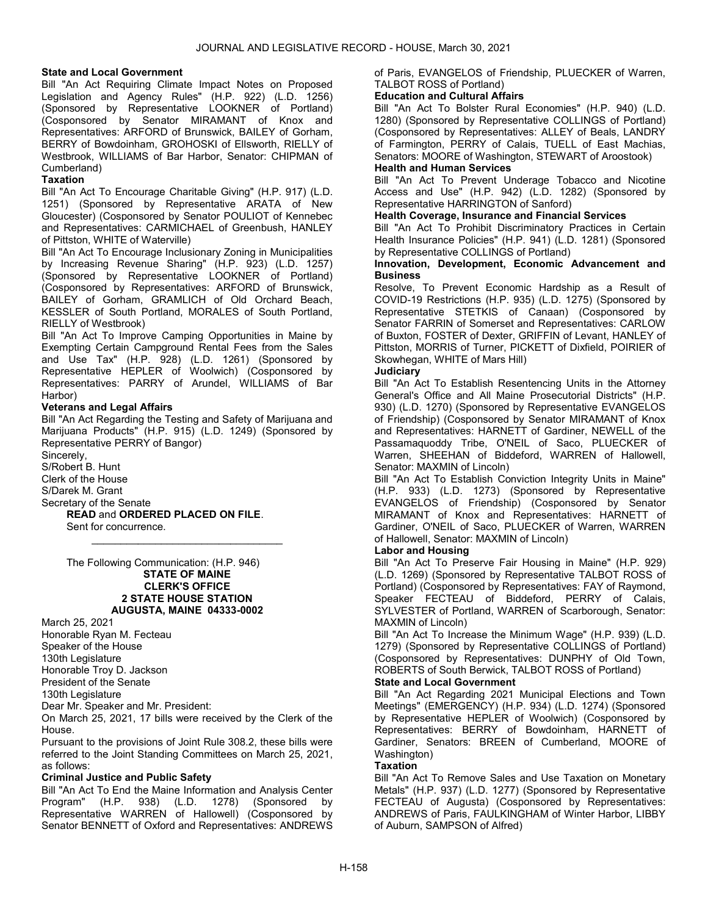# State and Local Government

Bill "An Act Requiring Climate Impact Notes on Proposed Legislation and Agency Rules" (H.P. 922) (L.D. 1256) (Sponsored by Representative LOOKNER of Portland) (Cosponsored by Senator MIRAMANT of Knox and Representatives: ARFORD of Brunswick, BAILEY of Gorham, BERRY of Bowdoinham, GROHOSKI of Ellsworth, RIELLY of Westbrook, WILLIAMS of Bar Harbor, Senator: CHIPMAN of Cumberland)

# **Taxation**

Bill "An Act To Encourage Charitable Giving" (H.P. 917) (L.D. 1251) (Sponsored by Representative ARATA of New Gloucester) (Cosponsored by Senator POULIOT of Kennebec and Representatives: CARMICHAEL of Greenbush, HANLEY of Pittston, WHITE of Waterville)

Bill "An Act To Encourage Inclusionary Zoning in Municipalities by Increasing Revenue Sharing" (H.P. 923) (L.D. 1257) (Sponsored by Representative LOOKNER of Portland) (Cosponsored by Representatives: ARFORD of Brunswick, BAILEY of Gorham, GRAMLICH of Old Orchard Beach, KESSLER of South Portland, MORALES of South Portland, RIELLY of Westbrook)

Bill "An Act To Improve Camping Opportunities in Maine by Exempting Certain Campground Rental Fees from the Sales and Use Tax" (H.P. 928) (L.D. 1261) (Sponsored by Representative HEPLER of Woolwich) (Cosponsored by Representatives: PARRY of Arundel, WILLIAMS of Bar Harbor)

# Veterans and Legal Affairs

Bill "An Act Regarding the Testing and Safety of Marijuana and Marijuana Products" (H.P. 915) (L.D. 1249) (Sponsored by Representative PERRY of Bangor)

\_\_\_\_\_\_\_\_\_\_\_\_\_\_\_\_\_\_\_\_\_\_\_\_\_\_\_\_\_\_\_\_\_

Sincerely, S/Robert B. Hunt Clerk of the House S/Darek M. Grant Secretary of the Senate READ and ORDERED PLACED ON FILE. Sent for concurrence.

#### The Following Communication: (H.P. 946) STATE OF MAINE CLERK'S OFFICE 2 STATE HOUSE STATION AUGUSTA, MAINE 04333-0002

March 25, 2021

Honorable Ryan M. Fecteau Speaker of the House 130th Legislature Honorable Troy D. Jackson President of the Senate

130th Legislature

Dear Mr. Speaker and Mr. President:

On March 25, 2021, 17 bills were received by the Clerk of the House.

Pursuant to the provisions of Joint Rule 308.2, these bills were referred to the Joint Standing Committees on March 25, 2021, as follows:

# Criminal Justice and Public Safety

Bill "An Act To End the Maine Information and Analysis Center Program" (H.P. 938) (L.D. 1278) (Sponsored by Representative WARREN of Hallowell) (Cosponsored by Senator BENNETT of Oxford and Representatives: ANDREWS

of Paris, EVANGELOS of Friendship, PLUECKER of Warren, TALBOT ROSS of Portland)

# Education and Cultural Affairs

Bill "An Act To Bolster Rural Economies" (H.P. 940) (L.D. 1280) (Sponsored by Representative COLLINGS of Portland) (Cosponsored by Representatives: ALLEY of Beals, LANDRY of Farmington, PERRY of Calais, TUELL of East Machias, Senators: MOORE of Washington, STEWART of Aroostook) Health and Human Services

Bill "An Act To Prevent Underage Tobacco and Nicotine Access and Use" (H.P. 942) (L.D. 1282) (Sponsored by Representative HARRINGTON of Sanford)

#### Health Coverage, Insurance and Financial Services

Bill "An Act To Prohibit Discriminatory Practices in Certain Health Insurance Policies" (H.P. 941) (L.D. 1281) (Sponsored by Representative COLLINGS of Portland)

# Innovation, Development, Economic Advancement and **Business**

Resolve, To Prevent Economic Hardship as a Result of COVID-19 Restrictions (H.P. 935) (L.D. 1275) (Sponsored by Representative STETKIS of Canaan) (Cosponsored by Senator FARRIN of Somerset and Representatives: CARLOW of Buxton, FOSTER of Dexter, GRIFFIN of Levant, HANLEY of Pittston, MORRIS of Turner, PICKETT of Dixfield, POIRIER of Skowhegan, WHITE of Mars Hill)

# **Judiciary**

Bill "An Act To Establish Resentencing Units in the Attorney General's Office and All Maine Prosecutorial Districts" (H.P. 930) (L.D. 1270) (Sponsored by Representative EVANGELOS of Friendship) (Cosponsored by Senator MIRAMANT of Knox and Representatives: HARNETT of Gardiner, NEWELL of the Passamaquoddy Tribe, O'NEIL of Saco, PLUECKER of Warren, SHEEHAN of Biddeford, WARREN of Hallowell, Senator: MAXMIN of Lincoln)

Bill "An Act To Establish Conviction Integrity Units in Maine" (H.P. 933) (L.D. 1273) (Sponsored by Representative EVANGELOS of Friendship) (Cosponsored by Senator MIRAMANT of Knox and Representatives: HARNETT of Gardiner, O'NEIL of Saco, PLUECKER of Warren, WARREN of Hallowell, Senator: MAXMIN of Lincoln)

# Labor and Housing

Bill "An Act To Preserve Fair Housing in Maine" (H.P. 929) (L.D. 1269) (Sponsored by Representative TALBOT ROSS of Portland) (Cosponsored by Representatives: FAY of Raymond, Speaker FECTEAU of Biddeford, PERRY of Calais, SYLVESTER of Portland, WARREN of Scarborough, Senator: MAXMIN of Lincoln)

Bill "An Act To Increase the Minimum Wage" (H.P. 939) (L.D. 1279) (Sponsored by Representative COLLINGS of Portland) (Cosponsored by Representatives: DUNPHY of Old Town, ROBERTS of South Berwick, TALBOT ROSS of Portland) State and Local Government

Bill "An Act Regarding 2021 Municipal Elections and Town Meetings" (EMERGENCY) (H.P. 934) (L.D. 1274) (Sponsored by Representative HEPLER of Woolwich) (Cosponsored by Representatives: BERRY of Bowdoinham, HARNETT of Gardiner, Senators: BREEN of Cumberland, MOORE of Washington)

# **Taxation**

Bill "An Act To Remove Sales and Use Taxation on Monetary Metals" (H.P. 937) (L.D. 1277) (Sponsored by Representative FECTEAU of Augusta) (Cosponsored by Representatives: ANDREWS of Paris, FAULKINGHAM of Winter Harbor, LIBBY of Auburn, SAMPSON of Alfred)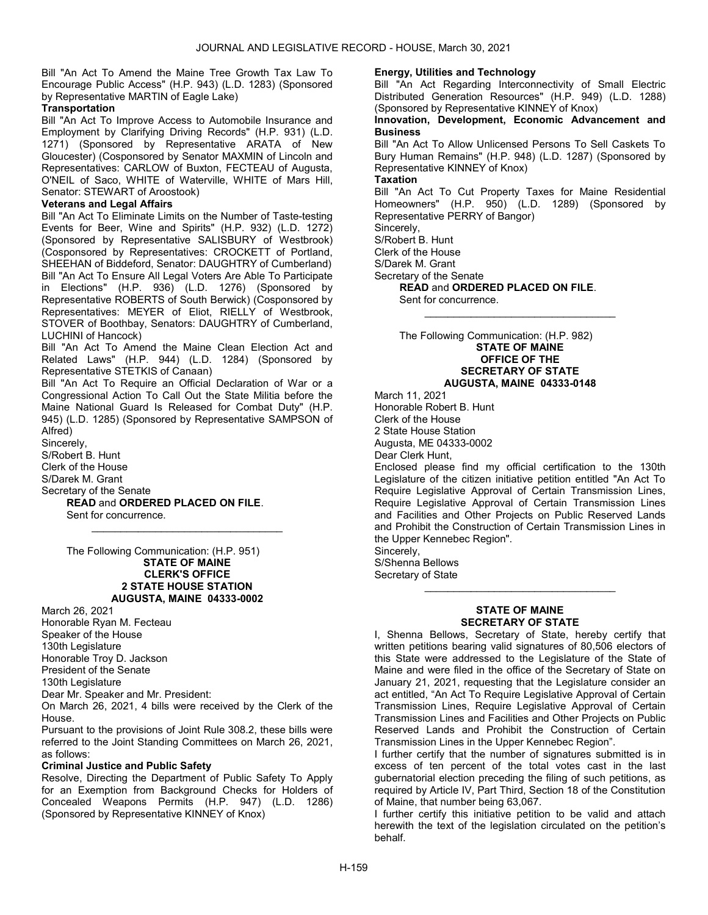Bill "An Act To Amend the Maine Tree Growth Tax Law To Encourage Public Access" (H.P. 943) (L.D. 1283) (Sponsored by Representative MARTIN of Eagle Lake)

# **Transportation**

Bill "An Act To Improve Access to Automobile Insurance and Employment by Clarifying Driving Records" (H.P. 931) (L.D. 1271) (Sponsored by Representative ARATA of New Gloucester) (Cosponsored by Senator MAXMIN of Lincoln and Representatives: CARLOW of Buxton, FECTEAU of Augusta, O'NEIL of Saco, WHITE of Waterville, WHITE of Mars Hill, Senator: STEWART of Aroostook)

# Veterans and Legal Affairs

Bill "An Act To Eliminate Limits on the Number of Taste-testing Events for Beer, Wine and Spirits" (H.P. 932) (L.D. 1272) (Sponsored by Representative SALISBURY of Westbrook) (Cosponsored by Representatives: CROCKETT of Portland, SHEEHAN of Biddeford, Senator: DAUGHTRY of Cumberland) Bill "An Act To Ensure All Legal Voters Are Able To Participate in Elections" (H.P. 936) (L.D. 1276) (Sponsored by Representative ROBERTS of South Berwick) (Cosponsored by Representatives: MEYER of Eliot, RIELLY of Westbrook, STOVER of Boothbay, Senators: DAUGHTRY of Cumberland, LUCHINI of Hancock)

Bill "An Act To Amend the Maine Clean Election Act and Related Laws" (H.P. 944) (L.D. 1284) (Sponsored by Representative STETKIS of Canaan)

Bill "An Act To Require an Official Declaration of War or a Congressional Action To Call Out the State Militia before the Maine National Guard Is Released for Combat Duty" (H.P. 945) (L.D. 1285) (Sponsored by Representative SAMPSON of Alfred)

\_\_\_\_\_\_\_\_\_\_\_\_\_\_\_\_\_\_\_\_\_\_\_\_\_\_\_\_\_\_\_\_\_

Sincerely, S/Robert B. Hunt Clerk of the House S/Darek M. Grant Secretary of the Senate

READ and ORDERED PLACED ON FILE.

Sent for concurrence.

 The Following Communication: (H.P. 951) STATE OF MAINE CLERK'S OFFICE 2 STATE HOUSE STATION AUGUSTA, MAINE 04333-0002

March 26, 2021 Honorable Ryan M. Fecteau Speaker of the House 130th Legislature Honorable Troy D. Jackson President of the Senate 130th Legislature Dear Mr. Speaker and Mr. President:

On March 26, 2021, 4 bills were received by the Clerk of the House.

Pursuant to the provisions of Joint Rule 308.2, these bills were referred to the Joint Standing Committees on March 26, 2021, as follows:

# Criminal Justice and Public Safety

Resolve, Directing the Department of Public Safety To Apply for an Exemption from Background Checks for Holders of Concealed Weapons Permits (H.P. 947) (L.D. 1286) (Sponsored by Representative KINNEY of Knox)

# Energy, Utilities and Technology

Bill "An Act Regarding Interconnectivity of Small Electric Distributed Generation Resources" (H.P. 949) (L.D. 1288) (Sponsored by Representative KINNEY of Knox)

# Innovation, Development, Economic Advancement and **Business**

Bill "An Act To Allow Unlicensed Persons To Sell Caskets To Bury Human Remains" (H.P. 948) (L.D. 1287) (Sponsored by Representative KINNEY of Knox)

# **Taxation**

Bill "An Act To Cut Property Taxes for Maine Residential Homeowners" (H.P. 950) (L.D. 1289) (Sponsored by Representative PERRY of Bangor)

Sincerely,

S/Robert B. Hunt

Clerk of the House

S/Darek M. Grant

Secretary of the Senate

READ and ORDERED PLACED ON FILE. Sent for concurrence.

 The Following Communication: (H.P. 982) STATE OF MAINE OFFICE OF THE SECRETARY OF STATE

# AUGUSTA, MAINE 04333-0148

\_\_\_\_\_\_\_\_\_\_\_\_\_\_\_\_\_\_\_\_\_\_\_\_\_\_\_\_\_\_\_\_\_

March 11, 2021 Honorable Robert B. Hunt Clerk of the House 2 State House Station Augusta, ME 04333-0002 Dear Clerk Hunt,

Enclosed please find my official certification to the 130th Legislature of the citizen initiative petition entitled "An Act To Require Legislative Approval of Certain Transmission Lines, Require Legislative Approval of Certain Transmission Lines and Facilities and Other Projects on Public Reserved Lands and Prohibit the Construction of Certain Transmission Lines in the Upper Kennebec Region".

Sincerely, S/Shenna Bellows Secretary of State

# STATE OF MAINE SECRETARY OF STATE

\_\_\_\_\_\_\_\_\_\_\_\_\_\_\_\_\_\_\_\_\_\_\_\_\_\_\_\_\_\_\_\_\_

I, Shenna Bellows, Secretary of State, hereby certify that written petitions bearing valid signatures of 80,506 electors of this State were addressed to the Legislature of the State of Maine and were filed in the office of the Secretary of State on January 21, 2021, requesting that the Legislature consider an act entitled, "An Act To Require Legislative Approval of Certain Transmission Lines, Require Legislative Approval of Certain Transmission Lines and Facilities and Other Projects on Public Reserved Lands and Prohibit the Construction of Certain Transmission Lines in the Upper Kennebec Region".

I further certify that the number of signatures submitted is in excess of ten percent of the total votes cast in the last gubernatorial election preceding the filing of such petitions, as required by Article IV, Part Third, Section 18 of the Constitution of Maine, that number being 63,067.

I further certify this initiative petition to be valid and attach herewith the text of the legislation circulated on the petition's behalf.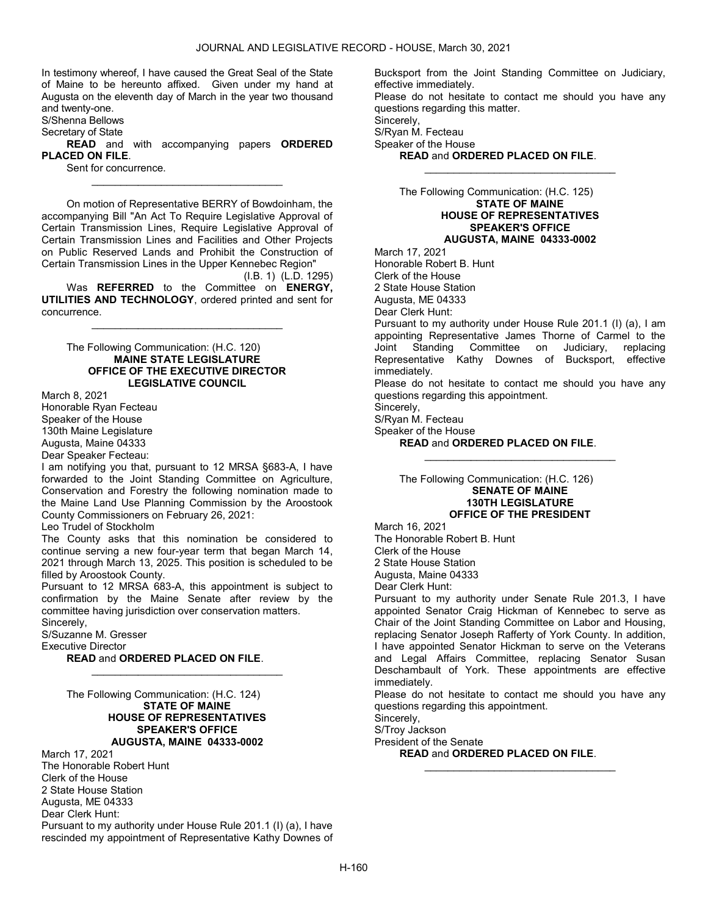In testimony whereof, I have caused the Great Seal of the State of Maine to be hereunto affixed. Given under my hand at Augusta on the eleventh day of March in the year two thousand and twenty-one.

S/Shenna Bellows

Secretary of State

READ and with accompanying papers ORDERED PLACED ON FILE.

\_\_\_\_\_\_\_\_\_\_\_\_\_\_\_\_\_\_\_\_\_\_\_\_\_\_\_\_\_\_\_\_\_

Sent for concurrence.

 On motion of Representative BERRY of Bowdoinham, the accompanying Bill "An Act To Require Legislative Approval of Certain Transmission Lines, Require Legislative Approval of Certain Transmission Lines and Facilities and Other Projects on Public Reserved Lands and Prohibit the Construction of Certain Transmission Lines in the Upper Kennebec Region"

(I.B. 1) (L.D. 1295) Was REFERRED to the Committee on ENERGY, UTILITIES AND TECHNOLOGY, ordered printed and sent for concurrence.

\_\_\_\_\_\_\_\_\_\_\_\_\_\_\_\_\_\_\_\_\_\_\_\_\_\_\_\_\_\_\_\_\_

 The Following Communication: (H.C. 120) MAINE STATE LEGISLATURE OFFICE OF THE EXECUTIVE DIRECTOR LEGISLATIVE COUNCIL

March 8, 2021 Honorable Ryan Fecteau Speaker of the House 130th Maine Legislature Augusta, Maine 04333

Dear Speaker Fecteau:

I am notifying you that, pursuant to 12 MRSA §683-A, I have forwarded to the Joint Standing Committee on Agriculture, Conservation and Forestry the following nomination made to the Maine Land Use Planning Commission by the Aroostook County Commissioners on February 26, 2021:

Leo Trudel of Stockholm

The County asks that this nomination be considered to continue serving a new four-year term that began March 14, 2021 through March 13, 2025. This position is scheduled to be filled by Aroostook County.

Pursuant to 12 MRSA 683-A, this appointment is subject to confirmation by the Maine Senate after review by the committee having jurisdiction over conservation matters. Sincerely,

\_\_\_\_\_\_\_\_\_\_\_\_\_\_\_\_\_\_\_\_\_\_\_\_\_\_\_\_\_\_\_\_\_

S/Suzanne M. Gresser

Executive Director

READ and ORDERED PLACED ON FILE.

 The Following Communication: (H.C. 124) STATE OF MAINE HOUSE OF REPRESENTATIVES SPEAKER'S OFFICE AUGUSTA, MAINE 04333-0002

March 17, 2021 The Honorable Robert Hunt Clerk of the House 2 State House Station Augusta, ME 04333 Dear Clerk Hunt: Pursuant to my authority under House Rule 201.1 (I) (a), I have rescinded my appointment of Representative Kathy Downes of Bucksport from the Joint Standing Committee on Judiciary, effective immediately. Please do not hesitate to contact me should you have any questions regarding this matter. Sincerely, S/Ryan M. Fecteau

\_\_\_\_\_\_\_\_\_\_\_\_\_\_\_\_\_\_\_\_\_\_\_\_\_\_\_\_\_\_\_\_\_

Speaker of the House

READ and ORDERED PLACED ON FILE.

 The Following Communication: (H.C. 125) STATE OF MAINE HOUSE OF REPRESENTATIVES SPEAKER'S OFFICE AUGUSTA, MAINE 04333-0002

March 17, 2021 Honorable Robert B. Hunt Clerk of the House 2 State House Station Augusta, ME 04333 Dear Clerk Hunt: Pursuant to my authority under House Rule 201.1 (I) (a), I am appointing Representative James Thorne of Carmel to the Joint Standing Committee on Judiciary, replacing Representative Kathy Downes of Bucksport, effective immediately.

Please do not hesitate to contact me should you have any questions regarding this appointment.

\_\_\_\_\_\_\_\_\_\_\_\_\_\_\_\_\_\_\_\_\_\_\_\_\_\_\_\_\_\_\_\_\_

Sincerely,

S/Ryan M. Fecteau

Speaker of the House

READ and ORDERED PLACED ON FILE.

 The Following Communication: (H.C. 126) SENATE OF MAINE 130TH LEGISLATURE OFFICE OF THE PRESIDENT

March 16, 2021 The Honorable Robert B. Hunt Clerk of the House 2 State House Station Augusta, Maine 04333 Dear Clerk Hunt:

Pursuant to my authority under Senate Rule 201.3, I have appointed Senator Craig Hickman of Kennebec to serve as Chair of the Joint Standing Committee on Labor and Housing, replacing Senator Joseph Rafferty of York County. In addition, I have appointed Senator Hickman to serve on the Veterans and Legal Affairs Committee, replacing Senator Susan Deschambault of York. These appointments are effective immediately.

Please do not hesitate to contact me should you have any questions regarding this appointment.

\_\_\_\_\_\_\_\_\_\_\_\_\_\_\_\_\_\_\_\_\_\_\_\_\_\_\_\_\_\_\_\_\_

Sincerely,

S/Troy Jackson

President of the Senate

READ and ORDERED PLACED ON FILE.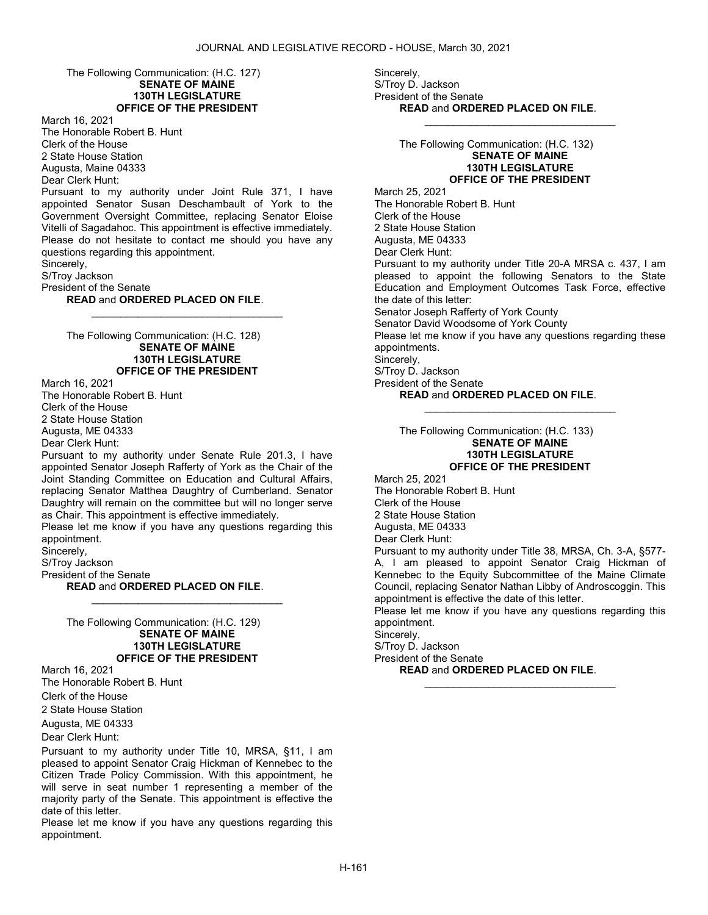The Following Communication: (H.C. 127) SENATE OF MAINE 130TH LEGISLATURE OFFICE OF THE PRESIDENT

March 16, 2021 The Honorable Robert B. Hunt Clerk of the House 2 State House Station Augusta, Maine 04333 Dear Clerk Hunt:

Pursuant to my authority under Joint Rule 371, I have appointed Senator Susan Deschambault of York to the Government Oversight Committee, replacing Senator Eloise Vitelli of Sagadahoc. This appointment is effective immediately. Please do not hesitate to contact me should you have any questions regarding this appointment.

\_\_\_\_\_\_\_\_\_\_\_\_\_\_\_\_\_\_\_\_\_\_\_\_\_\_\_\_\_\_\_\_\_

Sincerely,

S/Troy Jackson

President of the Senate

#### READ and ORDERED PLACED ON FILE.

 The Following Communication: (H.C. 128) SENATE OF MAINE 130TH LEGISLATURE OFFICE OF THE PRESIDENT

March 16, 2021 The Honorable Robert B. Hunt Clerk of the House 2 State House Station Augusta, ME 04333

Dear Clerk Hunt:

Pursuant to my authority under Senate Rule 201.3, I have appointed Senator Joseph Rafferty of York as the Chair of the Joint Standing Committee on Education and Cultural Affairs, replacing Senator Matthea Daughtry of Cumberland. Senator Daughtry will remain on the committee but will no longer serve as Chair. This appointment is effective immediately.

Please let me know if you have any questions regarding this appointment.

\_\_\_\_\_\_\_\_\_\_\_\_\_\_\_\_\_\_\_\_\_\_\_\_\_\_\_\_\_\_\_\_\_

Sincerely,

S/Troy Jackson

President of the Senate

READ and ORDERED PLACED ON FILE.

 The Following Communication: (H.C. 129) SENATE OF MAINE 130TH LEGISLATURE OFFICE OF THE PRESIDENT

March 16, 2021 The Honorable Robert B. Hunt Clerk of the House 2 State House Station

Augusta, ME 04333

Dear Clerk Hunt:

Pursuant to my authority under Title 10, MRSA, §11, I am pleased to appoint Senator Craig Hickman of Kennebec to the Citizen Trade Policy Commission. With this appointment, he will serve in seat number 1 representing a member of the majority party of the Senate. This appointment is effective the date of this letter.

Please let me know if you have any questions regarding this appointment.

Sincerely, S/Troy D. Jackson President of the Senate READ and ORDERED PLACED ON FILE.

> The Following Communication: (H.C. 132) SENATE OF MAINE 130TH LEGISLATURE OFFICE OF THE PRESIDENT

\_\_\_\_\_\_\_\_\_\_\_\_\_\_\_\_\_\_\_\_\_\_\_\_\_\_\_\_\_\_\_\_\_

March 25, 2021 The Honorable Robert B. Hunt Clerk of the House 2 State House Station Augusta, ME 04333 Dear Clerk Hunt: Pursuant to my authority under Title 20-A MRSA c. 437, I am pleased to appoint the following Senators to the State Education and Employment Outcomes Task Force, effective the date of this letter: Senator Joseph Rafferty of York County Senator David Woodsome of York County Please let me know if you have any questions regarding these appointments. Sincerely, S/Troy D. Jackson President of the Senate READ and ORDERED PLACED ON FILE.

\_\_\_\_\_\_\_\_\_\_\_\_\_\_\_\_\_\_\_\_\_\_\_\_\_\_\_\_\_\_\_\_\_

 The Following Communication: (H.C. 133) SENATE OF MAINE 130TH LEGISLATURE OFFICE OF THE PRESIDENT

March 25, 2021 The Honorable Robert B. Hunt Clerk of the House 2 State House Station Augusta, ME 04333 Dear Clerk Hunt:

Pursuant to my authority under Title 38, MRSA, Ch. 3-A, §577- A, I am pleased to appoint Senator Craig Hickman of Kennebec to the Equity Subcommittee of the Maine Climate Council, replacing Senator Nathan Libby of Androscoggin. This appointment is effective the date of this letter.

Please let me know if you have any questions regarding this appointment.

\_\_\_\_\_\_\_\_\_\_\_\_\_\_\_\_\_\_\_\_\_\_\_\_\_\_\_\_\_\_\_\_\_

Sincerely,

S/Troy D. Jackson

President of the Senate READ and ORDERED PLACED ON FILE.

H-161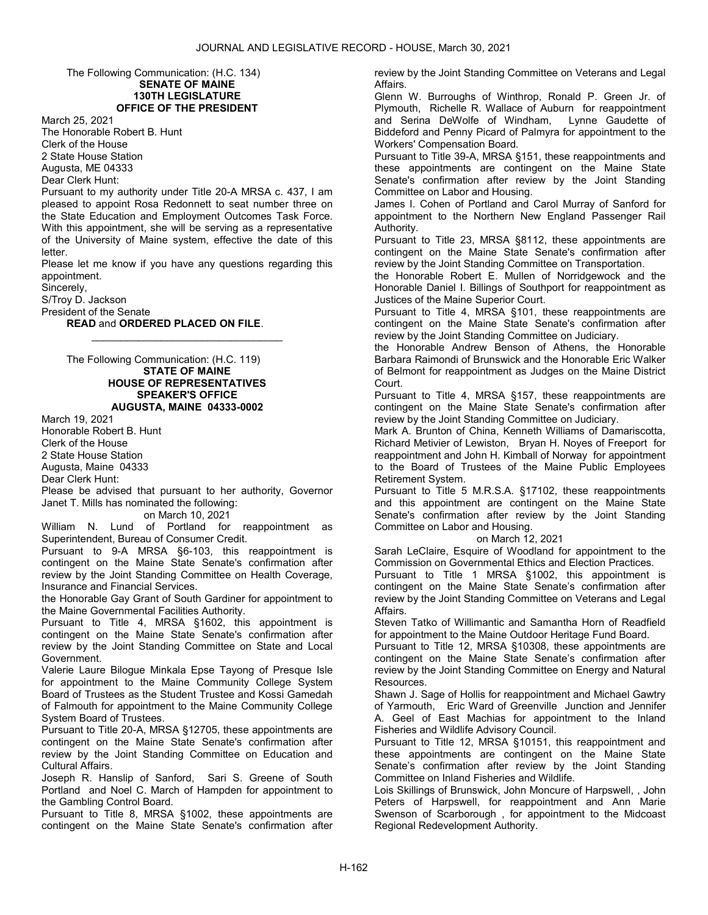#### The Following Communication: (H.C. 134) SENATE OF MAINE 130TH LEGISLATURE OFFICE OF THE PRESIDENT

March 25, 2021 The Honorable Robert B. Hunt Clerk of the House 2 State House Station Augusta, ME 04333 Dear Clerk Hunt:

Pursuant to my authority under Title 20-A MRSA c. 437, I am pleased to appoint Rosa Redonnett to seat number three on the State Education and Employment Outcomes Task Force. With this appointment, she will be serving as a representative of the University of Maine system, effective the date of this letter.

Please let me know if you have any questions regarding this appointment.

\_\_\_\_\_\_\_\_\_\_\_\_\_\_\_\_\_\_\_\_\_\_\_\_\_\_\_\_\_\_\_\_\_

Sincerely,

S/Troy D. Jackson

President of the Senate

READ and ORDERED PLACED ON FILE.

 The Following Communication: (H.C. 119) STATE OF MAINE HOUSE OF REPRESENTATIVES SPEAKER'S OFFICE AUGUSTA, MAINE 04333-0002

March 19, 2021 Honorable Robert B. Hunt Clerk of the House 2 State House Station Augusta, Maine 04333

Dear Clerk Hunt:

Please be advised that pursuant to her authority, Governor Janet T. Mills has nominated the following:

on March 10, 2021

William N. Lund of Portland for reappointment as Superintendent, Bureau of Consumer Credit.

Pursuant to 9-A MRSA §6-103, this reappointment is contingent on the Maine State Senate's confirmation after review by the Joint Standing Committee on Health Coverage, Insurance and Financial Services.

the Honorable Gay Grant of South Gardiner for appointment to the Maine Governmental Facilities Authority.

Pursuant to Title 4, MRSA §1602, this appointment is contingent on the Maine State Senate's confirmation after review by the Joint Standing Committee on State and Local Government.

Valerie Laure Bilogue Minkala Epse Tayong of Presque Isle for appointment to the Maine Community College System Board of Trustees as the Student Trustee and Kossi Gamedah of Falmouth for appointment to the Maine Community College System Board of Trustees.

Pursuant to Title 20-A, MRSA §12705, these appointments are contingent on the Maine State Senate's confirmation after review by the Joint Standing Committee on Education and Cultural Affairs.

Joseph R. Hanslip of Sanford, Sari S. Greene of South Portland and Noel C. March of Hampden for appointment to the Gambling Control Board.

Pursuant to Title 8, MRSA §1002, these appointments are contingent on the Maine State Senate's confirmation after review by the Joint Standing Committee on Veterans and Legal Affairs.

Glenn W. Burroughs of Winthrop, Ronald P. Green Jr. of Plymouth, Richelle R. Wallace of Auburn for reappointment and Serina DeWolfe of Windham, Lynne Gaudette of Biddeford and Penny Picard of Palmyra for appointment to the Workers' Compensation Board.

Pursuant to Title 39-A, MRSA §151, these reappointments and these appointments are contingent on the Maine State Senate's confirmation after review by the Joint Standing Committee on Labor and Housing.

James I. Cohen of Portland and Carol Murray of Sanford for appointment to the Northern New England Passenger Rail Authority.

Pursuant to Title 23, MRSA §8112, these appointments are contingent on the Maine State Senate's confirmation after review by the Joint Standing Committee on Transportation.

the Honorable Robert E. Mullen of Norridgewock and the Honorable Daniel I. Billings of Southport for reappointment as Justices of the Maine Superior Court.

Pursuant to Title 4, MRSA §101, these reappointments are contingent on the Maine State Senate's confirmation after review by the Joint Standing Committee on Judiciary.

the Honorable Andrew Benson of Athens, the Honorable Barbara Raimondi of Brunswick and the Honorable Eric Walker of Belmont for reappointment as Judges on the Maine District Court.

Pursuant to Title 4, MRSA §157, these reappointments are contingent on the Maine State Senate's confirmation after review by the Joint Standing Committee on Judiciary.

Mark A. Brunton of China, Kenneth Williams of Damariscotta, Richard Metivier of Lewiston, Bryan H. Noyes of Freeport for reappointment and John H. Kimball of Norway for appointment to the Board of Trustees of the Maine Public Employees Retirement System.

Pursuant to Title 5 M.R.S.A. §17102, these reappointments and this appointment are contingent on the Maine State Senate's confirmation after review by the Joint Standing Committee on Labor and Housing.

#### on March 12, 2021

Sarah LeClaire, Esquire of Woodland for appointment to the Commission on Governmental Ethics and Election Practices.

Pursuant to Title 1 MRSA §1002, this appointment is contingent on the Maine State Senate's confirmation after review by the Joint Standing Committee on Veterans and Legal Affairs.

Steven Tatko of Willimantic and Samantha Horn of Readfield for appointment to the Maine Outdoor Heritage Fund Board.

Pursuant to Title 12, MRSA §10308, these appointments are contingent on the Maine State Senate's confirmation after review by the Joint Standing Committee on Energy and Natural Resources.

Shawn J. Sage of Hollis for reappointment and Michael Gawtry of Yarmouth, Eric Ward of Greenville Junction and Jennifer A. Geel of East Machias for appointment to the Inland Fisheries and Wildlife Advisory Council.

Pursuant to Title 12, MRSA §10151, this reappointment and these appointments are contingent on the Maine State Senate's confirmation after review by the Joint Standing Committee on Inland Fisheries and Wildlife.

Lois Skillings of Brunswick, John Moncure of Harpswell, , John Peters of Harpswell, for reappointment and Ann Marie Swenson of Scarborough , for appointment to the Midcoast Regional Redevelopment Authority.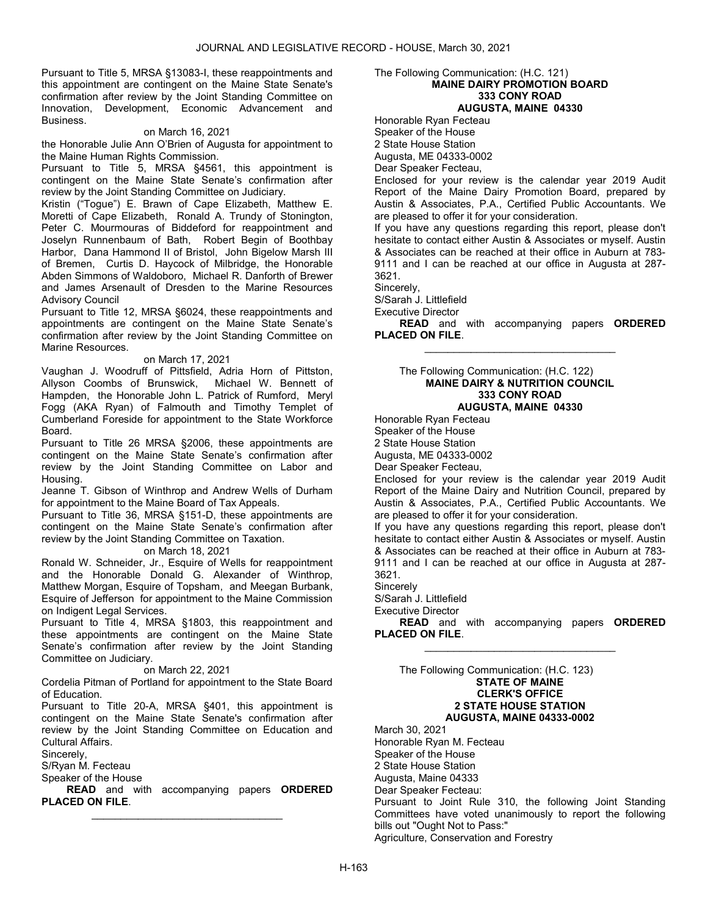Pursuant to Title 5, MRSA §13083-I, these reappointments and this appointment are contingent on the Maine State Senate's confirmation after review by the Joint Standing Committee on Innovation, Development, Economic Advancement and Business.

#### on March 16, 2021

the Honorable Julie Ann O'Brien of Augusta for appointment to the Maine Human Rights Commission.

Pursuant to Title 5, MRSA §4561, this appointment is contingent on the Maine State Senate's confirmation after review by the Joint Standing Committee on Judiciary.

Kristin ("Togue") E. Brawn of Cape Elizabeth, Matthew E. Moretti of Cape Elizabeth, Ronald A. Trundy of Stonington, Peter C. Mourmouras of Biddeford for reappointment and Joselyn Runnenbaum of Bath, Robert Begin of Boothbay Harbor, Dana Hammond II of Bristol, John Bigelow Marsh III of Bremen, Curtis D. Haycock of Milbridge, the Honorable Abden Simmons of Waldoboro, Michael R. Danforth of Brewer and James Arsenault of Dresden to the Marine Resources Advisory Council

Pursuant to Title 12, MRSA §6024, these reappointments and appointments are contingent on the Maine State Senate's confirmation after review by the Joint Standing Committee on Marine Resources.

#### on March 17, 2021

Vaughan J. Woodruff of Pittsfield, Adria Horn of Pittston, Allyson Coombs of Brunswick, Michael W. Bennett of Hampden, the Honorable John L. Patrick of Rumford, Meryl Fogg (AKA Ryan) of Falmouth and Timothy Templet of Cumberland Foreside for appointment to the State Workforce Board.

Pursuant to Title 26 MRSA §2006, these appointments are contingent on the Maine State Senate's confirmation after review by the Joint Standing Committee on Labor and Housing.

Jeanne T. Gibson of Winthrop and Andrew Wells of Durham for appointment to the Maine Board of Tax Appeals.

Pursuant to Title 36, MRSA §151-D, these appointments are contingent on the Maine State Senate's confirmation after review by the Joint Standing Committee on Taxation.

#### on March 18, 2021

Ronald W. Schneider, Jr., Esquire of Wells for reappointment and the Honorable Donald G. Alexander of Winthrop, Matthew Morgan, Esquire of Topsham, and Meegan Burbank, Esquire of Jefferson for appointment to the Maine Commission on Indigent Legal Services.

Pursuant to Title 4, MRSA §1803, this reappointment and these appointments are contingent on the Maine State Senate's confirmation after review by the Joint Standing Committee on Judiciary.

on March 22, 2021

Cordelia Pitman of Portland for appointment to the State Board of Education.

Pursuant to Title 20-A, MRSA §401, this appointment is contingent on the Maine State Senate's confirmation after review by the Joint Standing Committee on Education and Cultural Affairs.

Sincerely,

S/Ryan M. Fecteau

Speaker of the House

READ and with accompanying papers ORDERED PLACED ON FILE. \_\_\_\_\_\_\_\_\_\_\_\_\_\_\_\_\_\_\_\_\_\_\_\_\_\_\_\_\_\_\_\_\_

#### The Following Communication: (H.C. 121) MAINE DAIRY PROMOTION BOARD 333 CONY ROAD AUGUSTA, MAINE 04330

Honorable Ryan Fecteau

Speaker of the House

2 State House Station

Augusta, ME 04333-0002

Dear Speaker Fecteau,

Enclosed for your review is the calendar year 2019 Audit Report of the Maine Dairy Promotion Board, prepared by Austin & Associates, P.A., Certified Public Accountants. We are pleased to offer it for your consideration.

If you have any questions regarding this report, please don't hesitate to contact either Austin & Associates or myself. Austin & Associates can be reached at their office in Auburn at 783- 9111 and I can be reached at our office in Augusta at 287- 3621.

Sincerely,

S/Sarah J. Littlefield

Executive Director

READ and with accompanying papers ORDERED PLACED ON FILE. \_\_\_\_\_\_\_\_\_\_\_\_\_\_\_\_\_\_\_\_\_\_\_\_\_\_\_\_\_\_\_\_\_

#### The Following Communication: (H.C. 122) MAINE DAIRY & NUTRITION COUNCIL 333 CONY ROAD AUGUSTA, MAINE 04330

Honorable Ryan Fecteau

Speaker of the House

2 State House Station

Augusta, ME 04333-0002

Dear Speaker Fecteau,

Enclosed for your review is the calendar year 2019 Audit Report of the Maine Dairy and Nutrition Council, prepared by Austin & Associates, P.A., Certified Public Accountants. We are pleased to offer it for your consideration.

If you have any questions regarding this report, please don't hesitate to contact either Austin & Associates or myself. Austin & Associates can be reached at their office in Auburn at 783- 9111 and I can be reached at our office in Augusta at 287- 3621.

**Sincerely** 

S/Sarah J. Littlefield

Executive Director

READ and with accompanying papers ORDERED PLACED ON FILE. \_\_\_\_\_\_\_\_\_\_\_\_\_\_\_\_\_\_\_\_\_\_\_\_\_\_\_\_\_\_\_\_\_

 The Following Communication: (H.C. 123) STATE OF MAINE CLERK'S OFFICE 2 STATE HOUSE STATION AUGUSTA, MAINE 04333-0002

March 30, 2021 Honorable Ryan M. Fecteau Speaker of the House 2 State House Station Augusta, Maine 04333

Dear Speaker Fecteau:

Pursuant to Joint Rule 310, the following Joint Standing Committees have voted unanimously to report the following bills out "Ought Not to Pass:" Agriculture, Conservation and Forestry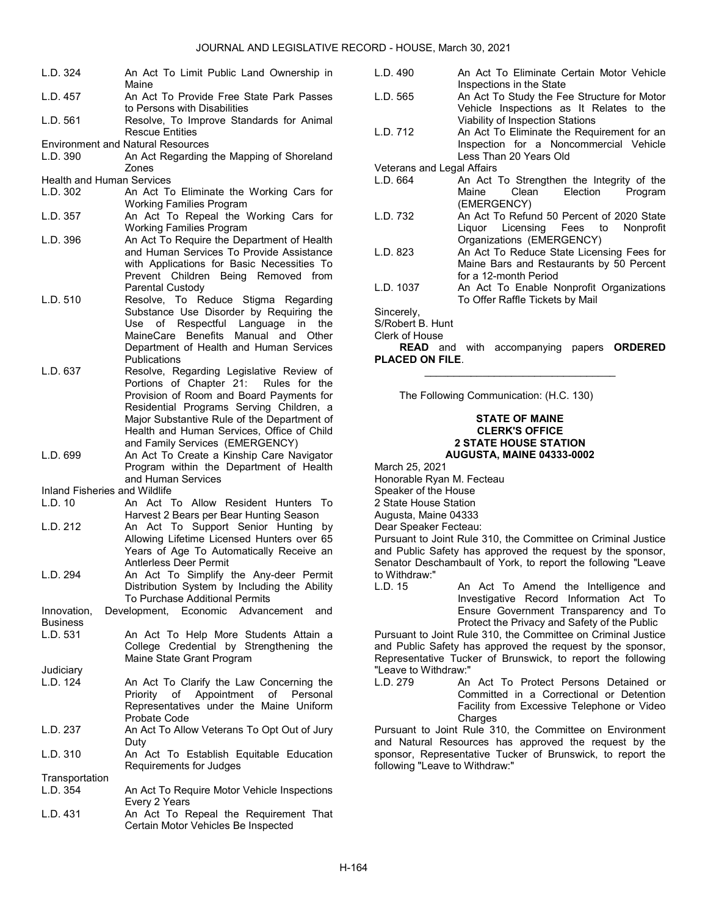| L.D. 324                             | An Act To Limit Public Land Ownership in                                                                                                                                                                             |  |
|--------------------------------------|----------------------------------------------------------------------------------------------------------------------------------------------------------------------------------------------------------------------|--|
| L.D. 457                             | Maine<br>An Act To Provide Free State Park Passes                                                                                                                                                                    |  |
| L.D. 561                             | to Persons with Disabilities<br>Resolve, To Improve Standards for Animal<br><b>Rescue Entities</b>                                                                                                                   |  |
| L.D. 390                             | <b>Environment and Natural Resources</b><br>An Act Regarding the Mapping of Shoreland<br>Zones                                                                                                                       |  |
| <b>Health and Human Services</b>     |                                                                                                                                                                                                                      |  |
| L.D. 302                             | An Act To Eliminate the Working Cars for                                                                                                                                                                             |  |
|                                      | <b>Working Families Program</b>                                                                                                                                                                                      |  |
| L.D. 357                             | An Act To Repeal the Working Cars for                                                                                                                                                                                |  |
| L.D. 396                             | <b>Working Families Program</b><br>An Act To Require the Department of Health                                                                                                                                        |  |
| L.D. 510                             | and Human Services To Provide Assistance<br>with Applications for Basic Necessities To<br>Prevent Children Being Removed from<br>Parental Custody<br>Resolve, To Reduce Stigma Regarding                             |  |
|                                      | Substance Use Disorder by Requiring the<br>of Respectful Language<br>in<br>Use<br>the<br>MaineCare Benefits<br>Manual and<br>Other<br>Department of Health and Human Services<br>Publications                        |  |
| L.D. 637                             | Resolve, Regarding Legislative Review of<br>Portions of Chapter 21: Rules for the                                                                                                                                    |  |
|                                      | Provision of Room and Board Payments for<br>Residential Programs Serving Children, a<br>Major Substantive Rule of the Department of<br>Health and Human Services, Office of Child<br>and Family Services (EMERGENCY) |  |
| L.D. 699                             | An Act To Create a Kinship Care Navigator<br>Program within the Department of Health<br>and Human Services                                                                                                           |  |
| <b>Inland Fisheries and Wildlife</b> |                                                                                                                                                                                                                      |  |
| L.D. 10                              | An Act To Allow Resident Hunters To                                                                                                                                                                                  |  |
|                                      | Harvest 2 Bears per Bear Hunting Season                                                                                                                                                                              |  |
| L.D. 212                             | An Act To Support Senior Hunting<br>by<br>Allowing Lifetime Licensed Hunters over 65                                                                                                                                 |  |
| L.D. 294                             | Years of Age To Automatically Receive an<br><b>Antlerless Deer Permit</b><br>An Act To Simplify the Any-deer Permit<br>Distribution System by Including the Ability<br>To Purchase Additional Permits                |  |
| Innovation,                          | Development, Economic Advancement<br>and                                                                                                                                                                             |  |
| <b>Business</b>                      |                                                                                                                                                                                                                      |  |
| L.D. 531                             | An Act To Help More Students Attain a<br>College Credential by Strengthening the<br>Maine State Grant Program                                                                                                        |  |
| Judiciary                            |                                                                                                                                                                                                                      |  |
| L.D. 124                             | An Act To Clarify the Law Concerning the<br>Appointment<br>Priority<br>of<br>Personal<br>of<br>Representatives under the Maine Uniform<br>Probate Code                                                               |  |
| L.D. 237                             | An Act To Allow Veterans To Opt Out of Jury<br>Duty                                                                                                                                                                  |  |
| L.D. 310                             | An Act To Establish Equitable Education<br>Requirements for Judges                                                                                                                                                   |  |
| Transportation                       |                                                                                                                                                                                                                      |  |
| L.D. 354                             | An Act To Require Motor Vehicle Inspections                                                                                                                                                                          |  |
|                                      | Every 2 Years                                                                                                                                                                                                        |  |
| L.D. 431                             | An Act To Repeal the Requirement That<br>Certain Motor Vehicles Be Inspected                                                                                                                                         |  |

| L.D. 490 | An Act To Eliminate Certain Motor Vehicle   |
|----------|---------------------------------------------|
|          | Inspections in the State                    |
| L.D. 565 | An Act To Study the Fee Structure for Motor |
|          | Vehicle Inspections as It Relates to the    |
|          | Viability of Inspection Stations            |
| L.D. 712 | An Act To Eliminate the Requirement for an  |

Inspection for a Noncommercial Vehicle Less Than 20 Years Old

Veterans and Legal Affairs

- L.D. 664 An Act To Strengthen the Integrity of the Maine Clean Election Program (EMERGENCY)
- L.D. 732 An Act To Refund 50 Percent of 2020 State Liquor Licensing Fees to Nonprofit Organizations (EMERGENCY)
- L.D. 823 An Act To Reduce State Licensing Fees for Maine Bars and Restaurants by 50 Percent for a 12-month Period
- L.D. 1037 An Act To Enable Nonprofit Organizations To Offer Raffle Tickets by Mail

Sincerely,

S/Robert B. Hunt Clerk of House

READ and with accompanying papers ORDERED PLACED ON FILE. \_\_\_\_\_\_\_\_\_\_\_\_\_\_\_\_\_\_\_\_\_\_\_\_\_\_\_\_\_\_\_\_\_

The Following Communication: (H.C. 130)

#### STATE OF MAINE CLERK'S OFFICE 2 STATE HOUSE STATION AUGUSTA, MAINE 04333-0002

- March 25, 2021
- Honorable Ryan M. Fecteau

Speaker of the House

2 State House Station

Augusta, Maine 04333

Dear Speaker Fecteau:

Pursuant to Joint Rule 310, the Committee on Criminal Justice and Public Safety has approved the request by the sponsor, Senator Deschambault of York, to report the following "Leave to Withdraw:"<br>L.D. 15

An Act To Amend the Intelligence and Investigative Record Information Act To Ensure Government Transparency and To Protect the Privacy and Safety of the Public

Pursuant to Joint Rule 310, the Committee on Criminal Justice and Public Safety has approved the request by the sponsor, Representative Tucker of Brunswick, to report the following "Leave to Withdraw:"

L.D. 279 An Act To Protect Persons Detained or Committed in a Correctional or Detention Facility from Excessive Telephone or Video Charges

Pursuant to Joint Rule 310, the Committee on Environment and Natural Resources has approved the request by the sponsor, Representative Tucker of Brunswick, to report the following "Leave to Withdraw:"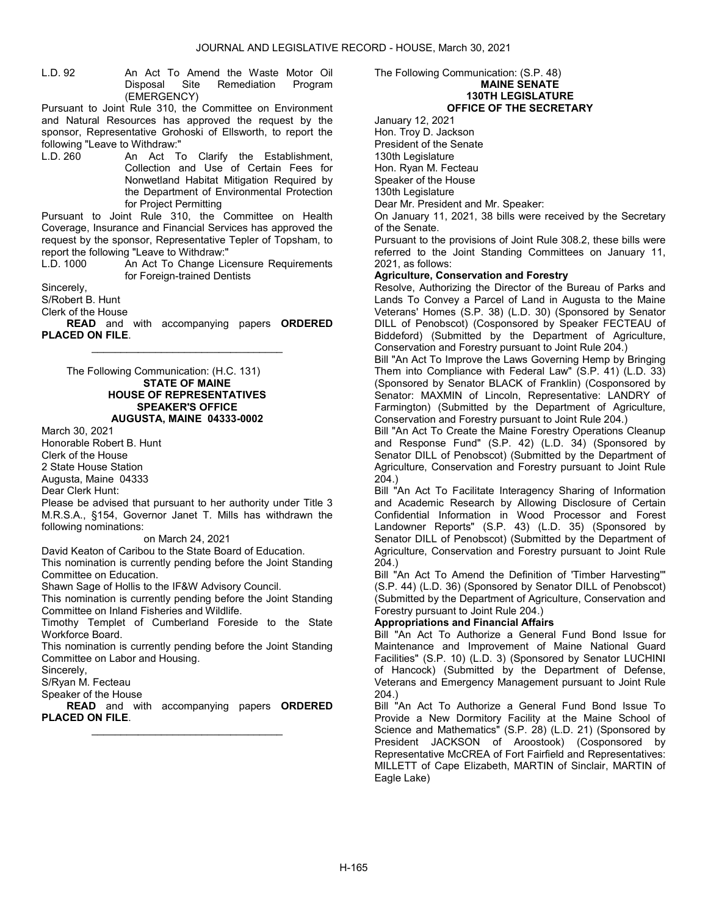L.D. 92 An Act To Amend the Waste Motor Oil Disposal Site Remediation Program (EMERGENCY)

Pursuant to Joint Rule 310, the Committee on Environment and Natural Resources has approved the request by the sponsor, Representative Grohoski of Ellsworth, to report the following "Leave to Withdraw:"

L.D. 260 An Act To Clarify the Establishment, Collection and Use of Certain Fees for Nonwetland Habitat Mitigation Required by the Department of Environmental Protection for Project Permitting

Pursuant to Joint Rule 310, the Committee on Health Coverage, Insurance and Financial Services has approved the request by the sponsor, Representative Tepler of Topsham, to report the following "Leave to Withdraw:"

An Act To Change Licensure Requirements for Foreign-trained Dentists

Sincerely,

S/Robert B. Hunt

Clerk of the House

READ and with accompanying papers ORDERED PLACED ON FILE. \_\_\_\_\_\_\_\_\_\_\_\_\_\_\_\_\_\_\_\_\_\_\_\_\_\_\_\_\_\_\_\_\_

 The Following Communication: (H.C. 131) STATE OF MAINE HOUSE OF REPRESENTATIVES SPEAKER'S OFFICE AUGUSTA, MAINE 04333-0002

March 30, 2021

Honorable Robert B. Hunt Clerk of the House

2 State House Station Augusta, Maine 04333

Dear Clerk Hunt:

Please be advised that pursuant to her authority under Title 3 M.R.S.A., §154, Governor Janet T. Mills has withdrawn the following nominations:

# on March 24, 2021

David Keaton of Caribou to the State Board of Education. This nomination is currently pending before the Joint Standing Committee on Education.

Shawn Sage of Hollis to the IF&W Advisory Council.

This nomination is currently pending before the Joint Standing Committee on Inland Fisheries and Wildlife.

Timothy Templet of Cumberland Foreside to the State Workforce Board.

This nomination is currently pending before the Joint Standing Committee on Labor and Housing.

Sincerely,

S/Ryan M. Fecteau

Speaker of the House

**READ** and with accompanying papers **ORDERED** PLACED ON FILE. \_\_\_\_\_\_\_\_\_\_\_\_\_\_\_\_\_\_\_\_\_\_\_\_\_\_\_\_\_\_\_\_\_

The Following Communication: (S.P. 48) MAINE SENATE 130TH LEGISLATURE OFFICE OF THE SECRETARY

January 12, 2021

Hon. Troy D. Jackson President of the Senate

130th Legislature

Hon. Ryan M. Fecteau

Speaker of the House

130th Legislature

Dear Mr. President and Mr. Speaker:

On January 11, 2021, 38 bills were received by the Secretary of the Senate.

Pursuant to the provisions of Joint Rule 308.2, these bills were referred to the Joint Standing Committees on January 11, 2021, as follows:

# Agriculture, Conservation and Forestry

Resolve, Authorizing the Director of the Bureau of Parks and Lands To Convey a Parcel of Land in Augusta to the Maine Veterans' Homes (S.P. 38) (L.D. 30) (Sponsored by Senator DILL of Penobscot) (Cosponsored by Speaker FECTEAU of Biddeford) (Submitted by the Department of Agriculture, Conservation and Forestry pursuant to Joint Rule 204.)

Bill "An Act To Improve the Laws Governing Hemp by Bringing Them into Compliance with Federal Law" (S.P. 41) (L.D. 33) (Sponsored by Senator BLACK of Franklin) (Cosponsored by Senator: MAXMIN of Lincoln, Representative: LANDRY of Farmington) (Submitted by the Department of Agriculture, Conservation and Forestry pursuant to Joint Rule 204.)

Bill "An Act To Create the Maine Forestry Operations Cleanup and Response Fund" (S.P. 42) (L.D. 34) (Sponsored by Senator DILL of Penobscot) (Submitted by the Department of Agriculture, Conservation and Forestry pursuant to Joint Rule 204.)

Bill "An Act To Facilitate Interagency Sharing of Information and Academic Research by Allowing Disclosure of Certain Confidential Information in Wood Processor and Forest Landowner Reports" (S.P. 43) (L.D. 35) (Sponsored by Senator DILL of Penobscot) (Submitted by the Department of Agriculture, Conservation and Forestry pursuant to Joint Rule 204.)

Bill "An Act To Amend the Definition of 'Timber Harvesting'" (S.P. 44) (L.D. 36) (Sponsored by Senator DILL of Penobscot) (Submitted by the Department of Agriculture, Conservation and Forestry pursuant to Joint Rule 204.)

# Appropriations and Financial Affairs

Bill "An Act To Authorize a General Fund Bond Issue for Maintenance and Improvement of Maine National Guard Facilities" (S.P. 10) (L.D. 3) (Sponsored by Senator LUCHINI of Hancock) (Submitted by the Department of Defense, Veterans and Emergency Management pursuant to Joint Rule 204.)

Bill "An Act To Authorize a General Fund Bond Issue To Provide a New Dormitory Facility at the Maine School of Science and Mathematics" (S.P. 28) (L.D. 21) (Sponsored by President JACKSON of Aroostook) (Cosponsored by Representative McCREA of Fort Fairfield and Representatives: MILLETT of Cape Elizabeth, MARTIN of Sinclair, MARTIN of Eagle Lake)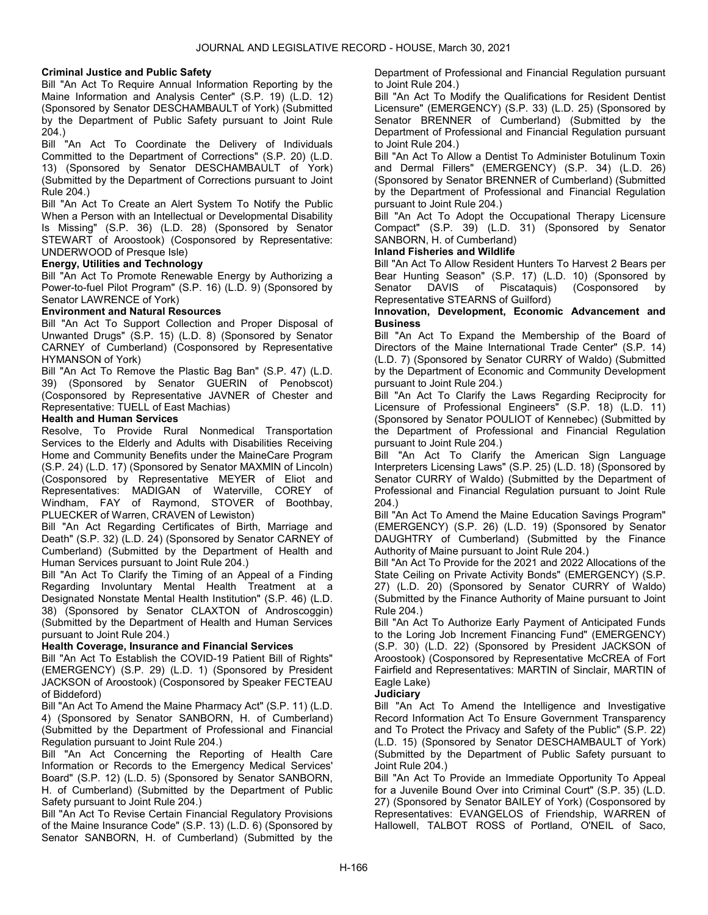# Criminal Justice and Public Safety

Bill "An Act To Require Annual Information Reporting by the Maine Information and Analysis Center" (S.P. 19) (L.D. 12) (Sponsored by Senator DESCHAMBAULT of York) (Submitted by the Department of Public Safety pursuant to Joint Rule 204.)

Bill "An Act To Coordinate the Delivery of Individuals Committed to the Department of Corrections" (S.P. 20) (L.D. 13) (Sponsored by Senator DESCHAMBAULT of York) (Submitted by the Department of Corrections pursuant to Joint Rule 204.)

Bill "An Act To Create an Alert System To Notify the Public When a Person with an Intellectual or Developmental Disability Is Missing" (S.P. 36) (L.D. 28) (Sponsored by Senator STEWART of Aroostook) (Cosponsored by Representative: UNDERWOOD of Presque Isle)

# Energy, Utilities and Technology

Bill "An Act To Promote Renewable Energy by Authorizing a Power-to-fuel Pilot Program" (S.P. 16) (L.D. 9) (Sponsored by Senator LAWRENCE of York)

# Environment and Natural Resources

Bill "An Act To Support Collection and Proper Disposal of Unwanted Drugs" (S.P. 15) (L.D. 8) (Sponsored by Senator CARNEY of Cumberland) (Cosponsored by Representative HYMANSON of York)

Bill "An Act To Remove the Plastic Bag Ban" (S.P. 47) (L.D. 39) (Sponsored by Senator GUERIN of Penobscot) (Cosponsored by Representative JAVNER of Chester and Representative: TUELL of East Machias)

# Health and Human Services

Resolve, To Provide Rural Nonmedical Transportation Services to the Elderly and Adults with Disabilities Receiving Home and Community Benefits under the MaineCare Program (S.P. 24) (L.D. 17) (Sponsored by Senator MAXMIN of Lincoln) (Cosponsored by Representative MEYER of Eliot and Representatives: MADIGAN of Waterville, COREY of Windham, FAY of Raymond, STOVER of Boothbay, PLUECKER of Warren, CRAVEN of Lewiston)

Bill "An Act Regarding Certificates of Birth, Marriage and Death" (S.P. 32) (L.D. 24) (Sponsored by Senator CARNEY of Cumberland) (Submitted by the Department of Health and Human Services pursuant to Joint Rule 204.)

Bill "An Act To Clarify the Timing of an Appeal of a Finding Regarding Involuntary Mental Health Treatment at a Designated Nonstate Mental Health Institution" (S.P. 46) (L.D. 38) (Sponsored by Senator CLAXTON of Androscoggin) (Submitted by the Department of Health and Human Services pursuant to Joint Rule 204.)

# Health Coverage, Insurance and Financial Services

Bill "An Act To Establish the COVID-19 Patient Bill of Rights" (EMERGENCY) (S.P. 29) (L.D. 1) (Sponsored by President JACKSON of Aroostook) (Cosponsored by Speaker FECTEAU of Biddeford)

Bill "An Act To Amend the Maine Pharmacy Act" (S.P. 11) (L.D. 4) (Sponsored by Senator SANBORN, H. of Cumberland) (Submitted by the Department of Professional and Financial Regulation pursuant to Joint Rule 204.)

Bill "An Act Concerning the Reporting of Health Care Information or Records to the Emergency Medical Services' Board" (S.P. 12) (L.D. 5) (Sponsored by Senator SANBORN, H. of Cumberland) (Submitted by the Department of Public Safety pursuant to Joint Rule 204.)

Bill "An Act To Revise Certain Financial Regulatory Provisions of the Maine Insurance Code" (S.P. 13) (L.D. 6) (Sponsored by Senator SANBORN, H. of Cumberland) (Submitted by the Department of Professional and Financial Regulation pursuant to Joint Rule 204.)

Bill "An Act To Modify the Qualifications for Resident Dentist Licensure" (EMERGENCY) (S.P. 33) (L.D. 25) (Sponsored by Senator BRENNER of Cumberland) (Submitted by the Department of Professional and Financial Regulation pursuant to Joint Rule 204.)

Bill "An Act To Allow a Dentist To Administer Botulinum Toxin and Dermal Fillers" (EMERGENCY) (S.P. 34) (L.D. 26) (Sponsored by Senator BRENNER of Cumberland) (Submitted by the Department of Professional and Financial Regulation pursuant to Joint Rule 204.)

Bill "An Act To Adopt the Occupational Therapy Licensure Compact" (S.P. 39) (L.D. 31) (Sponsored by Senator SANBORN, H. of Cumberland)

# Inland Fisheries and Wildlife

Bill "An Act To Allow Resident Hunters To Harvest 2 Bears per Bear Hunting Season" (S.P. 17) (L.D. 10) (Sponsored by Senator DAVIS of Piscataquis) (Cosponsored by Representative STEARNS of Guilford)

#### Innovation, Development, Economic Advancement and **Business**

Bill "An Act To Expand the Membership of the Board of Directors of the Maine International Trade Center" (S.P. 14) (L.D. 7) (Sponsored by Senator CURRY of Waldo) (Submitted by the Department of Economic and Community Development pursuant to Joint Rule 204.)

Bill "An Act To Clarify the Laws Regarding Reciprocity for Licensure of Professional Engineers" (S.P. 18) (L.D. 11) (Sponsored by Senator POULIOT of Kennebec) (Submitted by the Department of Professional and Financial Regulation pursuant to Joint Rule 204.)

Bill "An Act To Clarify the American Sign Language Interpreters Licensing Laws" (S.P. 25) (L.D. 18) (Sponsored by Senator CURRY of Waldo) (Submitted by the Department of Professional and Financial Regulation pursuant to Joint Rule 204.)

Bill "An Act To Amend the Maine Education Savings Program" (EMERGENCY) (S.P. 26) (L.D. 19) (Sponsored by Senator DAUGHTRY of Cumberland) (Submitted by the Finance Authority of Maine pursuant to Joint Rule 204.)

Bill "An Act To Provide for the 2021 and 2022 Allocations of the State Ceiling on Private Activity Bonds" (EMERGENCY) (S.P. 27) (L.D. 20) (Sponsored by Senator CURRY of Waldo) (Submitted by the Finance Authority of Maine pursuant to Joint Rule 204.)

Bill "An Act To Authorize Early Payment of Anticipated Funds to the Loring Job Increment Financing Fund" (EMERGENCY) (S.P. 30) (L.D. 22) (Sponsored by President JACKSON of Aroostook) (Cosponsored by Representative McCREA of Fort Fairfield and Representatives: MARTIN of Sinclair, MARTIN of Eagle Lake)

# **Judiciary**

Bill "An Act To Amend the Intelligence and Investigative Record Information Act To Ensure Government Transparency and To Protect the Privacy and Safety of the Public" (S.P. 22) (L.D. 15) (Sponsored by Senator DESCHAMBAULT of York) (Submitted by the Department of Public Safety pursuant to Joint Rule 204.)

Bill "An Act To Provide an Immediate Opportunity To Appeal for a Juvenile Bound Over into Criminal Court" (S.P. 35) (L.D. 27) (Sponsored by Senator BAILEY of York) (Cosponsored by Representatives: EVANGELOS of Friendship, WARREN of Hallowell, TALBOT ROSS of Portland, O'NEIL of Saco,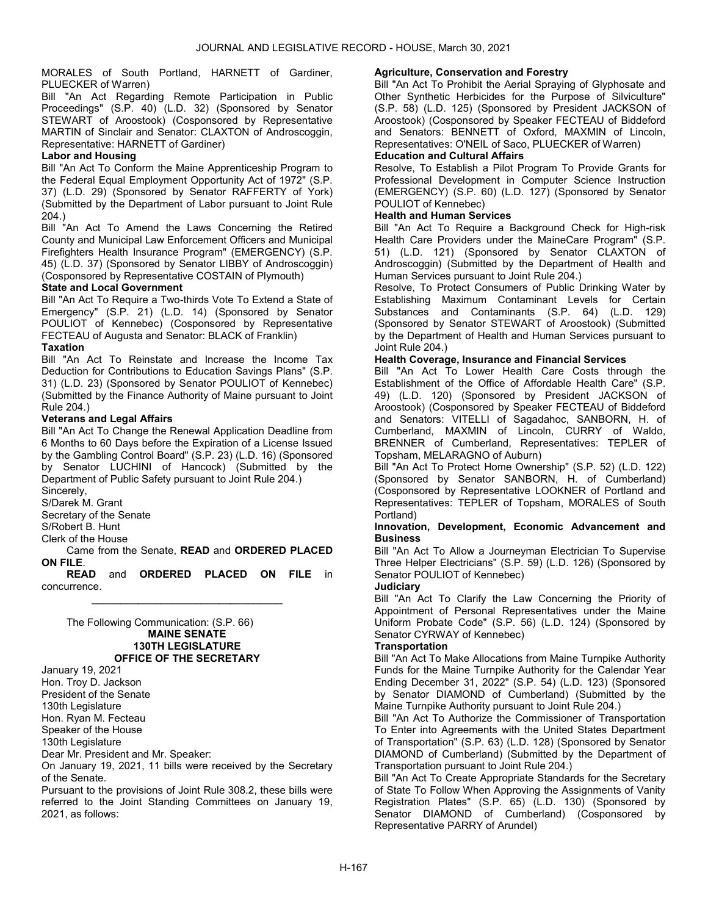# MORALES of South Portland, HARNETT of Gardiner, PLUECKER of Warren)

Bill "An Act Regarding Remote Participation in Public Proceedings" (S.P. 40) (L.D. 32) (Sponsored by Senator STEWART of Aroostook) (Cosponsored by Representative MARTIN of Sinclair and Senator: CLAXTON of Androscoggin, Representative: HARNETT of Gardiner)

# Labor and Housing

Bill "An Act To Conform the Maine Apprenticeship Program to the Federal Equal Employment Opportunity Act of 1972" (S.P. 37) (L.D. 29) (Sponsored by Senator RAFFERTY of York) (Submitted by the Department of Labor pursuant to Joint Rule 204.)

Bill "An Act To Amend the Laws Concerning the Retired County and Municipal Law Enforcement Officers and Municipal Firefighters Health Insurance Program" (EMERGENCY) (S.P. 45) (L.D. 37) (Sponsored by Senator LIBBY of Androscoggin) (Cosponsored by Representative COSTAIN of Plymouth)

# State and Local Government

Bill "An Act To Require a Two-thirds Vote To Extend a State of Emergency" (S.P. 21) (L.D. 14) (Sponsored by Senator POULIOT of Kennebec) (Cosponsored by Representative FECTEAU of Augusta and Senator: BLACK of Franklin)

# **Taxation**

Bill "An Act To Reinstate and Increase the Income Tax Deduction for Contributions to Education Savings Plans" (S.P. 31) (L.D. 23) (Sponsored by Senator POULIOT of Kennebec) (Submitted by the Finance Authority of Maine pursuant to Joint Rule 204.)

# Veterans and Legal Affairs

Bill "An Act To Change the Renewal Application Deadline from 6 Months to 60 Days before the Expiration of a License Issued by the Gambling Control Board" (S.P. 23) (L.D. 16) (Sponsored by Senator LUCHINI of Hancock) (Submitted by the Department of Public Safety pursuant to Joint Rule 204.)

Sincerely,

S/Darek M. Grant Secretary of the Senate

S/Robert B. Hunt

Clerk of the House

 Came from the Senate, READ and ORDERED PLACED ON FILE.

READ and ORDERED PLACED ON FILE in concurrence. \_\_\_\_\_\_\_\_\_\_\_\_\_\_\_\_\_\_\_\_\_\_\_\_\_\_\_\_\_\_\_\_\_

 The Following Communication: (S.P. 66) MAINE SENATE 130TH LEGISLATURE OFFICE OF THE SECRETARY

January 19, 2021 Hon. Troy D. Jackson President of the Senate 130th Legislature

Hon. Ryan M. Fecteau

Speaker of the House

130th Legislature

Dear Mr. President and Mr. Speaker:

On January 19, 2021, 11 bills were received by the Secretary of the Senate.

Pursuant to the provisions of Joint Rule 308.2, these bills were referred to the Joint Standing Committees on January 19, 2021, as follows:

# Agriculture, Conservation and Forestry

Bill "An Act To Prohibit the Aerial Spraying of Glyphosate and Other Synthetic Herbicides for the Purpose of Silviculture" (S.P. 58) (L.D. 125) (Sponsored by President JACKSON of Aroostook) (Cosponsored by Speaker FECTEAU of Biddeford and Senators: BENNETT of Oxford, MAXMIN of Lincoln, Representatives: O'NEIL of Saco, PLUECKER of Warren)

# Education and Cultural Affairs

Resolve, To Establish a Pilot Program To Provide Grants for Professional Development in Computer Science Instruction (EMERGENCY) (S.P. 60) (L.D. 127) (Sponsored by Senator POULIOT of Kennebec)

# Health and Human Services

Bill "An Act To Require a Background Check for High-risk Health Care Providers under the MaineCare Program" (S.P. 51) (L.D. 121) (Sponsored by Senator CLAXTON of Androscoggin) (Submitted by the Department of Health and Human Services pursuant to Joint Rule 204.)

Resolve, To Protect Consumers of Public Drinking Water by Establishing Maximum Contaminant Levels for Certain Substances and Contaminants (S.P. 64) (L.D. 129) (Sponsored by Senator STEWART of Aroostook) (Submitted by the Department of Health and Human Services pursuant to Joint Rule 204.)

# Health Coverage, Insurance and Financial Services

Bill "An Act To Lower Health Care Costs through the Establishment of the Office of Affordable Health Care" (S.P. 49) (L.D. 120) (Sponsored by President JACKSON of Aroostook) (Cosponsored by Speaker FECTEAU of Biddeford and Senators: VITELLI of Sagadahoc, SANBORN, H. of Cumberland, MAXMIN of Lincoln, CURRY of Waldo, BRENNER of Cumberland, Representatives: TEPLER of Topsham, MELARAGNO of Auburn)

Bill "An Act To Protect Home Ownership" (S.P. 52) (L.D. 122) (Sponsored by Senator SANBORN, H. of Cumberland) (Cosponsored by Representative LOOKNER of Portland and Representatives: TEPLER of Topsham, MORALES of South Portland)

#### Innovation, Development, Economic Advancement and **Business**

Bill "An Act To Allow a Journeyman Electrician To Supervise Three Helper Electricians" (S.P. 59) (L.D. 126) (Sponsored by Senator POULIOT of Kennebec)

# **Judiciary**

Bill "An Act To Clarify the Law Concerning the Priority of Appointment of Personal Representatives under the Maine Uniform Probate Code" (S.P. 56) (L.D. 124) (Sponsored by Senator CYRWAY of Kennebec)

# **Transportation**

Bill "An Act To Make Allocations from Maine Turnpike Authority Funds for the Maine Turnpike Authority for the Calendar Year Ending December 31, 2022" (S.P. 54) (L.D. 123) (Sponsored by Senator DIAMOND of Cumberland) (Submitted by the Maine Turnpike Authority pursuant to Joint Rule 204.)

Bill "An Act To Authorize the Commissioner of Transportation To Enter into Agreements with the United States Department of Transportation" (S.P. 63) (L.D. 128) (Sponsored by Senator DIAMOND of Cumberland) (Submitted by the Department of Transportation pursuant to Joint Rule 204.)

Bill "An Act To Create Appropriate Standards for the Secretary of State To Follow When Approving the Assignments of Vanity Registration Plates" (S.P. 65) (L.D. 130) (Sponsored by Senator DIAMOND of Cumberland) (Cosponsored by Representative PARRY of Arundel)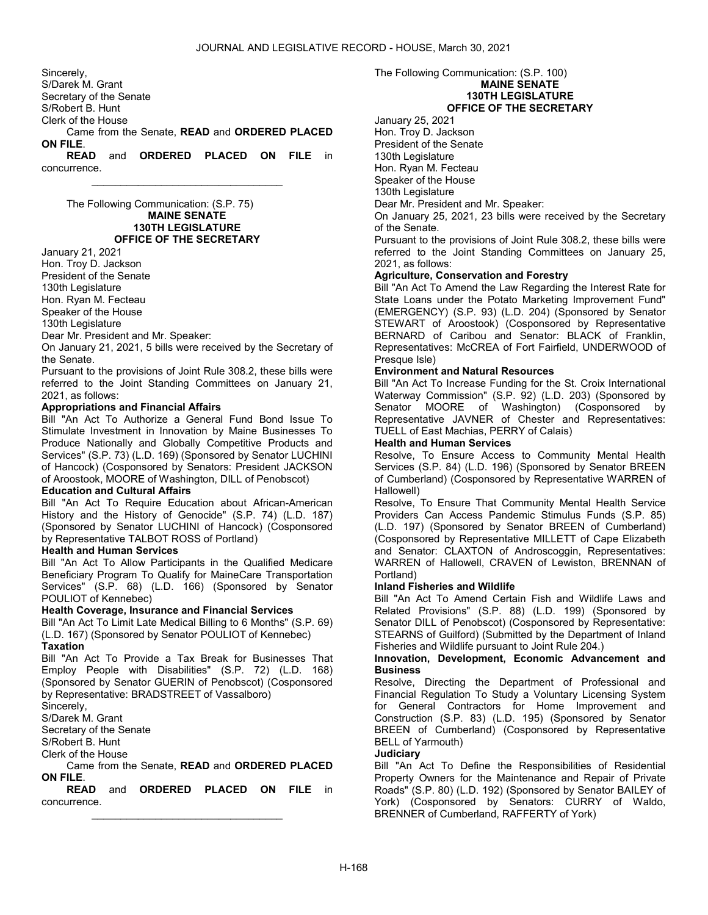Sincerely, S/Darek M. Grant Secretary of the Senate S/Robert B. Hunt Clerk of the House Came from the Senate, READ and ORDERED PLACED ON FILE. READ and ORDERED PLACED ON FILE in

\_\_\_\_\_\_\_\_\_\_\_\_\_\_\_\_\_\_\_\_\_\_\_\_\_\_\_\_\_\_\_\_\_

concurrence.

 The Following Communication: (S.P. 75) MAINE SENATE 130TH LEGISLATURE OFFICE OF THE SECRETARY

January 21, 2021 Hon. Troy D. Jackson

President of the Senate

130th Legislature

Hon. Ryan M. Fecteau

Speaker of the House

130th Legislature

Dear Mr. President and Mr. Speaker:

On January 21, 2021, 5 bills were received by the Secretary of the Senate.

Pursuant to the provisions of Joint Rule 308.2, these bills were referred to the Joint Standing Committees on January 21, 2021, as follows:

# Appropriations and Financial Affairs

Bill "An Act To Authorize a General Fund Bond Issue To Stimulate Investment in Innovation by Maine Businesses To Produce Nationally and Globally Competitive Products and Services" (S.P. 73) (L.D. 169) (Sponsored by Senator LUCHINI of Hancock) (Cosponsored by Senators: President JACKSON of Aroostook, MOORE of Washington, DILL of Penobscot)

# Education and Cultural Affairs

Bill "An Act To Require Education about African-American History and the History of Genocide" (S.P. 74) (L.D. 187) (Sponsored by Senator LUCHINI of Hancock) (Cosponsored by Representative TALBOT ROSS of Portland)

# Health and Human Services

Bill "An Act To Allow Participants in the Qualified Medicare Beneficiary Program To Qualify for MaineCare Transportation Services" (S.P. 68) (L.D. 166) (Sponsored by Senator POULIOT of Kennebec)

# Health Coverage, Insurance and Financial Services

Bill "An Act To Limit Late Medical Billing to 6 Months" (S.P. 69) (L.D. 167) (Sponsored by Senator POULIOT of Kennebec) **Taxation** 

Bill "An Act To Provide a Tax Break for Businesses That Employ People with Disabilities" (S.P. 72) (L.D. 168) (Sponsored by Senator GUERIN of Penobscot) (Cosponsored by Representative: BRADSTREET of Vassalboro)

Sincerely,

S/Darek M. Grant

Secretary of the Senate

S/Robert B. Hunt

Clerk of the House

 Came from the Senate, READ and ORDERED PLACED ON FILE.

READ and ORDERED PLACED ON FILE in concurrence. \_\_\_\_\_\_\_\_\_\_\_\_\_\_\_\_\_\_\_\_\_\_\_\_\_\_\_\_\_\_\_\_\_

The Following Communication: (S.P. 100)

# MAINE SENATE

130TH LEGISLATURE OFFICE OF THE SECRETARY

January 25, 2021

Hon. Troy D. Jackson

President of the Senate

130th Legislature

Hon. Ryan M. Fecteau

Speaker of the House 130th Legislature

Dear Mr. President and Mr. Speaker:

On January 25, 2021, 23 bills were received by the Secretary of the Senate.

Pursuant to the provisions of Joint Rule 308.2, these bills were referred to the Joint Standing Committees on January 25, 2021, as follows:

# Agriculture, Conservation and Forestry

Bill "An Act To Amend the Law Regarding the Interest Rate for State Loans under the Potato Marketing Improvement Fund" (EMERGENCY) (S.P. 93) (L.D. 204) (Sponsored by Senator STEWART of Aroostook) (Cosponsored by Representative BERNARD of Caribou and Senator: BLACK of Franklin, Representatives: McCREA of Fort Fairfield, UNDERWOOD of Presque Isle)

# Environment and Natural Resources

Bill "An Act To Increase Funding for the St. Croix International Waterway Commission" (S.P. 92) (L.D. 203) (Sponsored by Senator MOORE of Washington) (Cosponsored by Representative JAVNER of Chester and Representatives: TUELL of East Machias, PERRY of Calais)

#### Health and Human Services

Resolve, To Ensure Access to Community Mental Health Services (S.P. 84) (L.D. 196) (Sponsored by Senator BREEN of Cumberland) (Cosponsored by Representative WARREN of Hallowell)

Resolve, To Ensure That Community Mental Health Service Providers Can Access Pandemic Stimulus Funds (S.P. 85) (L.D. 197) (Sponsored by Senator BREEN of Cumberland) (Cosponsored by Representative MILLETT of Cape Elizabeth and Senator: CLAXTON of Androscoggin, Representatives: WARREN of Hallowell, CRAVEN of Lewiston, BRENNAN of Portland)

# Inland Fisheries and Wildlife

Bill "An Act To Amend Certain Fish and Wildlife Laws and Related Provisions" (S.P. 88) (L.D. 199) (Sponsored by Senator DILL of Penobscot) (Cosponsored by Representative: STEARNS of Guilford) (Submitted by the Department of Inland Fisheries and Wildlife pursuant to Joint Rule 204.)

#### Innovation, Development, Economic Advancement and **Business**

Resolve, Directing the Department of Professional and Financial Regulation To Study a Voluntary Licensing System for General Contractors for Home Improvement and Construction (S.P. 83) (L.D. 195) (Sponsored by Senator BREEN of Cumberland) (Cosponsored by Representative BELL of Yarmouth)

# **Judiciary**

Bill "An Act To Define the Responsibilities of Residential Property Owners for the Maintenance and Repair of Private Roads" (S.P. 80) (L.D. 192) (Sponsored by Senator BAILEY of York) (Cosponsored by Senators: CURRY of Waldo, BRENNER of Cumberland, RAFFERTY of York)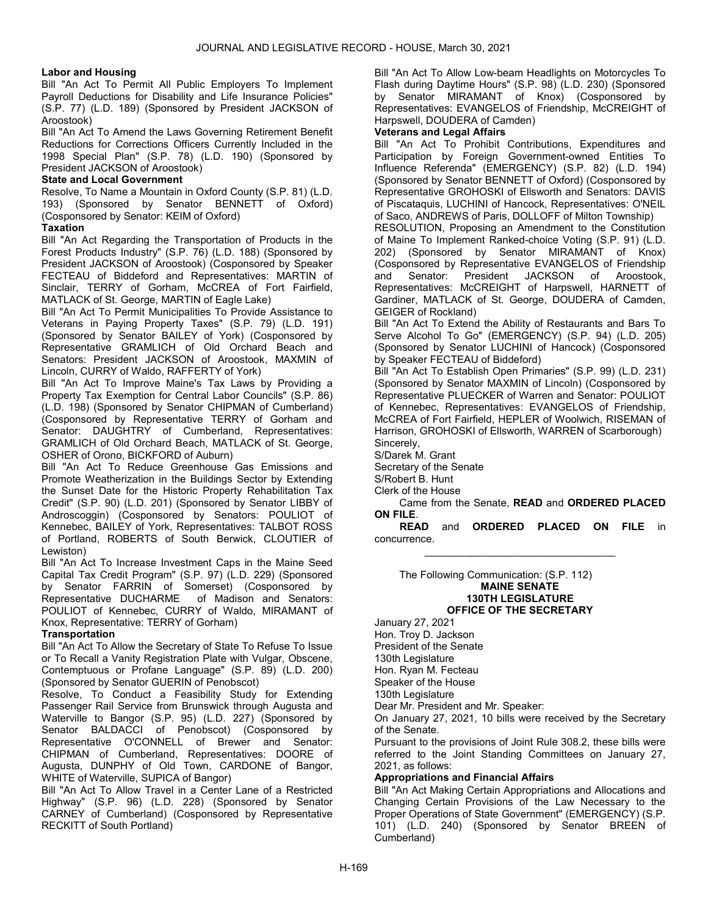#### Labor and Housing

Bill "An Act To Permit All Public Employers To Implement Payroll Deductions for Disability and Life Insurance Policies" (S.P. 77) (L.D. 189) (Sponsored by President JACKSON of Aroostook)

Bill "An Act To Amend the Laws Governing Retirement Benefit Reductions for Corrections Officers Currently Included in the 1998 Special Plan" (S.P. 78) (L.D. 190) (Sponsored by President JACKSON of Aroostook)

# State and Local Government

Resolve, To Name a Mountain in Oxford County (S.P. 81) (L.D. 193) (Sponsored by Senator BENNETT of Oxford) (Cosponsored by Senator: KEIM of Oxford)

#### Taxation

Bill "An Act Regarding the Transportation of Products in the Forest Products Industry" (S.P. 76) (L.D. 188) (Sponsored by President JACKSON of Aroostook) (Cosponsored by Speaker FECTEAU of Biddeford and Representatives: MARTIN of Sinclair, TERRY of Gorham, McCREA of Fort Fairfield, MATLACK of St. George, MARTIN of Eagle Lake)

Bill "An Act To Permit Municipalities To Provide Assistance to Veterans in Paying Property Taxes" (S.P. 79) (L.D. 191) (Sponsored by Senator BAILEY of York) (Cosponsored by Representative GRAMLICH of Old Orchard Beach and Senators: President JACKSON of Aroostook, MAXMIN of Lincoln, CURRY of Waldo, RAFFERTY of York)

Bill "An Act To Improve Maine's Tax Laws by Providing a Property Tax Exemption for Central Labor Councils" (S.P. 86) (L.D. 198) (Sponsored by Senator CHIPMAN of Cumberland) (Cosponsored by Representative TERRY of Gorham and Senator: DAUGHTRY of Cumberland, Representatives: GRAMLICH of Old Orchard Beach, MATLACK of St. George, OSHER of Orono, BICKFORD of Auburn)

Bill "An Act To Reduce Greenhouse Gas Emissions and Promote Weatherization in the Buildings Sector by Extending the Sunset Date for the Historic Property Rehabilitation Tax Credit" (S.P. 90) (L.D. 201) (Sponsored by Senator LIBBY of Androscoggin) (Cosponsored by Senators: POULIOT of Kennebec, BAILEY of York, Representatives: TALBOT ROSS of Portland, ROBERTS of South Berwick, CLOUTIER of Lewiston)

Bill "An Act To Increase Investment Caps in the Maine Seed Capital Tax Credit Program" (S.P. 97) (L.D. 229) (Sponsored by Senator FARRIN of Somerset) (Cosponsored by Representative DUCHARME of Madison and Senators: POULIOT of Kennebec, CURRY of Waldo, MIRAMANT of Knox, Representative: TERRY of Gorham)

# **Transportation**

Bill "An Act To Allow the Secretary of State To Refuse To Issue or To Recall a Vanity Registration Plate with Vulgar, Obscene, Contemptuous or Profane Language" (S.P. 89) (L.D. 200) (Sponsored by Senator GUERIN of Penobscot)

Resolve, To Conduct a Feasibility Study for Extending Passenger Rail Service from Brunswick through Augusta and Waterville to Bangor (S.P. 95) (L.D. 227) (Sponsored by Senator BALDACCI of Penobscot) (Cosponsored by Representative O'CONNELL of Brewer and Senator: CHIPMAN of Cumberland, Representatives: DOORE of Augusta, DUNPHY of Old Town, CARDONE of Bangor, WHITE of Waterville, SUPICA of Bangor)

Bill "An Act To Allow Travel in a Center Lane of a Restricted Highway" (S.P. 96) (L.D. 228) (Sponsored by Senator CARNEY of Cumberland) (Cosponsored by Representative RECKITT of South Portland)

Bill "An Act To Allow Low-beam Headlights on Motorcycles To Flash during Daytime Hours" (S.P. 98) (L.D. 230) (Sponsored by Senator MIRAMANT of Knox) (Cosponsored by Representatives: EVANGELOS of Friendship, McCREIGHT of Harpswell, DOUDERA of Camden)

# Veterans and Legal Affairs

Bill "An Act To Prohibit Contributions, Expenditures and Participation by Foreign Government-owned Entities To Influence Referenda" (EMERGENCY) (S.P. 82) (L.D. 194) (Sponsored by Senator BENNETT of Oxford) (Cosponsored by Representative GROHOSKI of Ellsworth and Senators: DAVIS of Piscataquis, LUCHINI of Hancock, Representatives: O'NEIL of Saco, ANDREWS of Paris, DOLLOFF of Milton Township)

RESOLUTION, Proposing an Amendment to the Constitution of Maine To Implement Ranked-choice Voting (S.P. 91) (L.D. 202) (Sponsored by Senator MIRAMANT of Knox) (Cosponsored by Representative EVANGELOS of Friendship and Senator: President JACKSON of Aroostook, Representatives: McCREIGHT of Harpswell, HARNETT of Gardiner, MATLACK of St. George, DOUDERA of Camden, GEIGER of Rockland)

Bill "An Act To Extend the Ability of Restaurants and Bars To Serve Alcohol To Go" (EMERGENCY) (S.P. 94) (L.D. 205) (Sponsored by Senator LUCHINI of Hancock) (Cosponsored by Speaker FECTEAU of Biddeford)

Bill "An Act To Establish Open Primaries" (S.P. 99) (L.D. 231) (Sponsored by Senator MAXMIN of Lincoln) (Cosponsored by Representative PLUECKER of Warren and Senator: POULIOT of Kennebec, Representatives: EVANGELOS of Friendship, McCREA of Fort Fairfield, HEPLER of Woolwich, RISEMAN of Harrison, GROHOSKI of Ellsworth, WARREN of Scarborough) Sincerely,

S/Darek M. Grant Secretary of the Senate S/Robert B. Hunt

Clerk of the House

 Came from the Senate, READ and ORDERED PLACED ON FILE.

READ and ORDERED PLACED ON FILE in concurrence. \_\_\_\_\_\_\_\_\_\_\_\_\_\_\_\_\_\_\_\_\_\_\_\_\_\_\_\_\_\_\_\_\_

 The Following Communication: (S.P. 112) MAINE SENATE 130TH LEGISLATURE OFFICE OF THE SECRETARY

January 27, 2021 Hon. Troy D. Jackson

President of the Senate

130th Legislature Hon. Ryan M. Fecteau

Speaker of the House

130th Legislature

Dear Mr. President and Mr. Speaker:

On January 27, 2021, 10 bills were received by the Secretary of the Senate.

Pursuant to the provisions of Joint Rule 308.2, these bills were referred to the Joint Standing Committees on January 27, 2021, as follows:

# Appropriations and Financial Affairs

Bill "An Act Making Certain Appropriations and Allocations and Changing Certain Provisions of the Law Necessary to the Proper Operations of State Government" (EMERGENCY) (S.P. 101) (L.D. 240) (Sponsored by Senator BREEN of Cumberland)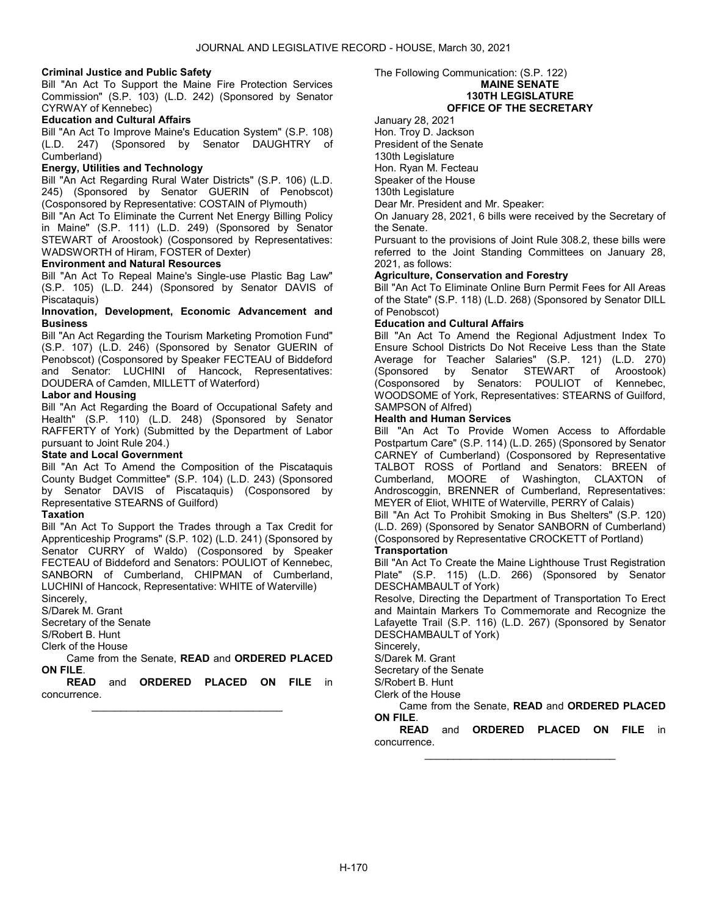#### Criminal Justice and Public Safety

Bill "An Act To Support the Maine Fire Protection Services Commission" (S.P. 103) (L.D. 242) (Sponsored by Senator CYRWAY of Kennebec)

# Education and Cultural Affairs

Bill "An Act To Improve Maine's Education System" (S.P. 108) (L.D. 247) (Sponsored by Senator DAUGHTRY of Cumberland)

#### Energy, Utilities and Technology

Bill "An Act Regarding Rural Water Districts" (S.P. 106) (L.D. 245) (Sponsored by Senator GUERIN of Penobscot) (Cosponsored by Representative: COSTAIN of Plymouth)

Bill "An Act To Eliminate the Current Net Energy Billing Policy in Maine" (S.P. 111) (L.D. 249) (Sponsored by Senator STEWART of Aroostook) (Cosponsored by Representatives: WADSWORTH of Hiram, FOSTER of Dexter)

#### Environment and Natural Resources

Bill "An Act To Repeal Maine's Single-use Plastic Bag Law" (S.P. 105) (L.D. 244) (Sponsored by Senator DAVIS of Piscataquis)

#### Innovation, Development, Economic Advancement and **Business**

Bill "An Act Regarding the Tourism Marketing Promotion Fund" (S.P. 107) (L.D. 246) (Sponsored by Senator GUERIN of Penobscot) (Cosponsored by Speaker FECTEAU of Biddeford and Senator: LUCHINI of Hancock, Representatives: DOUDERA of Camden, MILLETT of Waterford)

# Labor and Housing

Bill "An Act Regarding the Board of Occupational Safety and Health" (S.P. 110) (L.D. 248) (Sponsored by Senator RAFFERTY of York) (Submitted by the Department of Labor pursuant to Joint Rule 204.)

#### State and Local Government

Bill "An Act To Amend the Composition of the Piscataquis County Budget Committee" (S.P. 104) (L.D. 243) (Sponsored by Senator DAVIS of Piscataquis) (Cosponsored by Representative STEARNS of Guilford)

# Taxation

Bill "An Act To Support the Trades through a Tax Credit for Apprenticeship Programs" (S.P. 102) (L.D. 241) (Sponsored by Senator CURRY of Waldo) (Cosponsored by Speaker FECTEAU of Biddeford and Senators: POULIOT of Kennebec, SANBORN of Cumberland, CHIPMAN of Cumberland, LUCHINI of Hancock, Representative: WHITE of Waterville) Sincerely,

S/Darek M. Grant

Secretary of the Senate

S/Robert B. Hunt

Clerk of the House

 Came from the Senate, READ and ORDERED PLACED ON FILE.

READ and ORDERED PLACED ON FILE in concurrence. \_\_\_\_\_\_\_\_\_\_\_\_\_\_\_\_\_\_\_\_\_\_\_\_\_\_\_\_\_\_\_\_\_

#### The Following Communication: (S.P. 122) MAINE SENATE 130TH LEGISLATURE OFFICE OF THE SECRETARY

January 28, 2021

Hon. Troy D. Jackson

President of the Senate

130th Legislature

Hon. Ryan M. Fecteau Speaker of the House

130th Legislature

Dear Mr. President and Mr. Speaker:

On January 28, 2021, 6 bills were received by the Secretary of the Senate.

Pursuant to the provisions of Joint Rule 308.2, these bills were referred to the Joint Standing Committees on January 28, 2021, as follows:

# Agriculture, Conservation and Forestry

Bill "An Act To Eliminate Online Burn Permit Fees for All Areas of the State" (S.P. 118) (L.D. 268) (Sponsored by Senator DILL of Penobscot)

# Education and Cultural Affairs

Bill "An Act To Amend the Regional Adjustment Index To Ensure School Districts Do Not Receive Less than the State Average for Teacher Salaries" (S.P. 121) (L.D. 270) (Sponsored by Senator STEWART of Aroostook) (Cosponsored by Senators: POULIOT of Kennebec, WOODSOME of York, Representatives: STEARNS of Guilford, SAMPSON of Alfred)

# Health and Human Services

Bill "An Act To Provide Women Access to Affordable Postpartum Care" (S.P. 114) (L.D. 265) (Sponsored by Senator CARNEY of Cumberland) (Cosponsored by Representative TALBOT ROSS of Portland and Senators: BREEN of Cumberland, MOORE of Washington, CLAXTON of Androscoggin, BRENNER of Cumberland, Representatives: MEYER of Eliot, WHITE of Waterville, PERRY of Calais)

Bill "An Act To Prohibit Smoking in Bus Shelters" (S.P. 120) (L.D. 269) (Sponsored by Senator SANBORN of Cumberland) (Cosponsored by Representative CROCKETT of Portland)

# **Transportation**

Bill "An Act To Create the Maine Lighthouse Trust Registration Plate" (S.P. 115) (L.D. 266) (Sponsored by Senator DESCHAMBAULT of York)

Resolve, Directing the Department of Transportation To Erect and Maintain Markers To Commemorate and Recognize the Lafayette Trail (S.P. 116) (L.D. 267) (Sponsored by Senator DESCHAMBAULT of York)

Sincerely,

S/Darek M. Grant

Secretary of the Senate

S/Robert B. Hunt

# Clerk of the House

 Came from the Senate, READ and ORDERED PLACED ON FILE.

READ and ORDERED PLACED ON FILE in concurrence. \_\_\_\_\_\_\_\_\_\_\_\_\_\_\_\_\_\_\_\_\_\_\_\_\_\_\_\_\_\_\_\_\_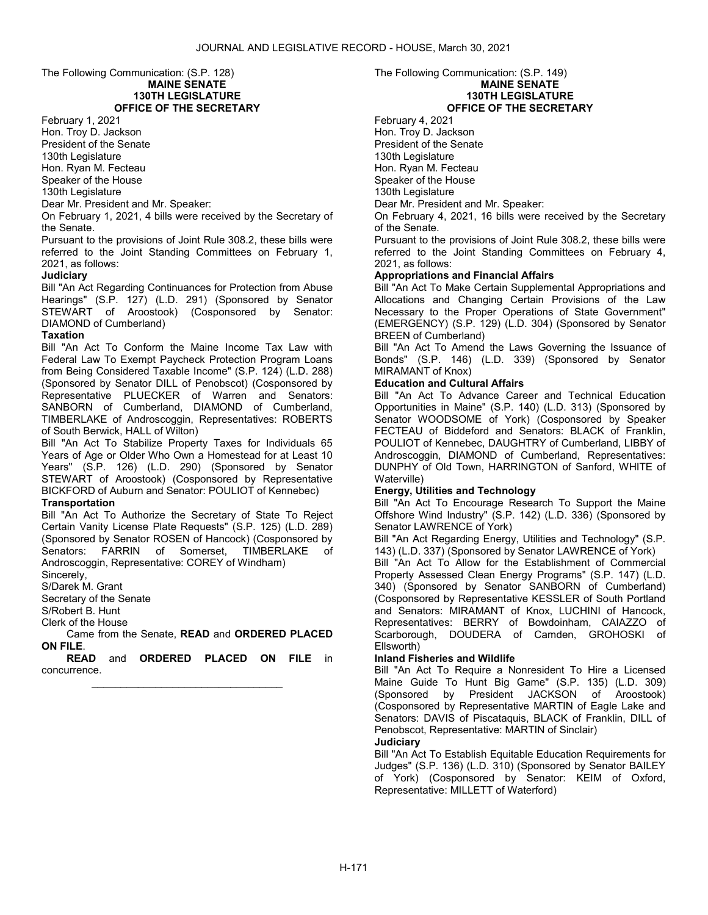#### The Following Communication: (S.P. 128) MAINE SENATE 130TH LEGISLATURE OFFICE OF THE SECRETARY

February 1, 2021

Hon. Troy D. Jackson President of the Senate

130th Legislature

Hon. Ryan M. Fecteau Speaker of the House

130th Legislature

Dear Mr. President and Mr. Speaker:

On February 1, 2021, 4 bills were received by the Secretary of the Senate.

Pursuant to the provisions of Joint Rule 308.2, these bills were referred to the Joint Standing Committees on February 1, 2021, as follows:

# **Judiciary**

Bill "An Act Regarding Continuances for Protection from Abuse Hearings" (S.P. 127) (L.D. 291) (Sponsored by Senator STEWART of Aroostook) (Cosponsored by Senator: DIAMOND of Cumberland)

# Taxation

Bill "An Act To Conform the Maine Income Tax Law with Federal Law To Exempt Paycheck Protection Program Loans from Being Considered Taxable Income" (S.P. 124) (L.D. 288) (Sponsored by Senator DILL of Penobscot) (Cosponsored by Representative PLUECKER of Warren and Senators: SANBORN of Cumberland, DIAMOND of Cumberland, TIMBERLAKE of Androscoggin, Representatives: ROBERTS of South Berwick, HALL of Wilton)

Bill "An Act To Stabilize Property Taxes for Individuals 65 Years of Age or Older Who Own a Homestead for at Least 10 Years" (S.P. 126) (L.D. 290) (Sponsored by Senator STEWART of Aroostook) (Cosponsored by Representative BICKFORD of Auburn and Senator: POULIOT of Kennebec)

# **Transportation**

Bill "An Act To Authorize the Secretary of State To Reject Certain Vanity License Plate Requests" (S.P. 125) (L.D. 289) (Sponsored by Senator ROSEN of Hancock) (Cosponsored by Senators: FARRIN of Somerset, TIMBERLAKE of Senators: FARRIN of Somerset, Androscoggin, Representative: COREY of Windham)

Sincerely,

S/Darek M. Grant

Secretary of the Senate

S/Robert B. Hunt

Clerk of the House

 Came from the Senate, READ and ORDERED PLACED ON FILE.

READ and ORDERED PLACED ON FILE in concurrence. \_\_\_\_\_\_\_\_\_\_\_\_\_\_\_\_\_\_\_\_\_\_\_\_\_\_\_\_\_\_\_\_\_

The Following Communication: (S.P. 149) MAINE SENATE 130TH LEGISLATURE OFFICE OF THE SECRETARY

February 4, 2021 Hon. Troy D. Jackson President of the Senate 130th Legislature Hon. Ryan M. Fecteau Speaker of the House 130th Legislature

Dear Mr. President and Mr. Speaker:

On February 4, 2021, 16 bills were received by the Secretary of the Senate.

Pursuant to the provisions of Joint Rule 308.2, these bills were referred to the Joint Standing Committees on February 4, 2021, as follows:

# Appropriations and Financial Affairs

Bill "An Act To Make Certain Supplemental Appropriations and Allocations and Changing Certain Provisions of the Law Necessary to the Proper Operations of State Government" (EMERGENCY) (S.P. 129) (L.D. 304) (Sponsored by Senator BREEN of Cumberland)

Bill "An Act To Amend the Laws Governing the Issuance of Bonds" (S.P. 146) (L.D. 339) (Sponsored by Senator MIRAMANT of Knox)

# Education and Cultural Affairs

Bill "An Act To Advance Career and Technical Education Opportunities in Maine" (S.P. 140) (L.D. 313) (Sponsored by Senator WOODSOME of York) (Cosponsored by Speaker FECTEAU of Biddeford and Senators: BLACK of Franklin, POULIOT of Kennebec, DAUGHTRY of Cumberland, LIBBY of Androscoggin, DIAMOND of Cumberland, Representatives: DUNPHY of Old Town, HARRINGTON of Sanford, WHITE of Waterville)

# Energy, Utilities and Technology

Bill "An Act To Encourage Research To Support the Maine Offshore Wind Industry" (S.P. 142) (L.D. 336) (Sponsored by Senator LAWRENCE of York)

Bill "An Act Regarding Energy, Utilities and Technology" (S.P. 143) (L.D. 337) (Sponsored by Senator LAWRENCE of York)

Bill "An Act To Allow for the Establishment of Commercial Property Assessed Clean Energy Programs" (S.P. 147) (L.D. 340) (Sponsored by Senator SANBORN of Cumberland) (Cosponsored by Representative KESSLER of South Portland and Senators: MIRAMANT of Knox, LUCHINI of Hancock, Representatives: BERRY of Bowdoinham, CAIAZZO of Scarborough, DOUDERA of Camden, GROHOSKI of Ellsworth)

# Inland Fisheries and Wildlife

Bill "An Act To Require a Nonresident To Hire a Licensed Maine Guide To Hunt Big Game" (S.P. 135) (L.D. 309) (Sponsored by President JACKSON of Aroostook) (Cosponsored by Representative MARTIN of Eagle Lake and Senators: DAVIS of Piscataquis, BLACK of Franklin, DILL of Penobscot, Representative: MARTIN of Sinclair) **Judiciary** 

Bill "An Act To Establish Equitable Education Requirements for Judges" (S.P. 136) (L.D. 310) (Sponsored by Senator BAILEY of York) (Cosponsored by Senator: KEIM of Oxford, Representative: MILLETT of Waterford)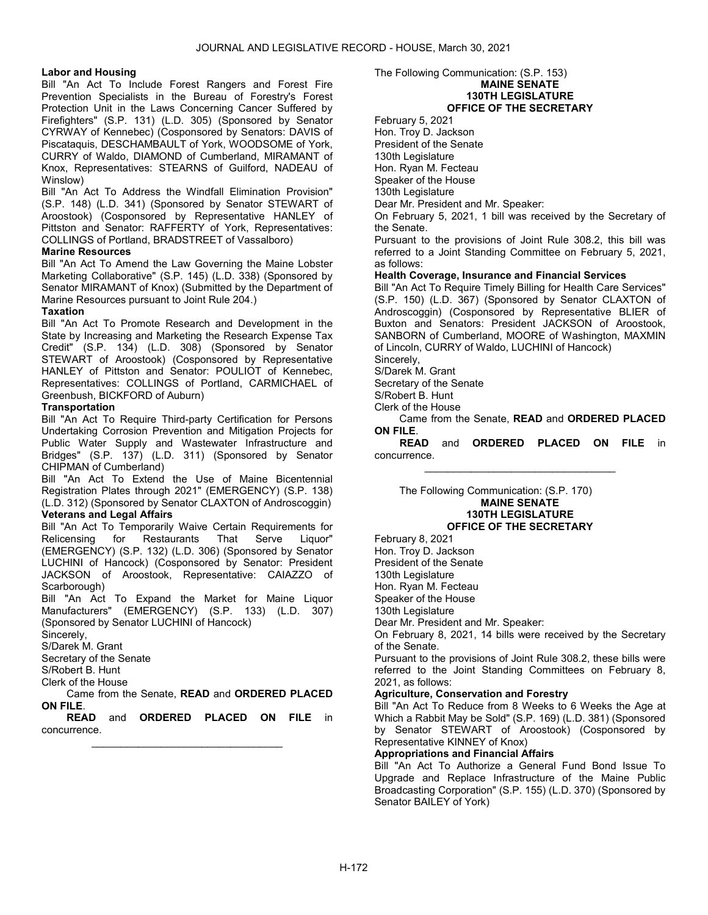# Labor and Housing

Bill "An Act To Include Forest Rangers and Forest Fire Prevention Specialists in the Bureau of Forestry's Forest Protection Unit in the Laws Concerning Cancer Suffered by Firefighters" (S.P. 131) (L.D. 305) (Sponsored by Senator CYRWAY of Kennebec) (Cosponsored by Senators: DAVIS of Piscataquis, DESCHAMBAULT of York, WOODSOME of York, CURRY of Waldo, DIAMOND of Cumberland, MIRAMANT of Knox, Representatives: STEARNS of Guilford, NADEAU of Winslow)

Bill "An Act To Address the Windfall Elimination Provision" (S.P. 148) (L.D. 341) (Sponsored by Senator STEWART of Aroostook) (Cosponsored by Representative HANLEY of Pittston and Senator: RAFFERTY of York, Representatives: COLLINGS of Portland, BRADSTREET of Vassalboro)

#### Marine Resources

Bill "An Act To Amend the Law Governing the Maine Lobster Marketing Collaborative" (S.P. 145) (L.D. 338) (Sponsored by Senator MIRAMANT of Knox) (Submitted by the Department of Marine Resources pursuant to Joint Rule 204.)

#### Taxation

Bill "An Act To Promote Research and Development in the State by Increasing and Marketing the Research Expense Tax Credit" (S.P. 134) (L.D. 308) (Sponsored by Senator STEWART of Aroostook) (Cosponsored by Representative HANLEY of Pittston and Senator: POULIOT of Kennebec, Representatives: COLLINGS of Portland, CARMICHAEL of Greenbush, BICKFORD of Auburn)

#### **Transportation**

Bill "An Act To Require Third-party Certification for Persons Undertaking Corrosion Prevention and Mitigation Projects for Public Water Supply and Wastewater Infrastructure and Bridges" (S.P. 137) (L.D. 311) (Sponsored by Senator CHIPMAN of Cumberland)

Bill "An Act To Extend the Use of Maine Bicentennial Registration Plates through 2021" (EMERGENCY) (S.P. 138) (L.D. 312) (Sponsored by Senator CLAXTON of Androscoggin) Veterans and Legal Affairs

Bill "An Act To Temporarily Waive Certain Requirements for Relicensing for Restaurants That Serve Liquor" (EMERGENCY) (S.P. 132) (L.D. 306) (Sponsored by Senator LUCHINI of Hancock) (Cosponsored by Senator: President JACKSON of Aroostook, Representative: CAIAZZO of Scarborough)

Bill "An Act To Expand the Market for Maine Liquor Manufacturers" (EMERGENCY) (S.P. 133) (L.D. 307) (Sponsored by Senator LUCHINI of Hancock)

Sincerely,

S/Darek M. Grant

Secretary of the Senate

S/Robert B. Hunt

Clerk of the House

 Came from the Senate, READ and ORDERED PLACED ON FILE.

READ and ORDERED PLACED ON FILE in concurrence. \_\_\_\_\_\_\_\_\_\_\_\_\_\_\_\_\_\_\_\_\_\_\_\_\_\_\_\_\_\_\_\_\_

#### The Following Communication: (S.P. 153) MAINE SENATE 130TH LEGISLATURE OFFICE OF THE SECRETARY

February 5, 2021 Hon. Troy D. Jackson

President of the Senate

130th Legislature

Hon. Ryan M. Fecteau Speaker of the House

130th Legislature

Dear Mr. President and Mr. Speaker:

On February 5, 2021, 1 bill was received by the Secretary of the Senate.

Pursuant to the provisions of Joint Rule 308.2, this bill was referred to a Joint Standing Committee on February 5, 2021, as follows:

#### Health Coverage, Insurance and Financial Services

Bill "An Act To Require Timely Billing for Health Care Services" (S.P. 150) (L.D. 367) (Sponsored by Senator CLAXTON of Androscoggin) (Cosponsored by Representative BLIER of Buxton and Senators: President JACKSON of Aroostook, SANBORN of Cumberland, MOORE of Washington, MAXMIN of Lincoln, CURRY of Waldo, LUCHINI of Hancock) Sincerely,

S/Darek M. Grant

Secretary of the Senate

S/Robert B. Hunt

Clerk of the House

 Came from the Senate, READ and ORDERED PLACED ON FILE.

READ and ORDERED PLACED ON FILE in concurrence. \_\_\_\_\_\_\_\_\_\_\_\_\_\_\_\_\_\_\_\_\_\_\_\_\_\_\_\_\_\_\_\_\_

#### The Following Communication: (S.P. 170) MAINE SENATE 130TH LEGISLATURE OFFICE OF THE SECRETARY

February 8, 2021 Hon. Troy D. Jackson President of the Senate 130th Legislature Hon. Ryan M. Fecteau Speaker of the House 130th Legislature Dear Mr. President and Mr. Speaker: On February 8, 2021, 14 bills were received by the Secretary of the Senate. Pursuant to the provisions of Joint Rule 308.2, these bills were referred to the Joint Standing Committees on February 8, 2021, as follows: Agriculture, Conservation and Forestry

Bill "An Act To Reduce from 8 Weeks to 6 Weeks the Age at Which a Rabbit May be Sold" (S.P. 169) (L.D. 381) (Sponsored by Senator STEWART of Aroostook) (Cosponsored by Representative KINNEY of Knox)

# Appropriations and Financial Affairs

Bill "An Act To Authorize a General Fund Bond Issue To Upgrade and Replace Infrastructure of the Maine Public Broadcasting Corporation" (S.P. 155) (L.D. 370) (Sponsored by Senator BAILEY of York)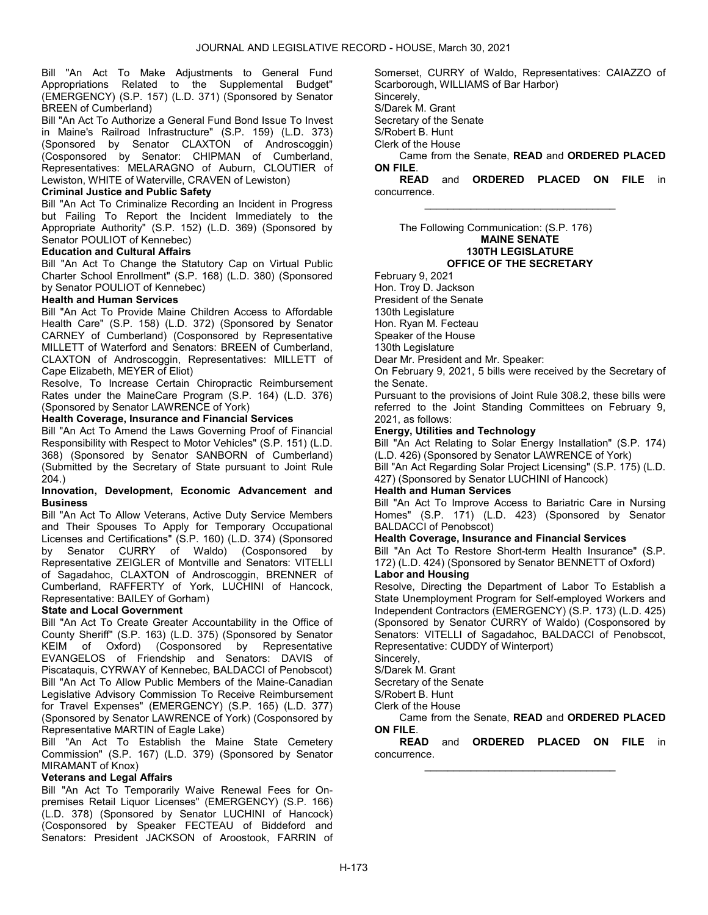Bill "An Act To Make Adjustments to General Fund Appropriations Related to the Supplemental Budget" (EMERGENCY) (S.P. 157) (L.D. 371) (Sponsored by Senator BREEN of Cumberland)

Bill "An Act To Authorize a General Fund Bond Issue To Invest in Maine's Railroad Infrastructure" (S.P. 159) (L.D. 373) (Sponsored by Senator CLAXTON of Androscoggin) (Cosponsored by Senator: CHIPMAN of Cumberland, Representatives: MELARAGNO of Auburn, CLOUTIER of Lewiston, WHITE of Waterville, CRAVEN of Lewiston)

# Criminal Justice and Public Safety

Bill "An Act To Criminalize Recording an Incident in Progress but Failing To Report the Incident Immediately to the Appropriate Authority" (S.P. 152) (L.D. 369) (Sponsored by Senator POULIOT of Kennebec)

#### Education and Cultural Affairs

Bill "An Act To Change the Statutory Cap on Virtual Public Charter School Enrollment" (S.P. 168) (L.D. 380) (Sponsored by Senator POULIOT of Kennebec)

#### Health and Human Services

Bill "An Act To Provide Maine Children Access to Affordable Health Care" (S.P. 158) (L.D. 372) (Sponsored by Senator CARNEY of Cumberland) (Cosponsored by Representative MILLETT of Waterford and Senators: BREEN of Cumberland, CLAXTON of Androscoggin, Representatives: MILLETT of Cape Elizabeth, MEYER of Eliot)

Resolve, To Increase Certain Chiropractic Reimbursement Rates under the MaineCare Program (S.P. 164) (L.D. 376) (Sponsored by Senator LAWRENCE of York)

# Health Coverage, Insurance and Financial Services

Bill "An Act To Amend the Laws Governing Proof of Financial Responsibility with Respect to Motor Vehicles" (S.P. 151) (L.D. 368) (Sponsored by Senator SANBORN of Cumberland) (Submitted by the Secretary of State pursuant to Joint Rule 204.)

#### Innovation, Development, Economic Advancement and **Business**

Bill "An Act To Allow Veterans, Active Duty Service Members and Their Spouses To Apply for Temporary Occupational Licenses and Certifications" (S.P. 160) (L.D. 374) (Sponsored by Senator CURRY of Waldo) (Cosponsored by Representative ZEIGLER of Montville and Senators: VITELLI of Sagadahoc, CLAXTON of Androscoggin, BRENNER of Cumberland, RAFFERTY of York, LUCHINI of Hancock, Representative: BAILEY of Gorham)

# State and Local Government

Bill "An Act To Create Greater Accountability in the Office of County Sheriff" (S.P. 163) (L.D. 375) (Sponsored by Senator KEIM of Oxford) (Cosponsored by Representative EVANGELOS of Friendship and Senators: DAVIS of Piscataquis, CYRWAY of Kennebec, BALDACCI of Penobscot) Bill "An Act To Allow Public Members of the Maine-Canadian Legislative Advisory Commission To Receive Reimbursement for Travel Expenses" (EMERGENCY) (S.P. 165) (L.D. 377) (Sponsored by Senator LAWRENCE of York) (Cosponsored by Representative MARTIN of Eagle Lake)

Bill "An Act To Establish the Maine State Cemetery Commission" (S.P. 167) (L.D. 379) (Sponsored by Senator MIRAMANT of Knox)

# Veterans and Legal Affairs

Bill "An Act To Temporarily Waive Renewal Fees for Onpremises Retail Liquor Licenses" (EMERGENCY) (S.P. 166) (L.D. 378) (Sponsored by Senator LUCHINI of Hancock) (Cosponsored by Speaker FECTEAU of Biddeford and Senators: President JACKSON of Aroostook, FARRIN of Somerset, CURRY of Waldo, Representatives: CAIAZZO of Scarborough, WILLIAMS of Bar Harbor)

Sincerely, S/Darek M. Grant

Secretary of the Senate

S/Robert B. Hunt

Clerk of the House

 Came from the Senate, READ and ORDERED PLACED ON FILE.

READ and ORDERED PLACED ON FILE in concurrence. \_\_\_\_\_\_\_\_\_\_\_\_\_\_\_\_\_\_\_\_\_\_\_\_\_\_\_\_\_\_\_\_\_

 The Following Communication: (S.P. 176) MAINE SENATE 130TH LEGISLATURE OFFICE OF THE SECRETARY

February 9, 2021

Hon. Troy D. Jackson President of the Senate

130th Legislature

Hon. Ryan M. Fecteau

Speaker of the House

130th Legislature

Dear Mr. President and Mr. Speaker:

On February 9, 2021, 5 bills were received by the Secretary of the Senate.

Pursuant to the provisions of Joint Rule 308.2, these bills were referred to the Joint Standing Committees on February 9, 2021, as follows:

# Energy, Utilities and Technology

Bill "An Act Relating to Solar Energy Installation" (S.P. 174) (L.D. 426) (Sponsored by Senator LAWRENCE of York)

Bill "An Act Regarding Solar Project Licensing" (S.P. 175) (L.D. 427) (Sponsored by Senator LUCHINI of Hancock)

# Health and Human Services

Bill "An Act To Improve Access to Bariatric Care in Nursing Homes" (S.P. 171) (L.D. 423) (Sponsored by Senator BALDACCI of Penobscot)

#### Health Coverage, Insurance and Financial Services

Bill "An Act To Restore Short-term Health Insurance" (S.P. 172) (L.D. 424) (Sponsored by Senator BENNETT of Oxford)

# Labor and Housing

Resolve, Directing the Department of Labor To Establish a State Unemployment Program for Self-employed Workers and Independent Contractors (EMERGENCY) (S.P. 173) (L.D. 425) (Sponsored by Senator CURRY of Waldo) (Cosponsored by Senators: VITELLI of Sagadahoc, BALDACCI of Penobscot, Representative: CUDDY of Winterport)

Sincerely,

S/Darek M. Grant

Secretary of the Senate

S/Robert B. Hunt

Clerk of the House

 Came from the Senate, READ and ORDERED PLACED ON FILE.

READ and ORDERED PLACED ON FILE in concurrence. \_\_\_\_\_\_\_\_\_\_\_\_\_\_\_\_\_\_\_\_\_\_\_\_\_\_\_\_\_\_\_\_\_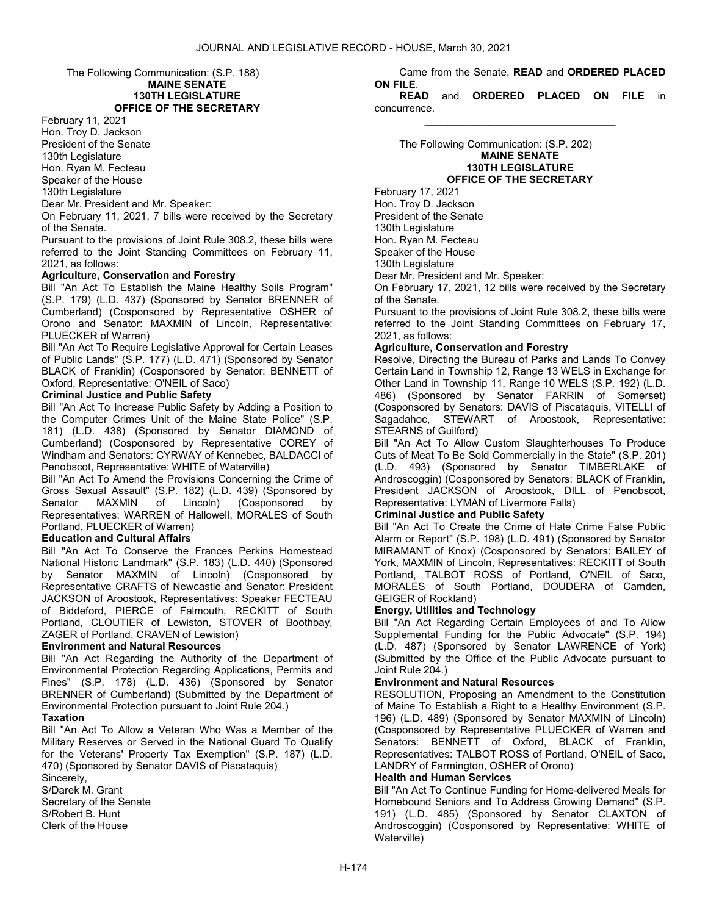The Following Communication: (S.P. 188) MAINE SENATE

# 130TH LEGISLATURE OFFICE OF THE SECRETARY

February 11, 2021

Hon. Troy D. Jackson President of the Senate 130th Legislature Hon. Ryan M. Fecteau

Speaker of the House

130th Legislature

Dear Mr. President and Mr. Speaker:

On February 11, 2021, 7 bills were received by the Secretary of the Senate.

Pursuant to the provisions of Joint Rule 308.2, these bills were referred to the Joint Standing Committees on February 11, 2021, as follows:

# Agriculture, Conservation and Forestry

Bill "An Act To Establish the Maine Healthy Soils Program" (S.P. 179) (L.D. 437) (Sponsored by Senator BRENNER of Cumberland) (Cosponsored by Representative OSHER of Orono and Senator: MAXMIN of Lincoln, Representative: PLUECKER of Warren)

Bill "An Act To Require Legislative Approval for Certain Leases of Public Lands" (S.P. 177) (L.D. 471) (Sponsored by Senator BLACK of Franklin) (Cosponsored by Senator: BENNETT of Oxford, Representative: O'NEIL of Saco)

# Criminal Justice and Public Safety

Bill "An Act To Increase Public Safety by Adding a Position to the Computer Crimes Unit of the Maine State Police" (S.P. 181) (L.D. 438) (Sponsored by Senator DIAMOND of Cumberland) (Cosponsored by Representative COREY of Windham and Senators: CYRWAY of Kennebec, BALDACCI of Penobscot, Representative: WHITE of Waterville)

Bill "An Act To Amend the Provisions Concerning the Crime of Gross Sexual Assault" (S.P. 182) (L.D. 439) (Sponsored by Senator MAXMIN of Lincoln) (Cosponsored by Representatives: WARREN of Hallowell, MORALES of South Portland, PLUECKER of Warren)

# Education and Cultural Affairs

Bill "An Act To Conserve the Frances Perkins Homestead National Historic Landmark" (S.P. 183) (L.D. 440) (Sponsored by Senator MAXMIN of Lincoln) (Cosponsored by Representative CRAFTS of Newcastle and Senator: President JACKSON of Aroostook, Representatives: Speaker FECTEAU of Biddeford, PIERCE of Falmouth, RECKITT of South Portland, CLOUTIER of Lewiston, STOVER of Boothbay, ZAGER of Portland, CRAVEN of Lewiston)

# Environment and Natural Resources

Bill "An Act Regarding the Authority of the Department of Environmental Protection Regarding Applications, Permits and Fines" (S.P. 178) (L.D. 436) (Sponsored by Senator BRENNER of Cumberland) (Submitted by the Department of Environmental Protection pursuant to Joint Rule 204.)

# Taxation

Bill "An Act To Allow a Veteran Who Was a Member of the Military Reserves or Served in the National Guard To Qualify for the Veterans' Property Tax Exemption" (S.P. 187) (L.D. 470) (Sponsored by Senator DAVIS of Piscataquis)

Sincerely, S/Darek M. Grant Secretary of the Senate S/Robert B. Hunt Clerk of the House

 Came from the Senate, READ and ORDERED PLACED ON FILE.

READ and ORDERED PLACED ON FILE in concurrence. \_\_\_\_\_\_\_\_\_\_\_\_\_\_\_\_\_\_\_\_\_\_\_\_\_\_\_\_\_\_\_\_\_

 The Following Communication: (S.P. 202) MAINE SENATE 130TH LEGISLATURE OFFICE OF THE SECRETARY

February 17, 2021 Hon. Troy D. Jackson President of the Senate 130th Legislature Hon. Ryan M. Fecteau Speaker of the House 130th Legislature Dear Mr. President and Mr. Speaker:

On February 17, 2021, 12 bills were received by the Secretary of the Senate.

Pursuant to the provisions of Joint Rule 308.2, these bills were referred to the Joint Standing Committees on February 17, 2021, as follows:

# Agriculture, Conservation and Forestry

Resolve, Directing the Bureau of Parks and Lands To Convey Certain Land in Township 12, Range 13 WELS in Exchange for Other Land in Township 11, Range 10 WELS (S.P. 192) (L.D. 486) (Sponsored by Senator FARRIN of Somerset) (Cosponsored by Senators: DAVIS of Piscataquis, VITELLI of Sagadahoc, STEWART of Aroostook, Representative: STEARNS of Guilford)

Bill "An Act To Allow Custom Slaughterhouses To Produce Cuts of Meat To Be Sold Commercially in the State" (S.P. 201) (L.D. 493) (Sponsored by Senator TIMBERLAKE of Androscoggin) (Cosponsored by Senators: BLACK of Franklin, President JACKSON of Aroostook, DILL of Penobscot, Representative: LYMAN of Livermore Falls)

# Criminal Justice and Public Safety

Bill "An Act To Create the Crime of Hate Crime False Public Alarm or Report" (S.P. 198) (L.D. 491) (Sponsored by Senator MIRAMANT of Knox) (Cosponsored by Senators: BAILEY of York, MAXMIN of Lincoln, Representatives: RECKITT of South Portland, TALBOT ROSS of Portland, O'NEIL of Saco, MORALES of South Portland, DOUDERA of Camden, GEIGER of Rockland)

# Energy, Utilities and Technology

Bill "An Act Regarding Certain Employees of and To Allow Supplemental Funding for the Public Advocate" (S.P. 194) (L.D. 487) (Sponsored by Senator LAWRENCE of York) (Submitted by the Office of the Public Advocate pursuant to Joint Rule 204.)

# Environment and Natural Resources

RESOLUTION, Proposing an Amendment to the Constitution of Maine To Establish a Right to a Healthy Environment (S.P. 196) (L.D. 489) (Sponsored by Senator MAXMIN of Lincoln) (Cosponsored by Representative PLUECKER of Warren and Senators: BENNETT of Oxford, BLACK of Franklin, Representatives: TALBOT ROSS of Portland, O'NEIL of Saco, LANDRY of Farmington, OSHER of Orono)

# Health and Human Services

Bill "An Act To Continue Funding for Home-delivered Meals for Homebound Seniors and To Address Growing Demand" (S.P. 191) (L.D. 485) (Sponsored by Senator CLAXTON of Androscoggin) (Cosponsored by Representative: WHITE of Waterville)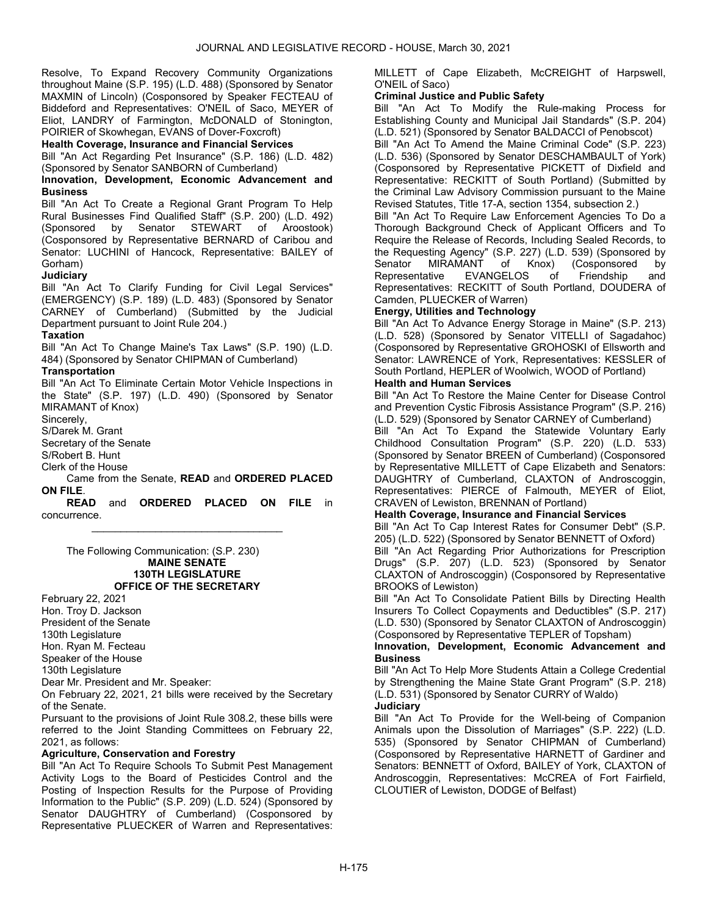Resolve, To Expand Recovery Community Organizations throughout Maine (S.P. 195) (L.D. 488) (Sponsored by Senator MAXMIN of Lincoln) (Cosponsored by Speaker FECTEAU of Biddeford and Representatives: O'NEIL of Saco, MEYER of Eliot, LANDRY of Farmington, McDONALD of Stonington, POIRIER of Skowhegan, EVANS of Dover-Foxcroft)

Health Coverage, Insurance and Financial Services

Bill "An Act Regarding Pet Insurance" (S.P. 186) (L.D. 482) (Sponsored by Senator SANBORN of Cumberland)

Innovation, Development, Economic Advancement and **Business** 

Bill "An Act To Create a Regional Grant Program To Help Rural Businesses Find Qualified Staff" (S.P. 200) (L.D. 492) (Sponsored by Senator STEWART of Aroostook) (Cosponsored by Representative BERNARD of Caribou and Senator: LUCHINI of Hancock, Representative: BAILEY of Gorham)

# **Judiciary**

Bill "An Act To Clarify Funding for Civil Legal Services" (EMERGENCY) (S.P. 189) (L.D. 483) (Sponsored by Senator CARNEY of Cumberland) (Submitted by the Judicial Department pursuant to Joint Rule 204.)

# **Taxation**

Bill "An Act To Change Maine's Tax Laws" (S.P. 190) (L.D. 484) (Sponsored by Senator CHIPMAN of Cumberland)

# **Transportation**

Bill "An Act To Eliminate Certain Motor Vehicle Inspections in the State" (S.P. 197) (L.D. 490) (Sponsored by Senator MIRAMANT of Knox)

Sincerely,

S/Darek M. Grant

Secretary of the Senate

S/Robert B. Hunt

Clerk of the House

 Came from the Senate, READ and ORDERED PLACED ON FILE.

READ and ORDERED PLACED ON FILE in concurrence. \_\_\_\_\_\_\_\_\_\_\_\_\_\_\_\_\_\_\_\_\_\_\_\_\_\_\_\_\_\_\_\_\_

 The Following Communication: (S.P. 230) MAINE SENATE 130TH LEGISLATURE OFFICE OF THE SECRETARY

February 22, 2021 Hon. Troy D. Jackson President of the Senate 130th Legislature Hon. Ryan M. Fecteau Speaker of the House

130th Legislature

Dear Mr. President and Mr. Speaker:

On February 22, 2021, 21 bills were received by the Secretary of the Senate.

Pursuant to the provisions of Joint Rule 308.2, these bills were referred to the Joint Standing Committees on February 22, 2021, as follows:

# Agriculture, Conservation and Forestry

Bill "An Act To Require Schools To Submit Pest Management Activity Logs to the Board of Pesticides Control and the Posting of Inspection Results for the Purpose of Providing Information to the Public" (S.P. 209) (L.D. 524) (Sponsored by Senator DAUGHTRY of Cumberland) (Cosponsored by Representative PLUECKER of Warren and Representatives:

MILLETT of Cape Elizabeth, McCREIGHT of Harpswell, O'NEIL of Saco)

# Criminal Justice and Public Safety

Bill "An Act To Modify the Rule-making Process for Establishing County and Municipal Jail Standards" (S.P. 204) (L.D. 521) (Sponsored by Senator BALDACCI of Penobscot) Bill "An Act To Amend the Maine Criminal Code" (S.P. 223) (L.D. 536) (Sponsored by Senator DESCHAMBAULT of York) (Cosponsored by Representative PICKETT of Dixfield and

Representative: RECKITT of South Portland) (Submitted by the Criminal Law Advisory Commission pursuant to the Maine Revised Statutes, Title 17-A, section 1354, subsection 2.)

Bill "An Act To Require Law Enforcement Agencies To Do a Thorough Background Check of Applicant Officers and To Require the Release of Records, Including Sealed Records, to the Requesting Agency" (S.P. 227) (L.D. 539) (Sponsored by Senator MIRAMANT of Knox) (Cosponsored by<br>Representative EVANGELOS of Friendship and EVANGELOS of Friendship and Representatives: RECKITT of South Portland, DOUDERA of Camden, PLUECKER of Warren)

# Energy, Utilities and Technology

Bill "An Act To Advance Energy Storage in Maine" (S.P. 213) (L.D. 528) (Sponsored by Senator VITELLI of Sagadahoc) (Cosponsored by Representative GROHOSKI of Ellsworth and Senator: LAWRENCE of York, Representatives: KESSLER of South Portland, HEPLER of Woolwich, WOOD of Portland)

# Health and Human Services

Bill "An Act To Restore the Maine Center for Disease Control and Prevention Cystic Fibrosis Assistance Program" (S.P. 216) (L.D. 529) (Sponsored by Senator CARNEY of Cumberland)

Bill "An Act To Expand the Statewide Voluntary Early Childhood Consultation Program" (S.P. 220) (L.D. 533) (Sponsored by Senator BREEN of Cumberland) (Cosponsored by Representative MILLETT of Cape Elizabeth and Senators: DAUGHTRY of Cumberland, CLAXTON of Androscoggin, Representatives: PIERCE of Falmouth, MEYER of Eliot, CRAVEN of Lewiston, BRENNAN of Portland)

# Health Coverage, Insurance and Financial Services

Bill "An Act To Cap Interest Rates for Consumer Debt" (S.P. 205) (L.D. 522) (Sponsored by Senator BENNETT of Oxford)

Bill "An Act Regarding Prior Authorizations for Prescription Drugs" (S.P. 207) (L.D. 523) (Sponsored by Senator CLAXTON of Androscoggin) (Cosponsored by Representative BROOKS of Lewiston)

Bill "An Act To Consolidate Patient Bills by Directing Health Insurers To Collect Copayments and Deductibles" (S.P. 217) (L.D. 530) (Sponsored by Senator CLAXTON of Androscoggin) (Cosponsored by Representative TEPLER of Topsham)

#### Innovation, Development, Economic Advancement and **Business**

Bill "An Act To Help More Students Attain a College Credential by Strengthening the Maine State Grant Program" (S.P. 218) (L.D. 531) (Sponsored by Senator CURRY of Waldo) **Judiciary** 

Bill "An Act To Provide for the Well-being of Companion Animals upon the Dissolution of Marriages" (S.P. 222) (L.D. 535) (Sponsored by Senator CHIPMAN of Cumberland) (Cosponsored by Representative HARNETT of Gardiner and Senators: BENNETT of Oxford, BAILEY of York, CLAXTON of Androscoggin, Representatives: McCREA of Fort Fairfield, CLOUTIER of Lewiston, DODGE of Belfast)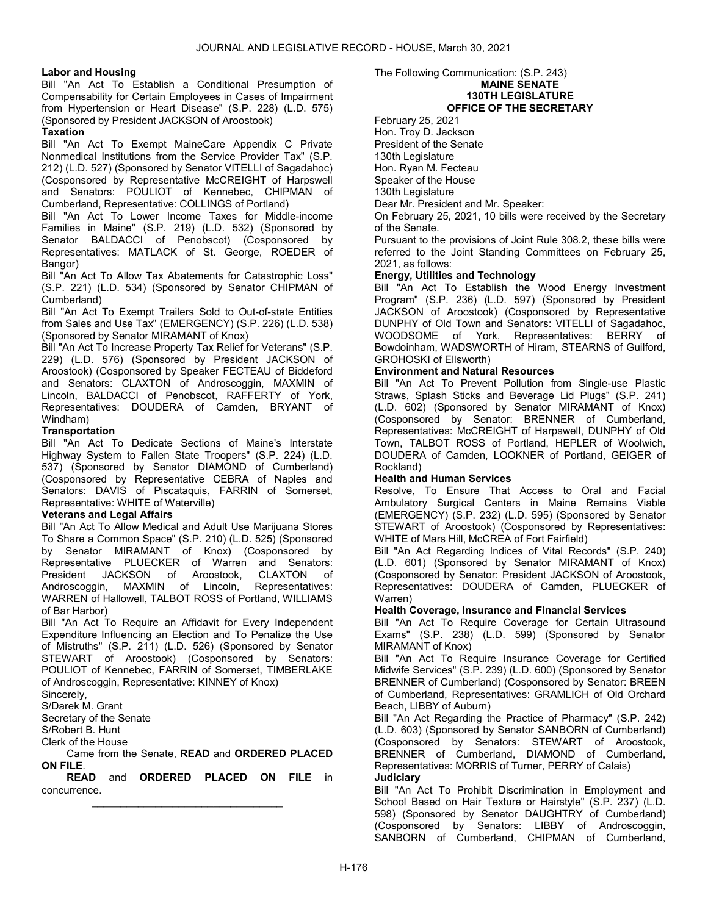# Labor and Housing

Bill "An Act To Establish a Conditional Presumption of Compensability for Certain Employees in Cases of Impairment from Hypertension or Heart Disease" (S.P. 228) (L.D. 575) (Sponsored by President JACKSON of Aroostook)

# **Taxation**

Bill "An Act To Exempt MaineCare Appendix C Private Nonmedical Institutions from the Service Provider Tax" (S.P. 212) (L.D. 527) (Sponsored by Senator VITELLI of Sagadahoc) (Cosponsored by Representative McCREIGHT of Harpswell and Senators: POULIOT of Kennebec, CHIPMAN of Cumberland, Representative: COLLINGS of Portland)

Bill "An Act To Lower Income Taxes for Middle-income Families in Maine" (S.P. 219) (L.D. 532) (Sponsored by Senator BALDACCI of Penobscot) (Cosponsored by Representatives: MATLACK of St. George, ROEDER of Bangor)

Bill "An Act To Allow Tax Abatements for Catastrophic Loss" (S.P. 221) (L.D. 534) (Sponsored by Senator CHIPMAN of Cumberland)

Bill "An Act To Exempt Trailers Sold to Out-of-state Entities from Sales and Use Tax" (EMERGENCY) (S.P. 226) (L.D. 538) (Sponsored by Senator MIRAMANT of Knox)

Bill "An Act To Increase Property Tax Relief for Veterans" (S.P. 229) (L.D. 576) (Sponsored by President JACKSON of Aroostook) (Cosponsored by Speaker FECTEAU of Biddeford and Senators: CLAXTON of Androscoggin, MAXMIN of Lincoln, BALDACCI of Penobscot, RAFFERTY of York, Representatives: DOUDERA of Camden, BRYANT of Windham)

# **Transportation**

Bill "An Act To Dedicate Sections of Maine's Interstate Highway System to Fallen State Troopers" (S.P. 224) (L.D. 537) (Sponsored by Senator DIAMOND of Cumberland) (Cosponsored by Representative CEBRA of Naples and Senators: DAVIS of Piscataquis, FARRIN of Somerset, Representative: WHITE of Waterville)

# Veterans and Legal Affairs

Bill "An Act To Allow Medical and Adult Use Marijuana Stores To Share a Common Space" (S.P. 210) (L.D. 525) (Sponsored by Senator MIRAMANT of Knox) (Cosponsored by Representative PLUECKER of Warren and Senators:<br>President JACKSON of Aroostook, CLAXTON of President JACKSON of Aroostook, CLAXTON of Androscoggin, MAXMIN of Lincoln, Representatives: WARREN of Hallowell, TALBOT ROSS of Portland, WILLIAMS of Bar Harbor)

Bill "An Act To Require an Affidavit for Every Independent Expenditure Influencing an Election and To Penalize the Use of Mistruths" (S.P. 211) (L.D. 526) (Sponsored by Senator STEWART of Aroostook) (Cosponsored by Senators: POULIOT of Kennebec, FARRIN of Somerset, TIMBERLAKE of Androscoggin, Representative: KINNEY of Knox)

Sincerely,

S/Darek M. Grant Secretary of the Senate

S/Robert B. Hunt

Clerk of the House

 Came from the Senate, READ and ORDERED PLACED ON FILE.

READ and ORDERED PLACED ON FILE in concurrence. \_\_\_\_\_\_\_\_\_\_\_\_\_\_\_\_\_\_\_\_\_\_\_\_\_\_\_\_\_\_\_\_\_

The Following Communication: (S.P. 243)

# MAINE SENATE

#### 130TH LEGISLATURE OFFICE OF THE SECRETARY

February 25, 2021

Hon. Troy D. Jackson

President of the Senate

130th Legislature Hon. Ryan M. Fecteau

Speaker of the House

130th Legislature

Dear Mr. President and Mr. Speaker:

On February 25, 2021, 10 bills were received by the Secretary of the Senate.

Pursuant to the provisions of Joint Rule 308.2, these bills were referred to the Joint Standing Committees on February 25, 2021, as follows:

# Energy, Utilities and Technology

Bill "An Act To Establish the Wood Energy Investment Program" (S.P. 236) (L.D. 597) (Sponsored by President JACKSON of Aroostook) (Cosponsored by Representative DUNPHY of Old Town and Senators: VITELLI of Sagadahoc, WOODSOME of York, Representatives: BERRY of Bowdoinham, WADSWORTH of Hiram, STEARNS of Guilford, GROHOSKI of Ellsworth)

# Environment and Natural Resources

Bill "An Act To Prevent Pollution from Single-use Plastic Straws, Splash Sticks and Beverage Lid Plugs" (S.P. 241) (L.D. 602) (Sponsored by Senator MIRAMANT of Knox) (Cosponsored by Senator: BRENNER of Cumberland, Representatives: McCREIGHT of Harpswell, DUNPHY of Old Town, TALBOT ROSS of Portland, HEPLER of Woolwich, DOUDERA of Camden, LOOKNER of Portland, GEIGER of Rockland)

# Health and Human Services

Resolve, To Ensure That Access to Oral and Facial Ambulatory Surgical Centers in Maine Remains Viable (EMERGENCY) (S.P. 232) (L.D. 595) (Sponsored by Senator STEWART of Aroostook) (Cosponsored by Representatives: WHITE of Mars Hill, McCREA of Fort Fairfield)

Bill "An Act Regarding Indices of Vital Records" (S.P. 240) (L.D. 601) (Sponsored by Senator MIRAMANT of Knox) (Cosponsored by Senator: President JACKSON of Aroostook, Representatives: DOUDERA of Camden, PLUECKER of Warren)

# Health Coverage, Insurance and Financial Services

Bill "An Act To Require Coverage for Certain Ultrasound Exams" (S.P. 238) (L.D. 599) (Sponsored by Senator MIRAMANT of Knox)

Bill "An Act To Require Insurance Coverage for Certified Midwife Services" (S.P. 239) (L.D. 600) (Sponsored by Senator BRENNER of Cumberland) (Cosponsored by Senator: BREEN of Cumberland, Representatives: GRAMLICH of Old Orchard Beach, LIBBY of Auburn)

Bill "An Act Regarding the Practice of Pharmacy" (S.P. 242) (L.D. 603) (Sponsored by Senator SANBORN of Cumberland) (Cosponsored by Senators: STEWART of Aroostook, BRENNER of Cumberland, DIAMOND of Cumberland, Representatives: MORRIS of Turner, PERRY of Calais) **Judiciary** 

Bill "An Act To Prohibit Discrimination in Employment and School Based on Hair Texture or Hairstyle" (S.P. 237) (L.D. 598) (Sponsored by Senator DAUGHTRY of Cumberland) (Cosponsored by Senators: LIBBY of Androscoggin, SANBORN of Cumberland, CHIPMAN of Cumberland,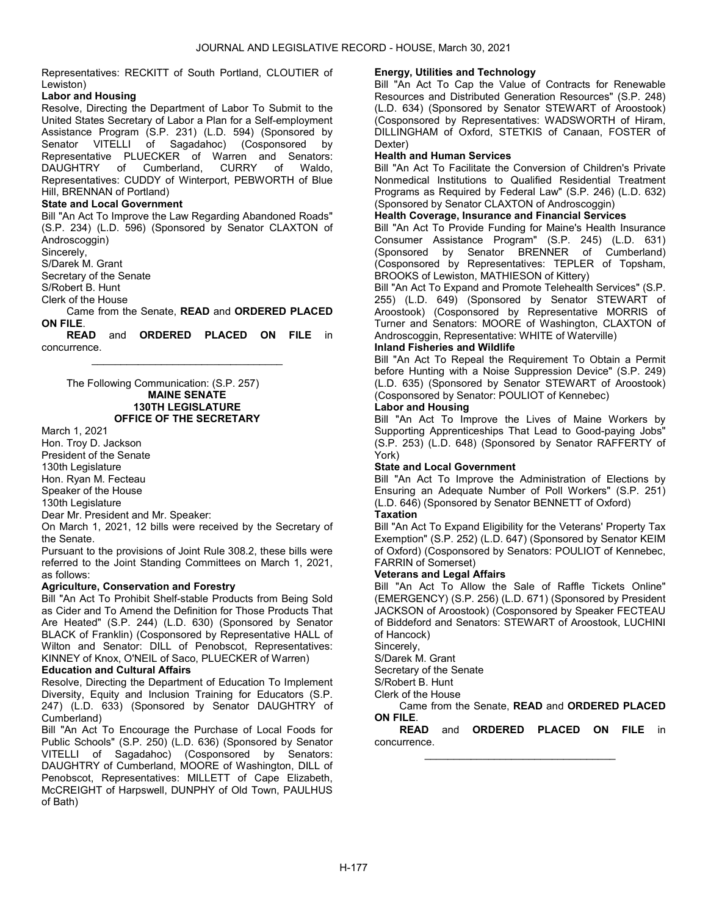Representatives: RECKITT of South Portland, CLOUTIER of Lewiston)

# Labor and Housing

Resolve, Directing the Department of Labor To Submit to the United States Secretary of Labor a Plan for a Self-employment Assistance Program (S.P. 231) (L.D. 594) (Sponsored by Senator VITELLI of Sagadahoc) (Cosponsored by Representative PLUECKER of Warren and Senators: DAUGHTRY of Cumberland, CURRY of Waldo, Representatives: CUDDY of Winterport, PEBWORTH of Blue Hill, BRENNAN of Portland)

# State and Local Government

Bill "An Act To Improve the Law Regarding Abandoned Roads" (S.P. 234) (L.D. 596) (Sponsored by Senator CLAXTON of Androscoggin)

Sincerely,

S/Darek M. Grant

Secretary of the Senate

S/Robert B. Hunt

Clerk of the House

 Came from the Senate, READ and ORDERED PLACED ON FILE.

READ and ORDERED PLACED ON FILE in concurrence. \_\_\_\_\_\_\_\_\_\_\_\_\_\_\_\_\_\_\_\_\_\_\_\_\_\_\_\_\_\_\_\_\_

 The Following Communication: (S.P. 257) MAINE SENATE 130TH LEGISLATURE OFFICE OF THE SECRETARY

March 1, 2021

Hon. Troy D. Jackson President of the Senate 130th Legislature Hon. Ryan M. Fecteau Speaker of the House

130th Legislature

Dear Mr. President and Mr. Speaker:

On March 1, 2021, 12 bills were received by the Secretary of the Senate.

Pursuant to the provisions of Joint Rule 308.2, these bills were referred to the Joint Standing Committees on March 1, 2021, as follows:

# Agriculture, Conservation and Forestry

Bill "An Act To Prohibit Shelf-stable Products from Being Sold as Cider and To Amend the Definition for Those Products That Are Heated" (S.P. 244) (L.D. 630) (Sponsored by Senator BLACK of Franklin) (Cosponsored by Representative HALL of Wilton and Senator: DILL of Penobscot, Representatives: KINNEY of Knox, O'NEIL of Saco, PLUECKER of Warren)

# Education and Cultural Affairs

Resolve, Directing the Department of Education To Implement Diversity, Equity and Inclusion Training for Educators (S.P. 247) (L.D. 633) (Sponsored by Senator DAUGHTRY of Cumberland)

Bill "An Act To Encourage the Purchase of Local Foods for Public Schools" (S.P. 250) (L.D. 636) (Sponsored by Senator VITELLI of Sagadahoc) (Cosponsored by Senators: DAUGHTRY of Cumberland, MOORE of Washington, DILL of Penobscot, Representatives: MILLETT of Cape Elizabeth, McCREIGHT of Harpswell, DUNPHY of Old Town, PAULHUS of Bath)

# Energy, Utilities and Technology

Bill "An Act To Cap the Value of Contracts for Renewable Resources and Distributed Generation Resources" (S.P. 248) (L.D. 634) (Sponsored by Senator STEWART of Aroostook) (Cosponsored by Representatives: WADSWORTH of Hiram, DILLINGHAM of Oxford, STETKIS of Canaan, FOSTER of Dexter)

# Health and Human Services

Bill "An Act To Facilitate the Conversion of Children's Private Nonmedical Institutions to Qualified Residential Treatment Programs as Required by Federal Law" (S.P. 246) (L.D. 632) (Sponsored by Senator CLAXTON of Androscoggin)

# Health Coverage, Insurance and Financial Services

Bill "An Act To Provide Funding for Maine's Health Insurance Consumer Assistance Program" (S.P. 245) (L.D. 631) (Sponsored by Senator BRENNER of Cumberland) (Cosponsored by Representatives: TEPLER of Topsham, BROOKS of Lewiston, MATHIESON of Kittery)

Bill "An Act To Expand and Promote Telehealth Services" (S.P. 255) (L.D. 649) (Sponsored by Senator STEWART of Aroostook) (Cosponsored by Representative MORRIS of Turner and Senators: MOORE of Washington, CLAXTON of Androscoggin, Representative: WHITE of Waterville)

# Inland Fisheries and Wildlife

Bill "An Act To Repeal the Requirement To Obtain a Permit before Hunting with a Noise Suppression Device" (S.P. 249) (L.D. 635) (Sponsored by Senator STEWART of Aroostook) (Cosponsored by Senator: POULIOT of Kennebec)

# Labor and Housing

Bill "An Act To Improve the Lives of Maine Workers by Supporting Apprenticeships That Lead to Good-paying Jobs" (S.P. 253) (L.D. 648) (Sponsored by Senator RAFFERTY of York)

# State and Local Government

Bill "An Act To Improve the Administration of Elections by Ensuring an Adequate Number of Poll Workers" (S.P. 251) (L.D. 646) (Sponsored by Senator BENNETT of Oxford) Taxation

Bill "An Act To Expand Eligibility for the Veterans' Property Tax Exemption" (S.P. 252) (L.D. 647) (Sponsored by Senator KEIM of Oxford) (Cosponsored by Senators: POULIOT of Kennebec, FARRIN of Somerset)

# Veterans and Legal Affairs

Bill "An Act To Allow the Sale of Raffle Tickets Online" (EMERGENCY) (S.P. 256) (L.D. 671) (Sponsored by President JACKSON of Aroostook) (Cosponsored by Speaker FECTEAU of Biddeford and Senators: STEWART of Aroostook, LUCHINI of Hancock)

Sincerely,

S/Darek M. Grant

Secretary of the Senate

#### S/Robert B. Hunt Clerk of the House

 Came from the Senate, READ and ORDERED PLACED ON FILE.

READ and ORDERED PLACED ON FILE in concurrence. \_\_\_\_\_\_\_\_\_\_\_\_\_\_\_\_\_\_\_\_\_\_\_\_\_\_\_\_\_\_\_\_\_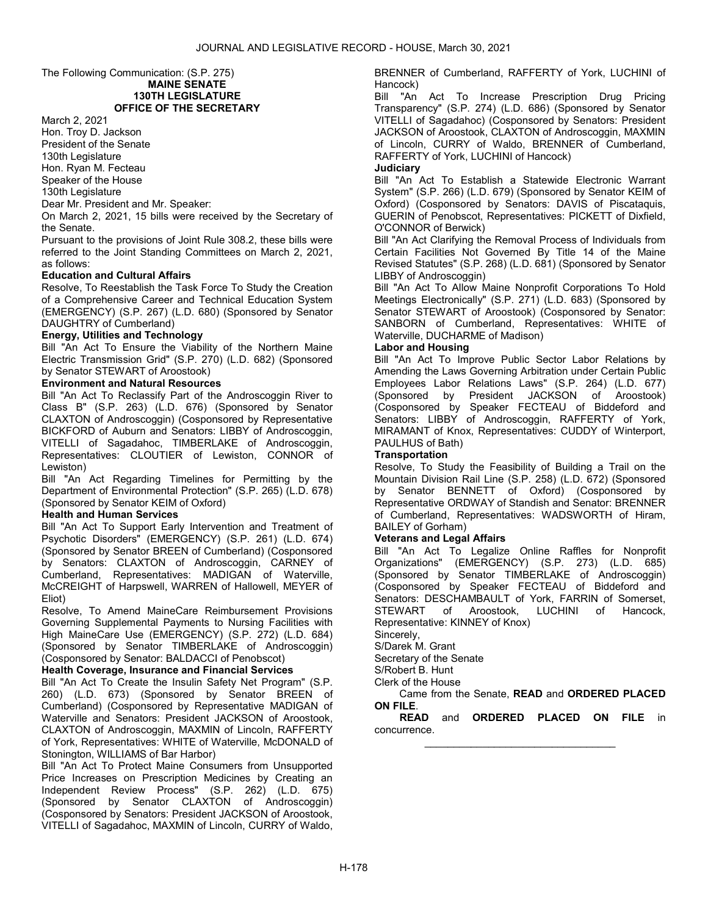#### The Following Communication: (S.P. 275) MAINE SENATE 130TH LEGISLATURE OFFICE OF THE SECRETARY

March 2, 2021

Hon. Troy D. Jackson President of the Senate 130th Legislature Hon. Ryan M. Fecteau

Speaker of the House

130th Legislature

Dear Mr. President and Mr. Speaker:

On March 2, 2021, 15 bills were received by the Secretary of the Senate.

Pursuant to the provisions of Joint Rule 308.2, these bills were referred to the Joint Standing Committees on March 2, 2021, as follows:

# Education and Cultural Affairs

Resolve, To Reestablish the Task Force To Study the Creation of a Comprehensive Career and Technical Education System (EMERGENCY) (S.P. 267) (L.D. 680) (Sponsored by Senator DAUGHTRY of Cumberland)

# Energy, Utilities and Technology

Bill "An Act To Ensure the Viability of the Northern Maine Electric Transmission Grid" (S.P. 270) (L.D. 682) (Sponsored by Senator STEWART of Aroostook)

# Environment and Natural Resources

Bill "An Act To Reclassify Part of the Androscoggin River to Class B" (S.P. 263) (L.D. 676) (Sponsored by Senator CLAXTON of Androscoggin) (Cosponsored by Representative BICKFORD of Auburn and Senators: LIBBY of Androscoggin, VITELLI of Sagadahoc, TIMBERLAKE of Androscoggin, Representatives: CLOUTIER of Lewiston, CONNOR of Lewiston)

Bill "An Act Regarding Timelines for Permitting by the Department of Environmental Protection" (S.P. 265) (L.D. 678) (Sponsored by Senator KEIM of Oxford)

# Health and Human Services

Bill "An Act To Support Early Intervention and Treatment of Psychotic Disorders" (EMERGENCY) (S.P. 261) (L.D. 674) (Sponsored by Senator BREEN of Cumberland) (Cosponsored by Senators: CLAXTON of Androscoggin, CARNEY of Cumberland, Representatives: MADIGAN of Waterville, McCREIGHT of Harpswell, WARREN of Hallowell, MEYER of Eliot)

Resolve, To Amend MaineCare Reimbursement Provisions Governing Supplemental Payments to Nursing Facilities with High MaineCare Use (EMERGENCY) (S.P. 272) (L.D. 684) (Sponsored by Senator TIMBERLAKE of Androscoggin) (Cosponsored by Senator: BALDACCI of Penobscot)

# Health Coverage, Insurance and Financial Services

Bill "An Act To Create the Insulin Safety Net Program" (S.P. 260) (L.D. 673) (Sponsored by Senator BREEN of Cumberland) (Cosponsored by Representative MADIGAN of Waterville and Senators: President JACKSON of Aroostook, CLAXTON of Androscoggin, MAXMIN of Lincoln, RAFFERTY of York, Representatives: WHITE of Waterville, McDONALD of Stonington, WILLIAMS of Bar Harbor)

Bill "An Act To Protect Maine Consumers from Unsupported Price Increases on Prescription Medicines by Creating an Independent Review Process" (S.P. 262) (L.D. 675) (Sponsored by Senator CLAXTON of Androscoggin) (Cosponsored by Senators: President JACKSON of Aroostook, VITELLI of Sagadahoc, MAXMIN of Lincoln, CURRY of Waldo, BRENNER of Cumberland, RAFFERTY of York, LUCHINI of Hancock)

Bill "An Act To Increase Prescription Drug Pricing Transparency" (S.P. 274) (L.D. 686) (Sponsored by Senator VITELLI of Sagadahoc) (Cosponsored by Senators: President JACKSON of Aroostook, CLAXTON of Androscoggin, MAXMIN of Lincoln, CURRY of Waldo, BRENNER of Cumberland, RAFFERTY of York, LUCHINI of Hancock)

**Judiciary** 

Bill "An Act To Establish a Statewide Electronic Warrant System" (S.P. 266) (L.D. 679) (Sponsored by Senator KEIM of Oxford) (Cosponsored by Senators: DAVIS of Piscataquis, GUERIN of Penobscot, Representatives: PICKETT of Dixfield, O'CONNOR of Berwick)

Bill "An Act Clarifying the Removal Process of Individuals from Certain Facilities Not Governed By Title 14 of the Maine Revised Statutes" (S.P. 268) (L.D. 681) (Sponsored by Senator LIBBY of Androscoggin)

Bill "An Act To Allow Maine Nonprofit Corporations To Hold Meetings Electronically" (S.P. 271) (L.D. 683) (Sponsored by Senator STEWART of Aroostook) (Cosponsored by Senator: SANBORN of Cumberland, Representatives: WHITE of Waterville, DUCHARME of Madison)

# Labor and Housing

Bill "An Act To Improve Public Sector Labor Relations by Amending the Laws Governing Arbitration under Certain Public Employees Labor Relations Laws" (S.P. 264) (L.D. 677) (Sponsored by President JACKSON of Aroostook) (Cosponsored by Speaker FECTEAU of Biddeford and Senators: LIBBY of Androscoggin, RAFFERTY of York, MIRAMANT of Knox, Representatives: CUDDY of Winterport, PAULHUS of Bath)

# **Transportation**

Resolve, To Study the Feasibility of Building a Trail on the Mountain Division Rail Line (S.P. 258) (L.D. 672) (Sponsored by Senator BENNETT of Oxford) (Cosponsored by Representative ORDWAY of Standish and Senator: BRENNER of Cumberland, Representatives: WADSWORTH of Hiram, BAILEY of Gorham)

# Veterans and Legal Affairs

Bill "An Act To Legalize Online Raffles for Nonprofit Organizations" (EMERGENCY) (S.P. 273) (L.D. 685) (Sponsored by Senator TIMBERLAKE of Androscoggin) (Cosponsored by Speaker FECTEAU of Biddeford and Senators: DESCHAMBAULT of York, FARRIN of Somerset, STEWART of Aroostook, LUCHINI of Hancock, Representative: KINNEY of Knox)

Sincerely,

S/Darek M. Grant

Secretary of the Senate

S/Robert B. Hunt

Clerk of the House

 Came from the Senate, READ and ORDERED PLACED ON FILE.

READ and ORDERED PLACED ON FILE in concurrence. \_\_\_\_\_\_\_\_\_\_\_\_\_\_\_\_\_\_\_\_\_\_\_\_\_\_\_\_\_\_\_\_\_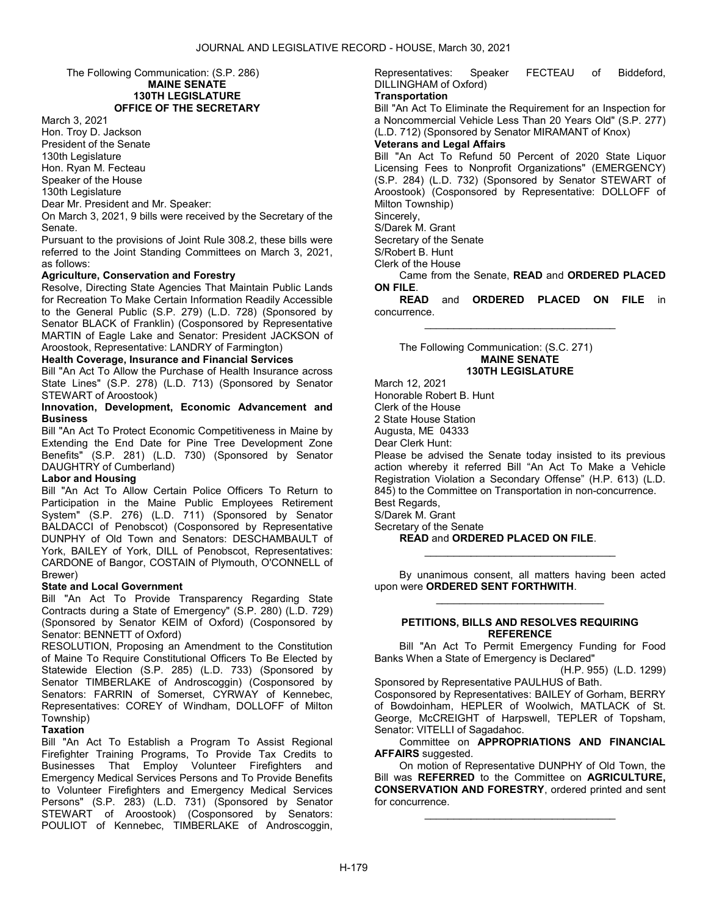The Following Communication: (S.P. 286) MAINE SENATE 130TH LEGISLATURE

# OFFICE OF THE SECRETARY

March 3, 2021

Hon. Troy D. Jackson President of the Senate 130th Legislature Hon. Ryan M. Fecteau Speaker of the House

130th Legislature

Dear Mr. President and Mr. Speaker:

On March 3, 2021, 9 bills were received by the Secretary of the Senate.

Pursuant to the provisions of Joint Rule 308.2, these bills were referred to the Joint Standing Committees on March 3, 2021, as follows:

# Agriculture, Conservation and Forestry

Resolve, Directing State Agencies That Maintain Public Lands for Recreation To Make Certain Information Readily Accessible to the General Public (S.P. 279) (L.D. 728) (Sponsored by Senator BLACK of Franklin) (Cosponsored by Representative MARTIN of Eagle Lake and Senator: President JACKSON of Aroostook, Representative: LANDRY of Farmington)

#### Health Coverage, Insurance and Financial Services

Bill "An Act To Allow the Purchase of Health Insurance across State Lines" (S.P. 278) (L.D. 713) (Sponsored by Senator STEWART of Aroostook)

Innovation, Development, Economic Advancement and Business

Bill "An Act To Protect Economic Competitiveness in Maine by Extending the End Date for Pine Tree Development Zone Benefits" (S.P. 281) (L.D. 730) (Sponsored by Senator DAUGHTRY of Cumberland)

# Labor and Housing

Bill "An Act To Allow Certain Police Officers To Return to Participation in the Maine Public Employees Retirement System" (S.P. 276) (L.D. 711) (Sponsored by Senator BALDACCI of Penobscot) (Cosponsored by Representative DUNPHY of Old Town and Senators: DESCHAMBAULT of York, BAILEY of York, DILL of Penobscot, Representatives: CARDONE of Bangor, COSTAIN of Plymouth, O'CONNELL of Brewer)

# State and Local Government

Bill "An Act To Provide Transparency Regarding State Contracts during a State of Emergency" (S.P. 280) (L.D. 729) (Sponsored by Senator KEIM of Oxford) (Cosponsored by Senator: BENNETT of Oxford)

RESOLUTION, Proposing an Amendment to the Constitution of Maine To Require Constitutional Officers To Be Elected by Statewide Election (S.P. 285) (L.D. 733) (Sponsored by Senator TIMBERLAKE of Androscoggin) (Cosponsored by Senators: FARRIN of Somerset, CYRWAY of Kennebec, Representatives: COREY of Windham, DOLLOFF of Milton Township)

# **Taxation**

Bill "An Act To Establish a Program To Assist Regional Firefighter Training Programs, To Provide Tax Credits to Businesses That Employ Volunteer Firefighters and Emergency Medical Services Persons and To Provide Benefits to Volunteer Firefighters and Emergency Medical Services Persons" (S.P. 283) (L.D. 731) (Sponsored by Senator STEWART of Aroostook) (Cosponsored by Senators: POULIOT of Kennebec, TIMBERLAKE of Androscoggin,

Representatives: Speaker FECTEAU of Biddeford, DILLINGHAM of Oxford)

# **Transportation**

Bill "An Act To Eliminate the Requirement for an Inspection for a Noncommercial Vehicle Less Than 20 Years Old" (S.P. 277) (L.D. 712) (Sponsored by Senator MIRAMANT of Knox)

# Veterans and Legal Affairs

Bill "An Act To Refund 50 Percent of 2020 State Liquor Licensing Fees to Nonprofit Organizations" (EMERGENCY) (S.P. 284) (L.D. 732) (Sponsored by Senator STEWART of Aroostook) (Cosponsored by Representative: DOLLOFF of Milton Township)

Sincerely,

S/Darek M. Grant

Secretary of the Senate

S/Robert B. Hunt

Clerk of the House

 Came from the Senate, READ and ORDERED PLACED ON FILE.

READ and ORDERED PLACED ON FILE in concurrence. \_\_\_\_\_\_\_\_\_\_\_\_\_\_\_\_\_\_\_\_\_\_\_\_\_\_\_\_\_\_\_\_\_

 The Following Communication: (S.C. 271) MAINE SENATE 130TH LEGISLATURE

March 12, 2021 Honorable Robert B. Hunt Clerk of the House 2 State House Station Augusta, ME 04333 Dear Clerk Hunt: Please be advised the Senate today insisted to its previous action whereby it referred Bill "An Act To Make a Vehicle Registration Violation a Secondary Offense" (H.P. 613) (L.D. 845) to the Committee on Transportation in non-concurrence. Best Regards, S/Darek M. Grant Secretary of the Senate READ and ORDERED PLACED ON FILE.

 By unanimous consent, all matters having been acted upon were ORDERED SENT FORTHWITH. \_\_\_\_\_\_\_\_\_\_\_\_\_\_\_\_\_\_\_\_\_\_\_\_\_\_\_\_\_

\_\_\_\_\_\_\_\_\_\_\_\_\_\_\_\_\_\_\_\_\_\_\_\_\_\_\_\_\_\_\_\_\_

#### PETITIONS, BILLS AND RESOLVES REQUIRING **REFERENCE**

 Bill "An Act To Permit Emergency Funding for Food Banks When a State of Emergency is Declared"

(H.P. 955) (L.D. 1299)

Sponsored by Representative PAULHUS of Bath. Cosponsored by Representatives: BAILEY of Gorham, BERRY of Bowdoinham, HEPLER of Woolwich, MATLACK of St. George, McCREIGHT of Harpswell, TEPLER of Topsham, Senator: VITELLI of Sagadahoc.

 Committee on APPROPRIATIONS AND FINANCIAL AFFAIRS suggested.

 On motion of Representative DUNPHY of Old Town, the Bill was **REFERRED** to the Committee on **AGRICULTURE**. CONSERVATION AND FORESTRY, ordered printed and sent for concurrence.

\_\_\_\_\_\_\_\_\_\_\_\_\_\_\_\_\_\_\_\_\_\_\_\_\_\_\_\_\_\_\_\_\_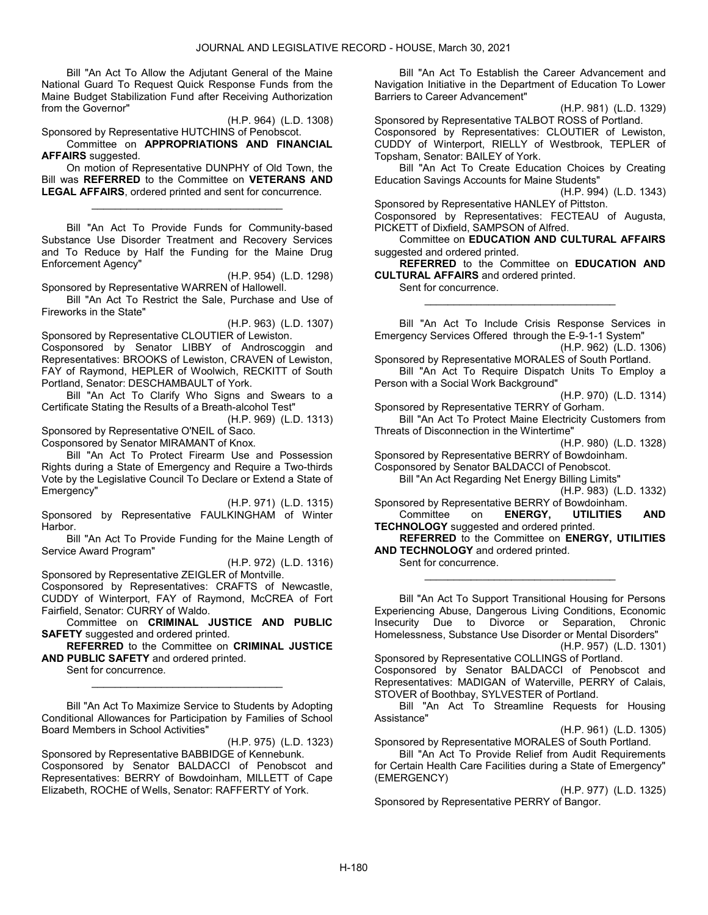Bill "An Act To Allow the Adjutant General of the Maine National Guard To Request Quick Response Funds from the Maine Budget Stabilization Fund after Receiving Authorization from the Governor"

(H.P. 964) (L.D. 1308)

Sponsored by Representative HUTCHINS of Penobscot. Committee on APPROPRIATIONS AND FINANCIAL AFFAIRS suggested.

 On motion of Representative DUNPHY of Old Town, the Bill was **REFERRED** to the Committee on **VETERANS AND** LEGAL AFFAIRS, ordered printed and sent for concurrence.

\_\_\_\_\_\_\_\_\_\_\_\_\_\_\_\_\_\_\_\_\_\_\_\_\_\_\_\_\_\_\_\_\_

 Bill "An Act To Provide Funds for Community-based Substance Use Disorder Treatment and Recovery Services and To Reduce by Half the Funding for the Maine Drug Enforcement Agency"

(H.P. 954) (L.D. 1298)

Sponsored by Representative WARREN of Hallowell. Bill "An Act To Restrict the Sale, Purchase and Use of Fireworks in the State"

(H.P. 963) (L.D. 1307)

Sponsored by Representative CLOUTIER of Lewiston. Cosponsored by Senator LIBBY of Androscoggin and Representatives: BROOKS of Lewiston, CRAVEN of Lewiston, FAY of Raymond, HEPLER of Woolwich, RECKITT of South Portland, Senator: DESCHAMBAULT of York.

 Bill "An Act To Clarify Who Signs and Swears to a Certificate Stating the Results of a Breath-alcohol Test"

(H.P. 969) (L.D. 1313) Sponsored by Representative O'NEIL of Saco.

Cosponsored by Senator MIRAMANT of Knox.

 Bill "An Act To Protect Firearm Use and Possession Rights during a State of Emergency and Require a Two-thirds Vote by the Legislative Council To Declare or Extend a State of Emergency"

(H.P. 971) (L.D. 1315) Sponsored by Representative FAULKINGHAM of Winter Harbor.

 Bill "An Act To Provide Funding for the Maine Length of Service Award Program"

(H.P. 972) (L.D. 1316)

Sponsored by Representative ZEIGLER of Montville.

Cosponsored by Representatives: CRAFTS of Newcastle, CUDDY of Winterport, FAY of Raymond, McCREA of Fort Fairfield, Senator: CURRY of Waldo.

 Committee on CRIMINAL JUSTICE AND PUBLIC SAFETY suggested and ordered printed.

REFERRED to the Committee on CRIMINAL JUSTICE AND PUBLIC SAFETY and ordered printed.

\_\_\_\_\_\_\_\_\_\_\_\_\_\_\_\_\_\_\_\_\_\_\_\_\_\_\_\_\_\_\_\_\_

Sent for concurrence.

 Bill "An Act To Maximize Service to Students by Adopting Conditional Allowances for Participation by Families of School Board Members in School Activities"

(H.P. 975) (L.D. 1323)

Sponsored by Representative BABBIDGE of Kennebunk. Cosponsored by Senator BALDACCI of Penobscot and Representatives: BERRY of Bowdoinham, MILLETT of Cape Elizabeth, ROCHE of Wells, Senator: RAFFERTY of York.

 Bill "An Act To Establish the Career Advancement and Navigation Initiative in the Department of Education To Lower Barriers to Career Advancement"

(H.P. 981) (L.D. 1329)

Sponsored by Representative TALBOT ROSS of Portland. Cosponsored by Representatives: CLOUTIER of Lewiston, CUDDY of Winterport, RIELLY of Westbrook, TEPLER of Topsham, Senator: BAILEY of York.

 Bill "An Act To Create Education Choices by Creating Education Savings Accounts for Maine Students"

(H.P. 994) (L.D. 1343) Sponsored by Representative HANLEY of Pittston.

Cosponsored by Representatives: FECTEAU of Augusta, PICKETT of Dixfield, SAMPSON of Alfred.

 Committee on EDUCATION AND CULTURAL AFFAIRS suggested and ordered printed.

REFERRED to the Committee on EDUCATION AND CULTURAL AFFAIRS and ordered printed.

Sent for concurrence.

 Bill "An Act To Include Crisis Response Services in Emergency Services Offered through the E-9-1-1 System" (H.P. 962) (L.D. 1306)

\_\_\_\_\_\_\_\_\_\_\_\_\_\_\_\_\_\_\_\_\_\_\_\_\_\_\_\_\_\_\_\_\_

Sponsored by Representative MORALES of South Portland. Bill "An Act To Require Dispatch Units To Employ a

Person with a Social Work Background"

(H.P. 970) (L.D. 1314) Sponsored by Representative TERRY of Gorham. Bill "An Act To Protect Maine Electricity Customers from

Threats of Disconnection in the Wintertime"

(H.P. 980) (L.D. 1328)

Sponsored by Representative BERRY of Bowdoinham. Cosponsored by Senator BALDACCI of Penobscot.

Bill "An Act Regarding Net Energy Billing Limits"

(H.P. 983) (L.D. 1332)

Sponsored by Representative BERRY of Bowdoinham.<br>Committee on **ENERGY, UTILITIES** Committee on ENERGY, UTILITIES AND

**TECHNOLOGY** suggested and ordered printed. REFERRED to the Committee on ENERGY, UTILITIES AND TECHNOLOGY and ordered printed.

Sent for concurrence.

 Bill "An Act To Support Transitional Housing for Persons Experiencing Abuse, Dangerous Living Conditions, Economic Insecurity Due to Divorce or Separation, Chronic Homelessness, Substance Use Disorder or Mental Disorders"

\_\_\_\_\_\_\_\_\_\_\_\_\_\_\_\_\_\_\_\_\_\_\_\_\_\_\_\_\_\_\_\_\_

(H.P. 957) (L.D. 1301)

Sponsored by Representative COLLINGS of Portland. Cosponsored by Senator BALDACCI of Penobscot and Representatives: MADIGAN of Waterville, PERRY of Calais, STOVER of Boothbay, SYLVESTER of Portland.

 Bill "An Act To Streamline Requests for Housing Assistance"

(H.P. 961) (L.D. 1305)

Sponsored by Representative MORALES of South Portland. Bill "An Act To Provide Relief from Audit Requirements

for Certain Health Care Facilities during a State of Emergency" (EMERGENCY)

(H.P. 977) (L.D. 1325) Sponsored by Representative PERRY of Bangor.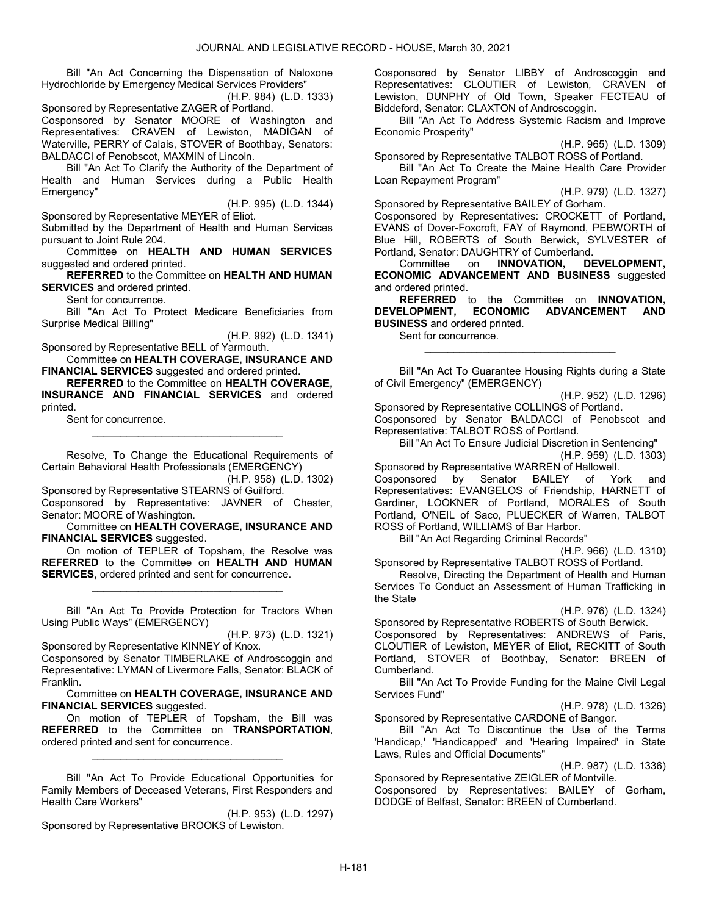Bill "An Act Concerning the Dispensation of Naloxone Hydrochloride by Emergency Medical Services Providers"

(H.P. 984) (L.D. 1333) Sponsored by Representative ZAGER of Portland. Cosponsored by Senator MOORE of Washington and Representatives: CRAVEN of Lewiston, MADIGAN of Waterville, PERRY of Calais, STOVER of Boothbay, Senators: BALDACCI of Penobscot, MAXMIN of Lincoln.

 Bill "An Act To Clarify the Authority of the Department of Health and Human Services during a Public Health Emergency"

(H.P. 995) (L.D. 1344)

Sponsored by Representative MEYER of Eliot.

Submitted by the Department of Health and Human Services pursuant to Joint Rule 204.

 Committee on HEALTH AND HUMAN SERVICES suggested and ordered printed.

REFERRED to the Committee on HEALTH AND HUMAN SERVICES and ordered printed.

Sent for concurrence.

 Bill "An Act To Protect Medicare Beneficiaries from Surprise Medical Billing"

(H.P. 992) (L.D. 1341)

Sponsored by Representative BELL of Yarmouth. Committee on HEALTH COVERAGE, INSURANCE AND

FINANCIAL SERVICES suggested and ordered printed. REFERRED to the Committee on HEALTH COVERAGE,

INSURANCE AND FINANCIAL SERVICES and ordered printed.

Sent for concurrence.

 Resolve, To Change the Educational Requirements of Certain Behavioral Health Professionals (EMERGENCY)

\_\_\_\_\_\_\_\_\_\_\_\_\_\_\_\_\_\_\_\_\_\_\_\_\_\_\_\_\_\_\_\_\_

(H.P. 958) (L.D. 1302) Sponsored by Representative STEARNS of Guilford.

Cosponsored by Representative: JAVNER of Chester, Senator: MOORE of Washington.

 Committee on HEALTH COVERAGE, INSURANCE AND FINANCIAL SERVICES suggested.

 On motion of TEPLER of Topsham, the Resolve was REFERRED to the Committee on HEALTH AND HUMAN SERVICES, ordered printed and sent for concurrence.

\_\_\_\_\_\_\_\_\_\_\_\_\_\_\_\_\_\_\_\_\_\_\_\_\_\_\_\_\_\_\_\_\_

 Bill "An Act To Provide Protection for Tractors When Using Public Ways" (EMERGENCY)

(H.P. 973) (L.D. 1321) Sponsored by Representative KINNEY of Knox.

Cosponsored by Senator TIMBERLAKE of Androscoggin and Representative: LYMAN of Livermore Falls, Senator: BLACK of Franklin.

 Committee on HEALTH COVERAGE, INSURANCE AND FINANCIAL SERVICES suggested.

 On motion of TEPLER of Topsham, the Bill was REFERRED to the Committee on TRANSPORTATION, ordered printed and sent for concurrence.

\_\_\_\_\_\_\_\_\_\_\_\_\_\_\_\_\_\_\_\_\_\_\_\_\_\_\_\_\_\_\_\_\_

 Bill "An Act To Provide Educational Opportunities for Family Members of Deceased Veterans, First Responders and Health Care Workers"

(H.P. 953) (L.D. 1297) Sponsored by Representative BROOKS of Lewiston.

Cosponsored by Senator LIBBY of Androscoggin and Representatives: CLOUTIER of Lewiston, CRAVEN of Lewiston, DUNPHY of Old Town, Speaker FECTEAU of Biddeford, Senator: CLAXTON of Androscoggin.

 Bill "An Act To Address Systemic Racism and Improve Economic Prosperity"

(H.P. 965) (L.D. 1309)

Sponsored by Representative TALBOT ROSS of Portland. Bill "An Act To Create the Maine Health Care Provider Loan Repayment Program"

(H.P. 979) (L.D. 1327)

Sponsored by Representative BAILEY of Gorham. Cosponsored by Representatives: CROCKETT of Portland, EVANS of Dover-Foxcroft, FAY of Raymond, PEBWORTH of Blue Hill, ROBERTS of South Berwick, SYLVESTER of Portland, Senator: DAUGHTRY of Cumberland.<br>Committee on **INNOVATION, DE** 

DEVELOPMENT. ECONOMIC ADVANCEMENT AND BUSINESS suggested and ordered printed.

REFERRED to the Committee on INNOVATION,<br>ELOPMENT, ECONOMIC ADVANCEMENT AND DEVELOPMENT, ECONOMIC ADVANCEMENT AND BUSINESS and ordered printed.

\_\_\_\_\_\_\_\_\_\_\_\_\_\_\_\_\_\_\_\_\_\_\_\_\_\_\_\_\_\_\_\_\_

Sent for concurrence.

 Bill "An Act To Guarantee Housing Rights during a State of Civil Emergency" (EMERGENCY)

(H.P. 952) (L.D. 1296) Sponsored by Representative COLLINGS of Portland. Cosponsored by Senator BALDACCI of Penobscot and Representative: TALBOT ROSS of Portland.

 Bill "An Act To Ensure Judicial Discretion in Sentencing" (H.P. 959) (L.D. 1303)

Sponsored by Representative WARREN of Hallowell. Cosponsored by Senator BAILEY of York and Representatives: EVANGELOS of Friendship, HARNETT of Gardiner, LOOKNER of Portland, MORALES of South Portland, O'NEIL of Saco, PLUECKER of Warren, TALBOT ROSS of Portland, WILLIAMS of Bar Harbor.

Bill "An Act Regarding Criminal Records"

(H.P. 966) (L.D. 1310)

Sponsored by Representative TALBOT ROSS of Portland.

 Resolve, Directing the Department of Health and Human Services To Conduct an Assessment of Human Trafficking in the State

# (H.P. 976) (L.D. 1324)

Sponsored by Representative ROBERTS of South Berwick. Cosponsored by Representatives: ANDREWS of Paris, CLOUTIER of Lewiston, MEYER of Eliot, RECKITT of South Portland, STOVER of Boothbay, Senator: BREEN of Cumberland.

 Bill "An Act To Provide Funding for the Maine Civil Legal Services Fund"

(H.P. 978) (L.D. 1326)

Sponsored by Representative CARDONE of Bangor. Bill "An Act To Discontinue the Use of the Terms 'Handicap,' 'Handicapped' and 'Hearing Impaired' in State Laws, Rules and Official Documents"

Sponsored by Representative ZEIGLER of Montville. Cosponsored by Representatives: BAILEY of Gorham, DODGE of Belfast, Senator: BREEN of Cumberland.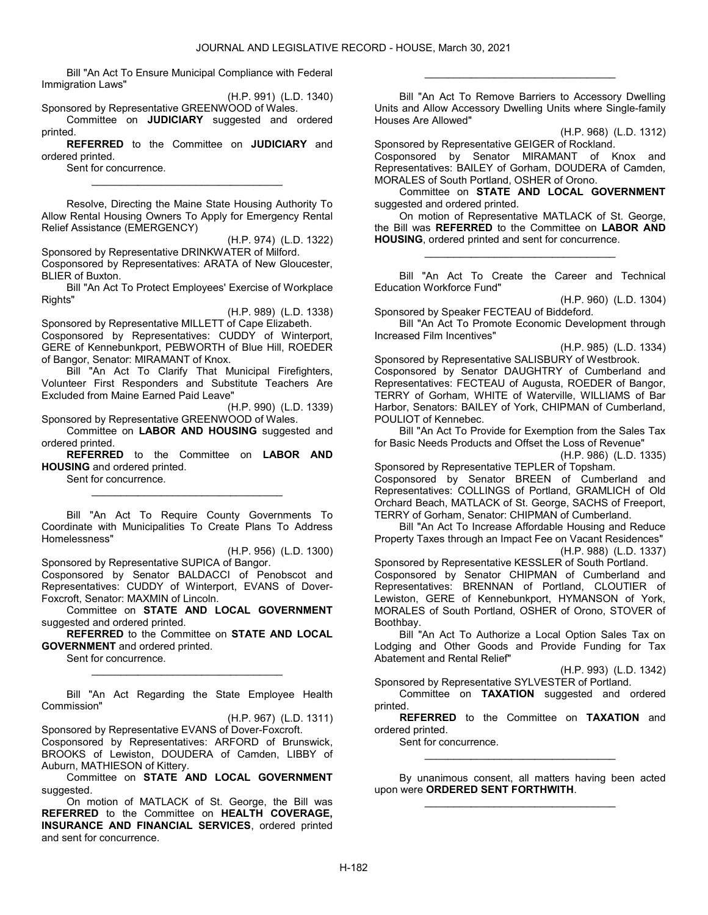Bill "An Act To Ensure Municipal Compliance with Federal Immigration Laws"

(H.P. 991) (L.D. 1340)

Sponsored by Representative GREENWOOD of Wales. Committee on JUDICIARY suggested and ordered printed.

REFERRED to the Committee on JUDICIARY and ordered printed.

\_\_\_\_\_\_\_\_\_\_\_\_\_\_\_\_\_\_\_\_\_\_\_\_\_\_\_\_\_\_\_\_\_

Sent for concurrence.

 Resolve, Directing the Maine State Housing Authority To Allow Rental Housing Owners To Apply for Emergency Rental Relief Assistance (EMERGENCY)

(H.P. 974) (L.D. 1322)

Sponsored by Representative DRINKWATER of Milford.

Cosponsored by Representatives: ARATA of New Gloucester, BLIER of Buxton.

 Bill "An Act To Protect Employees' Exercise of Workplace Rights"

(H.P. 989) (L.D. 1338)

Sponsored by Representative MILLETT of Cape Elizabeth. Cosponsored by Representatives: CUDDY of Winterport, GERE of Kennebunkport, PEBWORTH of Blue Hill, ROEDER of Bangor, Senator: MIRAMANT of Knox.

 Bill "An Act To Clarify That Municipal Firefighters, Volunteer First Responders and Substitute Teachers Are Excluded from Maine Earned Paid Leave"

(H.P. 990) (L.D. 1339) Sponsored by Representative GREENWOOD of Wales.

 Committee on LABOR AND HOUSING suggested and ordered printed.

REFERRED to the Committee on LABOR AND HOUSING and ordered printed.

\_\_\_\_\_\_\_\_\_\_\_\_\_\_\_\_\_\_\_\_\_\_\_\_\_\_\_\_\_\_\_\_\_

Sent for concurrence.

 Bill "An Act To Require County Governments To Coordinate with Municipalities To Create Plans To Address Homelessness"

(H.P. 956) (L.D. 1300)

Sponsored by Representative SUPICA of Bangor. Cosponsored by Senator BALDACCI of Penobscot and Representatives: CUDDY of Winterport, EVANS of Dover-Foxcroft, Senator: MAXMIN of Lincoln.

 Committee on STATE AND LOCAL GOVERNMENT suggested and ordered printed.

REFERRED to the Committee on STATE AND LOCAL GOVERNMENT and ordered printed.

Sent for concurrence.

 Bill "An Act Regarding the State Employee Health Commission"

\_\_\_\_\_\_\_\_\_\_\_\_\_\_\_\_\_\_\_\_\_\_\_\_\_\_\_\_\_\_\_\_\_

(H.P. 967) (L.D. 1311)

Sponsored by Representative EVANS of Dover-Foxcroft. Cosponsored by Representatives: ARFORD of Brunswick, BROOKS of Lewiston, DOUDERA of Camden, LIBBY of Auburn, MATHIESON of Kittery.

 Committee on STATE AND LOCAL GOVERNMENT suggested.

 On motion of MATLACK of St. George, the Bill was REFERRED to the Committee on HEALTH COVERAGE, INSURANCE AND FINANCIAL SERVICES, ordered printed and sent for concurrence.

 Bill "An Act To Remove Barriers to Accessory Dwelling Units and Allow Accessory Dwelling Units where Single-family Houses Are Allowed"

\_\_\_\_\_\_\_\_\_\_\_\_\_\_\_\_\_\_\_\_\_\_\_\_\_\_\_\_\_\_\_\_\_

(H.P. 968) (L.D. 1312)

Sponsored by Representative GEIGER of Rockland. Cosponsored by Senator MIRAMANT of Knox and Representatives: BAILEY of Gorham, DOUDERA of Camden, MORALES of South Portland, OSHER of Orono.

 Committee on STATE AND LOCAL GOVERNMENT suggested and ordered printed.

 On motion of Representative MATLACK of St. George, the Bill was REFERRED to the Committee on LABOR AND HOUSING, ordered printed and sent for concurrence.

\_\_\_\_\_\_\_\_\_\_\_\_\_\_\_\_\_\_\_\_\_\_\_\_\_\_\_\_\_\_\_\_\_

 Bill "An Act To Create the Career and Technical Education Workforce Fund"

(H.P. 960) (L.D. 1304)

Sponsored by Speaker FECTEAU of Biddeford. Bill "An Act To Promote Economic Development through Increased Film Incentives"

(H.P. 985) (L.D. 1334)

Sponsored by Representative SALISBURY of Westbrook. Cosponsored by Senator DAUGHTRY of Cumberland and Representatives: FECTEAU of Augusta, ROEDER of Bangor, TERRY of Gorham, WHITE of Waterville, WILLIAMS of Bar Harbor, Senators: BAILEY of York, CHIPMAN of Cumberland, POULIOT of Kennebec.

 Bill "An Act To Provide for Exemption from the Sales Tax for Basic Needs Products and Offset the Loss of Revenue"

(H.P. 986) (L.D. 1335) Sponsored by Representative TEPLER of Topsham. Cosponsored by Senator BREEN of Cumberland and Representatives: COLLINGS of Portland, GRAMLICH of Old Orchard Beach, MATLACK of St. George, SACHS of Freeport, TERRY of Gorham, Senator: CHIPMAN of Cumberland.

 Bill "An Act To Increase Affordable Housing and Reduce Property Taxes through an Impact Fee on Vacant Residences"

(H.P. 988) (L.D. 1337)

Sponsored by Representative KESSLER of South Portland. Cosponsored by Senator CHIPMAN of Cumberland and Representatives: BRENNAN of Portland, CLOUTIER of Lewiston, GERE of Kennebunkport, HYMANSON of York, MORALES of South Portland, OSHER of Orono, STOVER of Boothbay.

Bill "An Act To Authorize a Local Option Sales Tax on Lodging and Other Goods and Provide Funding for Tax Abatement and Rental Relief"

(H.P. 993) (L.D. 1342)

Sponsored by Representative SYLVESTER of Portland. Committee on TAXATION suggested and ordered printed.

REFERRED to the Committee on TAXATION and ordered printed.

Sent for concurrence.

 By unanimous consent, all matters having been acted upon were ORDERED SENT FORTHWITH. \_\_\_\_\_\_\_\_\_\_\_\_\_\_\_\_\_\_\_\_\_\_\_\_\_\_\_\_\_\_\_\_\_

\_\_\_\_\_\_\_\_\_\_\_\_\_\_\_\_\_\_\_\_\_\_\_\_\_\_\_\_\_\_\_\_\_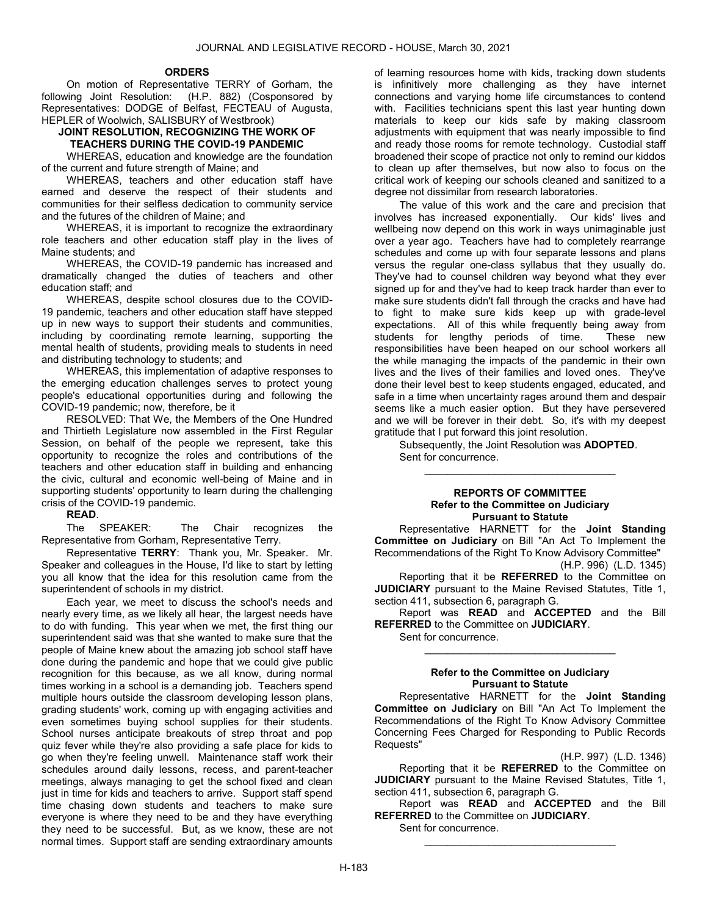#### **ORDERS**

 On motion of Representative TERRY of Gorham, the following Joint Resolution: (H.P. 882) (Cosponsored by Representatives: DODGE of Belfast, FECTEAU of Augusta, HEPLER of Woolwich, SALISBURY of Westbrook)

# JOINT RESOLUTION, RECOGNIZING THE WORK OF TEACHERS DURING THE COVID-19 PANDEMIC

 WHEREAS, education and knowledge are the foundation of the current and future strength of Maine; and

 WHEREAS, teachers and other education staff have earned and deserve the respect of their students and communities for their selfless dedication to community service and the futures of the children of Maine; and

 WHEREAS, it is important to recognize the extraordinary role teachers and other education staff play in the lives of Maine students; and

 WHEREAS, the COVID-19 pandemic has increased and dramatically changed the duties of teachers and other education staff; and

 WHEREAS, despite school closures due to the COVID-19 pandemic, teachers and other education staff have stepped up in new ways to support their students and communities, including by coordinating remote learning, supporting the mental health of students, providing meals to students in need and distributing technology to students; and

 WHEREAS, this implementation of adaptive responses to the emerging education challenges serves to protect young people's educational opportunities during and following the COVID-19 pandemic; now, therefore, be it

 RESOLVED: That We, the Members of the One Hundred and Thirtieth Legislature now assembled in the First Regular Session, on behalf of the people we represent, take this opportunity to recognize the roles and contributions of the teachers and other education staff in building and enhancing the civic, cultural and economic well-being of Maine and in supporting students' opportunity to learn during the challenging crisis of the COVID-19 pandemic.

# READ.

 The SPEAKER: The Chair recognizes the Representative from Gorham, Representative Terry.

Representative TERRY: Thank you, Mr. Speaker. Mr. Speaker and colleagues in the House, I'd like to start by letting you all know that the idea for this resolution came from the superintendent of schools in my district.

Each year, we meet to discuss the school's needs and nearly every time, as we likely all hear, the largest needs have to do with funding. This year when we met, the first thing our superintendent said was that she wanted to make sure that the people of Maine knew about the amazing job school staff have done during the pandemic and hope that we could give public recognition for this because, as we all know, during normal times working in a school is a demanding job. Teachers spend multiple hours outside the classroom developing lesson plans, grading students' work, coming up with engaging activities and even sometimes buying school supplies for their students. School nurses anticipate breakouts of strep throat and pop quiz fever while they're also providing a safe place for kids to go when they're feeling unwell. Maintenance staff work their schedules around daily lessons, recess, and parent-teacher meetings, always managing to get the school fixed and clean just in time for kids and teachers to arrive. Support staff spend time chasing down students and teachers to make sure everyone is where they need to be and they have everything they need to be successful. But, as we know, these are not normal times. Support staff are sending extraordinary amounts of learning resources home with kids, tracking down students is infinitively more challenging as they have internet connections and varying home life circumstances to contend with. Facilities technicians spent this last year hunting down materials to keep our kids safe by making classroom adjustments with equipment that was nearly impossible to find and ready those rooms for remote technology. Custodial staff broadened their scope of practice not only to remind our kiddos to clean up after themselves, but now also to focus on the critical work of keeping our schools cleaned and sanitized to a degree not dissimilar from research laboratories.

The value of this work and the care and precision that involves has increased exponentially. Our kids' lives and wellbeing now depend on this work in ways unimaginable just over a year ago. Teachers have had to completely rearrange schedules and come up with four separate lessons and plans versus the regular one-class syllabus that they usually do. They've had to counsel children way beyond what they ever signed up for and they've had to keep track harder than ever to make sure students didn't fall through the cracks and have had to fight to make sure kids keep up with grade-level expectations. All of this while frequently being away from<br>students for lengthy periods of time. These new students for lengthy periods of time. responsibilities have been heaped on our school workers all the while managing the impacts of the pandemic in their own lives and the lives of their families and loved ones. They've done their level best to keep students engaged, educated, and safe in a time when uncertainty rages around them and despair seems like a much easier option. But they have persevered and we will be forever in their debt. So, it's with my deepest gratitude that I put forward this joint resolution.

 Subsequently, the Joint Resolution was ADOPTED. Sent for concurrence. \_\_\_\_\_\_\_\_\_\_\_\_\_\_\_\_\_\_\_\_\_\_\_\_\_\_\_\_\_\_\_\_\_

#### REPORTS OF COMMITTEE Refer to the Committee on Judiciary Pursuant to Statute

 Representative HARNETT for the Joint Standing Committee on Judiciary on Bill "An Act To Implement the Recommendations of the Right To Know Advisory Committee" (H.P. 996) (L.D. 1345)

Reporting that it be **REFERRED** to the Committee on **JUDICIARY** pursuant to the Maine Revised Statutes, Title 1, section 411, subsection 6, paragraph G.

 Report was READ and ACCEPTED and the Bill REFERRED to the Committee on JUDICIARY.

Sent for concurrence.

#### Refer to the Committee on Judiciary Pursuant to Statute

\_\_\_\_\_\_\_\_\_\_\_\_\_\_\_\_\_\_\_\_\_\_\_\_\_\_\_\_\_\_\_\_\_

 Representative HARNETT for the Joint Standing Committee on Judiciary on Bill "An Act To Implement the Recommendations of the Right To Know Advisory Committee Concerning Fees Charged for Responding to Public Records Requests"

(H.P. 997) (L.D. 1346)

Reporting that it be REFERRED to the Committee on JUDICIARY pursuant to the Maine Revised Statutes, Title 1, section 411, subsection 6, paragraph G.

 Report was READ and ACCEPTED and the Bill REFERRED to the Committee on JUDICIARY.

\_\_\_\_\_\_\_\_\_\_\_\_\_\_\_\_\_\_\_\_\_\_\_\_\_\_\_\_\_\_\_\_\_

Sent for concurrence.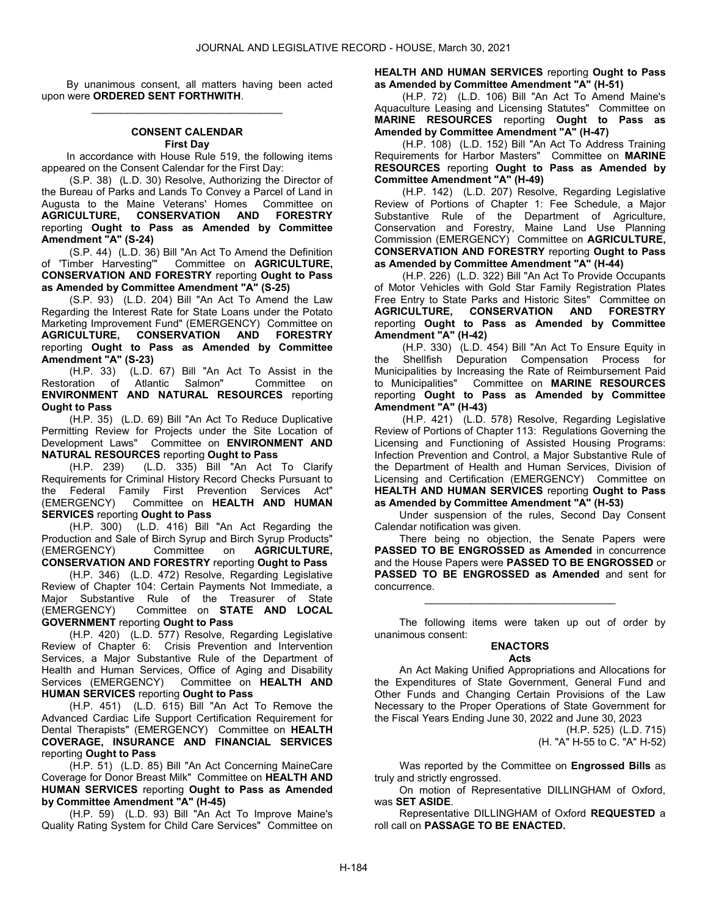By unanimous consent, all matters having been acted upon were ORDERED SENT FORTHWITH. \_\_\_\_\_\_\_\_\_\_\_\_\_\_\_\_\_\_\_\_\_\_\_\_\_\_\_\_\_\_\_\_\_

#### CONSENT CALENDAR First Day

 In accordance with House Rule 519, the following items appeared on the Consent Calendar for the First Day:

 (S.P. 38) (L.D. 30) Resolve, Authorizing the Director of the Bureau of Parks and Lands To Convey a Parcel of Land in Augusta to the Maine Veterans' Homes Committee on<br> **AGRICULTURE, CONSERVATION AND FORESTRY** AGRICULTURE, CONSERVATION reporting Ought to Pass as Amended by Committee Amendment "A" (S-24)

(S.P. 44) (L.D. 36) Bill "An Act To Amend the Definition<br>of 'Timber Harvesting'" Committee on **AGRICULTURE**. Committee on AGRICULTURE, CONSERVATION AND FORESTRY reporting Ought to Pass as Amended by Committee Amendment "A" (S-25)

 (S.P. 93) (L.D. 204) Bill "An Act To Amend the Law Regarding the Interest Rate for State Loans under the Potato Marketing Improvement Fund" (EMERGENCY) Committee on **AGRICULTURE, CONSERVATION AND FORESTRY CONSERVATION** reporting Ought to Pass as Amended by Committee Amendment "A" (S-23)

 (H.P. 33) (L.D. 67) Bill "An Act To Assist in the Restoration of Atlantic Salmon" Committee on ENVIRONMENT AND NATURAL RESOURCES reporting Ought to Pass

 (H.P. 35) (L.D. 69) Bill "An Act To Reduce Duplicative Permitting Review for Projects under the Site Location of Development Laws" Committee on ENVIRONMENT AND NATURAL RESOURCES reporting Ought to Pass

 (H.P. 239) (L.D. 335) Bill "An Act To Clarify Requirements for Criminal History Record Checks Pursuant to the Federal Family First Prevention Services Act" (EMERGENCY) Committee on HEALTH AND HUMAN SERVICES reporting Ought to Pass

 (H.P. 300) (L.D. 416) Bill "An Act Regarding the Production and Sale of Birch Syrup and Birch Syrup Products"<br>(EMERGENCY) Committee on **AGRICULTURE**, (EMERGENCY) Committee on AGRICULTURE, CONSERVATION AND FORESTRY reporting Ought to Pass

 (H.P. 346) (L.D. 472) Resolve, Regarding Legislative Review of Chapter 104: Certain Payments Not Immediate, a Major Substantive Rule of the Treasurer of State (EMERGENCY) Committee on STATE AND LOCAL GOVERNMENT reporting Ought to Pass

 (H.P. 420) (L.D. 577) Resolve, Regarding Legislative Review of Chapter 6: Crisis Prevention and Intervention Services, a Major Substantive Rule of the Department of Health and Human Services, Office of Aging and Disability<br>Services (EMERGENCY) Committee on HEALTH AND Committee on HEALTH AND HUMAN SERVICES reporting Ought to Pass

 (H.P. 451) (L.D. 615) Bill "An Act To Remove the Advanced Cardiac Life Support Certification Requirement for Dental Therapists" (EMERGENCY) Committee on HEALTH COVERAGE, INSURANCE AND FINANCIAL SERVICES reporting Ought to Pass

 (H.P. 51) (L.D. 85) Bill "An Act Concerning MaineCare Coverage for Donor Breast Milk" Committee on HEALTH AND HUMAN SERVICES reporting Ought to Pass as Amended by Committee Amendment "A" (H-45)

 (H.P. 59) (L.D. 93) Bill "An Act To Improve Maine's Quality Rating System for Child Care Services" Committee on HEALTH AND HUMAN SERVICES reporting Ought to Pass as Amended by Committee Amendment "A" (H-51)

 (H.P. 72) (L.D. 106) Bill "An Act To Amend Maine's Aquaculture Leasing and Licensing Statutes" Committee on MARINE RESOURCES reporting Ought to Pass as Amended by Committee Amendment "A" (H-47)

 (H.P. 108) (L.D. 152) Bill "An Act To Address Training Requirements for Harbor Masters" Committee on MARINE RESOURCES reporting Ought to Pass as Amended by Committee Amendment "A" (H-49)

 (H.P. 142) (L.D. 207) Resolve, Regarding Legislative Review of Portions of Chapter 1: Fee Schedule, a Major Substantive Rule of the Department of Agriculture, Conservation and Forestry, Maine Land Use Planning Commission (EMERGENCY) Committee on AGRICULTURE, CONSERVATION AND FORESTRY reporting Ought to Pass as Amended by Committee Amendment "A" (H-44)

 (H.P. 226) (L.D. 322) Bill "An Act To Provide Occupants of Motor Vehicles with Gold Star Family Registration Plates Free Entry to State Parks and Historic Sites" Committee on AGRICULTURE, CONSERVATION AND FORESTRY reporting Ought to Pass as Amended by Committee Amendment "A" (H-42)

 (H.P. 330) (L.D. 454) Bill "An Act To Ensure Equity in the Shellfish Depuration Compensation Process for Municipalities by Increasing the Rate of Reimbursement Paid to Municipalities" Committee on MARINE RESOURCES reporting Ought to Pass as Amended by Committee Amendment "A" (H-43)

 (H.P. 421) (L.D. 578) Resolve, Regarding Legislative Review of Portions of Chapter 113: Regulations Governing the Licensing and Functioning of Assisted Housing Programs: Infection Prevention and Control, a Major Substantive Rule of the Department of Health and Human Services, Division of Licensing and Certification (EMERGENCY) Committee on HEALTH AND HUMAN SERVICES reporting Ought to Pass as Amended by Committee Amendment "A" (H-53)

 Under suspension of the rules, Second Day Consent Calendar notification was given.

 There being no objection, the Senate Papers were PASSED TO BE ENGROSSED as Amended in concurrence and the House Papers were PASSED TO BE ENGROSSED or PASSED TO BE ENGROSSED as Amended and sent for concurrence.

 The following items were taken up out of order by unanimous consent:

\_\_\_\_\_\_\_\_\_\_\_\_\_\_\_\_\_\_\_\_\_\_\_\_\_\_\_\_\_\_\_\_\_

# ENACTORS

#### Acts

 An Act Making Unified Appropriations and Allocations for the Expenditures of State Government, General Fund and Other Funds and Changing Certain Provisions of the Law Necessary to the Proper Operations of State Government for the Fiscal Years Ending June 30, 2022 and June 30, 2023

(H.P. 525) (L.D. 715) (H. "A" H-55 to C. "A" H-52)

Was reported by the Committee on Engrossed Bills as truly and strictly engrossed.

 On motion of Representative DILLINGHAM of Oxford, was SET ASIDE.

 Representative DILLINGHAM of Oxford REQUESTED a roll call on PASSAGE TO BE ENACTED.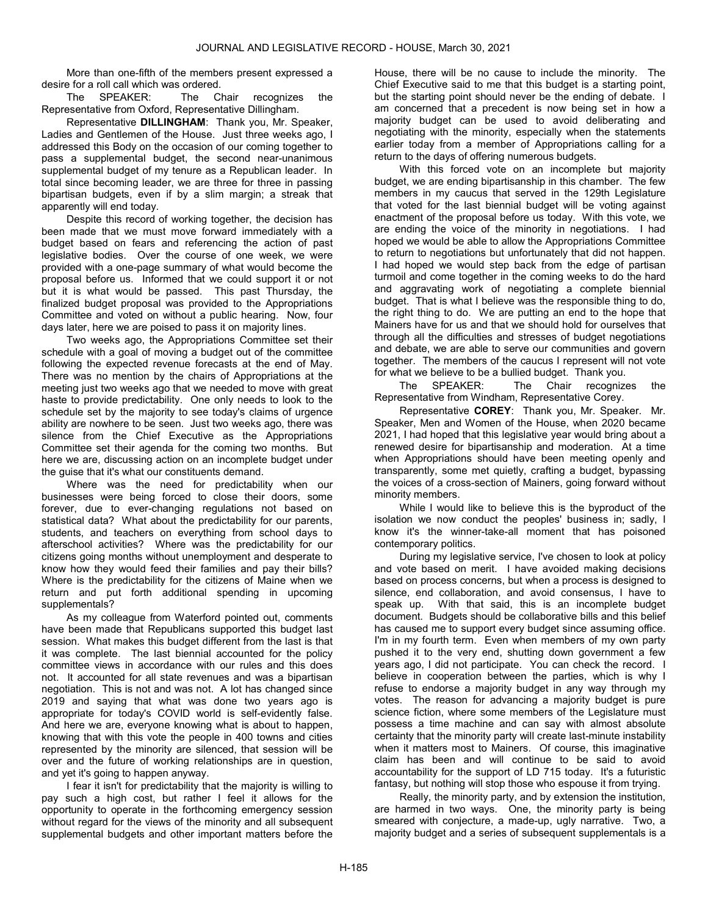More than one-fifth of the members present expressed a desire for a roll call which was ordered.

 The SPEAKER: The Chair recognizes the Representative from Oxford, Representative Dillingham.

Representative DILLINGHAM: Thank you, Mr. Speaker, Ladies and Gentlemen of the House. Just three weeks ago, I addressed this Body on the occasion of our coming together to pass a supplemental budget, the second near-unanimous supplemental budget of my tenure as a Republican leader. In total since becoming leader, we are three for three in passing bipartisan budgets, even if by a slim margin; a streak that apparently will end today.

Despite this record of working together, the decision has been made that we must move forward immediately with a budget based on fears and referencing the action of past legislative bodies. Over the course of one week, we were provided with a one-page summary of what would become the proposal before us. Informed that we could support it or not but it is what would be passed. This past Thursday, the finalized budget proposal was provided to the Appropriations Committee and voted on without a public hearing. Now, four days later, here we are poised to pass it on majority lines.

Two weeks ago, the Appropriations Committee set their schedule with a goal of moving a budget out of the committee following the expected revenue forecasts at the end of May. There was no mention by the chairs of Appropriations at the meeting just two weeks ago that we needed to move with great haste to provide predictability. One only needs to look to the schedule set by the majority to see today's claims of urgence ability are nowhere to be seen. Just two weeks ago, there was silence from the Chief Executive as the Appropriations Committee set their agenda for the coming two months. But here we are, discussing action on an incomplete budget under the guise that it's what our constituents demand.

Where was the need for predictability when our businesses were being forced to close their doors, some forever, due to ever-changing regulations not based on statistical data? What about the predictability for our parents, students, and teachers on everything from school days to afterschool activities? Where was the predictability for our citizens going months without unemployment and desperate to know how they would feed their families and pay their bills? Where is the predictability for the citizens of Maine when we return and put forth additional spending in upcoming supplementals?

As my colleague from Waterford pointed out, comments have been made that Republicans supported this budget last session. What makes this budget different from the last is that it was complete. The last biennial accounted for the policy committee views in accordance with our rules and this does not. It accounted for all state revenues and was a bipartisan negotiation. This is not and was not. A lot has changed since 2019 and saying that what was done two years ago is appropriate for today's COVID world is self-evidently false. And here we are, everyone knowing what is about to happen, knowing that with this vote the people in 400 towns and cities represented by the minority are silenced, that session will be over and the future of working relationships are in question, and yet it's going to happen anyway.

I fear it isn't for predictability that the majority is willing to pay such a high cost, but rather I feel it allows for the opportunity to operate in the forthcoming emergency session without regard for the views of the minority and all subsequent supplemental budgets and other important matters before the

House, there will be no cause to include the minority. The Chief Executive said to me that this budget is a starting point, but the starting point should never be the ending of debate. I am concerned that a precedent is now being set in how a majority budget can be used to avoid deliberating and negotiating with the minority, especially when the statements earlier today from a member of Appropriations calling for a return to the days of offering numerous budgets.

With this forced vote on an incomplete but majority budget, we are ending bipartisanship in this chamber. The few members in my caucus that served in the 129th Legislature that voted for the last biennial budget will be voting against enactment of the proposal before us today. With this vote, we are ending the voice of the minority in negotiations. I had hoped we would be able to allow the Appropriations Committee to return to negotiations but unfortunately that did not happen. I had hoped we would step back from the edge of partisan turmoil and come together in the coming weeks to do the hard and aggravating work of negotiating a complete biennial budget. That is what I believe was the responsible thing to do, the right thing to do. We are putting an end to the hope that Mainers have for us and that we should hold for ourselves that through all the difficulties and stresses of budget negotiations and debate, we are able to serve our communities and govern together. The members of the caucus I represent will not vote for what we believe to be a bullied budget. Thank you.

 The SPEAKER: The Chair recognizes the Representative from Windham, Representative Corey.

Representative COREY: Thank you, Mr. Speaker. Mr. Speaker, Men and Women of the House, when 2020 became 2021, I had hoped that this legislative year would bring about a renewed desire for bipartisanship and moderation. At a time when Appropriations should have been meeting openly and transparently, some met quietly, crafting a budget, bypassing the voices of a cross-section of Mainers, going forward without minority members.

While I would like to believe this is the byproduct of the isolation we now conduct the peoples' business in; sadly, I know it's the winner-take-all moment that has poisoned contemporary politics.

During my legislative service, I've chosen to look at policy and vote based on merit. I have avoided making decisions based on process concerns, but when a process is designed to silence, end collaboration, and avoid consensus, I have to speak up. With that said, this is an incomplete budget document. Budgets should be collaborative bills and this belief has caused me to support every budget since assuming office. I'm in my fourth term. Even when members of my own party pushed it to the very end, shutting down government a few years ago, I did not participate. You can check the record. I believe in cooperation between the parties, which is why I refuse to endorse a majority budget in any way through my votes. The reason for advancing a majority budget is pure science fiction, where some members of the Legislature must possess a time machine and can say with almost absolute certainty that the minority party will create last-minute instability when it matters most to Mainers. Of course, this imaginative claim has been and will continue to be said to avoid accountability for the support of LD 715 today. It's a futuristic fantasy, but nothing will stop those who espouse it from trying.

Really, the minority party, and by extension the institution, are harmed in two ways. One, the minority party is being smeared with conjecture, a made-up, ugly narrative. Two, a majority budget and a series of subsequent supplementals is a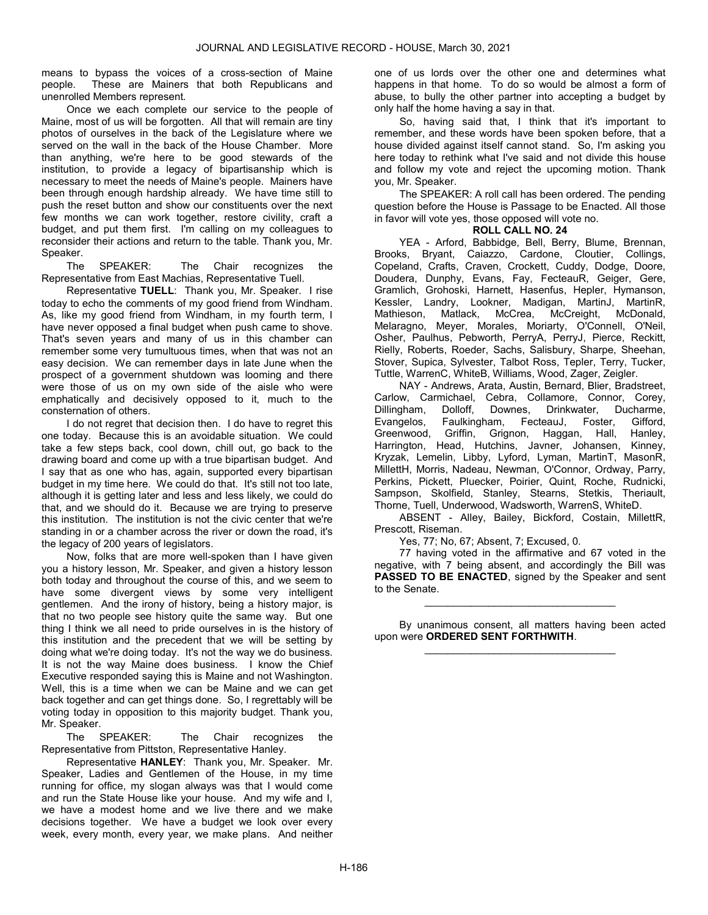means to bypass the voices of a cross-section of Maine people. These are Mainers that both Republicans and unenrolled Members represent.

Once we each complete our service to the people of Maine, most of us will be forgotten. All that will remain are tiny photos of ourselves in the back of the Legislature where we served on the wall in the back of the House Chamber. More than anything, we're here to be good stewards of the institution, to provide a legacy of bipartisanship which is necessary to meet the needs of Maine's people. Mainers have been through enough hardship already. We have time still to push the reset button and show our constituents over the next few months we can work together, restore civility, craft a budget, and put them first. I'm calling on my colleagues to reconsider their actions and return to the table. Thank you, Mr. Speaker.

 The SPEAKER: The Chair recognizes the Representative from East Machias, Representative Tuell.

Representative TUELL: Thank you, Mr. Speaker. I rise today to echo the comments of my good friend from Windham. As, like my good friend from Windham, in my fourth term, I have never opposed a final budget when push came to shove. That's seven years and many of us in this chamber can remember some very tumultuous times, when that was not an easy decision. We can remember days in late June when the prospect of a government shutdown was looming and there were those of us on my own side of the aisle who were emphatically and decisively opposed to it, much to the consternation of others.

I do not regret that decision then. I do have to regret this one today. Because this is an avoidable situation. We could take a few steps back, cool down, chill out, go back to the drawing board and come up with a true bipartisan budget. And I say that as one who has, again, supported every bipartisan budget in my time here. We could do that. It's still not too late, although it is getting later and less and less likely, we could do that, and we should do it. Because we are trying to preserve this institution. The institution is not the civic center that we're standing in or a chamber across the river or down the road, it's the legacy of 200 years of legislators.

Now, folks that are more well-spoken than I have given you a history lesson, Mr. Speaker, and given a history lesson both today and throughout the course of this, and we seem to have some divergent views by some very intelligent gentlemen. And the irony of history, being a history major, is that no two people see history quite the same way. But one thing I think we all need to pride ourselves in is the history of this institution and the precedent that we will be setting by doing what we're doing today. It's not the way we do business. It is not the way Maine does business. I know the Chief Executive responded saying this is Maine and not Washington. Well, this is a time when we can be Maine and we can get back together and can get things done. So, I regrettably will be voting today in opposition to this majority budget. Thank you,

Mr. Speaker.<br>The SPEAKER: The Chair recognizes the Representative from Pittston, Representative Hanley.

Representative HANLEY: Thank you, Mr. Speaker. Mr. Speaker, Ladies and Gentlemen of the House, in my time running for office, my slogan always was that I would come and run the State House like your house. And my wife and I, we have a modest home and we live there and we make decisions together. We have a budget we look over every week, every month, every year, we make plans. And neither

one of us lords over the other one and determines what happens in that home. To do so would be almost a form of abuse, to bully the other partner into accepting a budget by only half the home having a say in that.

So, having said that, I think that it's important to remember, and these words have been spoken before, that a house divided against itself cannot stand. So, I'm asking you here today to rethink what I've said and not divide this house and follow my vote and reject the upcoming motion. Thank you, Mr. Speaker.

 The SPEAKER: A roll call has been ordered. The pending question before the House is Passage to be Enacted. All those in favor will vote yes, those opposed will vote no.

# ROLL CALL NO. 24

 YEA - Arford, Babbidge, Bell, Berry, Blume, Brennan, Brooks, Bryant, Caiazzo, Cardone, Cloutier, Collings, Copeland, Crafts, Craven, Crockett, Cuddy, Dodge, Doore, Doudera, Dunphy, Evans, Fay, FecteauR, Geiger, Gere, Gramlich, Grohoski, Harnett, Hasenfus, Hepler, Hymanson, Kessler, Landry, Lookner, Madigan, MartinJ, MartinR, Mathieson, Matlack, McCrea, McCreight, McDonald, Melaragno, Meyer, Morales, Moriarty, O'Connell, O'Neil, Osher, Paulhus, Pebworth, PerryA, PerryJ, Pierce, Reckitt, Rielly, Roberts, Roeder, Sachs, Salisbury, Sharpe, Sheehan, Stover, Supica, Sylvester, Talbot Ross, Tepler, Terry, Tucker, Tuttle, WarrenC, WhiteB, Williams, Wood, Zager, Zeigler.

 NAY - Andrews, Arata, Austin, Bernard, Blier, Bradstreet, Carlow, Carmichael, Cebra, Collamore, Connor, Corey, Dillingham, Dolloff, Downes, Drinkwater, Ducharme, Evangelos, Faulkingham, FecteauJ, Foster, Gifford, Greenwood, Griffin, Grignon, Haggan, Hall, Hanley, Harrington, Head, Hutchins, Javner, Johansen, Kinney, Kryzak, Lemelin, Libby, Lyford, Lyman, MartinT, MasonR, MillettH, Morris, Nadeau, Newman, O'Connor, Ordway, Parry, Perkins, Pickett, Pluecker, Poirier, Quint, Roche, Rudnicki, Sampson, Skolfield, Stanley, Stearns, Stetkis, Theriault, Thorne, Tuell, Underwood, Wadsworth, WarrenS, WhiteD.

 ABSENT - Alley, Bailey, Bickford, Costain, MillettR, Prescott, Riseman.

Yes, 77; No, 67; Absent, 7; Excused, 0.

 77 having voted in the affirmative and 67 voted in the negative, with 7 being absent, and accordingly the Bill was PASSED TO BE ENACTED, signed by the Speaker and sent to the Senate.

 By unanimous consent, all matters having been acted upon were ORDERED SENT FORTHWITH. \_\_\_\_\_\_\_\_\_\_\_\_\_\_\_\_\_\_\_\_\_\_\_\_\_\_\_\_\_\_\_\_\_

\_\_\_\_\_\_\_\_\_\_\_\_\_\_\_\_\_\_\_\_\_\_\_\_\_\_\_\_\_\_\_\_\_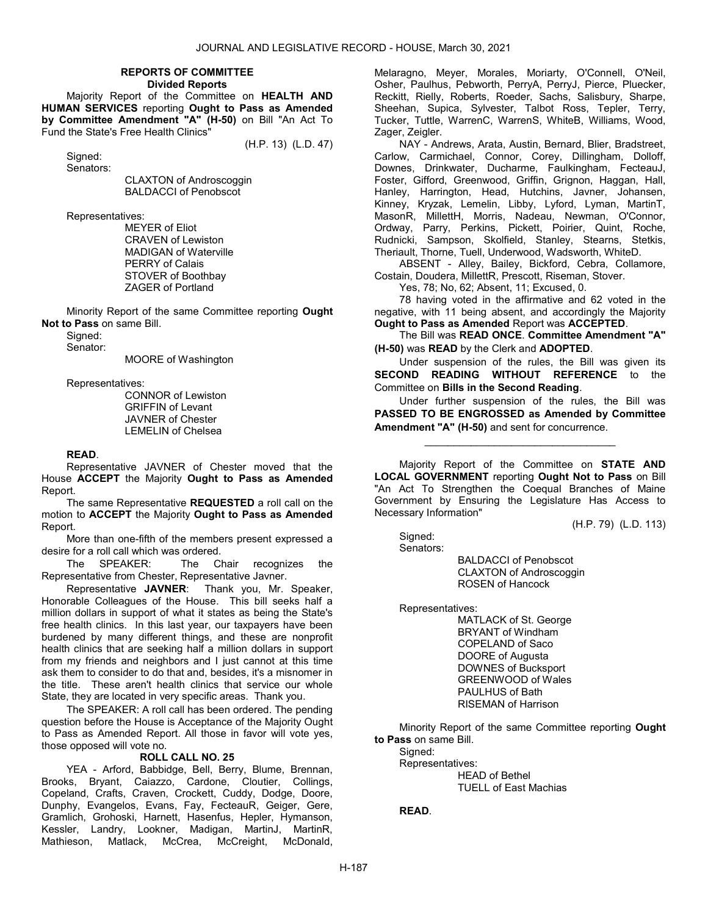#### REPORTS OF COMMITTEE Divided Reports

 Majority Report of the Committee on HEALTH AND HUMAN SERVICES reporting Ought to Pass as Amended by Committee Amendment "A" (H-50) on Bill "An Act To Fund the State's Free Health Clinics"

(H.P. 13) (L.D. 47)

 Signed: Senators:

 CLAXTON of Androscoggin BALDACCI of Penobscot

Representatives:

 MEYER of Eliot CRAVEN of Lewiston MADIGAN of Waterville PERRY of Calais STOVER of Boothbay ZAGER of Portland

 Minority Report of the same Committee reporting Ought Not to Pass on same Bill.

 Signed: Senator:

MOORE of Washington

Representatives:

 CONNOR of Lewiston GRIFFIN of Levant JAVNER of Chester LEMELIN of Chelsea

# READ.

 Representative JAVNER of Chester moved that the House ACCEPT the Majority Ought to Pass as Amended Report.

 The same Representative REQUESTED a roll call on the motion to ACCEPT the Majority Ought to Pass as Amended Report.

 More than one-fifth of the members present expressed a desire for a roll call which was ordered.

 The SPEAKER: The Chair recognizes the Representative from Chester, Representative Javner.

Representative JAVNER: Thank you, Mr. Speaker, Honorable Colleagues of the House. This bill seeks half a million dollars in support of what it states as being the State's free health clinics. In this last year, our taxpayers have been burdened by many different things, and these are nonprofit health clinics that are seeking half a million dollars in support from my friends and neighbors and I just cannot at this time ask them to consider to do that and, besides, it's a misnomer in the title. These aren't health clinics that service our whole State, they are located in very specific areas. Thank you.

 The SPEAKER: A roll call has been ordered. The pending question before the House is Acceptance of the Majority Ought to Pass as Amended Report. All those in favor will vote yes, those opposed will vote no.

# ROLL CALL NO. 25

 YEA - Arford, Babbidge, Bell, Berry, Blume, Brennan, Brooks, Bryant, Caiazzo, Cardone, Cloutier, Collings, Copeland, Crafts, Craven, Crockett, Cuddy, Dodge, Doore, Dunphy, Evangelos, Evans, Fay, FecteauR, Geiger, Gere, Gramlich, Grohoski, Harnett, Hasenfus, Hepler, Hymanson, Kessler, Landry, Lookner, Madigan, MartinJ, MartinR, Mathieson, Matlack, McCrea, McCreight, McDonald,

Melaragno, Meyer, Morales, Moriarty, O'Connell, O'Neil, Osher, Paulhus, Pebworth, PerryA, PerryJ, Pierce, Pluecker, Reckitt, Rielly, Roberts, Roeder, Sachs, Salisbury, Sharpe, Sheehan, Supica, Sylvester, Talbot Ross, Tepler, Terry, Tucker, Tuttle, WarrenC, WarrenS, WhiteB, Williams, Wood, Zager, Zeigler.

 NAY - Andrews, Arata, Austin, Bernard, Blier, Bradstreet, Carlow, Carmichael, Connor, Corey, Dillingham, Dolloff, Downes, Drinkwater, Ducharme, Faulkingham, FecteauJ, Foster, Gifford, Greenwood, Griffin, Grignon, Haggan, Hall, Hanley, Harrington, Head, Hutchins, Javner, Johansen, Kinney, Kryzak, Lemelin, Libby, Lyford, Lyman, MartinT, MasonR, MillettH, Morris, Nadeau, Newman, O'Connor, Ordway, Parry, Perkins, Pickett, Poirier, Quint, Roche, Rudnicki, Sampson, Skolfield, Stanley, Stearns, Stetkis, Theriault, Thorne, Tuell, Underwood, Wadsworth, WhiteD.

 ABSENT - Alley, Bailey, Bickford, Cebra, Collamore, Costain, Doudera, MillettR, Prescott, Riseman, Stover.

Yes, 78; No, 62; Absent, 11; Excused, 0.

 78 having voted in the affirmative and 62 voted in the negative, with 11 being absent, and accordingly the Majority Ought to Pass as Amended Report was ACCEPTED.

 The Bill was READ ONCE. Committee Amendment "A" (H-50) was READ by the Clerk and ADOPTED.

 Under suspension of the rules, the Bill was given its SECOND READING WITHOUT REFERENCE to the Committee on Bills in the Second Reading.

 Under further suspension of the rules, the Bill was PASSED TO BE ENGROSSED as Amended by Committee Amendment "A" (H-50) and sent for concurrence.

\_\_\_\_\_\_\_\_\_\_\_\_\_\_\_\_\_\_\_\_\_\_\_\_\_\_\_\_\_\_\_\_\_

 Majority Report of the Committee on STATE AND LOCAL GOVERNMENT reporting Ought Not to Pass on Bill "An Act To Strengthen the Coequal Branches of Maine Government by Ensuring the Legislature Has Access to Necessary Information"

(H.P. 79) (L.D. 113)

Signed: Senators:

 BALDACCI of Penobscot CLAXTON of Androscoggin ROSEN of Hancock

Representatives:

 MATLACK of St. George BRYANT of Windham COPELAND of Saco DOORE of Augusta DOWNES of Bucksport GREENWOOD of Wales PAULHUS of Bath RISEMAN of Harrison

 Minority Report of the same Committee reporting Ought to Pass on same Bill.

Sianed: Representatives:

 HEAD of Bethel TUELL of East Machias

READ.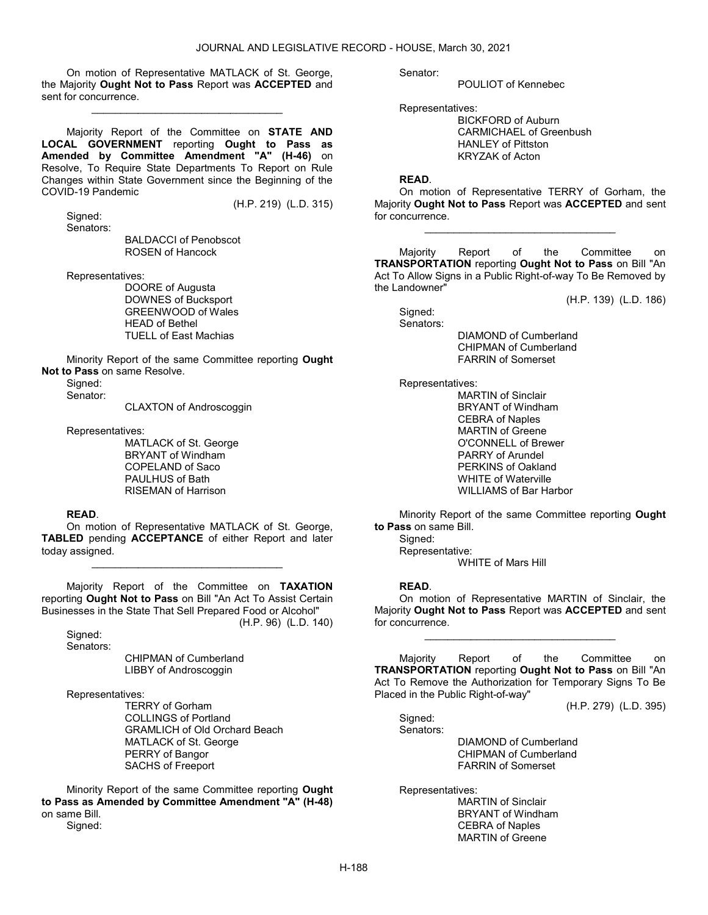On motion of Representative MATLACK of St. George, the Majority Ought Not to Pass Report was ACCEPTED and sent for concurrence.

\_\_\_\_\_\_\_\_\_\_\_\_\_\_\_\_\_\_\_\_\_\_\_\_\_\_\_\_\_\_\_\_\_

 Majority Report of the Committee on STATE AND LOCAL GOVERNMENT reporting Ought to Pass as Amended by Committee Amendment "A" (H-46) on Resolve, To Require State Departments To Report on Rule Changes within State Government since the Beginning of the COVID-19 Pandemic

 Signed: Senators:

BALDACCI of Penobscot

(H.P. 219) (L.D. 315)

ROSEN of Hancock

Representatives:

 DOORE of Augusta DOWNES of Bucksport GREENWOOD of Wales HEAD of Bethel TUELL of East Machias

 Minority Report of the same Committee reporting Ought Not to Pass on same Resolve.

Signed:

Senator:

CLAXTON of Androscoggin

Representatives:

 MATLACK of St. George BRYANT of Windham COPELAND of Saco PAULHUS of Bath RISEMAN of Harrison

#### READ.

 On motion of Representative MATLACK of St. George, TABLED pending ACCEPTANCE of either Report and later today assigned.

\_\_\_\_\_\_\_\_\_\_\_\_\_\_\_\_\_\_\_\_\_\_\_\_\_\_\_\_\_\_\_\_\_

 Majority Report of the Committee on TAXATION reporting Ought Not to Pass on Bill "An Act To Assist Certain Businesses in the State That Sell Prepared Food or Alcohol" (H.P. 96) (L.D. 140)

 Signed: Senators:

 CHIPMAN of Cumberland LIBBY of Androscoggin

Representatives:

 TERRY of Gorham COLLINGS of Portland GRAMLICH of Old Orchard Beach MATLACK of St. George PERRY of Bangor SACHS of Freeport

 Minority Report of the same Committee reporting Ought to Pass as Amended by Committee Amendment "A" (H-48) on same Bill. Signed:

Senator:

POULIOT of Kennebec

Representatives:

 BICKFORD of Auburn CARMICHAEL of Greenbush HANLEY of Pittston KRYZAK of Acton

#### READ.

 On motion of Representative TERRY of Gorham, the Majority Ought Not to Pass Report was ACCEPTED and sent for concurrence.

\_\_\_\_\_\_\_\_\_\_\_\_\_\_\_\_\_\_\_\_\_\_\_\_\_\_\_\_\_\_\_\_\_

 Majority Report of the Committee on TRANSPORTATION reporting Ought Not to Pass on Bill "An Act To Allow Signs in a Public Right-of-way To Be Removed by the Landowner"

(H.P. 139) (L.D. 186)

Signed: Senators:

 DIAMOND of Cumberland CHIPMAN of Cumberland FARRIN of Somerset

Representatives:

 MARTIN of Sinclair BRYANT of Windham CEBRA of Naples MARTIN of Greene O'CONNELL of Brewer PARRY of Arundel PERKINS of Oakland WHITE of Waterville WILLIAMS of Bar Harbor

 Minority Report of the same Committee reporting Ought to Pass on same Bill.

Signed:

Representative:

WHITE of Mars Hill

# READ.

 On motion of Representative MARTIN of Sinclair, the Majority Ought Not to Pass Report was ACCEPTED and sent for concurrence.

\_\_\_\_\_\_\_\_\_\_\_\_\_\_\_\_\_\_\_\_\_\_\_\_\_\_\_\_\_\_\_\_\_

 Majority Report of the Committee on TRANSPORTATION reporting Ought Not to Pass on Bill "An Act To Remove the Authorization for Temporary Signs To Be Placed in the Public Right-of-way"

(H.P. 279) (L.D. 395)

 Signed: Senators:

> DIAMOND of Cumberland CHIPMAN of Cumberland FARRIN of Somerset

Representatives:

 MARTIN of Sinclair BRYANT of Windham CEBRA of Naples MARTIN of Greene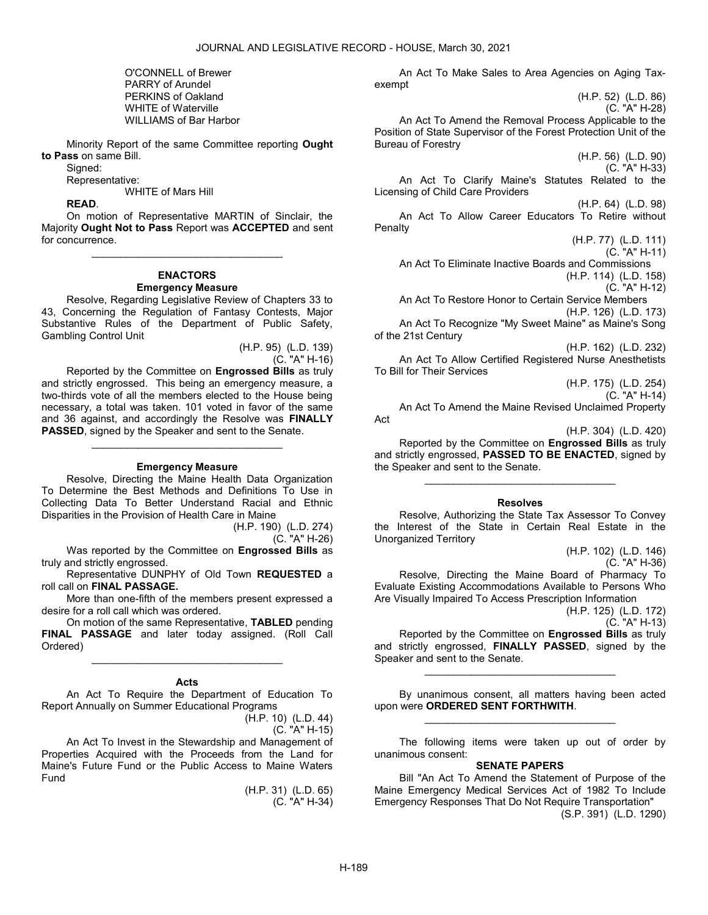O'CONNELL of Brewer PARRY of Arundel PERKINS of Oakland WHITE of Waterville WILLIAMS of Bar Harbor

 Minority Report of the same Committee reporting Ought to Pass on same Bill.

Signed:

Representative:

WHITE of Mars Hill

READ.

 On motion of Representative MARTIN of Sinclair, the Majority Ought Not to Pass Report was ACCEPTED and sent for concurrence.

\_\_\_\_\_\_\_\_\_\_\_\_\_\_\_\_\_\_\_\_\_\_\_\_\_\_\_\_\_\_\_\_\_

# ENACTORS Emergency Measure

 Resolve, Regarding Legislative Review of Chapters 33 to 43, Concerning the Regulation of Fantasy Contests, Major Substantive Rules of the Department of Public Safety, Gambling Control Unit

> (H.P. 95) (L.D. 139) (C. "A" H-16)

 Reported by the Committee on Engrossed Bills as truly and strictly engrossed. This being an emergency measure, a two-thirds vote of all the members elected to the House being necessary, a total was taken. 101 voted in favor of the same and 36 against, and accordingly the Resolve was FINALLY PASSED, signed by the Speaker and sent to the Senate.

#### Emergency Measure

\_\_\_\_\_\_\_\_\_\_\_\_\_\_\_\_\_\_\_\_\_\_\_\_\_\_\_\_\_\_\_\_\_

 Resolve, Directing the Maine Health Data Organization To Determine the Best Methods and Definitions To Use in Collecting Data To Better Understand Racial and Ethnic Disparities in the Provision of Health Care in Maine

(H.P. 190) (L.D. 274)

(C. "A" H-26)

Was reported by the Committee on Engrossed Bills as truly and strictly engrossed.

 Representative DUNPHY of Old Town REQUESTED a roll call on FINAL PASSAGE.

 More than one-fifth of the members present expressed a desire for a roll call which was ordered.

 On motion of the same Representative, TABLED pending FINAL PASSAGE and later today assigned. (Roll Call Ordered)

\_\_\_\_\_\_\_\_\_\_\_\_\_\_\_\_\_\_\_\_\_\_\_\_\_\_\_\_\_\_\_\_\_

#### Acts

 An Act To Require the Department of Education To Report Annually on Summer Educational Programs

(H.P. 10) (L.D. 44) (C. "A" H-15)

 An Act To Invest in the Stewardship and Management of Properties Acquired with the Proceeds from the Land for Maine's Future Fund or the Public Access to Maine Waters Fund

(H.P. 31) (L.D. 65) (C. "A" H-34)

 An Act To Make Sales to Area Agencies on Aging Taxexempt

(H.P. 52) (L.D. 86) (C. "A" H-28)

 An Act To Amend the Removal Process Applicable to the Position of State Supervisor of the Forest Protection Unit of the Bureau of Forestry

(H.P. 56) (L.D. 90) (C. "A" H-33)

 An Act To Clarify Maine's Statutes Related to the Licensing of Child Care Providers

(H.P. 64) (L.D. 98) An Act To Allow Career Educators To Retire without Penalty

> (H.P. 77) (L.D. 111) (C. "A" H-11)

 An Act To Eliminate Inactive Boards and Commissions (H.P. 114) (L.D. 158)

(C. "A" H-12)

 An Act To Restore Honor to Certain Service Members (H.P. 126) (L.D. 173)

 An Act To Recognize "My Sweet Maine" as Maine's Song of the 21st Century

(H.P. 162) (L.D. 232) An Act To Allow Certified Registered Nurse Anesthetists To Bill for Their Services

(H.P. 175) (L.D. 254)

(C. "A" H-14)

 An Act To Amend the Maine Revised Unclaimed Property Act

(H.P. 304) (L.D. 420)

 Reported by the Committee on Engrossed Bills as truly and strictly engrossed, PASSED TO BE ENACTED, signed by the Speaker and sent to the Senate.

\_\_\_\_\_\_\_\_\_\_\_\_\_\_\_\_\_\_\_\_\_\_\_\_\_\_\_\_\_\_\_\_\_

# Resolves

 Resolve, Authorizing the State Tax Assessor To Convey the Interest of the State in Certain Real Estate in the Unorganized Territory

> (H.P. 102) (L.D. 146) (C. "A" H-36)

 Resolve, Directing the Maine Board of Pharmacy To Evaluate Existing Accommodations Available to Persons Who Are Visually Impaired To Access Prescription Information

> (H.P. 125) (L.D. 172) (C. "A" H-13)

 Reported by the Committee on Engrossed Bills as truly and strictly engrossed, FINALLY PASSED, signed by the Speaker and sent to the Senate.

\_\_\_\_\_\_\_\_\_\_\_\_\_\_\_\_\_\_\_\_\_\_\_\_\_\_\_\_\_\_\_\_\_

 By unanimous consent, all matters having been acted upon were ORDERED SENT FORTHWITH. \_\_\_\_\_\_\_\_\_\_\_\_\_\_\_\_\_\_\_\_\_\_\_\_\_\_\_\_\_\_\_\_\_

 The following items were taken up out of order by unanimous consent:

#### SENATE PAPERS

 Bill "An Act To Amend the Statement of Purpose of the Maine Emergency Medical Services Act of 1982 To Include Emergency Responses That Do Not Require Transportation"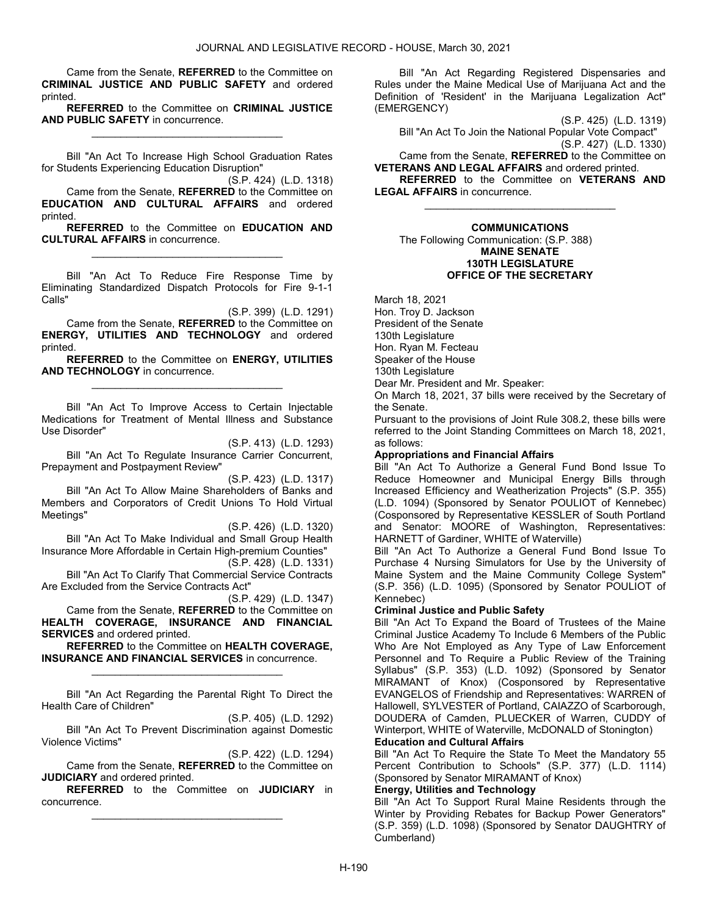Came from the Senate, REFERRED to the Committee on CRIMINAL JUSTICE AND PUBLIC SAFETY and ordered printed.

REFERRED to the Committee on CRIMINAL JUSTICE AND PUBLIC SAFETY in concurrence. \_\_\_\_\_\_\_\_\_\_\_\_\_\_\_\_\_\_\_\_\_\_\_\_\_\_\_\_\_\_\_\_\_

 Bill "An Act To Increase High School Graduation Rates for Students Experiencing Education Disruption"

(S.P. 424) (L.D. 1318) Came from the Senate, REFERRED to the Committee on EDUCATION AND CULTURAL AFFAIRS and ordered printed.

REFERRED to the Committee on EDUCATION AND CULTURAL AFFAIRS in concurrence. \_\_\_\_\_\_\_\_\_\_\_\_\_\_\_\_\_\_\_\_\_\_\_\_\_\_\_\_\_\_\_\_\_

 Bill "An Act To Reduce Fire Response Time by Eliminating Standardized Dispatch Protocols for Fire 9-1-1 Calls"

(S.P. 399) (L.D. 1291) Came from the Senate, REFERRED to the Committee on ENERGY, UTILITIES AND TECHNOLOGY and ordered printed.

REFERRED to the Committee on ENERGY, UTILITIES AND TECHNOLOGY in concurrence. \_\_\_\_\_\_\_\_\_\_\_\_\_\_\_\_\_\_\_\_\_\_\_\_\_\_\_\_\_\_\_\_\_

 Bill "An Act To Improve Access to Certain Injectable Medications for Treatment of Mental Illness and Substance Use Disorder"

(S.P. 413) (L.D. 1293)

 Bill "An Act To Regulate Insurance Carrier Concurrent, Prepayment and Postpayment Review"

(S.P. 423) (L.D. 1317) Bill "An Act To Allow Maine Shareholders of Banks and Members and Corporators of Credit Unions To Hold Virtual Meetings"

(S.P. 426) (L.D. 1320)

 Bill "An Act To Make Individual and Small Group Health Insurance More Affordable in Certain High-premium Counties" (S.P. 428) (L.D. 1331)

 Bill "An Act To Clarify That Commercial Service Contracts Are Excluded from the Service Contracts Act"

(S.P. 429) (L.D. 1347) Came from the Senate, REFERRED to the Committee on HEALTH COVERAGE, INSURANCE AND FINANCIAL SERVICES and ordered printed.

REFERRED to the Committee on HEALTH COVERAGE, INSURANCE AND FINANCIAL SERVICES in concurrence. \_\_\_\_\_\_\_\_\_\_\_\_\_\_\_\_\_\_\_\_\_\_\_\_\_\_\_\_\_\_\_\_\_

 Bill "An Act Regarding the Parental Right To Direct the Health Care of Children"

(S.P. 405) (L.D. 1292) Bill "An Act To Prevent Discrimination against Domestic Violence Victims"

(S.P. 422) (L.D. 1294)

 Came from the Senate, REFERRED to the Committee on JUDICIARY and ordered printed.

REFERRED to the Committee on JUDICIARY in concurrence. \_\_\_\_\_\_\_\_\_\_\_\_\_\_\_\_\_\_\_\_\_\_\_\_\_\_\_\_\_\_\_\_\_

 Bill "An Act Regarding Registered Dispensaries and Rules under the Maine Medical Use of Marijuana Act and the Definition of 'Resident' in the Marijuana Legalization Act" (EMERGENCY)

(S.P. 425) (L.D. 1319)

 Bill "An Act To Join the National Popular Vote Compact" (S.P. 427) (L.D. 1330)

 Came from the Senate, REFERRED to the Committee on VETERANS AND LEGAL AFFAIRS and ordered printed.

REFERRED to the Committee on VETERANS AND LEGAL AFFAIRS in concurrence. \_\_\_\_\_\_\_\_\_\_\_\_\_\_\_\_\_\_\_\_\_\_\_\_\_\_\_\_\_\_\_\_\_

#### COMMUNICATIONS The Following Communication: (S.P. 388) MAINE SENATE 130TH LEGISLATURE

OFFICE OF THE SECRETARY

March 18, 2021 Hon. Troy D. Jackson President of the Senate 130th Legislature Hon. Ryan M. Fecteau Speaker of the House 130th Legislature Dear Mr. President and Mr. Speaker:

On March 18, 2021, 37 bills were received by the Secretary of the Senate.

Pursuant to the provisions of Joint Rule 308.2, these bills were referred to the Joint Standing Committees on March 18, 2021, as follows:

# Appropriations and Financial Affairs

Bill "An Act To Authorize a General Fund Bond Issue To Reduce Homeowner and Municipal Energy Bills through Increased Efficiency and Weatherization Projects" (S.P. 355) (L.D. 1094) (Sponsored by Senator POULIOT of Kennebec) (Cosponsored by Representative KESSLER of South Portland and Senator: MOORE of Washington, Representatives: HARNETT of Gardiner, WHITE of Waterville)

Bill "An Act To Authorize a General Fund Bond Issue To Purchase 4 Nursing Simulators for Use by the University of Maine System and the Maine Community College System" (S.P. 356) (L.D. 1095) (Sponsored by Senator POULIOT of Kennebec)

# Criminal Justice and Public Safety

Bill "An Act To Expand the Board of Trustees of the Maine Criminal Justice Academy To Include 6 Members of the Public Who Are Not Employed as Any Type of Law Enforcement Personnel and To Require a Public Review of the Training Syllabus" (S.P. 353) (L.D. 1092) (Sponsored by Senator MIRAMANT of Knox) (Cosponsored by Representative EVANGELOS of Friendship and Representatives: WARREN of Hallowell, SYLVESTER of Portland, CAIAZZO of Scarborough, DOUDERA of Camden, PLUECKER of Warren, CUDDY of Winterport, WHITE of Waterville, McDONALD of Stonington) Education and Cultural Affairs

Bill "An Act To Require the State To Meet the Mandatory 55 Percent Contribution to Schools" (S.P. 377) (L.D. 1114) (Sponsored by Senator MIRAMANT of Knox)

# Energy, Utilities and Technology

Bill "An Act To Support Rural Maine Residents through the Winter by Providing Rebates for Backup Power Generators" (S.P. 359) (L.D. 1098) (Sponsored by Senator DAUGHTRY of Cumberland)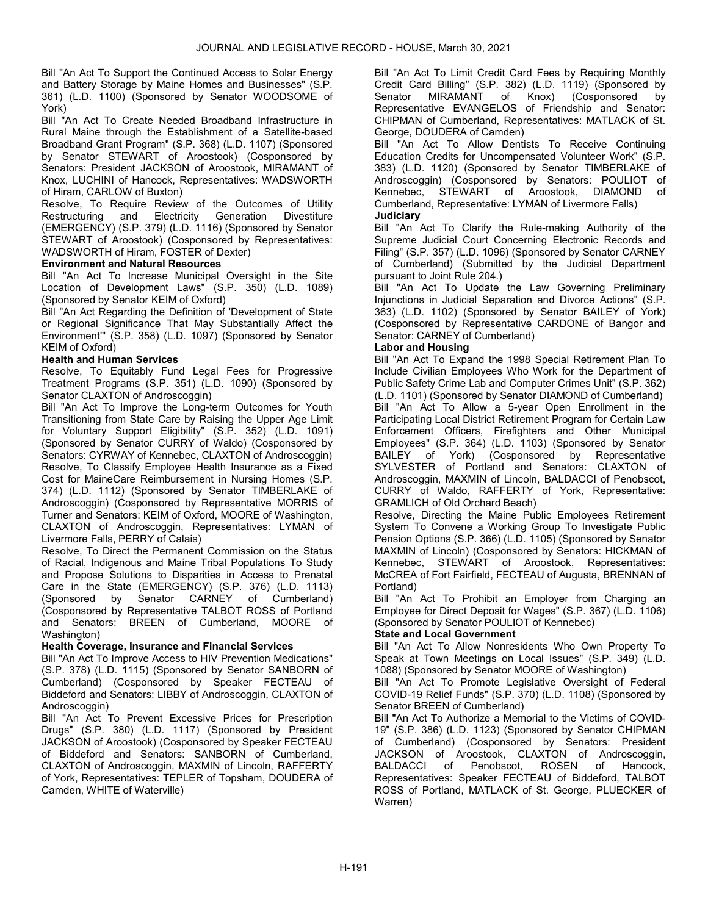Bill "An Act To Support the Continued Access to Solar Energy and Battery Storage by Maine Homes and Businesses" (S.P. 361) (L.D. 1100) (Sponsored by Senator WOODSOME of York)

Bill "An Act To Create Needed Broadband Infrastructure in Rural Maine through the Establishment of a Satellite-based Broadband Grant Program" (S.P. 368) (L.D. 1107) (Sponsored by Senator STEWART of Aroostook) (Cosponsored by Senators: President JACKSON of Aroostook, MIRAMANT of Knox, LUCHINI of Hancock, Representatives: WADSWORTH of Hiram, CARLOW of Buxton)

Resolve, To Require Review of the Outcomes of Utility Restructuring and Electricity Generation Divestiture (EMERGENCY) (S.P. 379) (L.D. 1116) (Sponsored by Senator STEWART of Aroostook) (Cosponsored by Representatives: WADSWORTH of Hiram, FOSTER of Dexter)

# Environment and Natural Resources

Bill "An Act To Increase Municipal Oversight in the Site Location of Development Laws" (S.P. 350) (L.D. 1089) (Sponsored by Senator KEIM of Oxford)

Bill "An Act Regarding the Definition of 'Development of State or Regional Significance That May Substantially Affect the Environment'" (S.P. 358) (L.D. 1097) (Sponsored by Senator KEIM of Oxford)

# Health and Human Services

Resolve, To Equitably Fund Legal Fees for Progressive Treatment Programs (S.P. 351) (L.D. 1090) (Sponsored by Senator CLAXTON of Androscoggin)

Bill "An Act To Improve the Long-term Outcomes for Youth Transitioning from State Care by Raising the Upper Age Limit for Voluntary Support Eligibility" (S.P. 352) (L.D. 1091) (Sponsored by Senator CURRY of Waldo) (Cosponsored by Senators: CYRWAY of Kennebec, CLAXTON of Androscoggin) Resolve, To Classify Employee Health Insurance as a Fixed Cost for MaineCare Reimbursement in Nursing Homes (S.P. 374) (L.D. 1112) (Sponsored by Senator TIMBERLAKE of Androscoggin) (Cosponsored by Representative MORRIS of Turner and Senators: KEIM of Oxford, MOORE of Washington, CLAXTON of Androscoggin, Representatives: LYMAN of Livermore Falls, PERRY of Calais)

Resolve, To Direct the Permanent Commission on the Status of Racial, Indigenous and Maine Tribal Populations To Study and Propose Solutions to Disparities in Access to Prenatal Care in the State (EMERGENCY) (S.P. 376) (L.D. 1113)<br>(Sponsored by Senator CARNEY of Cumberland) by Senator CARNEY of Cumberland) (Cosponsored by Representative TALBOT ROSS of Portland and Senators: BREEN of Cumberland, MOORE of Washington)

# Health Coverage, Insurance and Financial Services

Bill "An Act To Improve Access to HIV Prevention Medications" (S.P. 378) (L.D. 1115) (Sponsored by Senator SANBORN of Cumberland) (Cosponsored by Speaker FECTEAU of Biddeford and Senators: LIBBY of Androscoggin, CLAXTON of Androscoggin)

Bill "An Act To Prevent Excessive Prices for Prescription Drugs" (S.P. 380) (L.D. 1117) (Sponsored by President JACKSON of Aroostook) (Cosponsored by Speaker FECTEAU of Biddeford and Senators: SANBORN of Cumberland, CLAXTON of Androscoggin, MAXMIN of Lincoln, RAFFERTY of York, Representatives: TEPLER of Topsham, DOUDERA of Camden, WHITE of Waterville)

Bill "An Act To Limit Credit Card Fees by Requiring Monthly Credit Card Billing" (S.P. 382) (L.D. 1119) (Sponsored by Senator MIRAMANT of Knox) (Cosponsored by Representative EVANGELOS of Friendship and Senator: CHIPMAN of Cumberland, Representatives: MATLACK of St. George, DOUDERA of Camden)

Bill "An Act To Allow Dentists To Receive Continuing Education Credits for Uncompensated Volunteer Work" (S.P. 383) (L.D. 1120) (Sponsored by Senator TIMBERLAKE of Androscoggin) (Cosponsored by Senators: POULIOT of Kennebec, STEWART of Aroostook, DIAMOND of Cumberland, Representative: LYMAN of Livermore Falls) **Judiciary** 

Bill "An Act To Clarify the Rule-making Authority of the Supreme Judicial Court Concerning Electronic Records and Filing" (S.P. 357) (L.D. 1096) (Sponsored by Senator CARNEY of Cumberland) (Submitted by the Judicial Department pursuant to Joint Rule 204.)

Bill "An Act To Update the Law Governing Preliminary Injunctions in Judicial Separation and Divorce Actions" (S.P. 363) (L.D. 1102) (Sponsored by Senator BAILEY of York) (Cosponsored by Representative CARDONE of Bangor and Senator: CARNEY of Cumberland)

# Labor and Housing

Bill "An Act To Expand the 1998 Special Retirement Plan To Include Civilian Employees Who Work for the Department of Public Safety Crime Lab and Computer Crimes Unit" (S.P. 362) (L.D. 1101) (Sponsored by Senator DIAMOND of Cumberland) Bill "An Act To Allow a 5-year Open Enrollment in the Participating Local District Retirement Program for Certain Law Enforcement Officers, Firefighters and Other Municipal Employees" (S.P. 364) (L.D. 1103) (Sponsored by Senator BAILEY of York) (Cosponsored by Representative SYLVESTER of Portland and Senators: CLAXTON of Androscoggin, MAXMIN of Lincoln, BALDACCI of Penobscot, CURRY of Waldo, RAFFERTY of York, Representative: GRAMLICH of Old Orchard Beach)

Resolve, Directing the Maine Public Employees Retirement System To Convene a Working Group To Investigate Public Pension Options (S.P. 366) (L.D. 1105) (Sponsored by Senator MAXMIN of Lincoln) (Cosponsored by Senators: HICKMAN of Kennebec, STEWART of Aroostook, Representatives: McCREA of Fort Fairfield, FECTEAU of Augusta, BRENNAN of Portland)

Bill "An Act To Prohibit an Employer from Charging an Employee for Direct Deposit for Wages" (S.P. 367) (L.D. 1106) (Sponsored by Senator POULIOT of Kennebec)

# State and Local Government

Bill "An Act To Allow Nonresidents Who Own Property To Speak at Town Meetings on Local Issues" (S.P. 349) (L.D. 1088) (Sponsored by Senator MOORE of Washington)

Bill "An Act To Promote Legislative Oversight of Federal COVID-19 Relief Funds" (S.P. 370) (L.D. 1108) (Sponsored by Senator BREEN of Cumberland)

Bill "An Act To Authorize a Memorial to the Victims of COVID-19" (S.P. 386) (L.D. 1123) (Sponsored by Senator CHIPMAN of Cumberland) (Cosponsored by Senators: President JACKSON of Aroostook, CLAXTON of Androscoggin, BALDACCI of Penobscot, ROSEN of Hancock, Representatives: Speaker FECTEAU of Biddeford, TALBOT ROSS of Portland, MATLACK of St. George, PLUECKER of Warren)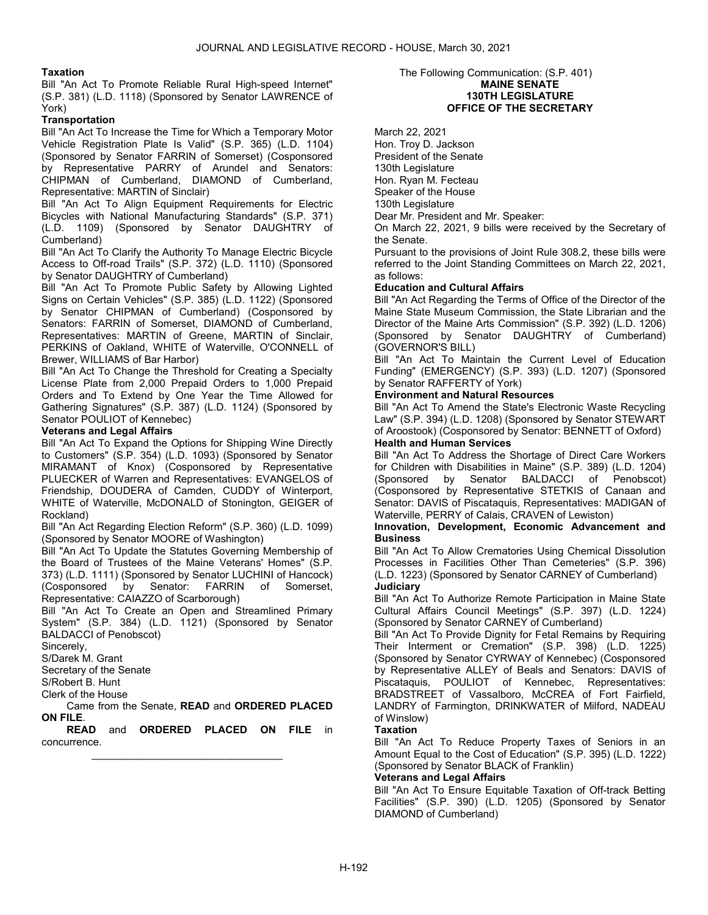# Taxation

Bill "An Act To Promote Reliable Rural High-speed Internet" (S.P. 381) (L.D. 1118) (Sponsored by Senator LAWRENCE of York)

# **Transportation**

Bill "An Act To Increase the Time for Which a Temporary Motor Vehicle Registration Plate Is Valid" (S.P. 365) (L.D. 1104) (Sponsored by Senator FARRIN of Somerset) (Cosponsored by Representative PARRY of Arundel and Senators: CHIPMAN of Cumberland, DIAMOND of Cumberland, Representative: MARTIN of Sinclair)

Bill "An Act To Align Equipment Requirements for Electric Bicycles with National Manufacturing Standards" (S.P. 371) (L.D. 1109) (Sponsored by Senator DAUGHTRY of Cumberland)

Bill "An Act To Clarify the Authority To Manage Electric Bicycle Access to Off-road Trails" (S.P. 372) (L.D. 1110) (Sponsored by Senator DAUGHTRY of Cumberland)

Bill "An Act To Promote Public Safety by Allowing Lighted Signs on Certain Vehicles" (S.P. 385) (L.D. 1122) (Sponsored by Senator CHIPMAN of Cumberland) (Cosponsored by Senators: FARRIN of Somerset, DIAMOND of Cumberland, Representatives: MARTIN of Greene, MARTIN of Sinclair, PERKINS of Oakland, WHITE of Waterville, O'CONNELL of Brewer, WILLIAMS of Bar Harbor)

Bill "An Act To Change the Threshold for Creating a Specialty License Plate from 2,000 Prepaid Orders to 1,000 Prepaid Orders and To Extend by One Year the Time Allowed for Gathering Signatures" (S.P. 387) (L.D. 1124) (Sponsored by Senator POULIOT of Kennebec)

# Veterans and Legal Affairs

Bill "An Act To Expand the Options for Shipping Wine Directly to Customers" (S.P. 354) (L.D. 1093) (Sponsored by Senator MIRAMANT of Knox) (Cosponsored by Representative PLUECKER of Warren and Representatives: EVANGELOS of Friendship, DOUDERA of Camden, CUDDY of Winterport, WHITE of Waterville, McDONALD of Stonington, GEIGER of Rockland)

Bill "An Act Regarding Election Reform" (S.P. 360) (L.D. 1099) (Sponsored by Senator MOORE of Washington)

Bill "An Act To Update the Statutes Governing Membership of the Board of Trustees of the Maine Veterans' Homes" (S.P. 373) (L.D. 1111) (Sponsored by Senator LUCHINI of Hancock) (Cosponsored by Senator: FARRIN of Somerset, Representative: CAIAZZO of Scarborough)

Bill "An Act To Create an Open and Streamlined Primary System" (S.P. 384) (L.D. 1121) (Sponsored by Senator BALDACCI of Penobscot)

Sincerely,

S/Darek M. Grant

Secretary of the Senate

S/Robert B. Hunt

Clerk of the House

 Came from the Senate, READ and ORDERED PLACED ON FILE.

READ and ORDERED PLACED ON FILE in concurrence. \_\_\_\_\_\_\_\_\_\_\_\_\_\_\_\_\_\_\_\_\_\_\_\_\_\_\_\_\_\_\_\_\_

#### The Following Communication: (S.P. 401) MAINE SENATE 130TH LEGISLATURE OFFICE OF THE SECRETARY

March 22, 2021 Hon. Troy D. Jackson President of the Senate 130th Legislature Hon. Ryan M. Fecteau Speaker of the House 130th Legislature Dear Mr. President and Mr. Speaker:

On March 22, 2021, 9 bills were received by the Secretary of the Senate.

Pursuant to the provisions of Joint Rule 308.2, these bills were referred to the Joint Standing Committees on March 22, 2021, as follows:

# Education and Cultural Affairs

Bill "An Act Regarding the Terms of Office of the Director of the Maine State Museum Commission, the State Librarian and the Director of the Maine Arts Commission" (S.P. 392) (L.D. 1206) (Sponsored by Senator DAUGHTRY of Cumberland) (GOVERNOR'S BILL)

Bill "An Act To Maintain the Current Level of Education Funding" (EMERGENCY) (S.P. 393) (L.D. 1207) (Sponsored by Senator RAFFERTY of York)

# Environment and Natural Resources

Bill "An Act To Amend the State's Electronic Waste Recycling Law" (S.P. 394) (L.D. 1208) (Sponsored by Senator STEWART of Aroostook) (Cosponsored by Senator: BENNETT of Oxford)

# Health and Human Services

Bill "An Act To Address the Shortage of Direct Care Workers for Children with Disabilities in Maine" (S.P. 389) (L.D. 1204) (Sponsored by Senator BALDACCI of Penobscot) (Cosponsored by Representative STETKIS of Canaan and Senator: DAVIS of Piscataquis, Representatives: MADIGAN of Waterville, PERRY of Calais, CRAVEN of Lewiston)

#### Innovation, Development, Economic Advancement and **Business**

Bill "An Act To Allow Crematories Using Chemical Dissolution Processes in Facilities Other Than Cemeteries" (S.P. 396) (L.D. 1223) (Sponsored by Senator CARNEY of Cumberland) **Judiciary** 

Bill "An Act To Authorize Remote Participation in Maine State Cultural Affairs Council Meetings" (S.P. 397) (L.D. 1224) (Sponsored by Senator CARNEY of Cumberland)

Bill "An Act To Provide Dignity for Fetal Remains by Requiring Their Interment or Cremation" (S.P. 398) (L.D. 1225) (Sponsored by Senator CYRWAY of Kennebec) (Cosponsored by Representative ALLEY of Beals and Senators: DAVIS of Piscataquis, POULIOT of Kennebec, Representatives: BRADSTREET of Vassalboro, McCREA of Fort Fairfield, LANDRY of Farmington, DRINKWATER of Milford, NADEAU of Winslow)

# Taxation

Bill "An Act To Reduce Property Taxes of Seniors in an Amount Equal to the Cost of Education" (S.P. 395) (L.D. 1222) (Sponsored by Senator BLACK of Franklin)

# Veterans and Legal Affairs

Bill "An Act To Ensure Equitable Taxation of Off-track Betting Facilities" (S.P. 390) (L.D. 1205) (Sponsored by Senator DIAMOND of Cumberland)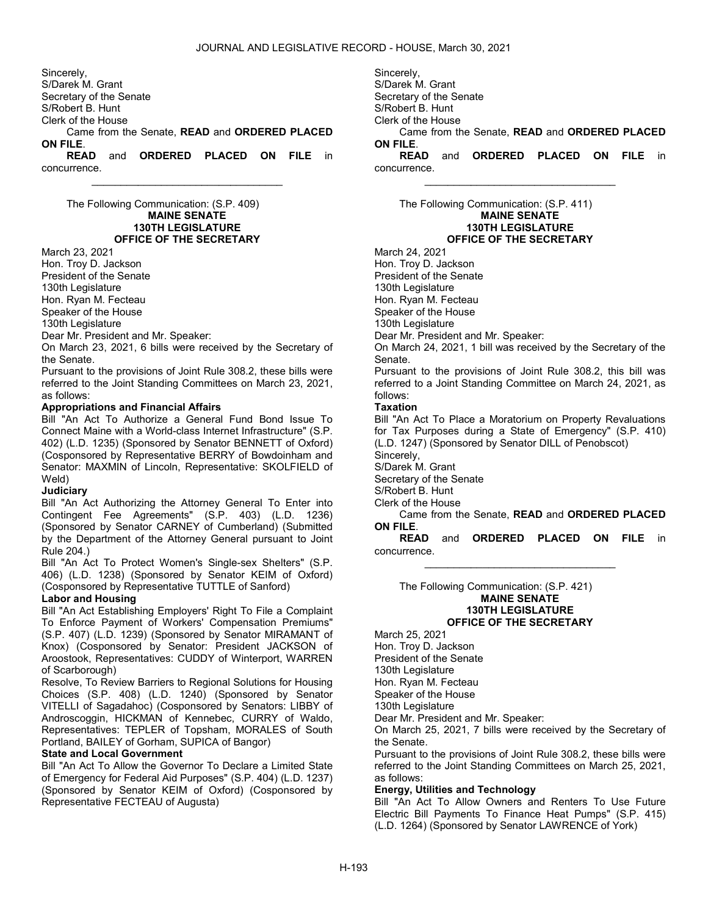Sincerely, S/Darek M. Grant Secretary of the Senate S/Robert B. Hunt Clerk of the House Came from the Senate, READ and ORDERED PLACED ON FILE. READ and ORDERED PLACED ON FILE in

\_\_\_\_\_\_\_\_\_\_\_\_\_\_\_\_\_\_\_\_\_\_\_\_\_\_\_\_\_\_\_\_\_

concurrence.

 The Following Communication: (S.P. 409) MAINE SENATE 130TH LEGISLATURE OFFICE OF THE SECRETARY

March 23, 2021 Hon. Troy D. Jackson

President of the Senate

130th Legislature

Hon. Ryan M. Fecteau

Speaker of the House

130th Legislature

Dear Mr. President and Mr. Speaker:

On March 23, 2021, 6 bills were received by the Secretary of the Senate.

Pursuant to the provisions of Joint Rule 308.2, these bills were referred to the Joint Standing Committees on March 23, 2021, as follows:

# Appropriations and Financial Affairs

Bill "An Act To Authorize a General Fund Bond Issue To Connect Maine with a World-class Internet Infrastructure" (S.P. 402) (L.D. 1235) (Sponsored by Senator BENNETT of Oxford) (Cosponsored by Representative BERRY of Bowdoinham and Senator: MAXMIN of Lincoln, Representative: SKOLFIELD of Weld)

# **Judiciary**

Bill "An Act Authorizing the Attorney General To Enter into Contingent Fee Agreements" (S.P. 403) (L.D. 1236) (Sponsored by Senator CARNEY of Cumberland) (Submitted by the Department of the Attorney General pursuant to Joint Rule 204.)

Bill "An Act To Protect Women's Single-sex Shelters" (S.P. 406) (L.D. 1238) (Sponsored by Senator KEIM of Oxford) (Cosponsored by Representative TUTTLE of Sanford)

# Labor and Housing

Bill "An Act Establishing Employers' Right To File a Complaint To Enforce Payment of Workers' Compensation Premiums" (S.P. 407) (L.D. 1239) (Sponsored by Senator MIRAMANT of Knox) (Cosponsored by Senator: President JACKSON of Aroostook, Representatives: CUDDY of Winterport, WARREN of Scarborough)

Resolve, To Review Barriers to Regional Solutions for Housing Choices (S.P. 408) (L.D. 1240) (Sponsored by Senator VITELLI of Sagadahoc) (Cosponsored by Senators: LIBBY of Androscoggin, HICKMAN of Kennebec, CURRY of Waldo, Representatives: TEPLER of Topsham, MORALES of South Portland, BAILEY of Gorham, SUPICA of Bangor)

#### State and Local Government

Bill "An Act To Allow the Governor To Declare a Limited State of Emergency for Federal Aid Purposes" (S.P. 404) (L.D. 1237) (Sponsored by Senator KEIM of Oxford) (Cosponsored by Representative FECTEAU of Augusta)

Sincerely, S/Darek M. Grant Secretary of the Senate S/Robert B. Hunt Clerk of the House Came from the Senate, READ and ORDERED PLACED ON FILE. READ and ORDERED PLACED ON FILE in concurrence.

\_\_\_\_\_\_\_\_\_\_\_\_\_\_\_\_\_\_\_\_\_\_\_\_\_\_\_\_\_\_\_\_\_

 The Following Communication: (S.P. 411) MAINE SENATE 130TH LEGISLATURE OFFICE OF THE SECRETARY March 24, 2021

Hon. Troy D. Jackson

President of the Senate 130th Legislature

Hon. Ryan M. Fecteau

Speaker of the House

130th Legislature

Dear Mr. President and Mr. Speaker:

On March 24, 2021, 1 bill was received by the Secretary of the Senate.

Pursuant to the provisions of Joint Rule 308.2, this bill was referred to a Joint Standing Committee on March 24, 2021, as follows:

# Taxation

Bill "An Act To Place a Moratorium on Property Revaluations for Tax Purposes during a State of Emergency" (S.P. 410) (L.D. 1247) (Sponsored by Senator DILL of Penobscot) Sincerely,

S/Darek M. Grant

Secretary of the Senate

S/Robert B. Hunt

- Clerk of the House
- Came from the Senate, READ and ORDERED PLACED ON FILE.

READ and ORDERED PLACED ON FILE in concurrence. \_\_\_\_\_\_\_\_\_\_\_\_\_\_\_\_\_\_\_\_\_\_\_\_\_\_\_\_\_\_\_\_\_

 The Following Communication: (S.P. 421) MAINE SENATE 130TH LEGISLATURE OFFICE OF THE SECRETARY

March 25, 2021 Hon. Troy D. Jackson President of the Senate 130th Legislature Hon. Ryan M. Fecteau

Speaker of the House

130th Legislature

Dear Mr. President and Mr. Speaker:

On March 25, 2021, 7 bills were received by the Secretary of the Senate.

Pursuant to the provisions of Joint Rule 308.2, these bills were referred to the Joint Standing Committees on March 25, 2021, as follows:

# Energy, Utilities and Technology

Bill "An Act To Allow Owners and Renters To Use Future Electric Bill Payments To Finance Heat Pumps" (S.P. 415) (L.D. 1264) (Sponsored by Senator LAWRENCE of York)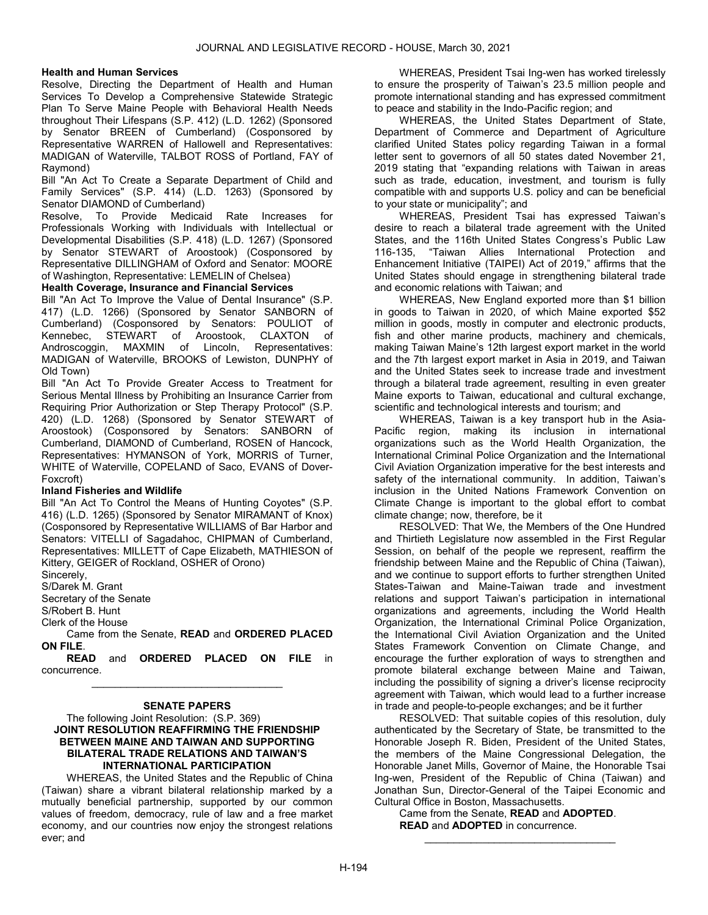# Health and Human Services

Resolve, Directing the Department of Health and Human Services To Develop a Comprehensive Statewide Strategic Plan To Serve Maine People with Behavioral Health Needs throughout Their Lifespans (S.P. 412) (L.D. 1262) (Sponsored by Senator BREEN of Cumberland) (Cosponsored by Representative WARREN of Hallowell and Representatives: MADIGAN of Waterville, TALBOT ROSS of Portland, FAY of Raymond)

Bill "An Act To Create a Separate Department of Child and Family Services" (S.P. 414) (L.D. 1263) (Sponsored by Senator DIAMOND of Cumberland)

Resolve, To Provide Medicaid Rate Increases for Professionals Working with Individuals with Intellectual or Developmental Disabilities (S.P. 418) (L.D. 1267) (Sponsored by Senator STEWART of Aroostook) (Cosponsored by Representative DILLINGHAM of Oxford and Senator: MOORE of Washington, Representative: LEMELIN of Chelsea)

Health Coverage, Insurance and Financial Services

Bill "An Act To Improve the Value of Dental Insurance" (S.P. 417) (L.D. 1266) (Sponsored by Senator SANBORN of Cumberland) (Cosponsored by Senators: POULIOT of Kennebec, STEWART of Aroostook, CLAXTON of Androscoggin, MAXMIN of Lincoln, Representatives: MADIGAN of Waterville, BROOKS of Lewiston, DUNPHY of Old Town)

Bill "An Act To Provide Greater Access to Treatment for Serious Mental Illness by Prohibiting an Insurance Carrier from Requiring Prior Authorization or Step Therapy Protocol" (S.P. 420) (L.D. 1268) (Sponsored by Senator STEWART of Aroostook) (Cosponsored by Senators: SANBORN of Cumberland, DIAMOND of Cumberland, ROSEN of Hancock, Representatives: HYMANSON of York, MORRIS of Turner, WHITE of Waterville, COPELAND of Saco, EVANS of Dover-Foxcroft)

#### Inland Fisheries and Wildlife

Bill "An Act To Control the Means of Hunting Coyotes" (S.P. 416) (L.D. 1265) (Sponsored by Senator MIRAMANT of Knox) (Cosponsored by Representative WILLIAMS of Bar Harbor and Senators: VITELLI of Sagadahoc, CHIPMAN of Cumberland, Representatives: MILLETT of Cape Elizabeth, MATHIESON of Kittery, GEIGER of Rockland, OSHER of Orono)

Sincerely,

S/Darek M. Grant

Secretary of the Senate

S/Robert B. Hunt

Clerk of the House

 Came from the Senate, READ and ORDERED PLACED ON FILE.

READ and ORDERED PLACED ON FILE in concurrence. \_\_\_\_\_\_\_\_\_\_\_\_\_\_\_\_\_\_\_\_\_\_\_\_\_\_\_\_\_\_\_\_\_

# SENATE PAPERS

# The following Joint Resolution: (S.P. 369) JOINT RESOLUTION REAFFIRMING THE FRIENDSHIP BETWEEN MAINE AND TAIWAN AND SUPPORTING BILATERAL TRADE RELATIONS AND TAIWAN'S INTERNATIONAL PARTICIPATION

 WHEREAS, the United States and the Republic of China (Taiwan) share a vibrant bilateral relationship marked by a mutually beneficial partnership, supported by our common values of freedom, democracy, rule of law and a free market economy, and our countries now enjoy the strongest relations ever; and

 WHEREAS, President Tsai Ing-wen has worked tirelessly to ensure the prosperity of Taiwan's 23.5 million people and promote international standing and has expressed commitment to peace and stability in the Indo-Pacific region; and

 WHEREAS, the United States Department of State, Department of Commerce and Department of Agriculture clarified United States policy regarding Taiwan in a formal letter sent to governors of all 50 states dated November 21, 2019 stating that "expanding relations with Taiwan in areas such as trade, education, investment, and tourism is fully compatible with and supports U.S. policy and can be beneficial to your state or municipality"; and

 WHEREAS, President Tsai has expressed Taiwan's desire to reach a bilateral trade agreement with the United States, and the 116th United States Congress's Public Law 116-135, "Taiwan Allies International Protection and Enhancement Initiative (TAIPEI) Act of 2019," affirms that the United States should engage in strengthening bilateral trade and economic relations with Taiwan; and

 WHEREAS, New England exported more than \$1 billion in goods to Taiwan in 2020, of which Maine exported \$52 million in goods, mostly in computer and electronic products, fish and other marine products, machinery and chemicals, making Taiwan Maine's 12th largest export market in the world and the 7th largest export market in Asia in 2019, and Taiwan and the United States seek to increase trade and investment through a bilateral trade agreement, resulting in even greater Maine exports to Taiwan, educational and cultural exchange, scientific and technological interests and tourism; and

 WHEREAS, Taiwan is a key transport hub in the Asia-Pacific region, making its inclusion in international organizations such as the World Health Organization, the International Criminal Police Organization and the International Civil Aviation Organization imperative for the best interests and safety of the international community. In addition, Taiwan's inclusion in the United Nations Framework Convention on Climate Change is important to the global effort to combat climate change; now, therefore, be it

 RESOLVED: That We, the Members of the One Hundred and Thirtieth Legislature now assembled in the First Regular Session, on behalf of the people we represent, reaffirm the friendship between Maine and the Republic of China (Taiwan), and we continue to support efforts to further strengthen United States-Taiwan and Maine-Taiwan trade and investment relations and support Taiwan's participation in international organizations and agreements, including the World Health Organization, the International Criminal Police Organization, the International Civil Aviation Organization and the United States Framework Convention on Climate Change, and encourage the further exploration of ways to strengthen and promote bilateral exchange between Maine and Taiwan, including the possibility of signing a driver's license reciprocity agreement with Taiwan, which would lead to a further increase in trade and people-to-people exchanges; and be it further

 RESOLVED: That suitable copies of this resolution, duly authenticated by the Secretary of State, be transmitted to the Honorable Joseph R. Biden, President of the United States, the members of the Maine Congressional Delegation, the Honorable Janet Mills, Governor of Maine, the Honorable Tsai Ing-wen, President of the Republic of China (Taiwan) and Jonathan Sun, Director-General of the Taipei Economic and Cultural Office in Boston, Massachusetts.

\_\_\_\_\_\_\_\_\_\_\_\_\_\_\_\_\_\_\_\_\_\_\_\_\_\_\_\_\_\_\_\_\_

 Came from the Senate, READ and ADOPTED. READ and ADOPTED in concurrence.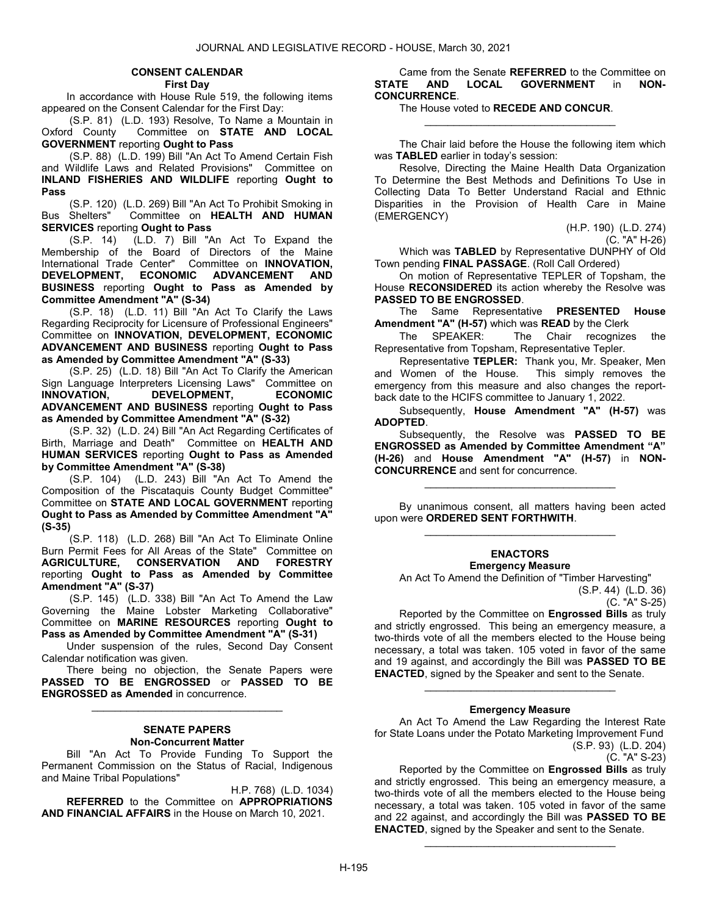#### CONSENT CALENDAR

First Day

 In accordance with House Rule 519, the following items appeared on the Consent Calendar for the First Day:

(S.P. 81) (L.D. 193) Resolve, To Name a Mountain in<br>Oxford County Committee on **STATE AND LOCAL** Committee on STATE AND LOCAL GOVERNMENT reporting Ought to Pass

 (S.P. 88) (L.D. 199) Bill "An Act To Amend Certain Fish and Wildlife Laws and Related Provisions" Committee on INLAND FISHERIES AND WILDLIFE reporting Ought to Pass

(S.P. 120) (L.D. 269) Bill "An Act To Prohibit Smoking in Bus Shelters" Committee on **HEALTH AND HUMAN** Committee on HEALTH AND HUMAN SERVICES reporting Ought to Pass

 (S.P. 14) (L.D. 7) Bill "An Act To Expand the Membership of the Board of Directors of the Maine International Trade Center" Committee on **INNOVATION**, DEVELOPMENT, ECONOMIC ADVANCEMENT AND BUSINESS reporting Ought to Pass as Amended by Committee Amendment "A" (S-34)

 (S.P. 18) (L.D. 11) Bill "An Act To Clarify the Laws Regarding Reciprocity for Licensure of Professional Engineers" Committee on INNOVATION, DEVELOPMENT, ECONOMIC ADVANCEMENT AND BUSINESS reporting Ought to Pass as Amended by Committee Amendment "A" (S-33)

 (S.P. 25) (L.D. 18) Bill "An Act To Clarify the American Sign Language Interpreters Licensing Laws" Committee on INNOVATION, DEVELOPMENT, ECONOMIC ADVANCEMENT AND BUSINESS reporting Ought to Pass as Amended by Committee Amendment "A" (S-32)

 (S.P. 32) (L.D. 24) Bill "An Act Regarding Certificates of Birth, Marriage and Death" Committee on HEALTH AND HUMAN SERVICES reporting Ought to Pass as Amended by Committee Amendment "A" (S-38)

 (S.P. 104) (L.D. 243) Bill "An Act To Amend the Composition of the Piscataquis County Budget Committee" Committee on STATE AND LOCAL GOVERNMENT reporting Ought to Pass as Amended by Committee Amendment "A" (S-35)

 (S.P. 118) (L.D. 268) Bill "An Act To Eliminate Online Burn Permit Fees for All Areas of the State" Committee on **AGRICULTURE.** CONSERVATION AND FORESTRY AGRICULTURE, CONSERVATION reporting Ought to Pass as Amended by Committee Amendment "A" (S-37)

 (S.P. 145) (L.D. 338) Bill "An Act To Amend the Law Governing the Maine Lobster Marketing Collaborative" Committee on **MARINE RESOURCES** reporting Ought to Pass as Amended by Committee Amendment "A" (S-31)

 Under suspension of the rules, Second Day Consent Calendar notification was given.

 There being no objection, the Senate Papers were PASSED TO BE ENGROSSED or PASSED TO BE ENGROSSED as Amended in concurrence.

\_\_\_\_\_\_\_\_\_\_\_\_\_\_\_\_\_\_\_\_\_\_\_\_\_\_\_\_\_\_\_\_\_

#### SENATE PAPERS Non-Concurrent Matter

 Bill "An Act To Provide Funding To Support the Permanent Commission on the Status of Racial, Indigenous and Maine Tribal Populations"

H.P. 768) (L.D. 1034) REFERRED to the Committee on APPROPRIATIONS AND FINANCIAL AFFAIRS in the House on March 10, 2021.

 Came from the Senate REFERRED to the Committee on STATE AND LOCAL GOVERNMENT in NON-CONCURRENCE.

#### The House voted to RECEDE AND CONCUR.

 The Chair laid before the House the following item which was TABLED earlier in today's session:

\_\_\_\_\_\_\_\_\_\_\_\_\_\_\_\_\_\_\_\_\_\_\_\_\_\_\_\_\_\_\_\_\_

 Resolve, Directing the Maine Health Data Organization To Determine the Best Methods and Definitions To Use in Collecting Data To Better Understand Racial and Ethnic Disparities in the Provision of Health Care in Maine (EMERGENCY)

(H.P. 190) (L.D. 274)

(C. "A" H-26)

 Which was TABLED by Representative DUNPHY of Old Town pending FINAL PASSAGE. (Roll Call Ordered)

 On motion of Representative TEPLER of Topsham, the House RECONSIDERED its action whereby the Resolve was PASSED TO BE ENGROSSED.

The Same Representative PRESENTED House Amendment "A" (H-57) which was READ by the Clerk

 The SPEAKER: The Chair recognizes the Representative from Topsham, Representative Tepler.

Representative TEPLER: Thank you, Mr. Speaker, Men and Women of the House. This simply removes the emergency from this measure and also changes the reportback date to the HCIFS committee to January 1, 2022.

 Subsequently, House Amendment "A" (H-57) was ADOPTED.

 Subsequently, the Resolve was PASSED TO BE ENGROSSED as Amended by Committee Amendment "A" (H-26) and House Amendment "A" (H-57) in NON-CONCURRENCE and sent for concurrence.

 By unanimous consent, all matters having been acted upon were ORDERED SENT FORTHWITH. \_\_\_\_\_\_\_\_\_\_\_\_\_\_\_\_\_\_\_\_\_\_\_\_\_\_\_\_\_\_\_\_\_

\_\_\_\_\_\_\_\_\_\_\_\_\_\_\_\_\_\_\_\_\_\_\_\_\_\_\_\_\_\_\_\_\_

#### ENACTORS Emergency Measure

 An Act To Amend the Definition of "Timber Harvesting" (S.P. 44) (L.D. 36)

(C. "A" S-25)

 Reported by the Committee on Engrossed Bills as truly and strictly engrossed. This being an emergency measure, a two-thirds vote of all the members elected to the House being necessary, a total was taken. 105 voted in favor of the same and 19 against, and accordingly the Bill was PASSED TO BE ENACTED, signed by the Speaker and sent to the Senate.

#### Emergency Measure

\_\_\_\_\_\_\_\_\_\_\_\_\_\_\_\_\_\_\_\_\_\_\_\_\_\_\_\_\_\_\_\_\_

 An Act To Amend the Law Regarding the Interest Rate for State Loans under the Potato Marketing Improvement Fund (S.P. 93) (L.D. 204)

(C. "A" S-23)

 Reported by the Committee on Engrossed Bills as truly and strictly engrossed. This being an emergency measure, a two-thirds vote of all the members elected to the House being necessary, a total was taken. 105 voted in favor of the same and 22 against, and accordingly the Bill was **PASSED TO BE** ENACTED, signed by the Speaker and sent to the Senate.

\_\_\_\_\_\_\_\_\_\_\_\_\_\_\_\_\_\_\_\_\_\_\_\_\_\_\_\_\_\_\_\_\_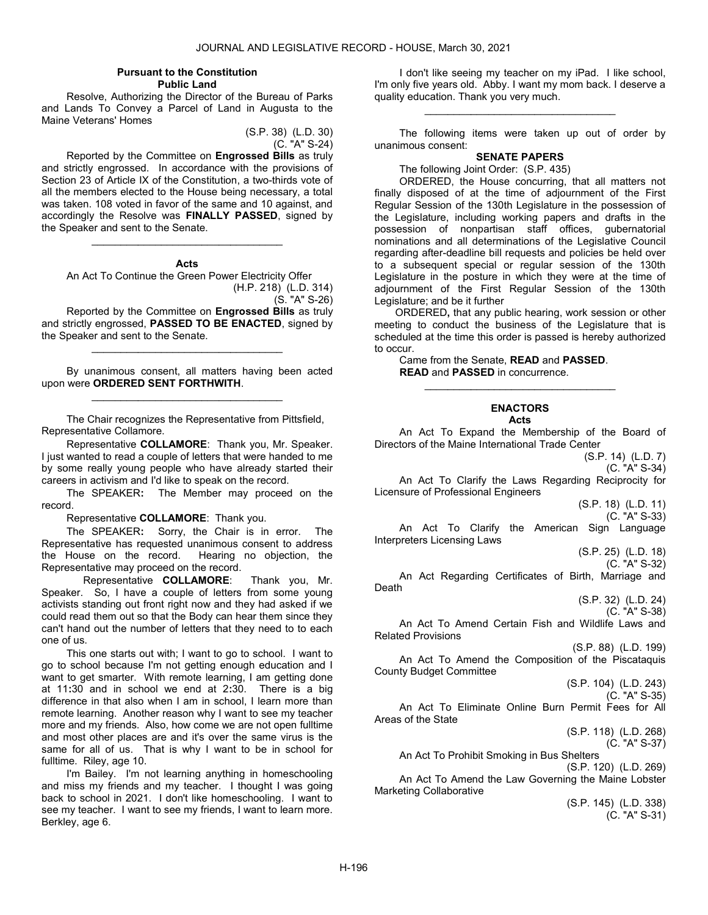#### Pursuant to the Constitution Public Land

 Resolve, Authorizing the Director of the Bureau of Parks and Lands To Convey a Parcel of Land in Augusta to the Maine Veterans' Homes

> (S.P. 38) (L.D. 30) (C. "A" S-24)

 Reported by the Committee on Engrossed Bills as truly and strictly engrossed. In accordance with the provisions of Section 23 of Article IX of the Constitution, a two-thirds vote of all the members elected to the House being necessary, a total was taken. 108 voted in favor of the same and 10 against, and accordingly the Resolve was FINALLY PASSED, signed by the Speaker and sent to the Senate.

# \_\_\_\_\_\_\_\_\_\_\_\_\_\_\_\_\_\_\_\_\_\_\_\_\_\_\_\_\_\_\_\_\_ Acts

 An Act To Continue the Green Power Electricity Offer (H.P. 218) (L.D. 314)

(S. "A" S-26)

 Reported by the Committee on Engrossed Bills as truly and strictly engrossed, PASSED TO BE ENACTED, signed by the Speaker and sent to the Senate.

\_\_\_\_\_\_\_\_\_\_\_\_\_\_\_\_\_\_\_\_\_\_\_\_\_\_\_\_\_\_\_\_\_

 By unanimous consent, all matters having been acted upon were ORDERED SENT FORTHWITH. \_\_\_\_\_\_\_\_\_\_\_\_\_\_\_\_\_\_\_\_\_\_\_\_\_\_\_\_\_\_\_\_\_

 The Chair recognizes the Representative from Pittsfield, Representative Collamore.

Representative COLLAMORE: Thank you, Mr. Speaker. I just wanted to read a couple of letters that were handed to me by some really young people who have already started their careers in activism and I'd like to speak on the record.

The SPEAKER: The Member may proceed on the record.

Representative COLLAMORE: Thank you.

The SPEAKER: Sorry, the Chair is in error. The Representative has requested unanimous consent to address the House on the record. Hearing no objection, the Representative may proceed on the record.

Representative COLLAMORE: Thank you, Mr. Speaker. So, I have a couple of letters from some young activists standing out front right now and they had asked if we could read them out so that the Body can hear them since they can't hand out the number of letters that they need to to each one of us.

This one starts out with; I want to go to school. I want to go to school because I'm not getting enough education and I want to get smarter. With remote learning, I am getting done at 11:30 and in school we end at 2:30. There is a big difference in that also when I am in school, I learn more than remote learning. Another reason why I want to see my teacher more and my friends. Also, how come we are not open fulltime and most other places are and it's over the same virus is the same for all of us. That is why I want to be in school for fulltime. Riley, age 10.

I'm Bailey. I'm not learning anything in homeschooling and miss my friends and my teacher. I thought I was going back to school in 2021. I don't like homeschooling. I want to see my teacher. I want to see my friends, I want to learn more. Berkley, age 6.

I don't like seeing my teacher on my iPad. I like school, I'm only five years old. Abby. I want my mom back. I deserve a quality education. Thank you very much.

\_\_\_\_\_\_\_\_\_\_\_\_\_\_\_\_\_\_\_\_\_\_\_\_\_\_\_\_\_\_\_\_\_

 The following items were taken up out of order by unanimous consent:

# SENATE PAPERS

The following Joint Order: (S.P. 435)

 ORDERED, the House concurring, that all matters not finally disposed of at the time of adjournment of the First Regular Session of the 130th Legislature in the possession of the Legislature, including working papers and drafts in the possession of nonpartisan staff offices, gubernatorial nominations and all determinations of the Legislative Council regarding after-deadline bill requests and policies be held over to a subsequent special or regular session of the 130th Legislature in the posture in which they were at the time of adjournment of the First Regular Session of the 130th Legislature; and be it further

ORDERED, that any public hearing, work session or other meeting to conduct the business of the Legislature that is scheduled at the time this order is passed is hereby authorized to occur.

 Came from the Senate, READ and PASSED. READ and PASSED in concurrence.

# ENACTORS

\_\_\_\_\_\_\_\_\_\_\_\_\_\_\_\_\_\_\_\_\_\_\_\_\_\_\_\_\_\_\_\_\_

#### Acts

 An Act To Expand the Membership of the Board of Directors of the Maine International Trade Center

(S.P. 14) (L.D. 7) (C. "A" S-34) An Act To Clarify the Laws Regarding Reciprocity for Licensure of Professional Engineers (S.P. 18) (L.D. 11) (C. "A" S-33) An Act To Clarify the American Sign Language Interpreters Licensing Laws (S.P. 25) (L.D. 18) (C. "A" S-32) An Act Regarding Certificates of Birth, Marriage and (S.P. 32) (L.D. 24) (C. "A" S-38) An Act To Amend Certain Fish and Wildlife Laws and Related Provisions (S.P. 88) (L.D. 199) An Act To Amend the Composition of the Piscataquis County Budget Committee (S.P. 104) (L.D. 243) (C. "A" S-35) An Act To Eliminate Online Burn Permit Fees for All Areas of the State (S.P. 118) (L.D. 268) (C. "A" S-37)

An Act To Prohibit Smoking in Bus Shelters

(S.P. 120) (L.D. 269)

 An Act To Amend the Law Governing the Maine Lobster Marketing Collaborative

(S.P. 145) (L.D. 338) (C. "A" S-31)

Death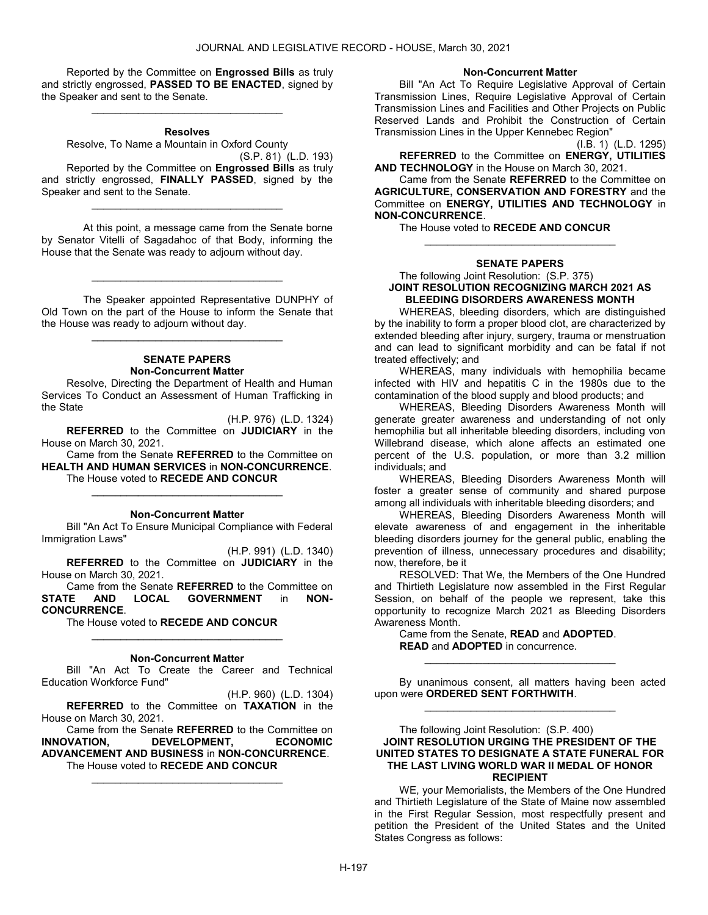Reported by the Committee on Engrossed Bills as truly and strictly engrossed, PASSED TO BE ENACTED, signed by the Speaker and sent to the Senate.

#### Resolves

\_\_\_\_\_\_\_\_\_\_\_\_\_\_\_\_\_\_\_\_\_\_\_\_\_\_\_\_\_\_\_\_\_

Resolve, To Name a Mountain in Oxford County

(S.P. 81) (L.D. 193) Reported by the Committee on Engrossed Bills as truly and strictly engrossed. FINALLY PASSED, signed by the Speaker and sent to the Senate.

\_\_\_\_\_\_\_\_\_\_\_\_\_\_\_\_\_\_\_\_\_\_\_\_\_\_\_\_\_\_\_\_\_

 At this point, a message came from the Senate borne by Senator Vitelli of Sagadahoc of that Body, informing the House that the Senate was ready to adjourn without day.

 The Speaker appointed Representative DUNPHY of Old Town on the part of the House to inform the Senate that the House was ready to adjourn without day.

\_\_\_\_\_\_\_\_\_\_\_\_\_\_\_\_\_\_\_\_\_\_\_\_\_\_\_\_\_\_\_\_\_

\_\_\_\_\_\_\_\_\_\_\_\_\_\_\_\_\_\_\_\_\_\_\_\_\_\_\_\_\_\_\_\_\_

# SENATE PAPERS Non-Concurrent Matter

 Resolve, Directing the Department of Health and Human Services To Conduct an Assessment of Human Trafficking in the State

(H.P. 976) (L.D. 1324) REFERRED to the Committee on JUDICIARY in the House on March 30, 2021.

 Came from the Senate REFERRED to the Committee on HEALTH AND HUMAN SERVICES in NON-CONCURRENCE. The House voted to RECEDE AND CONCUR

#### Non-Concurrent Matter

\_\_\_\_\_\_\_\_\_\_\_\_\_\_\_\_\_\_\_\_\_\_\_\_\_\_\_\_\_\_\_\_\_

 Bill "An Act To Ensure Municipal Compliance with Federal Immigration Laws"

(H.P. 991) (L.D. 1340) REFERRED to the Committee on JUDICIARY in the House on March 30, 2021.

 Came from the Senate REFERRED to the Committee on STATE AND LOCAL GOVERNMENT in NON-CONCURRENCE.

The House voted to RECEDE AND CONCUR

#### Non-Concurrent Matter

\_\_\_\_\_\_\_\_\_\_\_\_\_\_\_\_\_\_\_\_\_\_\_\_\_\_\_\_\_\_\_\_\_

 Bill "An Act To Create the Career and Technical Education Workforce Fund"

(H.P. 960) (L.D. 1304) REFERRED to the Committee on TAXATION in the House on March 30, 2021.

 Came from the Senate REFERRED to the Committee on INNOVATION, DEVELOPMENT, ECONOMIC ADVANCEMENT AND BUSINESS in NON-CONCURRENCE. The House voted to RECEDE AND CONCUR

\_\_\_\_\_\_\_\_\_\_\_\_\_\_\_\_\_\_\_\_\_\_\_\_\_\_\_\_\_\_\_\_\_

#### Non-Concurrent Matter

 Bill "An Act To Require Legislative Approval of Certain Transmission Lines, Require Legislative Approval of Certain Transmission Lines and Facilities and Other Projects on Public Reserved Lands and Prohibit the Construction of Certain Transmission Lines in the Upper Kennebec Region"

(I.B. 1) (L.D. 1295) REFERRED to the Committee on ENERGY, UTILITIES AND TECHNOLOGY in the House on March 30, 2021.

 Came from the Senate REFERRED to the Committee on AGRICULTURE, CONSERVATION AND FORESTRY and the Committee on ENERGY, UTILITIES AND TECHNOLOGY in NON-CONCURRENCE.

The House voted to RECEDE AND CONCUR

#### SENATE PAPERS

\_\_\_\_\_\_\_\_\_\_\_\_\_\_\_\_\_\_\_\_\_\_\_\_\_\_\_\_\_\_\_\_\_

#### The following Joint Resolution: (S.P. 375) JOINT RESOLUTION RECOGNIZING MARCH 2021 AS BLEEDING DISORDERS AWARENESS MONTH

 WHEREAS, bleeding disorders, which are distinguished by the inability to form a proper blood clot, are characterized by extended bleeding after injury, surgery, trauma or menstruation and can lead to significant morbidity and can be fatal if not treated effectively; and

 WHEREAS, many individuals with hemophilia became infected with HIV and hepatitis C in the 1980s due to the contamination of the blood supply and blood products; and

 WHEREAS, Bleeding Disorders Awareness Month will generate greater awareness and understanding of not only hemophilia but all inheritable bleeding disorders, including von Willebrand disease, which alone affects an estimated one percent of the U.S. population, or more than 3.2 million individuals; and

 WHEREAS, Bleeding Disorders Awareness Month will foster a greater sense of community and shared purpose among all individuals with inheritable bleeding disorders; and

 WHEREAS, Bleeding Disorders Awareness Month will elevate awareness of and engagement in the inheritable bleeding disorders journey for the general public, enabling the prevention of illness, unnecessary procedures and disability; now, therefore, be it

 RESOLVED: That We, the Members of the One Hundred and Thirtieth Legislature now assembled in the First Regular Session, on behalf of the people we represent, take this opportunity to recognize March 2021 as Bleeding Disorders Awareness Month.

 Came from the Senate, READ and ADOPTED. READ and ADOPTED in concurrence.

 By unanimous consent, all matters having been acted upon were ORDERED SENT FORTHWITH. \_\_\_\_\_\_\_\_\_\_\_\_\_\_\_\_\_\_\_\_\_\_\_\_\_\_\_\_\_\_\_\_\_

\_\_\_\_\_\_\_\_\_\_\_\_\_\_\_\_\_\_\_\_\_\_\_\_\_\_\_\_\_\_\_\_\_

#### The following Joint Resolution: (S.P. 400) JOINT RESOLUTION URGING THE PRESIDENT OF THE UNITED STATES TO DESIGNATE A STATE FUNERAL FOR THE LAST LIVING WORLD WAR II MEDAL OF HONOR RECIPIENT

 WE, your Memorialists, the Members of the One Hundred and Thirtieth Legislature of the State of Maine now assembled in the First Regular Session, most respectfully present and petition the President of the United States and the United States Congress as follows: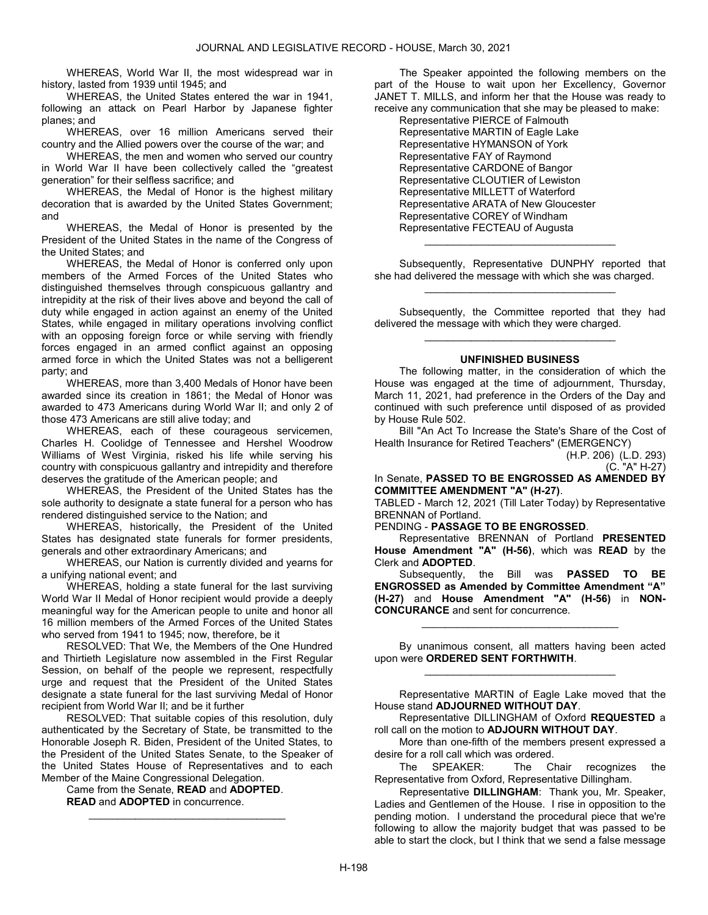WHEREAS, World War II, the most widespread war in history, lasted from 1939 until 1945; and

 WHEREAS, the United States entered the war in 1941, following an attack on Pearl Harbor by Japanese fighter planes; and

 WHEREAS, over 16 million Americans served their country and the Allied powers over the course of the war; and

 WHEREAS, the men and women who served our country in World War II have been collectively called the "greatest generation" for their selfless sacrifice; and

 WHEREAS, the Medal of Honor is the highest military decoration that is awarded by the United States Government; and

 WHEREAS, the Medal of Honor is presented by the President of the United States in the name of the Congress of the United States; and

 WHEREAS, the Medal of Honor is conferred only upon members of the Armed Forces of the United States who distinguished themselves through conspicuous gallantry and intrepidity at the risk of their lives above and beyond the call of duty while engaged in action against an enemy of the United States, while engaged in military operations involving conflict with an opposing foreign force or while serving with friendly forces engaged in an armed conflict against an opposing armed force in which the United States was not a belligerent party; and

 WHEREAS, more than 3,400 Medals of Honor have been awarded since its creation in 1861; the Medal of Honor was awarded to 473 Americans during World War II; and only 2 of those 473 Americans are still alive today; and

 WHEREAS, each of these courageous servicemen, Charles H. Coolidge of Tennessee and Hershel Woodrow Williams of West Virginia, risked his life while serving his country with conspicuous gallantry and intrepidity and therefore deserves the gratitude of the American people; and

 WHEREAS, the President of the United States has the sole authority to designate a state funeral for a person who has rendered distinguished service to the Nation; and

 WHEREAS, historically, the President of the United States has designated state funerals for former presidents, generals and other extraordinary Americans; and

 WHEREAS, our Nation is currently divided and yearns for a unifying national event; and

 WHEREAS, holding a state funeral for the last surviving World War II Medal of Honor recipient would provide a deeply meaningful way for the American people to unite and honor all 16 million members of the Armed Forces of the United States who served from 1941 to 1945; now, therefore, be it

 RESOLVED: That We, the Members of the One Hundred and Thirtieth Legislature now assembled in the First Regular Session, on behalf of the people we represent, respectfully urge and request that the President of the United States designate a state funeral for the last surviving Medal of Honor recipient from World War II; and be it further

 RESOLVED: That suitable copies of this resolution, duly authenticated by the Secretary of State, be transmitted to the Honorable Joseph R. Biden, President of the United States, to the President of the United States Senate, to the Speaker of the United States House of Representatives and to each Member of the Maine Congressional Delegation.

 $\mathcal{L}_\text{max}$  , and the set of the set of the set of the set of the set of the set of the set of the set of the set of the set of the set of the set of the set of the set of the set of the set of the set of the set of the

 Came from the Senate, READ and ADOPTED. READ and ADOPTED in concurrence.

The Speaker appointed the following members on the part of the House to wait upon her Excellency, Governor JANET T. MILLS, and inform her that the House was ready to receive any communication that she may be pleased to make:

 Representative PIERCE of Falmouth Representative MARTIN of Eagle Lake Representative HYMANSON of York Representative FAY of Raymond Representative CARDONE of Bangor Representative CLOUTIER of Lewiston Representative MILLETT of Waterford Representative ARATA of New Gloucester Representative COREY of Windham Representative FECTEAU of Augusta

 Subsequently, Representative DUNPHY reported that she had delivered the message with which she was charged. \_\_\_\_\_\_\_\_\_\_\_\_\_\_\_\_\_\_\_\_\_\_\_\_\_\_\_\_\_\_\_\_\_

\_\_\_\_\_\_\_\_\_\_\_\_\_\_\_\_\_\_\_\_\_\_\_\_\_\_\_\_\_\_\_\_\_

 Subsequently, the Committee reported that they had delivered the message with which they were charged. \_\_\_\_\_\_\_\_\_\_\_\_\_\_\_\_\_\_\_\_\_\_\_\_\_\_\_\_\_\_\_\_\_

#### UNFINISHED BUSINESS

 The following matter, in the consideration of which the House was engaged at the time of adjournment, Thursday, March 11, 2021, had preference in the Orders of the Day and continued with such preference until disposed of as provided by House Rule 502.

 Bill "An Act To Increase the State's Share of the Cost of Health Insurance for Retired Teachers" (EMERGENCY)

(H.P. 206) (L.D. 293) (C. "A" H-27)

In Senate, PASSED TO BE ENGROSSED AS AMENDED BY COMMITTEE AMENDMENT "A" (H-27).

TABLED - March 12, 2021 (Till Later Today) by Representative BRENNAN of Portland.

PENDING - PASSAGE TO BE ENGROSSED.

 Representative BRENNAN of Portland PRESENTED House Amendment "A" (H-56), which was READ by the Clerk and ADOPTED.

Subsequently, the Bill was **PASSED TO BE** ENGROSSED as Amended by Committee Amendment "A" (H-27) and House Amendment "A" (H-56) in NON-CONCURANCE and sent for concurrence.

 By unanimous consent, all matters having been acted upon were ORDERED SENT FORTHWITH. \_\_\_\_\_\_\_\_\_\_\_\_\_\_\_\_\_\_\_\_\_\_\_\_\_\_\_\_\_\_\_\_\_

 $\mathcal{L}_\text{max}$  , and the set of the set of the set of the set of the set of the set of the set of the set of the set of the set of the set of the set of the set of the set of the set of the set of the set of the set of the

 Representative MARTIN of Eagle Lake moved that the House stand ADJOURNED WITHOUT DAY.

 Representative DILLINGHAM of Oxford REQUESTED a roll call on the motion to ADJOURN WITHOUT DAY.

 More than one-fifth of the members present expressed a desire for a roll call which was ordered.

 The SPEAKER: The Chair recognizes the Representative from Oxford, Representative Dillingham.

Representative DILLINGHAM: Thank you, Mr. Speaker, Ladies and Gentlemen of the House. I rise in opposition to the pending motion. I understand the procedural piece that we're following to allow the majority budget that was passed to be able to start the clock, but I think that we send a false message